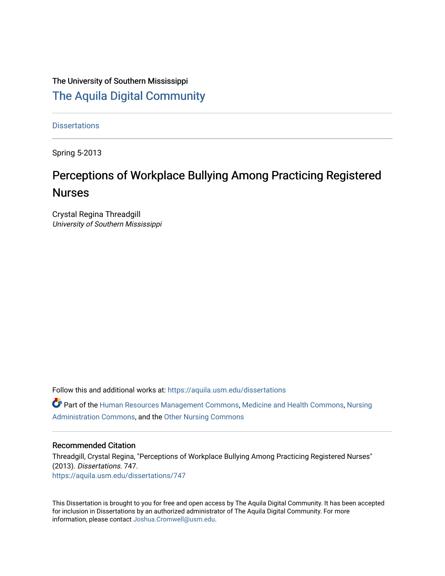# The University of Southern Mississippi [The Aquila Digital Community](https://aquila.usm.edu/)

**Dissertations** 

Spring 5-2013

# Perceptions of Workplace Bullying Among Practicing Registered Nurses

Crystal Regina Threadgill University of Southern Mississippi

Follow this and additional works at: [https://aquila.usm.edu/dissertations](https://aquila.usm.edu/dissertations?utm_source=aquila.usm.edu%2Fdissertations%2F747&utm_medium=PDF&utm_campaign=PDFCoverPages) 

Part of the [Human Resources Management Commons,](http://network.bepress.com/hgg/discipline/633?utm_source=aquila.usm.edu%2Fdissertations%2F747&utm_medium=PDF&utm_campaign=PDFCoverPages) [Medicine and Health Commons](http://network.bepress.com/hgg/discipline/422?utm_source=aquila.usm.edu%2Fdissertations%2F747&utm_medium=PDF&utm_campaign=PDFCoverPages), [Nursing](http://network.bepress.com/hgg/discipline/719?utm_source=aquila.usm.edu%2Fdissertations%2F747&utm_medium=PDF&utm_campaign=PDFCoverPages) [Administration Commons,](http://network.bepress.com/hgg/discipline/719?utm_source=aquila.usm.edu%2Fdissertations%2F747&utm_medium=PDF&utm_campaign=PDFCoverPages) and the [Other Nursing Commons](http://network.bepress.com/hgg/discipline/729?utm_source=aquila.usm.edu%2Fdissertations%2F747&utm_medium=PDF&utm_campaign=PDFCoverPages) 

## Recommended Citation

Threadgill, Crystal Regina, "Perceptions of Workplace Bullying Among Practicing Registered Nurses" (2013). Dissertations. 747. [https://aquila.usm.edu/dissertations/747](https://aquila.usm.edu/dissertations/747?utm_source=aquila.usm.edu%2Fdissertations%2F747&utm_medium=PDF&utm_campaign=PDFCoverPages) 

This Dissertation is brought to you for free and open access by The Aquila Digital Community. It has been accepted for inclusion in Dissertations by an authorized administrator of The Aquila Digital Community. For more information, please contact [Joshua.Cromwell@usm.edu.](mailto:Joshua.Cromwell@usm.edu)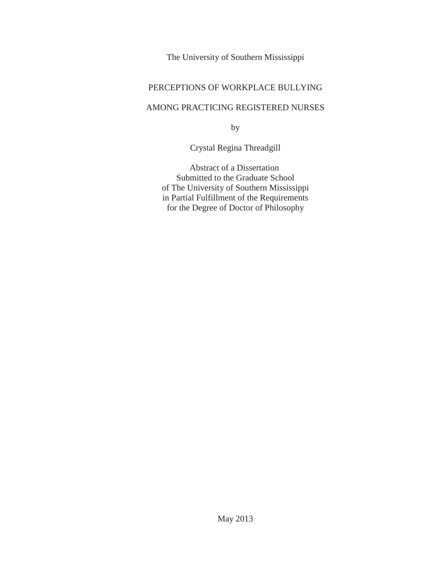The University of Southern Mississippi

# PERCEPTIONS OF WORKPLACE BULLYING

# AMONG PRACTICING REGISTERED NURSES

by

Crystal Regina Threadgill

 Abstract of a Dissertation Submitted to the Graduate School of The University of Southern Mississippi in Partial Fulfillment of the Requirements for the Degree of Doctor of Philosophy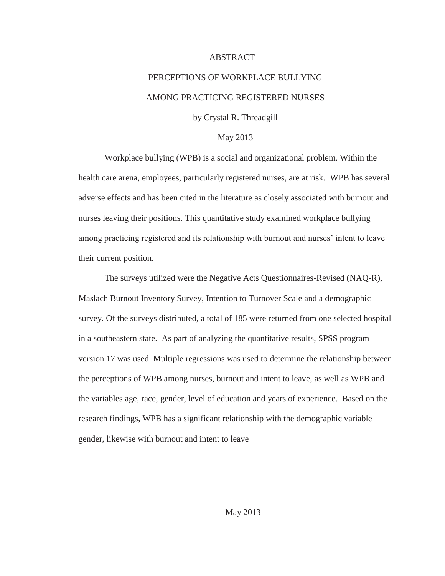## ABSTRACT

# PERCEPTIONS OF WORKPLACE BULLYING AMONG PRACTICING REGISTERED NURSES

by Crystal R. Threadgill

## May 2013

Workplace bullying (WPB) is a social and organizational problem. Within the health care arena, employees, particularly registered nurses, are at risk. WPB has several adverse effects and has been cited in the literature as closely associated with burnout and nurses leaving their positions. This quantitative study examined workplace bullying among practicing registered and its relationship with burnout and nurses' intent to leave their current position.

The surveys utilized were the Negative Acts Questionnaires-Revised (NAQ-R), Maslach Burnout Inventory Survey, Intention to Turnover Scale and a demographic survey. Of the surveys distributed, a total of 185 were returned from one selected hospital in a southeastern state. As part of analyzing the quantitative results, SPSS program version 17 was used. Multiple regressions was used to determine the relationship between the perceptions of WPB among nurses, burnout and intent to leave, as well as WPB and the variables age, race, gender, level of education and years of experience. Based on the research findings, WPB has a significant relationship with the demographic variable gender, likewise with burnout and intent to leave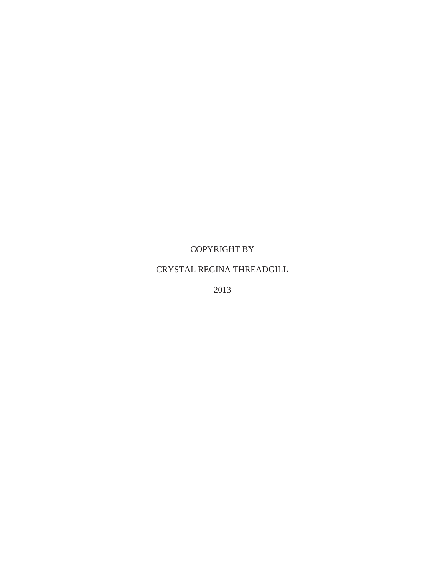# COPYRIGHT BY

# CRYSTAL REGINA THREADGILL

2013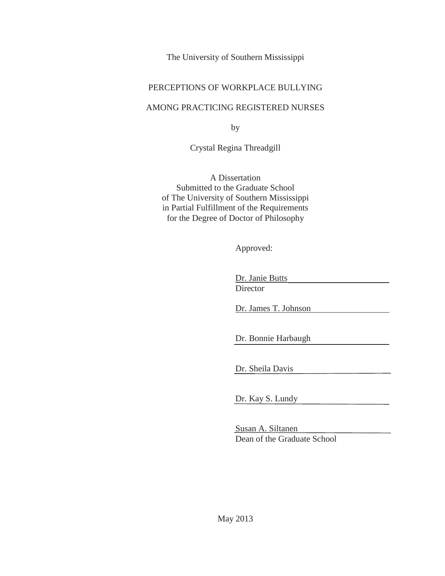The University of Southern Mississippi

# PERCEPTIONS OF WORKPLACE BULLYING

# AMONG PRACTICING REGISTERED NURSES

by

Crystal Regina Threadgill

A Dissertation Submitted to the Graduate School of The University of Southern Mississippi in Partial Fulfillment of the Requirements for the Degree of Doctor of Philosophy

Approved:

Dr. Janie Butts

**Director** 

Dr. James T. Johnson

Dr. Bonnie Harbaugh

Dr. Sheila Davis

Dr. Kay S. Lundy

Susan A. Siltanen Dean of the Graduate School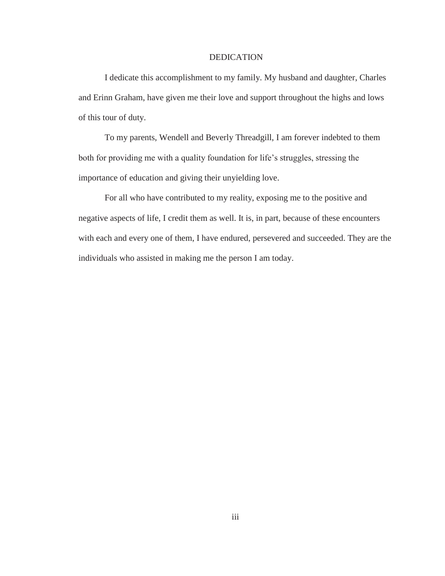## **DEDICATION**

I dedicate this accomplishment to my family. My husband and daughter, Charles and Erinn Graham, have given me their love and support throughout the highs and lows of this tour of duty.

To my parents, Wendell and Beverly Threadgill, I am forever indebted to them both for providing me with a quality foundation for life's struggles, stressing the importance of education and giving their unyielding love.

For all who have contributed to my reality, exposing me to the positive and negative aspects of life, I credit them as well. It is, in part, because of these encounters with each and every one of them, I have endured, persevered and succeeded. They are the individuals who assisted in making me the person I am today.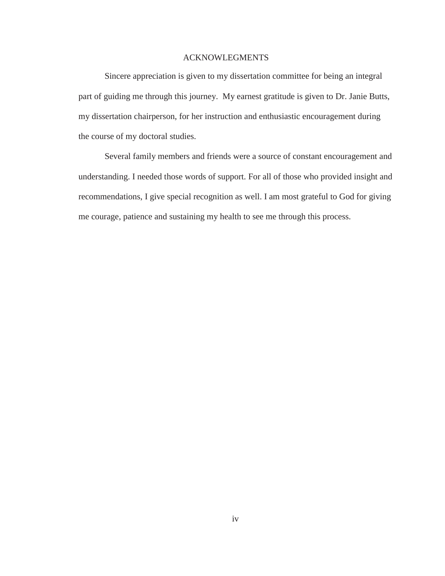# ACKNOWLEGMENTS

 Sincere appreciation is given to my dissertation committee for being an integral part of guiding me through this journey. My earnest gratitude is given to Dr. Janie Butts, my dissertation chairperson, for her instruction and enthusiastic encouragement during the course of my doctoral studies.

 Several family members and friends were a source of constant encouragement and understanding. I needed those words of support. For all of those who provided insight and recommendations, I give special recognition as well. I am most grateful to God for giving me courage, patience and sustaining my health to see me through this process.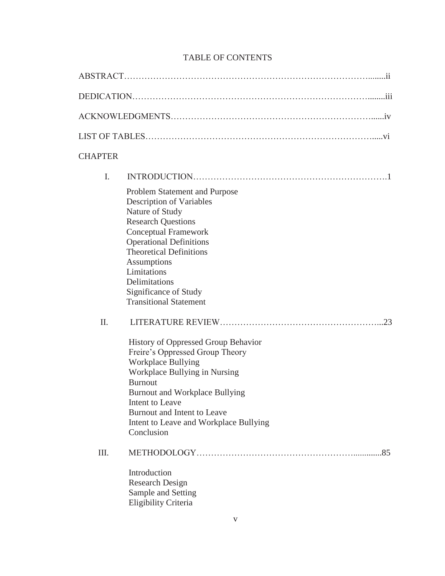| <b>CHAPTER</b> |                                                                                                                                                                                                                                                                                                                              |
|----------------|------------------------------------------------------------------------------------------------------------------------------------------------------------------------------------------------------------------------------------------------------------------------------------------------------------------------------|
| I.             |                                                                                                                                                                                                                                                                                                                              |
|                | Problem Statement and Purpose<br><b>Description of Variables</b><br>Nature of Study<br><b>Research Questions</b><br><b>Conceptual Framework</b><br><b>Operational Definitions</b><br><b>Theoretical Definitions</b><br>Assumptions<br>Limitations<br>Delimitations<br>Significance of Study<br><b>Transitional Statement</b> |
| II.            | <b>History of Oppressed Group Behavior</b><br>Freire's Oppressed Group Theory<br><b>Workplace Bullying</b><br>Workplace Bullying in Nursing<br><b>Burnout</b><br><b>Burnout and Workplace Bullying</b><br>Intent to Leave<br>Burnout and Intent to Leave<br>Intent to Leave and Workplace Bullying<br>Conclusion             |
| Ш.             | .85<br>Introduction<br><b>Research Design</b><br>Sample and Setting<br>Eligibility Criteria                                                                                                                                                                                                                                  |

# TABLE OF CONTENTS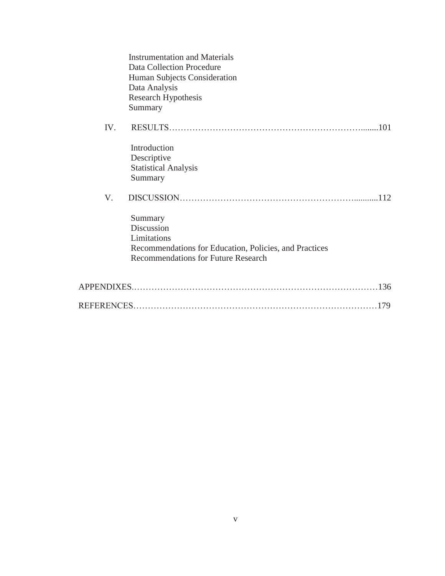|     | <b>Instrumentation and Materials</b><br>Data Collection Procedure<br>Human Subjects Consideration<br>Data Analysis<br>Research Hypothesis<br>Summary |            |
|-----|------------------------------------------------------------------------------------------------------------------------------------------------------|------------|
| IV. |                                                                                                                                                      | <b>101</b> |
|     | Introduction<br>Descriptive<br><b>Statistical Analysis</b><br>Summary                                                                                |            |
| V.  |                                                                                                                                                      |            |
|     | Summary<br>Discussion<br>Limitations<br>Recommendations for Education, Policies, and Practices<br><b>Recommendations for Future Research</b>         |            |
|     |                                                                                                                                                      |            |
|     |                                                                                                                                                      |            |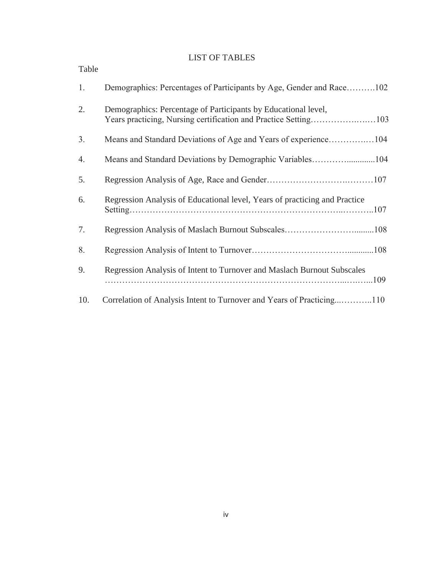# LIST OF TABLES

| Table |                                                                            |
|-------|----------------------------------------------------------------------------|
| 1.    | Demographics: Percentages of Participants by Age, Gender and Race102       |
| 2.    | Demographics: Percentage of Participants by Educational level,             |
| 3.    |                                                                            |
| 4.    | Means and Standard Deviations by Demographic Variables104                  |
| 5.    |                                                                            |
| 6.    | Regression Analysis of Educational level, Years of practicing and Practice |
| 7.    |                                                                            |
| 8.    |                                                                            |
| 9.    | Regression Analysis of Intent to Turnover and Maslach Burnout Subscales    |
| 10.   | Correlation of Analysis Intent to Turnover and Years of Practicing110      |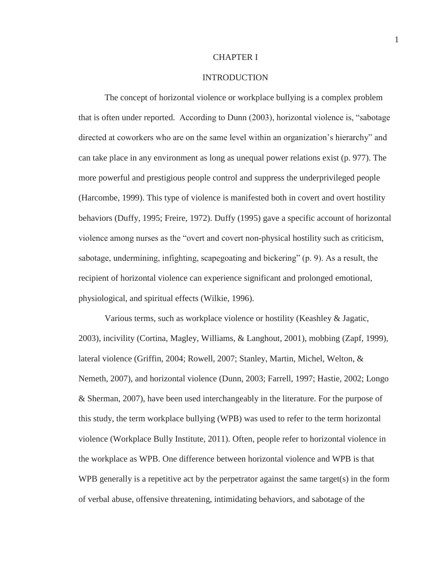## CHAPTER I

#### INTRODUCTION

The concept of horizontal violence or workplace bullying is a complex problem that is often under reported. According to Dunn (2003), horizontal violence is, "sabotage directed at coworkers who are on the same level within an organization's hierarchy" and can take place in any environment as long as unequal power relations exist (p. 977). The more powerful and prestigious people control and suppress the underprivileged people (Harcombe, 1999). This type of violence is manifested both in covert and overt hostility behaviors (Duffy, 1995; Freire, 1972). Duffy (1995) gave a specific account of horizontal violence among nurses as the "overt and covert non-physical hostility such as criticism, sabotage, undermining, infighting, scapegoating and bickering" (p. 9). As a result, the recipient of horizontal violence can experience significant and prolonged emotional, physiological, and spiritual effects (Wilkie, 1996).

Various terms, such as workplace violence or hostility (Keashley & Jagatic, 2003), incivility (Cortina, Magley, Williams, & Langhout, 2001), mobbing (Zapf, 1999), lateral violence (Griffin, 2004; Rowell, 2007; Stanley, Martin, Michel, Welton, & Nemeth, 2007), and horizontal violence (Dunn, 2003; Farrell, 1997; Hastie, 2002; Longo & Sherman, 2007), have been used interchangeably in the literature. For the purpose of this study, the term workplace bullying (WPB) was used to refer to the term horizontal violence (Workplace Bully Institute, 2011). Often, people refer to horizontal violence in the workplace as WPB. One difference between horizontal violence and WPB is that WPB generally is a repetitive act by the perpetrator against the same target(s) in the form of verbal abuse, offensive threatening, intimidating behaviors, and sabotage of the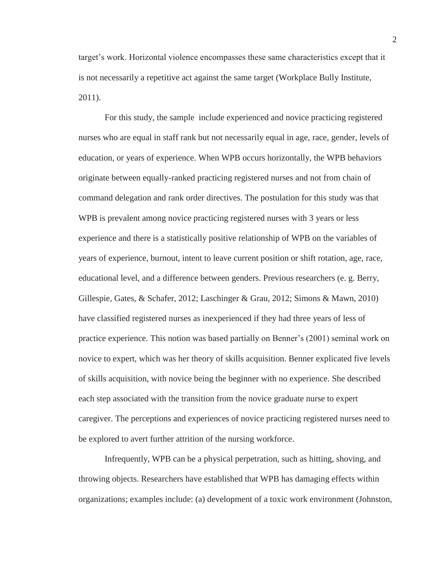target's work. Horizontal violence encompasses these same characteristics except that it is not necessarily a repetitive act against the same target (Workplace Bully Institute, 2011).

For this study, the sample include experienced and novice practicing registered nurses who are equal in staff rank but not necessarily equal in age, race, gender, levels of education, or years of experience. When WPB occurs horizontally, the WPB behaviors originate between equally-ranked practicing registered nurses and not from chain of command delegation and rank order directives. The postulation for this study was that WPB is prevalent among novice practicing registered nurses with 3 years or less experience and there is a statistically positive relationship of WPB on the variables of years of experience, burnout, intent to leave current position or shift rotation, age, race, educational level, and a difference between genders. Previous researchers (e. g. Berry, Gillespie, Gates, & Schafer, 2012; Laschinger & Grau, 2012; Simons & Mawn, 2010) have classified registered nurses as inexperienced if they had three years of less of practice experience. This notion was based partially on Benner's (2001) seminal work on novice to expert, which was her theory of skills acquisition. Benner explicated five levels of skills acquisition, with novice being the beginner with no experience. She described each step associated with the transition from the novice graduate nurse to expert caregiver. The perceptions and experiences of novice practicing registered nurses need to be explored to avert further attrition of the nursing workforce.

Infrequently, WPB can be a physical perpetration, such as hitting, shoving, and throwing objects. Researchers have established that WPB has damaging effects within organizations; examples include: (a) development of a toxic work environment (Johnston,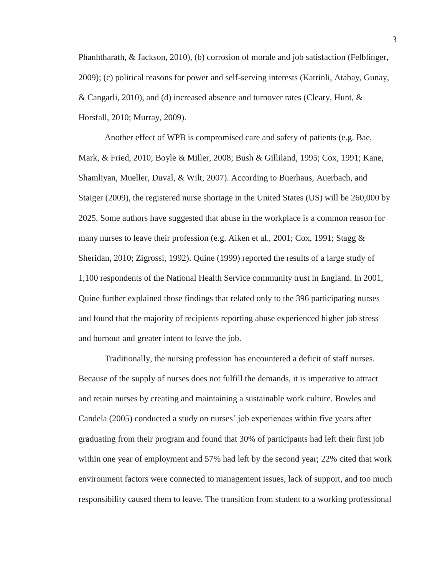Phanhtharath, & Jackson, 2010), (b) corrosion of morale and job satisfaction (Felblinger, 2009); (c) political reasons for power and self-serving interests (Katrinli, Atabay, Gunay, & Cangarli, 2010), and (d) increased absence and turnover rates (Cleary, Hunt, & Horsfall, 2010; Murray, 2009).

Another effect of WPB is compromised care and safety of patients (e.g. Bae, Mark, & Fried, 2010; Boyle & Miller, 2008; Bush & Gilliland, 1995; Cox, 1991; Kane, Shamliyan, Mueller, Duval, & Wilt, 2007). According to Buerhaus, Auerbach, and Staiger (2009), the registered nurse shortage in the United States (US) will be 260,000 by 2025. Some authors have suggested that abuse in the workplace is a common reason for many nurses to leave their profession (e.g. Aiken et al., 2001; Cox, 1991; Stagg  $\&$ Sheridan, 2010; Zigrossi, 1992). Quine (1999) reported the results of a large study of 1,100 respondents of the National Health Service community trust in England. In 2001, Quine further explained those findings that related only to the 396 participating nurses and found that the majority of recipients reporting abuse experienced higher job stress and burnout and greater intent to leave the job.

Traditionally, the nursing profession has encountered a deficit of staff nurses. Because of the supply of nurses does not fulfill the demands, it is imperative to attract and retain nurses by creating and maintaining a sustainable work culture. Bowles and Candela (2005) conducted a study on nurses' job experiences within five years after graduating from their program and found that 30% of participants had left their first job within one year of employment and 57% had left by the second year; 22% cited that work environment factors were connected to management issues, lack of support, and too much responsibility caused them to leave. The transition from student to a working professional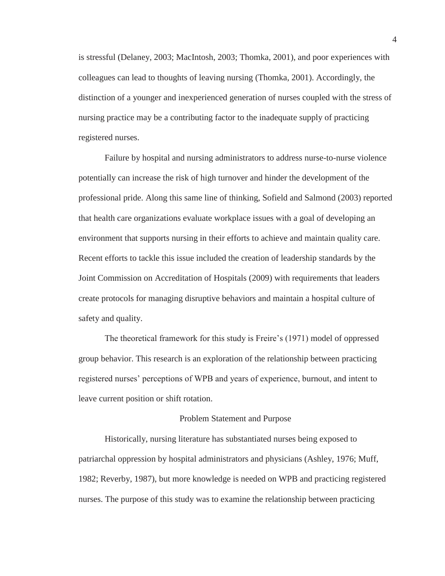is stressful (Delaney, 2003; MacIntosh, 2003; Thomka, 2001), and poor experiences with colleagues can lead to thoughts of leaving nursing (Thomka, 2001). Accordingly, the distinction of a younger and inexperienced generation of nurses coupled with the stress of nursing practice may be a contributing factor to the inadequate supply of practicing registered nurses.

Failure by hospital and nursing administrators to address nurse-to-nurse violence potentially can increase the risk of high turnover and hinder the development of the professional pride. Along this same line of thinking, Sofield and Salmond (2003) reported that health care organizations evaluate workplace issues with a goal of developing an environment that supports nursing in their efforts to achieve and maintain quality care. Recent efforts to tackle this issue included the creation of leadership standards by the Joint Commission on Accreditation of Hospitals (2009) with requirements that leaders create protocols for managing disruptive behaviors and maintain a hospital culture of safety and quality.

The theoretical framework for this study is Freire's (1971) model of oppressed group behavior. This research is an exploration of the relationship between practicing registered nurses' perceptions of WPB and years of experience, burnout, and intent to leave current position or shift rotation.

#### Problem Statement and Purpose

Historically, nursing literature has substantiated nurses being exposed to patriarchal oppression by hospital administrators and physicians (Ashley, 1976; Muff, 1982; Reverby, 1987), but more knowledge is needed on WPB and practicing registered nurses. The purpose of this study was to examine the relationship between practicing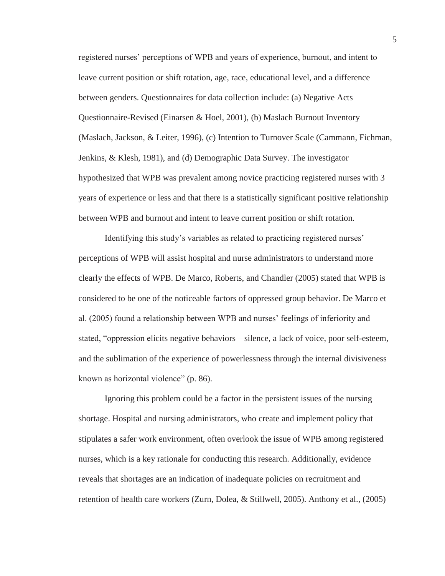registered nurses' perceptions of WPB and years of experience, burnout, and intent to leave current position or shift rotation, age, race, educational level, and a difference between genders. Questionnaires for data collection include: (a) Negative Acts Questionnaire-Revised (Einarsen & Hoel, 2001), (b) Maslach Burnout Inventory (Maslach, Jackson, & Leiter, 1996), (c) Intention to Turnover Scale (Cammann, Fichman, Jenkins, & Klesh, 1981), and (d) Demographic Data Survey. The investigator hypothesized that WPB was prevalent among novice practicing registered nurses with 3 years of experience or less and that there is a statistically significant positive relationship between WPB and burnout and intent to leave current position or shift rotation.

Identifying this study's variables as related to practicing registered nurses' perceptions of WPB will assist hospital and nurse administrators to understand more clearly the effects of WPB. De Marco, Roberts, and Chandler (2005) stated that WPB is considered to be one of the noticeable factors of oppressed group behavior. De Marco et al. (2005) found a relationship between WPB and nurses' feelings of inferiority and stated, "oppression elicits negative behaviors—silence, a lack of voice, poor self-esteem, and the sublimation of the experience of powerlessness through the internal divisiveness known as horizontal violence" (p. 86).

Ignoring this problem could be a factor in the persistent issues of the nursing shortage. Hospital and nursing administrators, who create and implement policy that stipulates a safer work environment, often overlook the issue of WPB among registered nurses, which is a key rationale for conducting this research. Additionally, evidence reveals that shortages are an indication of inadequate policies on recruitment and retention of health care workers (Zurn, Dolea, & Stillwell, 2005). Anthony et al., (2005)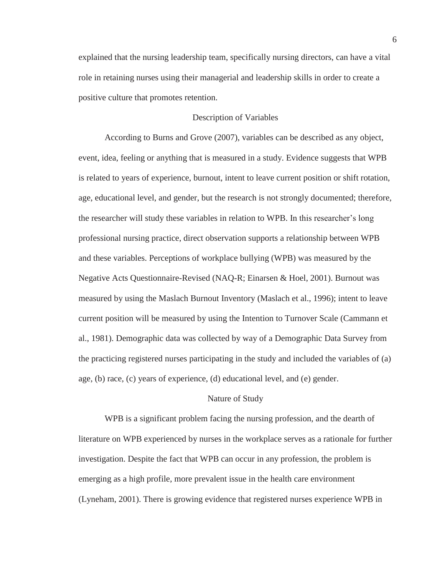explained that the nursing leadership team, specifically nursing directors, can have a vital role in retaining nurses using their managerial and leadership skills in order to create a positive culture that promotes retention.

# Description of Variables

According to Burns and Grove (2007), variables can be described as any object, event, idea, feeling or anything that is measured in a study. Evidence suggests that WPB is related to years of experience, burnout, intent to leave current position or shift rotation, age, educational level, and gender, but the research is not strongly documented; therefore, the researcher will study these variables in relation to WPB. In this researcher's long professional nursing practice, direct observation supports a relationship between WPB and these variables. Perceptions of workplace bullying (WPB) was measured by the Negative Acts Questionnaire-Revised (NAQ-R; Einarsen & Hoel, 2001). Burnout was measured by using the Maslach Burnout Inventory (Maslach et al., 1996); intent to leave current position will be measured by using the Intention to Turnover Scale (Cammann et al., 1981). Demographic data was collected by way of a Demographic Data Survey from the practicing registered nurses participating in the study and included the variables of (a) age, (b) race, (c) years of experience, (d) educational level, and (e) gender.

#### Nature of Study

WPB is a significant problem facing the nursing profession, and the dearth of literature on WPB experienced by nurses in the workplace serves as a rationale for further investigation. Despite the fact that WPB can occur in any profession, the problem is emerging as a high profile, more prevalent issue in the health care environment (Lyneham, 2001). There is growing evidence that registered nurses experience WPB in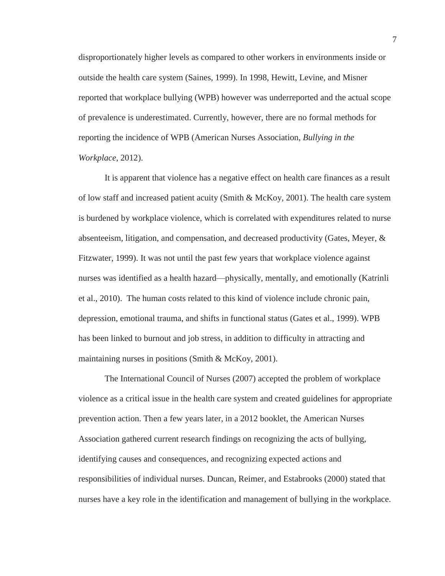disproportionately higher levels as compared to other workers in environments inside or outside the health care system (Saines, 1999). In 1998, Hewitt, Levine, and Misner reported that workplace bullying (WPB) however was underreported and the actual scope of prevalence is underestimated. Currently, however, there are no formal methods for reporting the incidence of WPB (American Nurses Association, *Bullying in the Workplace*, 2012).

It is apparent that violence has a negative effect on health care finances as a result of low staff and increased patient acuity (Smith & McKoy, 2001). The health care system is burdened by workplace violence, which is correlated with expenditures related to nurse absenteeism, litigation, and compensation, and decreased productivity (Gates, Meyer, & Fitzwater, 1999). It was not until the past few years that workplace violence against nurses was identified as a health hazard—physically, mentally, and emotionally (Katrinli et al., 2010). The human costs related to this kind of violence include chronic pain, depression, emotional trauma, and shifts in functional status (Gates et al., 1999). WPB has been linked to burnout and job stress, in addition to difficulty in attracting and maintaining nurses in positions (Smith & McKoy, 2001).

The International Council of Nurses (2007) accepted the problem of workplace violence as a critical issue in the health care system and created guidelines for appropriate prevention action. Then a few years later, in a 2012 booklet, the American Nurses Association gathered current research findings on recognizing the acts of bullying, identifying causes and consequences, and recognizing expected actions and responsibilities of individual nurses. Duncan, Reimer, and Estabrooks (2000) stated that nurses have a key role in the identification and management of bullying in the workplace.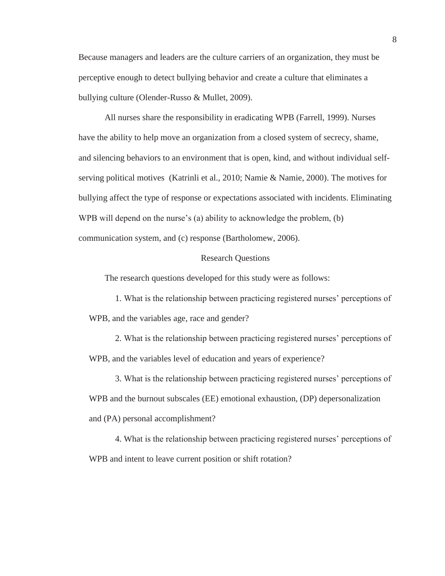Because managers and leaders are the culture carriers of an organization, they must be perceptive enough to detect bullying behavior and create a culture that eliminates a bullying culture (Olender-Russo & Mullet, 2009).

All nurses share the responsibility in eradicating WPB (Farrell, 1999). Nurses have the ability to help move an organization from a closed system of secrecy, shame, and silencing behaviors to an environment that is open, kind, and without individual selfserving political motives (Katrinli et al., 2010; Namie & Namie, 2000). The motives for bullying affect the type of response or expectations associated with incidents. Eliminating WPB will depend on the nurse's (a) ability to acknowledge the problem, (b) communication system, and (c) response (Bartholomew, 2006).

## Research Questions

The research questions developed for this study were as follows:

1. What is the relationship between practicing registered nurses' perceptions of WPB, and the variables age, race and gender?

2. What is the relationship between practicing registered nurses' perceptions of WPB, and the variables level of education and years of experience?

3. What is the relationship between practicing registered nurses' perceptions of WPB and the burnout subscales (EE) emotional exhaustion, (DP) depersonalization and (PA) personal accomplishment?

4. What is the relationship between practicing registered nurses' perceptions of WPB and intent to leave current position or shift rotation?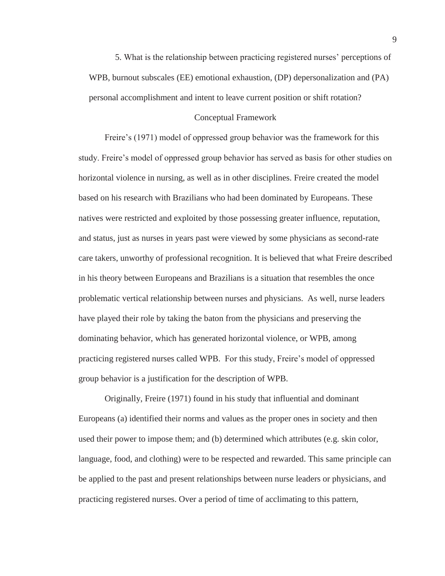5. What is the relationship between practicing registered nurses' perceptions of WPB, burnout subscales (EE) emotional exhaustion, (DP) depersonalization and (PA) personal accomplishment and intent to leave current position or shift rotation?

## Conceptual Framework

Freire's (1971) model of oppressed group behavior was the framework for this study. Freire's model of oppressed group behavior has served as basis for other studies on horizontal violence in nursing, as well as in other disciplines. Freire created the model based on his research with Brazilians who had been dominated by Europeans. These natives were restricted and exploited by those possessing greater influence, reputation, and status, just as nurses in years past were viewed by some physicians as second-rate care takers, unworthy of professional recognition. It is believed that what Freire described in his theory between Europeans and Brazilians is a situation that resembles the once problematic vertical relationship between nurses and physicians. As well, nurse leaders have played their role by taking the baton from the physicians and preserving the dominating behavior, which has generated horizontal violence, or WPB, among practicing registered nurses called WPB. For this study, Freire's model of oppressed group behavior is a justification for the description of WPB.

Originally, Freire (1971) found in his study that influential and dominant Europeans (a) identified their norms and values as the proper ones in society and then used their power to impose them; and (b) determined which attributes (e.g. skin color, language, food, and clothing) were to be respected and rewarded. This same principle can be applied to the past and present relationships between nurse leaders or physicians, and practicing registered nurses. Over a period of time of acclimating to this pattern,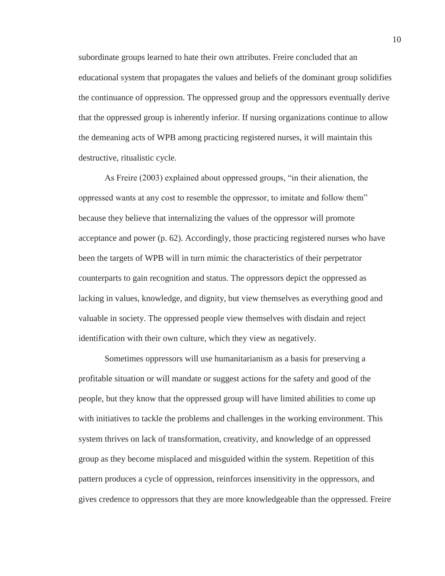subordinate groups learned to hate their own attributes. Freire concluded that an educational system that propagates the values and beliefs of the dominant group solidifies the continuance of oppression. The oppressed group and the oppressors eventually derive that the oppressed group is inherently inferior. If nursing organizations continue to allow the demeaning acts of WPB among practicing registered nurses, it will maintain this destructive, ritualistic cycle.

As Freire (2003) explained about oppressed groups, "in their alienation, the oppressed wants at any cost to resemble the oppressor, to imitate and follow them" because they believe that internalizing the values of the oppressor will promote acceptance and power (p. 62). Accordingly, those practicing registered nurses who have been the targets of WPB will in turn mimic the characteristics of their perpetrator counterparts to gain recognition and status. The oppressors depict the oppressed as lacking in values, knowledge, and dignity, but view themselves as everything good and valuable in society. The oppressed people view themselves with disdain and reject identification with their own culture, which they view as negatively.

Sometimes oppressors will use humanitarianism as a basis for preserving a profitable situation or will mandate or suggest actions for the safety and good of the people, but they know that the oppressed group will have limited abilities to come up with initiatives to tackle the problems and challenges in the working environment. This system thrives on lack of transformation, creativity, and knowledge of an oppressed group as they become misplaced and misguided within the system. Repetition of this pattern produces a cycle of oppression, reinforces insensitivity in the oppressors, and gives credence to oppressors that they are more knowledgeable than the oppressed. Freire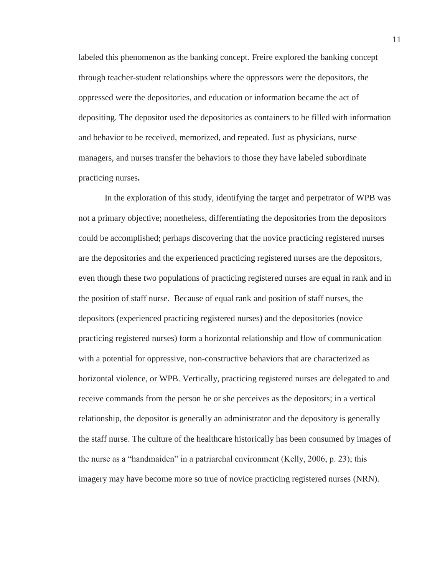labeled this phenomenon as the banking concept. Freire explored the banking concept through teacher-student relationships where the oppressors were the depositors, the oppressed were the depositories, and education or information became the act of depositing. The depositor used the depositories as containers to be filled with information and behavior to be received, memorized, and repeated. Just as physicians, nurse managers, and nurses transfer the behaviors to those they have labeled subordinate practicing nurses**.** 

In the exploration of this study, identifying the target and perpetrator of WPB was not a primary objective; nonetheless, differentiating the depositories from the depositors could be accomplished; perhaps discovering that the novice practicing registered nurses are the depositories and the experienced practicing registered nurses are the depositors, even though these two populations of practicing registered nurses are equal in rank and in the position of staff nurse. Because of equal rank and position of staff nurses, the depositors (experienced practicing registered nurses) and the depositories (novice practicing registered nurses) form a horizontal relationship and flow of communication with a potential for oppressive, non-constructive behaviors that are characterized as horizontal violence, or WPB. Vertically, practicing registered nurses are delegated to and receive commands from the person he or she perceives as the depositors; in a vertical relationship, the depositor is generally an administrator and the depository is generally the staff nurse. The culture of the healthcare historically has been consumed by images of the nurse as a "handmaiden" in a patriarchal environment (Kelly, 2006, p. 23); this imagery may have become more so true of novice practicing registered nurses (NRN).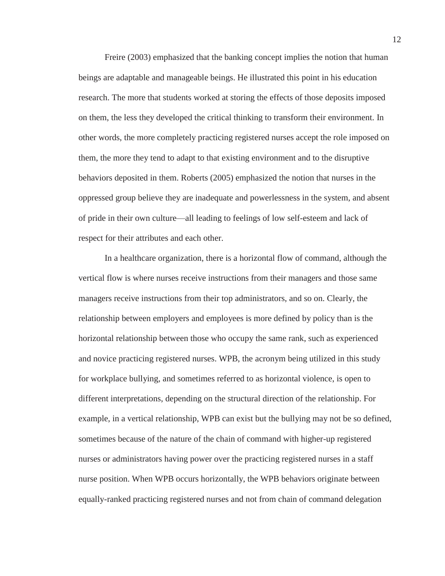Freire (2003) emphasized that the banking concept implies the notion that human beings are adaptable and manageable beings. He illustrated this point in his education research. The more that students worked at storing the effects of those deposits imposed on them, the less they developed the critical thinking to transform their environment. In other words, the more completely practicing registered nurses accept the role imposed on them, the more they tend to adapt to that existing environment and to the disruptive behaviors deposited in them. Roberts (2005) emphasized the notion that nurses in the oppressed group believe they are inadequate and powerlessness in the system, and absent of pride in their own culture—all leading to feelings of low self-esteem and lack of respect for their attributes and each other.

In a healthcare organization, there is a horizontal flow of command, although the vertical flow is where nurses receive instructions from their managers and those same managers receive instructions from their top administrators, and so on. Clearly, the relationship between employers and employees is more defined by policy than is the horizontal relationship between those who occupy the same rank, such as experienced and novice practicing registered nurses. WPB, the acronym being utilized in this study for workplace bullying, and sometimes referred to as horizontal violence, is open to different interpretations, depending on the structural direction of the relationship. For example, in a vertical relationship, WPB can exist but the bullying may not be so defined, sometimes because of the nature of the chain of command with higher-up registered nurses or administrators having power over the practicing registered nurses in a staff nurse position. When WPB occurs horizontally, the WPB behaviors originate between equally-ranked practicing registered nurses and not from chain of command delegation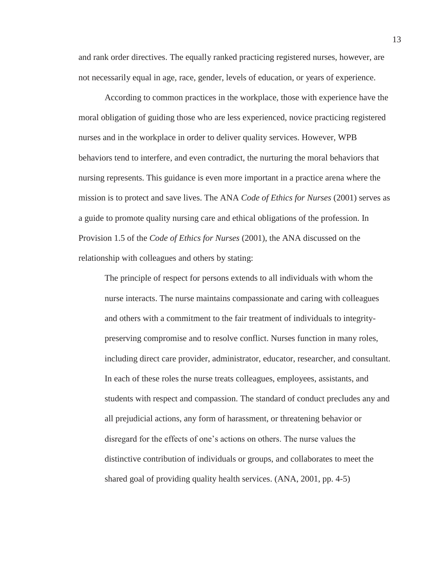and rank order directives. The equally ranked practicing registered nurses, however, are not necessarily equal in age, race, gender, levels of education, or years of experience.

According to common practices in the workplace, those with experience have the moral obligation of guiding those who are less experienced, novice practicing registered nurses and in the workplace in order to deliver quality services. However, WPB behaviors tend to interfere, and even contradict, the nurturing the moral behaviors that nursing represents. This guidance is even more important in a practice arena where the mission is to protect and save lives. The ANA *Code of Ethics for Nurses* (2001) serves as a guide to promote quality nursing care and ethical obligations of the profession. In Provision 1.5 of the *Code of Ethics for Nurses* (2001), the ANA discussed on the relationship with colleagues and others by stating:

The principle of respect for persons extends to all individuals with whom the nurse interacts. The nurse maintains compassionate and caring with colleagues and others with a commitment to the fair treatment of individuals to integritypreserving compromise and to resolve conflict. Nurses function in many roles, including direct care provider, administrator, educator, researcher, and consultant. In each of these roles the nurse treats colleagues, employees, assistants, and students with respect and compassion. The standard of conduct precludes any and all prejudicial actions, any form of harassment, or threatening behavior or disregard for the effects of one's actions on others. The nurse values the distinctive contribution of individuals or groups, and collaborates to meet the shared goal of providing quality health services. (ANA, 2001, pp. 4-5)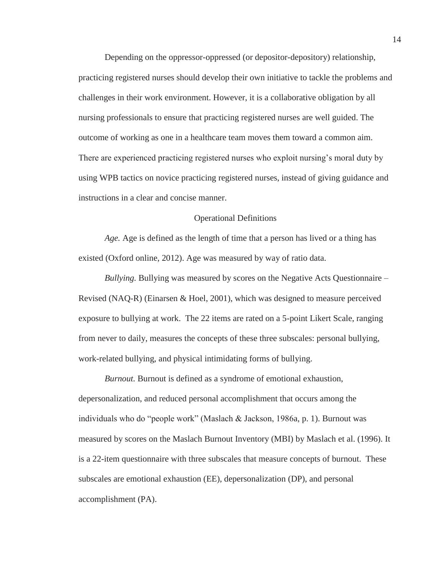Depending on the oppressor-oppressed (or depositor-depository) relationship, practicing registered nurses should develop their own initiative to tackle the problems and challenges in their work environment. However, it is a collaborative obligation by all nursing professionals to ensure that practicing registered nurses are well guided. The outcome of working as one in a healthcare team moves them toward a common aim. There are experienced practicing registered nurses who exploit nursing's moral duty by using WPB tactics on novice practicing registered nurses, instead of giving guidance and instructions in a clear and concise manner.

#### Operational Definitions

*Age.* Age is defined as the length of time that a person has lived or a thing has existed (Oxford online, 2012). Age was measured by way of ratio data.

*Bullying.* Bullying was measured by scores on the Negative Acts Questionnaire – Revised (NAQ-R) (Einarsen & Hoel, 2001), which was designed to measure perceived exposure to bullying at work. The 22 items are rated on a 5-point Likert Scale, ranging from never to daily, measures the concepts of these three subscales: personal bullying, work-related bullying, and physical intimidating forms of bullying.

*Burnout.* Burnout is defined as a syndrome of emotional exhaustion, depersonalization, and reduced personal accomplishment that occurs among the individuals who do "people work" (Maslach & Jackson, 1986a, p. 1). Burnout was measured by scores on the Maslach Burnout Inventory (MBI) by Maslach et al. (1996). It is a 22-item questionnaire with three subscales that measure concepts of burnout. These subscales are emotional exhaustion (EE), depersonalization (DP), and personal accomplishment (PA).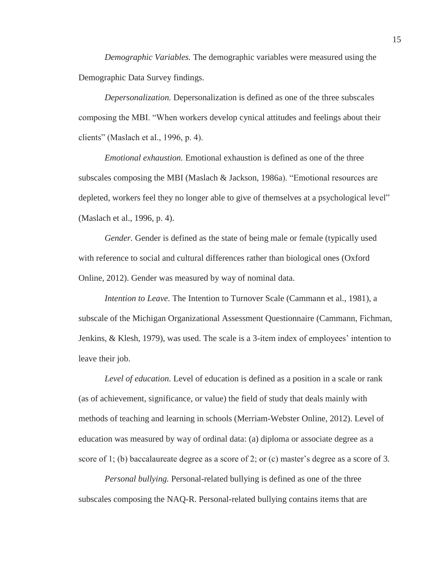*Demographic Variables.* The demographic variables were measured using the Demographic Data Survey findings.

*Depersonalization.* Depersonalization is defined as one of the three subscales composing the MBI. "When workers develop cynical attitudes and feelings about their clients" (Maslach et al., 1996, p. 4).

*Emotional exhaustion.* Emotional exhaustion is defined as one of the three subscales composing the MBI (Maslach & Jackson, 1986a). "Emotional resources are depleted, workers feel they no longer able to give of themselves at a psychological level" (Maslach et al., 1996, p. 4).

*Gender.* Gender is defined as the state of being male or female (typically used with reference to social and cultural differences rather than biological ones (Oxford Online, 2012). Gender was measured by way of nominal data.

*Intention to Leave.* The Intention to Turnover Scale (Cammann et al., 1981), a subscale of the Michigan Organizational Assessment Questionnaire (Cammann, Fichman, Jenkins, & Klesh, 1979), was used. The scale is a 3-item index of employees' intention to leave their job.

*Level of education.* Level of education is defined as a position in a scale or rank (as of achievement, significance, or value) the field of study that deals mainly with methods of teaching and learning in schools (Merriam-Webster Online, 2012). Level of education was measured by way of ordinal data: (a) diploma or associate degree as a score of 1; (b) baccalaureate degree as a score of 2; or (c) master's degree as a score of 3.

*Personal bullying.* Personal-related bullying is defined as one of the three subscales composing the NAQ-R. Personal-related bullying contains items that are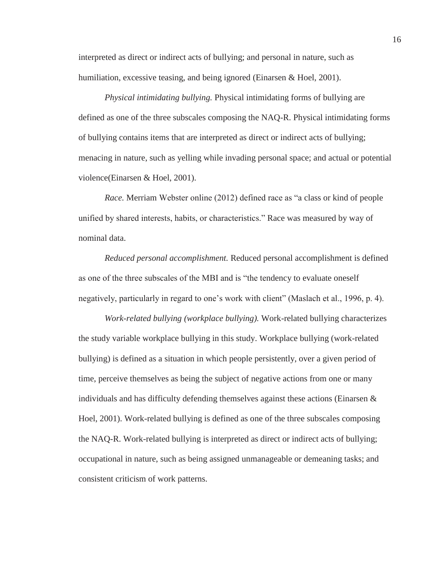interpreted as direct or indirect acts of bullying; and personal in nature, such as humiliation, excessive teasing, and being ignored (Einarsen & Hoel, 2001).

*Physical intimidating bullying.* Physical intimidating forms of bullying are defined as one of the three subscales composing the NAQ-R. Physical intimidating forms of bullying contains items that are interpreted as direct or indirect acts of bullying; menacing in nature, such as yelling while invading personal space; and actual or potential violence(Einarsen & Hoel, 2001).

*Race.* Merriam Webster online (2012) defined race as "a class or kind of people unified by shared interests, habits, or characteristics." Race was measured by way of nominal data.

*Reduced personal accomplishment.* Reduced personal accomplishment is defined as one of the three subscales of the MBI and is "the tendency to evaluate oneself negatively, particularly in regard to one's work with client" (Maslach et al., 1996, p. 4).

*Work-related bullying (workplace bullying).* Work-related bullying characterizes the study variable workplace bullying in this study. Workplace bullying (work-related bullying) is defined as a situation in which people persistently, over a given period of time, perceive themselves as being the subject of negative actions from one or many individuals and has difficulty defending themselves against these actions (Einarsen  $\&$ Hoel, 2001). Work-related bullying is defined as one of the three subscales composing the NAQ-R. Work-related bullying is interpreted as direct or indirect acts of bullying; occupational in nature, such as being assigned unmanageable or demeaning tasks; and consistent criticism of work patterns.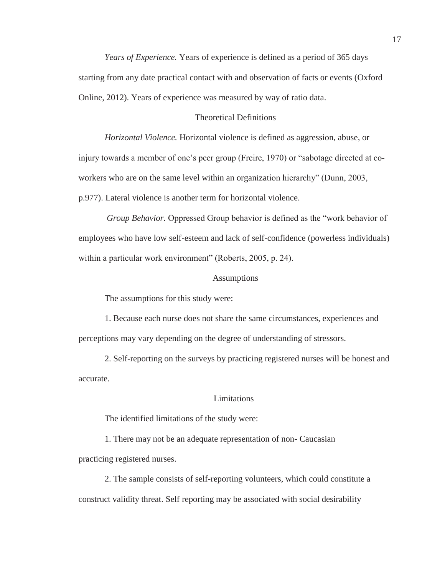*Years of Experience.* Years of experience is defined as a period of 365 days starting from any date practical contact with and observation of facts or events (Oxford Online, 2012). Years of experience was measured by way of ratio data.

## Theoretical Definitions

*Horizontal Violence.* Horizontal violence is defined as aggression, abuse, or injury towards a member of one's peer group (Freire, 1970) or "sabotage directed at coworkers who are on the same level within an organization hierarchy" (Dunn, 2003, p.977). Lateral violence is another term for horizontal violence.

 *Group Behavior.* Oppressed Group behavior is defined as the "work behavior of employees who have low self-esteem and lack of self-confidence (powerless individuals) within a particular work environment" (Roberts, 2005, p. 24).

#### **Assumptions**

The assumptions for this study were:

1. Because each nurse does not share the same circumstances, experiences and perceptions may vary depending on the degree of understanding of stressors.

2. Self-reporting on the surveys by practicing registered nurses will be honest and accurate.

#### Limitations

The identified limitations of the study were:

1. There may not be an adequate representation of non- Caucasian practicing registered nurses.

2. The sample consists of self-reporting volunteers, which could constitute a construct validity threat. Self reporting may be associated with social desirability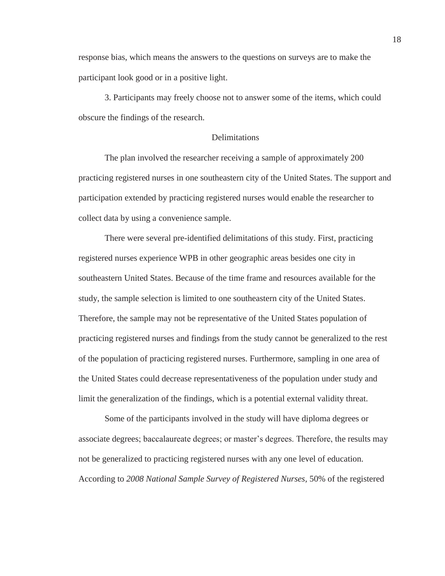response bias, which means the answers to the questions on surveys are to make the participant look good or in a positive light.

3. Participants may freely choose not to answer some of the items, which could obscure the findings of the research.

# **Delimitations**

The plan involved the researcher receiving a sample of approximately 200 practicing registered nurses in one southeastern city of the United States. The support and participation extended by practicing registered nurses would enable the researcher to collect data by using a convenience sample.

 There were several pre-identified delimitations of this study. First, practicing registered nurses experience WPB in other geographic areas besides one city in southeastern United States. Because of the time frame and resources available for the study, the sample selection is limited to one southeastern city of the United States. Therefore, the sample may not be representative of the United States population of practicing registered nurses and findings from the study cannot be generalized to the rest of the population of practicing registered nurses. Furthermore, sampling in one area of the United States could decrease representativeness of the population under study and limit the generalization of the findings, which is a potential external validity threat.

 Some of the participants involved in the study will have diploma degrees or associate degrees; baccalaureate degrees; or master's degrees. Therefore, the results may not be generalized to practicing registered nurses with any one level of education. According to *2008 National Sample Survey of Registered Nurses,* 50% of the registered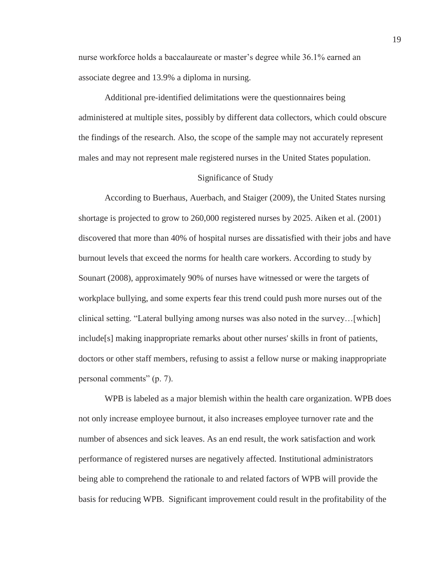nurse workforce holds a baccalaureate or master's degree while 36.1% earned an associate degree and 13.9% a diploma in nursing.

 Additional pre-identified delimitations were the questionnaires being administered at multiple sites, possibly by different data collectors, which could obscure the findings of the research. Also, the scope of the sample may not accurately represent males and may not represent male registered nurses in the United States population.

## Significance of Study

According to Buerhaus, Auerbach, and Staiger (2009), the United States nursing shortage is projected to grow to 260,000 registered nurses by 2025. Aiken et al. (2001) discovered that more than 40% of hospital nurses are dissatisfied with their jobs and have burnout levels that exceed the norms for health care workers. According to study by Sounart (2008), approximately 90% of nurses have witnessed or were the targets of workplace bullying, and some experts fear this trend could push more nurses out of the clinical setting. "Lateral bullying among nurses was also noted in the survey…[which] include[s] making inappropriate remarks about other nurses' skills in front of patients, doctors or other staff members, refusing to assist a fellow nurse or making inappropriate personal comments" (p. 7).

WPB is labeled as a major blemish within the health care organization. WPB does not only increase employee burnout, it also increases employee turnover rate and the number of absences and sick leaves. As an end result, the work satisfaction and work performance of registered nurses are negatively affected. Institutional administrators being able to comprehend the rationale to and related factors of WPB will provide the basis for reducing WPB. Significant improvement could result in the profitability of the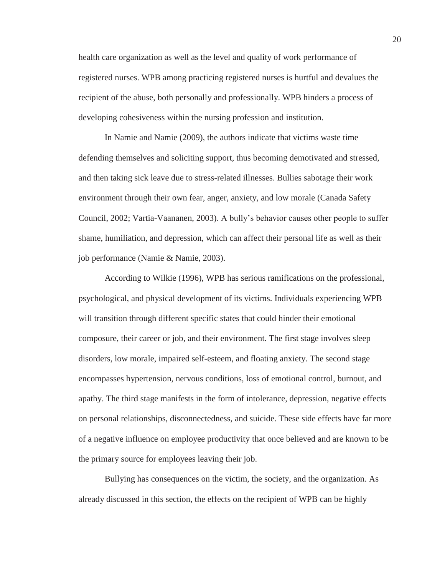health care organization as well as the level and quality of work performance of registered nurses. WPB among practicing registered nurses is hurtful and devalues the recipient of the abuse, both personally and professionally. WPB hinders a process of developing cohesiveness within the nursing profession and institution.

In Namie and Namie (2009), the authors indicate that victims waste time defending themselves and soliciting support, thus becoming demotivated and stressed, and then taking sick leave due to stress-related illnesses. Bullies sabotage their work environment through their own fear, anger, anxiety, and low morale (Canada Safety Council, 2002; Vartia-Vaananen, 2003). A bully's behavior causes other people to suffer shame, humiliation, and depression, which can affect their personal life as well as their job performance (Namie & Namie, 2003).

According to Wilkie (1996), WPB has serious ramifications on the professional, psychological, and physical development of its victims. Individuals experiencing WPB will transition through different specific states that could hinder their emotional composure, their career or job, and their environment. The first stage involves sleep disorders, low morale, impaired self-esteem, and floating anxiety. The second stage encompasses hypertension, nervous conditions, loss of emotional control, burnout, and apathy. The third stage manifests in the form of intolerance, depression, negative effects on personal relationships, disconnectedness, and suicide. These side effects have far more of a negative influence on employee productivity that once believed and are known to be the primary source for employees leaving their job.

Bullying has consequences on the victim, the society, and the organization. As already discussed in this section, the effects on the recipient of WPB can be highly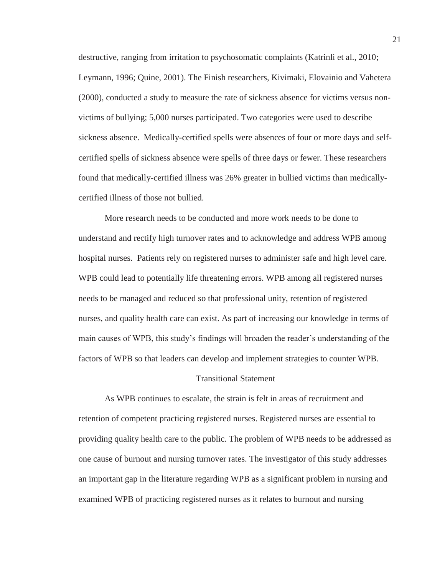destructive, ranging from irritation to psychosomatic complaints (Katrinli et al., 2010; Leymann, 1996; Quine, 2001). The Finish researchers, Kivimaki, Elovainio and Vahetera (2000), conducted a study to measure the rate of sickness absence for victims versus nonvictims of bullying; 5,000 nurses participated. Two categories were used to describe sickness absence. Medically-certified spells were absences of four or more days and selfcertified spells of sickness absence were spells of three days or fewer. These researchers found that medically-certified illness was 26% greater in bullied victims than medicallycertified illness of those not bullied.

More research needs to be conducted and more work needs to be done to understand and rectify high turnover rates and to acknowledge and address WPB among hospital nurses. Patients rely on registered nurses to administer safe and high level care. WPB could lead to potentially life threatening errors. WPB among all registered nurses needs to be managed and reduced so that professional unity, retention of registered nurses, and quality health care can exist. As part of increasing our knowledge in terms of main causes of WPB, this study's findings will broaden the reader's understanding of the factors of WPB so that leaders can develop and implement strategies to counter WPB.

#### Transitional Statement

As WPB continues to escalate, the strain is felt in areas of recruitment and retention of competent practicing registered nurses. Registered nurses are essential to providing quality health care to the public. The problem of WPB needs to be addressed as one cause of burnout and nursing turnover rates. The investigator of this study addresses an important gap in the literature regarding WPB as a significant problem in nursing and examined WPB of practicing registered nurses as it relates to burnout and nursing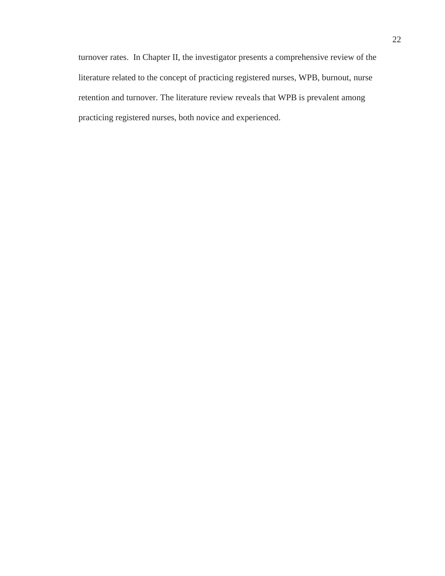turnover rates. In Chapter II, the investigator presents a comprehensive review of the literature related to the concept of practicing registered nurses, WPB, burnout, nurse retention and turnover. The literature review reveals that WPB is prevalent among practicing registered nurses, both novice and experienced.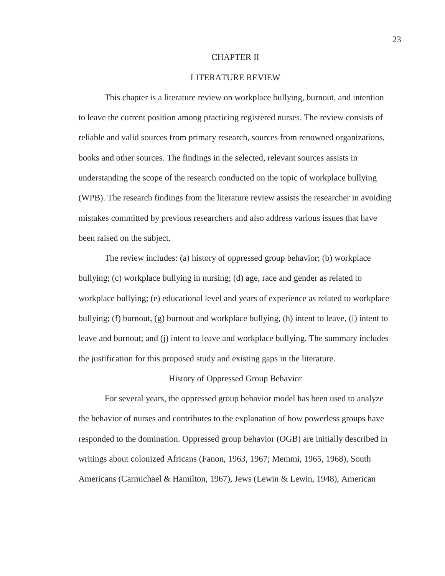## CHAPTER II

# LITERATURE REVIEW

This chapter is a literature review on workplace bullying, burnout, and intention to leave the current position among practicing registered nurses. The review consists of reliable and valid sources from primary research, sources from renowned organizations, books and other sources. The findings in the selected, relevant sources assists in understanding the scope of the research conducted on the topic of workplace bullying (WPB). The research findings from the literature review assists the researcher in avoiding mistakes committed by previous researchers and also address various issues that have been raised on the subject.

The review includes: (a) history of oppressed group behavior; (b) workplace bullying; (c) workplace bullying in nursing; (d) age, race and gender as related to workplace bullying; (e) educational level and years of experience as related to workplace bullying; (f) burnout, (g) burnout and workplace bullying, (h) intent to leave, (i) intent to leave and burnout; and (j) intent to leave and workplace bullying. The summary includes the justification for this proposed study and existing gaps in the literature.

#### History of Oppressed Group Behavior

For several years, the oppressed group behavior model has been used to analyze the behavior of nurses and contributes to the explanation of how powerless groups have responded to the domination. Oppressed group behavior (OGB) are initially described in writings about colonized Africans (Fanon, 1963, 1967; Memmi, 1965, 1968), South Americans (Carmichael & Hamilton, 1967), Jews (Lewin & Lewin, 1948), American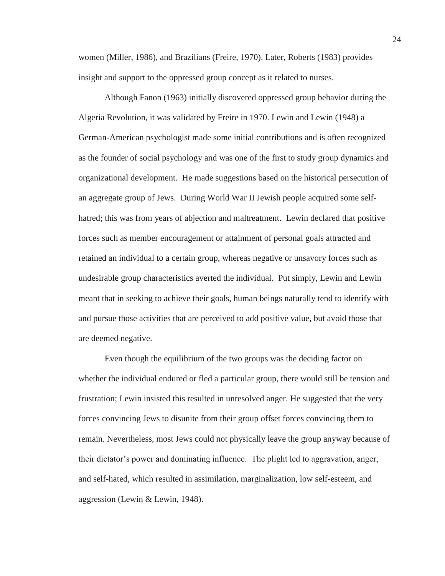women (Miller, 1986), and Brazilians (Freire, 1970). Later, Roberts (1983) provides insight and support to the oppressed group concept as it related to nurses.

Although Fanon (1963) initially discovered oppressed group behavior during the Algeria Revolution, it was validated by Freire in 1970. Lewin and Lewin (1948) a German-American psychologist made some initial contributions and is often recognized as the founder of social psychology and was one of the first to study group dynamics and organizational development. He made suggestions based on the historical persecution of an aggregate group of Jews. During World War II Jewish people acquired some selfhatred; this was from years of abjection and maltreatment. Lewin declared that positive forces such as member encouragement or attainment of personal goals attracted and retained an individual to a certain group, whereas negative or unsavory forces such as undesirable group characteristics averted the individual. Put simply, Lewin and Lewin meant that in seeking to achieve their goals, human beings naturally tend to identify with and pursue those activities that are perceived to add positive value, but avoid those that are deemed negative.

Even though the equilibrium of the two groups was the deciding factor on whether the individual endured or fled a particular group, there would still be tension and frustration; Lewin insisted this resulted in unresolved anger. He suggested that the very forces convincing Jews to disunite from their group offset forces convincing them to remain. Nevertheless, most Jews could not physically leave the group anyway because of their dictator's power and dominating influence. The plight led to aggravation, anger, and self-hated, which resulted in assimilation, marginalization, low self-esteem, and aggression (Lewin & Lewin, 1948).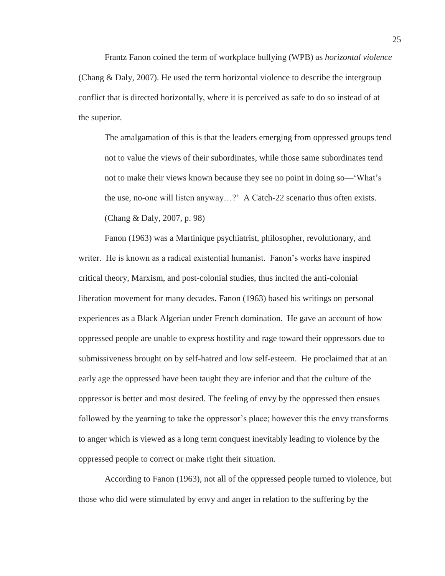Frantz Fanon coined the term of workplace bullying (WPB) as *horizontal violence* (Chang & Daly, 2007). He used the term horizontal violence to describe the intergroup conflict that is directed horizontally, where it is perceived as safe to do so instead of at the superior.

The amalgamation of this is that the leaders emerging from oppressed groups tend not to value the views of their subordinates, while those same subordinates tend not to make their views known because they see no point in doing so—'What's the use, no-one will listen anyway…?' A Catch-22 scenario thus often exists. (Chang & Daly, 2007, p. 98)

Fanon (1963) was a Martinique psychiatrist, philosopher, revolutionary, and writer. He is known as a radical existential humanist. Fanon's works have inspired critical theory, Marxism, and post-colonial studies, thus incited the anti-colonial liberation movement for many decades. Fanon (1963) based his writings on personal experiences as a Black Algerian under French domination. He gave an account of how oppressed people are unable to express hostility and rage toward their oppressors due to submissiveness brought on by self-hatred and low self-esteem. He proclaimed that at an early age the oppressed have been taught they are inferior and that the culture of the oppressor is better and most desired. The feeling of envy by the oppressed then ensues followed by the yearning to take the oppressor's place; however this the envy transforms to anger which is viewed as a long term conquest inevitably leading to violence by the oppressed people to correct or make right their situation.

According to Fanon (1963), not all of the oppressed people turned to violence, but those who did were stimulated by envy and anger in relation to the suffering by the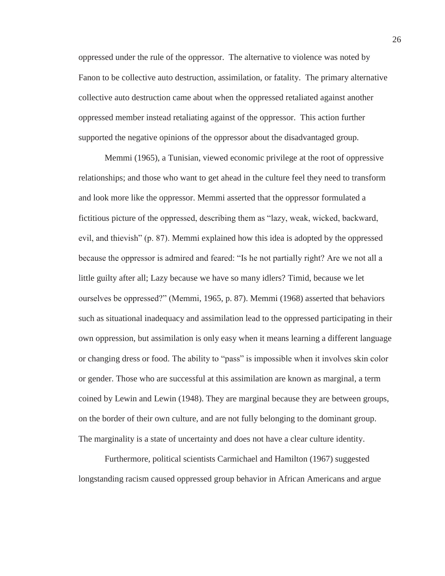oppressed under the rule of the oppressor. The alternative to violence was noted by Fanon to be collective auto destruction, assimilation, or fatality. The primary alternative collective auto destruction came about when the oppressed retaliated against another oppressed member instead retaliating against of the oppressor. This action further supported the negative opinions of the oppressor about the disadvantaged group.

Memmi (1965), a Tunisian, viewed economic privilege at the root of oppressive relationships; and those who want to get ahead in the culture feel they need to transform and look more like the oppressor. Memmi asserted that the oppressor formulated a fictitious picture of the oppressed, describing them as "lazy, weak, wicked, backward, evil, and thievish" (p. 87). Memmi explained how this idea is adopted by the oppressed because the oppressor is admired and feared: "Is he not partially right? Are we not all a little guilty after all; Lazy because we have so many idlers? Timid, because we let ourselves be oppressed?" (Memmi, 1965, p. 87). Memmi (1968) asserted that behaviors such as situational inadequacy and assimilation lead to the oppressed participating in their own oppression, but assimilation is only easy when it means learning a different language or changing dress or food. The ability to "pass" is impossible when it involves skin color or gender. Those who are successful at this assimilation are known as marginal, a term coined by Lewin and Lewin (1948). They are marginal because they are between groups, on the border of their own culture, and are not fully belonging to the dominant group. The marginality is a state of uncertainty and does not have a clear culture identity.

Furthermore, political scientists Carmichael and Hamilton (1967) suggested longstanding racism caused oppressed group behavior in African Americans and argue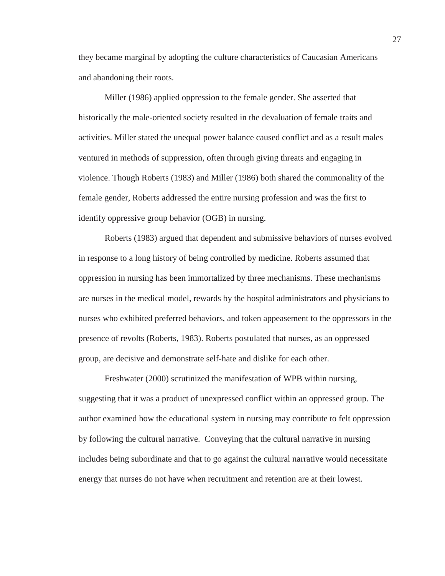they became marginal by adopting the culture characteristics of Caucasian Americans and abandoning their roots.

Miller (1986) applied oppression to the female gender. She asserted that historically the male-oriented society resulted in the devaluation of female traits and activities. Miller stated the unequal power balance caused conflict and as a result males ventured in methods of suppression, often through giving threats and engaging in violence. Though Roberts (1983) and Miller (1986) both shared the commonality of the female gender, Roberts addressed the entire nursing profession and was the first to identify oppressive group behavior (OGB) in nursing.

Roberts (1983) argued that dependent and submissive behaviors of nurses evolved in response to a long history of being controlled by medicine. Roberts assumed that oppression in nursing has been immortalized by three mechanisms. These mechanisms are nurses in the medical model, rewards by the hospital administrators and physicians to nurses who exhibited preferred behaviors, and token appeasement to the oppressors in the presence of revolts (Roberts, 1983). Roberts postulated that nurses, as an oppressed group, are decisive and demonstrate self-hate and dislike for each other.

Freshwater (2000) scrutinized the manifestation of WPB within nursing, suggesting that it was a product of unexpressed conflict within an oppressed group. The author examined how the educational system in nursing may contribute to felt oppression by following the cultural narrative. Conveying that the cultural narrative in nursing includes being subordinate and that to go against the cultural narrative would necessitate energy that nurses do not have when recruitment and retention are at their lowest.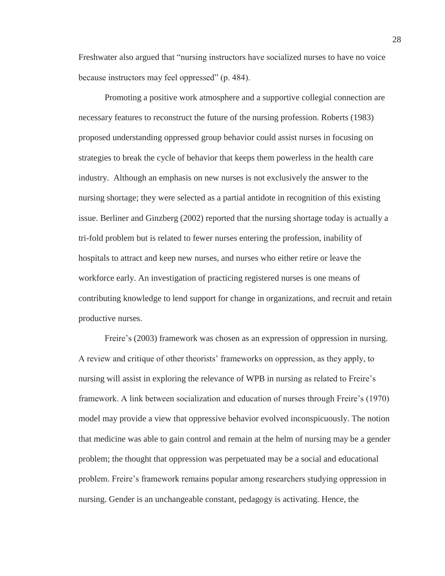Freshwater also argued that "nursing instructors have socialized nurses to have no voice because instructors may feel oppressed" (p. 484).

Promoting a positive work atmosphere and a supportive collegial connection are necessary features to reconstruct the future of the nursing profession. Roberts (1983) proposed understanding oppressed group behavior could assist nurses in focusing on strategies to break the cycle of behavior that keeps them powerless in the health care industry. Although an emphasis on new nurses is not exclusively the answer to the nursing shortage; they were selected as a partial antidote in recognition of this existing issue. Berliner and Ginzberg (2002) reported that the nursing shortage today is actually a tri-fold problem but is related to fewer nurses entering the profession, inability of hospitals to attract and keep new nurses, and nurses who either retire or leave the workforce early. An investigation of practicing registered nurses is one means of contributing knowledge to lend support for change in organizations, and recruit and retain productive nurses.

Freire's (2003) framework was chosen as an expression of oppression in nursing. A review and critique of other theorists' frameworks on oppression, as they apply, to nursing will assist in exploring the relevance of WPB in nursing as related to Freire's framework. A link between socialization and education of nurses through Freire's (1970) model may provide a view that oppressive behavior evolved inconspicuously. The notion that medicine was able to gain control and remain at the helm of nursing may be a gender problem; the thought that oppression was perpetuated may be a social and educational problem. Freire's framework remains popular among researchers studying oppression in nursing. Gender is an unchangeable constant, pedagogy is activating. Hence, the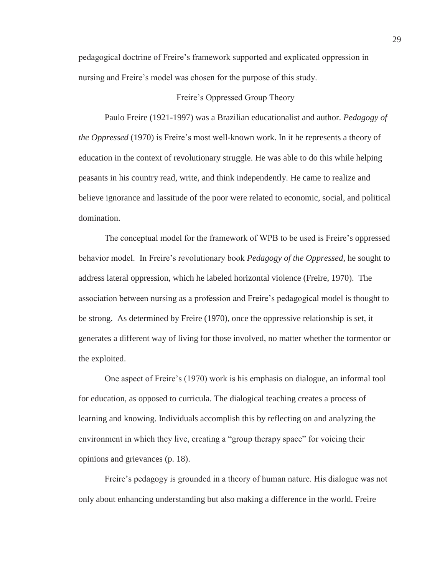pedagogical doctrine of Freire's framework supported and explicated oppression in nursing and Freire's model was chosen for the purpose of this study.

# Freire's Oppressed Group Theory

Paulo Freire (1921-1997) was a Brazilian educationalist and author. *Pedagogy of the Oppressed* (1970) is Freire's most well-known work. In it he represents a theory of education in the context of revolutionary struggle. He was able to do this while helping peasants in his country read, write, and think independently. He came to realize and believe ignorance and lassitude of the poor were related to economic, social, and political domination.

The conceptual model for the framework of WPB to be used is Freire's oppressed behavior model. In Freire's revolutionary book *Pedagogy of the Oppressed*, he sought to address lateral oppression, which he labeled horizontal violence (Freire, 1970). The association between nursing as a profession and Freire's pedagogical model is thought to be strong. As determined by Freire (1970), once the oppressive relationship is set, it generates a different way of living for those involved, no matter whether the tormentor or the exploited.

One aspect of Freire's (1970) work is his emphasis on dialogue, an informal tool for education, as opposed to curricula. The dialogical teaching creates a process of learning and knowing. Individuals accomplish this by reflecting on and analyzing the environment in which they live, creating a "group therapy space" for voicing their opinions and grievances (p. 18).

Freire's pedagogy is grounded in a theory of human nature. His dialogue was not only about enhancing understanding but also making a difference in the world. Freire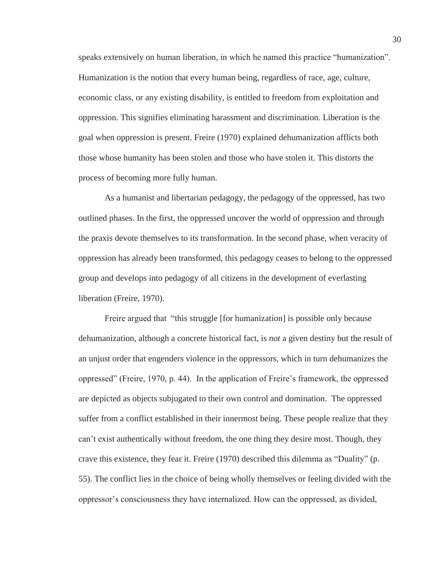speaks extensively on human liberation, in which he named this practice "humanization". Humanization is the notion that every human being, regardless of race, age, culture, economic class, or any existing disability, is entitled to freedom from exploitation and oppression. This signifies eliminating harassment and discrimination. Liberation is the goal when oppression is present. Freire (1970) explained dehumanization afflicts both those whose humanity has been stolen and those who have stolen it. This distorts the process of becoming more fully human.

As a humanist and libertarian pedagogy, the pedagogy of the oppressed, has two outlined phases. In the first, the oppressed uncover the world of oppression and through the praxis devote themselves to its transformation. In the second phase, when veracity of oppression has already been transformed, this pedagogy ceases to belong to the oppressed group and develops into pedagogy of all citizens in the development of everlasting liberation (Freire, 1970).

Freire argued that "this struggle [for humanization] is possible only because dehumanization, although a concrete historical fact, is *not* a given destiny but the result of an unjust order that engenders violence in the oppressors, which in turn dehumanizes the oppressed" (Freire, 1970, p. 44). In the application of Freire's framework, the oppressed are depicted as objects subjugated to their own control and domination. The oppressed suffer from a conflict established in their innermost being. These people realize that they can't exist authentically without freedom, the one thing they desire most. Though, they crave this existence, they fear it. Freire (1970) described this dilemma as "Duality" (p. 55). The conflict lies in the choice of being wholly themselves or feeling divided with the oppressor's consciousness they have internalized. How can the oppressed, as divided,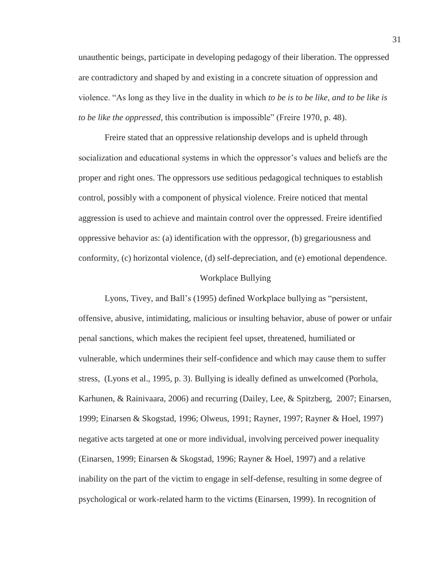unauthentic beings, participate in developing pedagogy of their liberation. The oppressed are contradictory and shaped by and existing in a concrete situation of oppression and violence. "As long as they live in the duality in which *to be is to be like, and to be like is to be like the oppressed,* this contribution is impossible" (Freire 1970, p. 48).

Freire stated that an oppressive relationship develops and is upheld through socialization and educational systems in which the oppressor's values and beliefs are the proper and right ones. The oppressors use seditious pedagogical techniques to establish control, possibly with a component of physical violence. Freire noticed that mental aggression is used to achieve and maintain control over the oppressed. Freire identified oppressive behavior as: (a) identification with the oppressor, (b) gregariousness and conformity, (c) horizontal violence, (d) self-depreciation, and (e) emotional dependence.

#### Workplace Bullying

Lyons, Tivey, and Ball's (1995) defined Workplace bullying as "persistent, offensive, abusive, intimidating, malicious or insulting behavior, abuse of power or unfair penal sanctions, which makes the recipient feel upset, threatened, humiliated or vulnerable, which undermines their self-confidence and which may cause them to suffer stress, (Lyons et al., 1995, p. 3). Bullying is ideally defined as unwelcomed (Porhola, Karhunen, & Rainivaara, 2006) and recurring (Dailey, Lee, & Spitzberg, 2007; Einarsen, 1999; Einarsen & Skogstad, 1996; Olweus, 1991; Rayner, 1997; Rayner & Hoel, 1997) negative acts targeted at one or more individual, involving perceived power inequality (Einarsen, 1999; Einarsen & Skogstad, 1996; Rayner & Hoel, 1997) and a relative inability on the part of the victim to engage in self-defense, resulting in some degree of psychological or work-related harm to the victims (Einarsen, 1999). In recognition of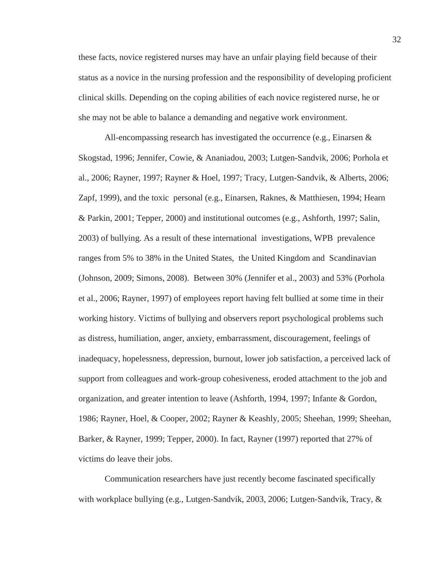these facts, novice registered nurses may have an unfair playing field because of their status as a novice in the nursing profession and the responsibility of developing proficient clinical skills. Depending on the coping abilities of each novice registered nurse, he or she may not be able to balance a demanding and negative work environment.

All-encompassing research has investigated the occurrence (e.g., Einarsen & Skogstad, 1996; Jennifer, Cowie, & Ananiadou, 2003; Lutgen-Sandvik, 2006; Porhola et al., 2006; Rayner, 1997; Rayner & Hoel, 1997; Tracy, Lutgen-Sandvik, & Alberts, 2006; Zapf, 1999), and the toxic personal (e.g., Einarsen, Raknes, & Matthiesen, 1994; Hearn & Parkin, 2001; Tepper, 2000) and institutional outcomes (e.g., Ashforth, 1997; Salin, 2003) of bullying. As a result of these international investigations, WPB prevalence ranges from 5% to 38% in the United States, the United Kingdom and Scandinavian (Johnson, 2009; Simons, 2008). Between 30% (Jennifer et al., 2003) and 53% (Porhola et al., 2006; Rayner, 1997) of employees report having felt bullied at some time in their working history. Victims of bullying and observers report psychological problems such as distress, humiliation, anger, anxiety, embarrassment, discouragement, feelings of inadequacy, hopelessness, depression, burnout, lower job satisfaction, a perceived lack of support from colleagues and work-group cohesiveness, eroded attachment to the job and organization, and greater intention to leave (Ashforth, 1994, 1997; Infante & Gordon, 1986; Rayner, Hoel, & Cooper, 2002; Rayner & Keashly, 2005; Sheehan, 1999; Sheehan, Barker, & Rayner, 1999; Tepper, 2000). In fact, Rayner (1997) reported that 27% of victims do leave their jobs.

Communication researchers have just recently become fascinated specifically with workplace bullying (e.g., Lutgen-Sandvik, 2003, 2006; Lutgen-Sandvik, Tracy, &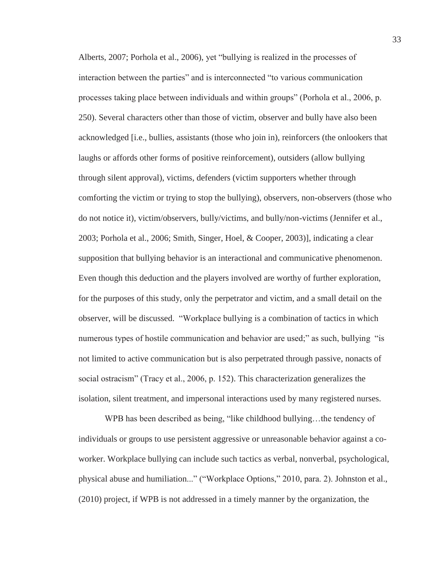Alberts, 2007; Porhola et al., 2006), yet "bullying is realized in the processes of interaction between the parties" and is interconnected "to various communication processes taking place between individuals and within groups" (Porhola et al., 2006, p. 250). Several characters other than those of victim, observer and bully have also been acknowledged [i.e., bullies, assistants (those who join in), reinforcers (the onlookers that laughs or affords other forms of positive reinforcement), outsiders (allow bullying through silent approval), victims, defenders (victim supporters whether through comforting the victim or trying to stop the bullying), observers, non-observers (those who do not notice it), victim/observers, bully/victims, and bully/non-victims (Jennifer et al., 2003; Porhola et al., 2006; Smith, Singer, Hoel, & Cooper, 2003)], indicating a clear supposition that bullying behavior is an interactional and communicative phenomenon. Even though this deduction and the players involved are worthy of further exploration, for the purposes of this study, only the perpetrator and victim, and a small detail on the observer, will be discussed. "Workplace bullying is a combination of tactics in which numerous types of hostile communication and behavior are used;" as such, bullying "is not limited to active communication but is also perpetrated through passive, nonacts of social ostracism" (Tracy et al., 2006, p. 152). This characterization generalizes the isolation, silent treatment, and impersonal interactions used by many registered nurses.

WPB has been described as being, "like childhood bullying...the tendency of individuals or groups to use persistent aggressive or unreasonable behavior against a coworker. Workplace bullying can include such tactics as verbal, nonverbal, psychological, physical abuse and humiliation..." ("Workplace Options," 2010, para. 2). Johnston et al., (2010) project, if WPB is not addressed in a timely manner by the organization, the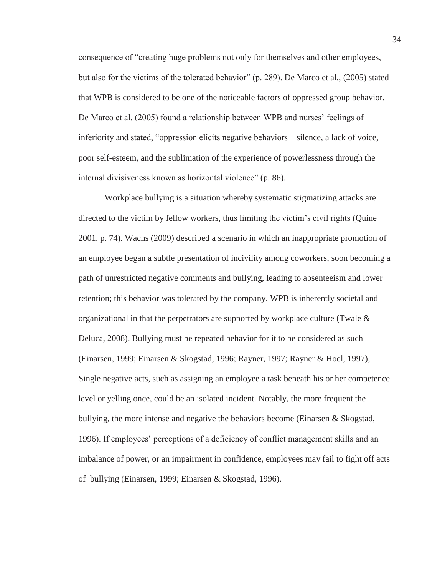consequence of "creating huge problems not only for themselves and other employees, but also for the victims of the tolerated behavior" (p. 289). De Marco et al., (2005) stated that WPB is considered to be one of the noticeable factors of oppressed group behavior. De Marco et al. (2005) found a relationship between WPB and nurses' feelings of inferiority and stated, "oppression elicits negative behaviors—silence, a lack of voice, poor self-esteem, and the sublimation of the experience of powerlessness through the internal divisiveness known as horizontal violence" (p. 86).

Workplace bullying is a situation whereby systematic stigmatizing attacks are directed to the victim by fellow workers, thus limiting the victim's civil rights (Quine 2001, p. 74). Wachs (2009) described a scenario in which an inappropriate promotion of an employee began a subtle presentation of incivility among coworkers, soon becoming a path of unrestricted negative comments and bullying, leading to absenteeism and lower retention; this behavior was tolerated by the company. WPB is inherently societal and organizational in that the perpetrators are supported by workplace culture (Twale  $\&$ Deluca, 2008). Bullying must be repeated behavior for it to be considered as such (Einarsen, 1999; Einarsen & Skogstad, 1996; Rayner, 1997; Rayner & Hoel, 1997), Single negative acts, such as assigning an employee a task beneath his or her competence level or yelling once, could be an isolated incident. Notably, the more frequent the bullying, the more intense and negative the behaviors become (Einarsen & Skogstad, 1996). If employees' perceptions of a deficiency of conflict management skills and an imbalance of power, or an impairment in confidence, employees may fail to fight off acts of bullying (Einarsen, 1999; Einarsen & Skogstad, 1996).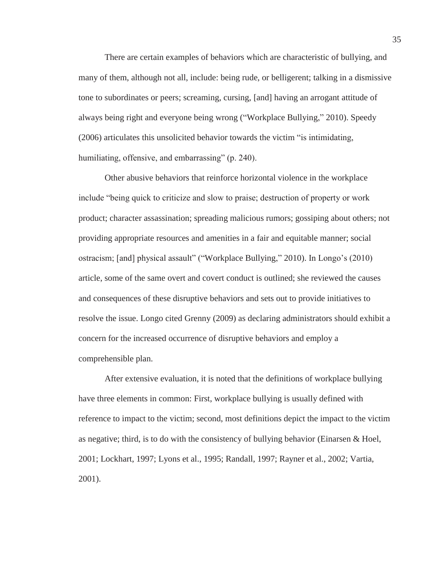There are certain examples of behaviors which are characteristic of bullying, and many of them, although not all, include: being rude, or belligerent; talking in a dismissive tone to subordinates or peers; screaming, cursing, [and] having an arrogant attitude of always being right and everyone being wrong ("Workplace Bullying," 2010). Speedy (2006) articulates this unsolicited behavior towards the victim "is intimidating, humiliating, offensive, and embarrassing" (p. 240).

Other abusive behaviors that reinforce horizontal violence in the workplace include "being quick to criticize and slow to praise; destruction of property or work product; character assassination; spreading malicious rumors; gossiping about others; not providing appropriate resources and amenities in a fair and equitable manner; social ostracism; [and] physical assault" ("Workplace Bullying," 2010). In Longo's (2010) article, some of the same overt and covert conduct is outlined; she reviewed the causes and consequences of these disruptive behaviors and sets out to provide initiatives to resolve the issue. Longo cited Grenny (2009) as declaring administrators should exhibit a concern for the increased occurrence of disruptive behaviors and employ a comprehensible plan.

After extensive evaluation, it is noted that the definitions of workplace bullying have three elements in common: First, workplace bullying is usually defined with reference to impact to the victim; second, most definitions depict the impact to the victim as negative; third, is to do with the consistency of bullying behavior (Einarsen & Hoel, 2001; Lockhart, 1997; Lyons et al., 1995; Randall, 1997; Rayner et al., 2002; Vartia, 2001).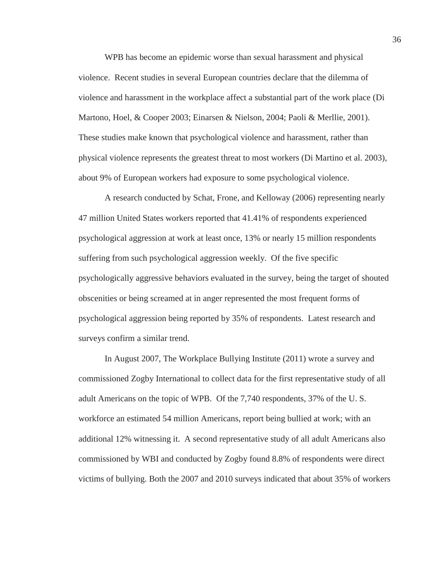WPB has become an epidemic worse than sexual harassment and physical violence. Recent studies in several European countries declare that the dilemma of violence and harassment in the workplace affect a substantial part of the work place (Di Martono, Hoel, & Cooper 2003; Einarsen & Nielson, 2004; Paoli & Merllie, 2001). These studies make known that psychological violence and harassment, rather than physical violence represents the greatest threat to most workers (Di Martino et al. 2003), about 9% of European workers had exposure to some psychological violence.

A research conducted by Schat, Frone, and Kelloway (2006) representing nearly 47 million United States workers reported that 41.41% of respondents experienced psychological aggression at work at least once, 13% or nearly 15 million respondents suffering from such psychological aggression weekly. Of the five specific psychologically aggressive behaviors evaluated in the survey, being the target of shouted obscenities or being screamed at in anger represented the most frequent forms of psychological aggression being reported by 35% of respondents. Latest research and surveys confirm a similar trend.

In August 2007, The Workplace Bullying Institute (2011) wrote a survey and commissioned Zogby International to collect data for the first representative study of all adult Americans on the topic of WPB. Of the 7,740 respondents, 37% of the U. S. workforce an estimated 54 million Americans, report being bullied at work; with an additional 12% witnessing it. A second representative study of all adult Americans also commissioned by WBI and conducted by Zogby found 8.8% of respondents were direct victims of bullying. Both the 2007 and 2010 surveys indicated that about 35% of workers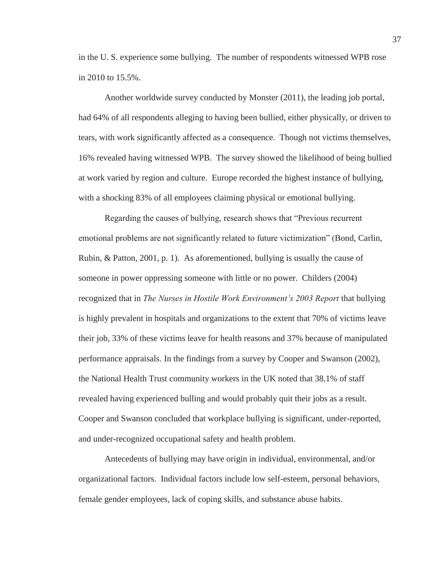in the U. S. experience some bullying. The number of respondents witnessed WPB rose in 2010 to 15.5%.

Another worldwide survey conducted by Monster (2011), the leading job portal, had 64% of all respondents alleging to having been bullied, either physically, or driven to tears, with work significantly affected as a consequence. Though not victims themselves, 16% revealed having witnessed WPB. The survey showed the likelihood of being bullied at work varied by region and culture. Europe recorded the highest instance of bullying, with a shocking 83% of all employees claiming physical or emotional bullying.

Regarding the causes of bullying, research shows that "Previous recurrent emotional problems are not significantly related to future victimization" (Bond, Carlin, Rubin, & Patton, 2001, p. 1). As aforementioned, bullying is usually the cause of someone in power oppressing someone with little or no power. Childers (2004) recognized that in *The Nurses in Hostile Work Environment's 2003 Report* that bullying is highly prevalent in hospitals and organizations to the extent that 70% of victims leave their job, 33% of these victims leave for health reasons and 37% because of manipulated performance appraisals. In the findings from a survey by Cooper and Swanson (2002), the National Health Trust community workers in the UK noted that 38.1% of staff revealed having experienced bulling and would probably quit their jobs as a result. Cooper and Swanson concluded that workplace bullying is significant, under-reported, and under-recognized occupational safety and health problem.

Antecedents of bullying may have origin in individual, environmental, and/or organizational factors. Individual factors include low self-esteem, personal behaviors, female gender employees, lack of coping skills, and substance abuse habits.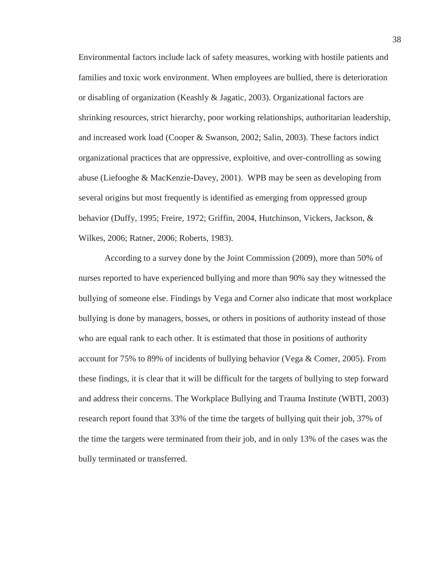Environmental factors include lack of safety measures, working with hostile patients and families and toxic work environment. When employees are bullied, there is deterioration or disabling of organization (Keashly & Jagatic, 2003). Organizational factors are shrinking resources, strict hierarchy, poor working relationships, authoritarian leadership, and increased work load (Cooper & Swanson, 2002; Salin, 2003). These factors indict organizational practices that are oppressive, exploitive, and over-controlling as sowing abuse (Liefooghe & MacKenzie-Davey, 2001). WPB may be seen as developing from several origins but most frequently is identified as emerging from oppressed group behavior (Duffy, 1995; Freire, 1972; Griffin, 2004, Hutchinson, Vickers, Jackson, & Wilkes, 2006; Ratner, 2006; Roberts, 1983).

According to a survey done by the Joint Commission (2009), more than 50% of nurses reported to have experienced bullying and more than 90% say they witnessed the bullying of someone else. Findings by Vega and Corner also indicate that most workplace bullying is done by managers, bosses, or others in positions of authority instead of those who are equal rank to each other. It is estimated that those in positions of authority account for 75% to 89% of incidents of bullying behavior (Vega & Comer, 2005). From these findings, it is clear that it will be difficult for the targets of bullying to step forward and address their concerns. The Workplace Bullying and Trauma Institute (WBTI, 2003) research report found that 33% of the time the targets of bullying quit their job, 37% of the time the targets were terminated from their job, and in only 13% of the cases was the bully terminated or transferred.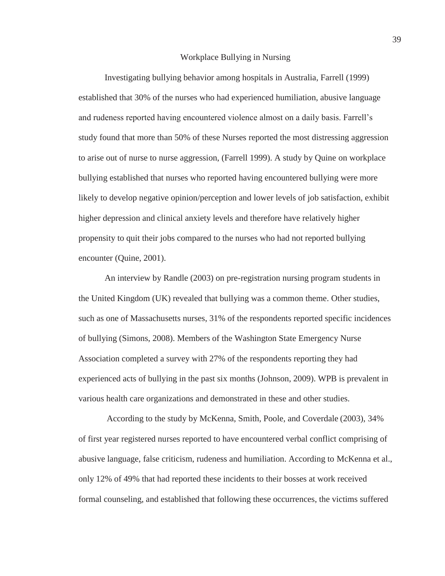### Workplace Bullying in Nursing

Investigating bullying behavior among hospitals in Australia, Farrell (1999) established that 30% of the nurses who had experienced humiliation, abusive language and rudeness reported having encountered violence almost on a daily basis. Farrell's study found that more than 50% of these Nurses reported the most distressing aggression to arise out of nurse to nurse aggression, (Farrell 1999). A study by Quine on workplace bullying established that nurses who reported having encountered bullying were more likely to develop negative opinion/perception and lower levels of job satisfaction, exhibit higher depression and clinical anxiety levels and therefore have relatively higher propensity to quit their jobs compared to the nurses who had not reported bullying encounter (Quine, 2001).

An interview by Randle (2003) on pre-registration nursing program students in the United Kingdom (UK) revealed that bullying was a common theme. Other studies, such as one of Massachusetts nurses, 31% of the respondents reported specific incidences of bullying (Simons, 2008). Members of the Washington State Emergency Nurse Association completed a survey with 27% of the respondents reporting they had experienced acts of bullying in the past six months (Johnson, 2009). WPB is prevalent in various health care organizations and demonstrated in these and other studies.

 According to the study by McKenna, Smith, Poole, and Coverdale (2003), 34% of first year registered nurses reported to have encountered verbal conflict comprising of abusive language, false criticism, rudeness and humiliation. According to McKenna et al., only 12% of 49% that had reported these incidents to their bosses at work received formal counseling, and established that following these occurrences, the victims suffered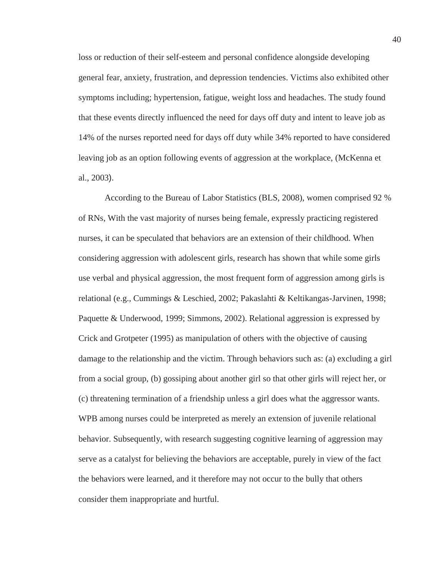loss or reduction of their self-esteem and personal confidence alongside developing general fear, anxiety, frustration, and depression tendencies. Victims also exhibited other symptoms including; hypertension, fatigue, weight loss and headaches. The study found that these events directly influenced the need for days off duty and intent to leave job as 14% of the nurses reported need for days off duty while 34% reported to have considered leaving job as an option following events of aggression at the workplace, (McKenna et al., 2003).

According to the Bureau of Labor Statistics (BLS, 2008), women comprised 92 % of RNs, With the vast majority of nurses being female, expressly practicing registered nurses, it can be speculated that behaviors are an extension of their childhood. When considering aggression with adolescent girls, research has shown that while some girls use verbal and physical aggression, the most frequent form of aggression among girls is relational (e.g., Cummings & Leschied, 2002; Pakaslahti & Keltikangas-Jarvinen, 1998; Paquette & Underwood, 1999; Simmons, 2002). Relational aggression is expressed by Crick and Grotpeter (1995) as manipulation of others with the objective of causing damage to the relationship and the victim. Through behaviors such as: (a) excluding a girl from a social group, (b) gossiping about another girl so that other girls will reject her, or (c) threatening termination of a friendship unless a girl does what the aggressor wants. WPB among nurses could be interpreted as merely an extension of juvenile relational behavior. Subsequently, with research suggesting cognitive learning of aggression may serve as a catalyst for believing the behaviors are acceptable, purely in view of the fact the behaviors were learned, and it therefore may not occur to the bully that others consider them inappropriate and hurtful.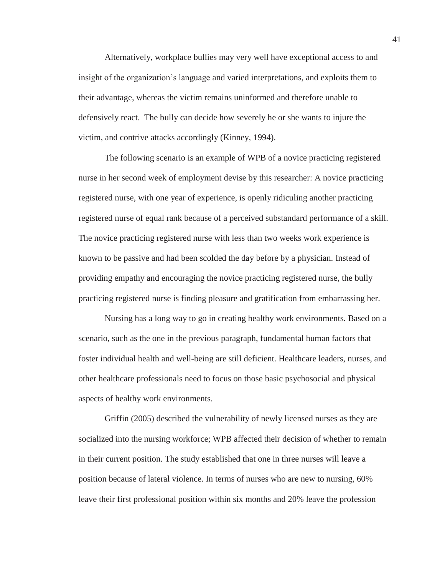Alternatively, workplace bullies may very well have exceptional access to and insight of the organization's language and varied interpretations, and exploits them to their advantage, whereas the victim remains uninformed and therefore unable to defensively react. The bully can decide how severely he or she wants to injure the victim, and contrive attacks accordingly (Kinney, 1994).

The following scenario is an example of WPB of a novice practicing registered nurse in her second week of employment devise by this researcher: A novice practicing registered nurse, with one year of experience, is openly ridiculing another practicing registered nurse of equal rank because of a perceived substandard performance of a skill. The novice practicing registered nurse with less than two weeks work experience is known to be passive and had been scolded the day before by a physician. Instead of providing empathy and encouraging the novice practicing registered nurse, the bully practicing registered nurse is finding pleasure and gratification from embarrassing her.

Nursing has a long way to go in creating healthy work environments. Based on a scenario, such as the one in the previous paragraph, fundamental human factors that foster individual health and well-being are still deficient. Healthcare leaders, nurses, and other healthcare professionals need to focus on those basic psychosocial and physical aspects of healthy work environments.

Griffin (2005) described the vulnerability of newly licensed nurses as they are socialized into the nursing workforce; WPB affected their decision of whether to remain in their current position. The study established that one in three nurses will leave a position because of lateral violence. In terms of nurses who are new to nursing, 60% leave their first professional position within six months and 20% leave the profession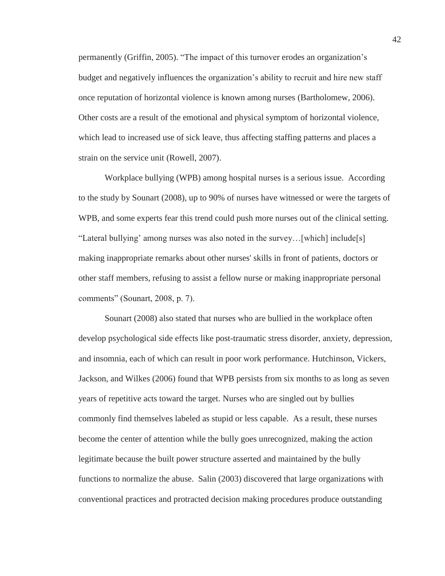permanently (Griffin, 2005). "The impact of this turnover erodes an organization's budget and negatively influences the organization's ability to recruit and hire new staff once reputation of horizontal violence is known among nurses (Bartholomew, 2006). Other costs are a result of the emotional and physical symptom of horizontal violence, which lead to increased use of sick leave, thus affecting staffing patterns and places a strain on the service unit (Rowell, 2007).

Workplace bullying (WPB) among hospital nurses is a serious issue. According to the study by Sounart (2008), up to 90% of nurses have witnessed or were the targets of WPB, and some experts fear this trend could push more nurses out of the clinical setting. "Lateral bullying' among nurses was also noted in the survey…[which] include[s] making inappropriate remarks about other nurses' skills in front of patients, doctors or other staff members, refusing to assist a fellow nurse or making inappropriate personal comments" (Sounart, 2008, p. 7).

Sounart (2008) also stated that nurses who are bullied in the workplace often develop psychological side effects like post-traumatic stress disorder, anxiety, depression, and insomnia, each of which can result in poor work performance. Hutchinson, Vickers, Jackson, and Wilkes (2006) found that WPB persists from six months to as long as seven years of repetitive acts toward the target. Nurses who are singled out by bullies commonly find themselves labeled as stupid or less capable. As a result, these nurses become the center of attention while the bully goes unrecognized, making the action legitimate because the built power structure asserted and maintained by the bully functions to normalize the abuse. Salin (2003) discovered that large organizations with conventional practices and protracted decision making procedures produce outstanding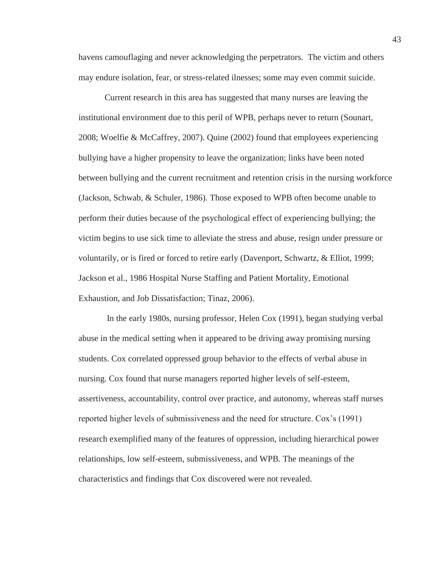havens camouflaging and never acknowledging the perpetrators. The victim and others may endure isolation, fear, or stress-related ilnesses; some may even commit suicide.

Current research in this area has suggested that many nurses are leaving the institutional environment due to this peril of WPB, perhaps never to return (Sounart, 2008; Woelfie & McCaffrey, 2007). Quine (2002) found that employees experiencing bullying have a higher propensity to leave the organization; links have been noted between bullying and the current recruitment and retention crisis in the nursing workforce (Jackson, Schwab, & Schuler, 1986). Those exposed to WPB often become unable to perform their duties because of the psychological effect of experiencing bullying; the victim begins to use sick time to alleviate the stress and abuse, resign under pressure or voluntarily, or is fired or forced to retire early (Davenport, Schwartz, & Elliot, 1999; Jackson et al., 1986 Hospital Nurse Staffing and Patient Mortality, Emotional Exhaustion, and Job Dissatisfaction; Tinaz, 2006).

 In the early 1980s, nursing professor, Helen Cox (1991), began studying verbal abuse in the medical setting when it appeared to be driving away promising nursing students. Cox correlated oppressed group behavior to the effects of verbal abuse in nursing. Cox found that nurse managers reported higher levels of self-esteem, assertiveness, accountability, control over practice, and autonomy, whereas staff nurses reported higher levels of submissiveness and the need for structure. Cox's (1991) research exemplified many of the features of oppression, including hierarchical power relationships, low self-esteem, submissiveness, and WPB. The meanings of the characteristics and findings that Cox discovered were not revealed.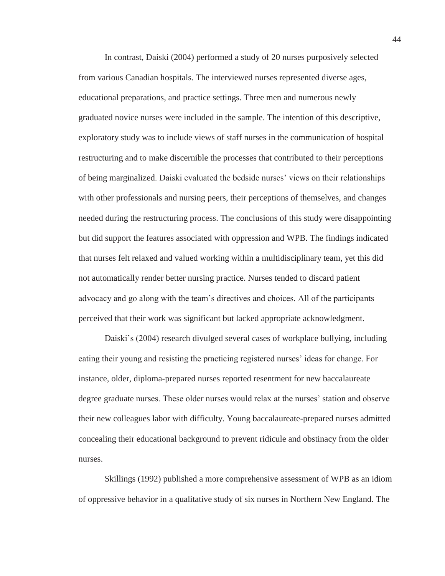In contrast, Daiski (2004) performed a study of 20 nurses purposively selected from various Canadian hospitals. The interviewed nurses represented diverse ages, educational preparations, and practice settings. Three men and numerous newly graduated novice nurses were included in the sample. The intention of this descriptive, exploratory study was to include views of staff nurses in the communication of hospital restructuring and to make discernible the processes that contributed to their perceptions of being marginalized. Daiski evaluated the bedside nurses' views on their relationships with other professionals and nursing peers, their perceptions of themselves, and changes needed during the restructuring process. The conclusions of this study were disappointing but did support the features associated with oppression and WPB. The findings indicated that nurses felt relaxed and valued working within a multidisciplinary team, yet this did not automatically render better nursing practice. Nurses tended to discard patient advocacy and go along with the team's directives and choices. All of the participants perceived that their work was significant but lacked appropriate acknowledgment.

Daiski's (2004) research divulged several cases of workplace bullying, including eating their young and resisting the practicing registered nurses' ideas for change. For instance, older, diploma-prepared nurses reported resentment for new baccalaureate degree graduate nurses. These older nurses would relax at the nurses' station and observe their new colleagues labor with difficulty. Young baccalaureate-prepared nurses admitted concealing their educational background to prevent ridicule and obstinacy from the older nurses.

Skillings (1992) published a more comprehensive assessment of WPB as an idiom of oppressive behavior in a qualitative study of six nurses in Northern New England. The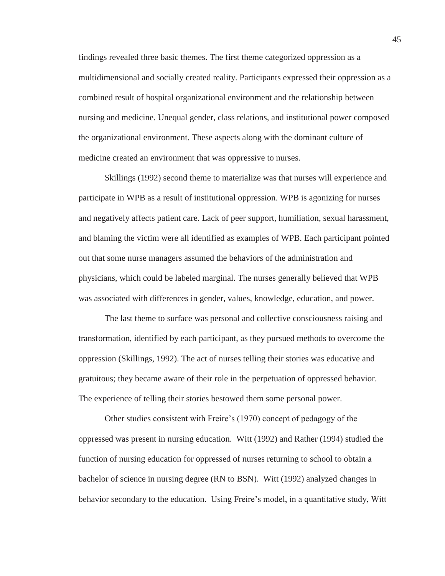findings revealed three basic themes. The first theme categorized oppression as a multidimensional and socially created reality. Participants expressed their oppression as a combined result of hospital organizational environment and the relationship between nursing and medicine. Unequal gender, class relations, and institutional power composed the organizational environment. These aspects along with the dominant culture of medicine created an environment that was oppressive to nurses.

Skillings (1992) second theme to materialize was that nurses will experience and participate in WPB as a result of institutional oppression. WPB is agonizing for nurses and negatively affects patient care. Lack of peer support, humiliation, sexual harassment, and blaming the victim were all identified as examples of WPB. Each participant pointed out that some nurse managers assumed the behaviors of the administration and physicians, which could be labeled marginal. The nurses generally believed that WPB was associated with differences in gender, values, knowledge, education, and power.

The last theme to surface was personal and collective consciousness raising and transformation, identified by each participant, as they pursued methods to overcome the oppression (Skillings, 1992). The act of nurses telling their stories was educative and gratuitous; they became aware of their role in the perpetuation of oppressed behavior. The experience of telling their stories bestowed them some personal power.

Other studies consistent with Freire's (1970) concept of pedagogy of the oppressed was present in nursing education. Witt (1992) and Rather (1994) studied the function of nursing education for oppressed of nurses returning to school to obtain a bachelor of science in nursing degree (RN to BSN). Witt (1992) analyzed changes in behavior secondary to the education. Using Freire's model, in a quantitative study, Witt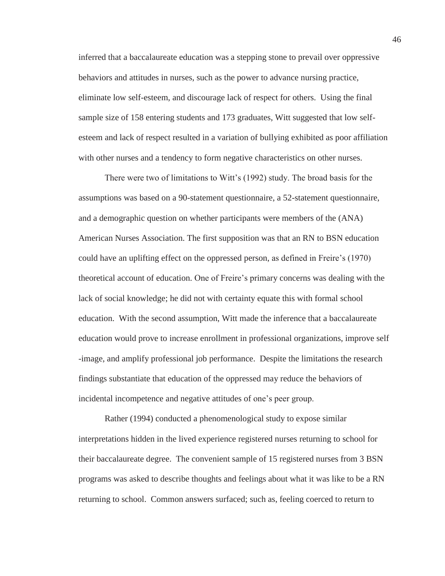inferred that a baccalaureate education was a stepping stone to prevail over oppressive behaviors and attitudes in nurses, such as the power to advance nursing practice, eliminate low self-esteem, and discourage lack of respect for others. Using the final sample size of 158 entering students and 173 graduates, Witt suggested that low selfesteem and lack of respect resulted in a variation of bullying exhibited as poor affiliation with other nurses and a tendency to form negative characteristics on other nurses.

There were two of limitations to Witt's (1992) study. The broad basis for the assumptions was based on a 90-statement questionnaire, a 52-statement questionnaire, and a demographic question on whether participants were members of the (ANA) American Nurses Association. The first supposition was that an RN to BSN education could have an uplifting effect on the oppressed person, as defined in Freire's (1970) theoretical account of education. One of Freire's primary concerns was dealing with the lack of social knowledge; he did not with certainty equate this with formal school education. With the second assumption, Witt made the inference that a baccalaureate education would prove to increase enrollment in professional organizations, improve self -image, and amplify professional job performance. Despite the limitations the research findings substantiate that education of the oppressed may reduce the behaviors of incidental incompetence and negative attitudes of one's peer group.

Rather (1994) conducted a phenomenological study to expose similar interpretations hidden in the lived experience registered nurses returning to school for their baccalaureate degree. The convenient sample of 15 registered nurses from 3 BSN programs was asked to describe thoughts and feelings about what it was like to be a RN returning to school. Common answers surfaced; such as, feeling coerced to return to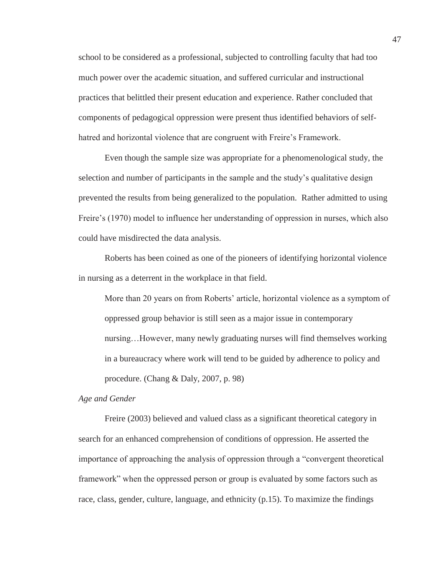school to be considered as a professional, subjected to controlling faculty that had too much power over the academic situation, and suffered curricular and instructional practices that belittled their present education and experience. Rather concluded that components of pedagogical oppression were present thus identified behaviors of selfhatred and horizontal violence that are congruent with Freire's Framework.

Even though the sample size was appropriate for a phenomenological study, the selection and number of participants in the sample and the study's qualitative design prevented the results from being generalized to the population. Rather admitted to using Freire's (1970) model to influence her understanding of oppression in nurses, which also could have misdirected the data analysis.

Roberts has been coined as one of the pioneers of identifying horizontal violence in nursing as a deterrent in the workplace in that field.

More than 20 years on from Roberts' article, horizontal violence as a symptom of oppressed group behavior is still seen as a major issue in contemporary nursing…However, many newly graduating nurses will find themselves working in a bureaucracy where work will tend to be guided by adherence to policy and procedure. (Chang & Daly, 2007, p. 98)

*Age and Gender* 

Freire (2003) believed and valued class as a significant theoretical category in search for an enhanced comprehension of conditions of oppression. He asserted the importance of approaching the analysis of oppression through a "convergent theoretical framework" when the oppressed person or group is evaluated by some factors such as race, class, gender, culture, language, and ethnicity (p.15). To maximize the findings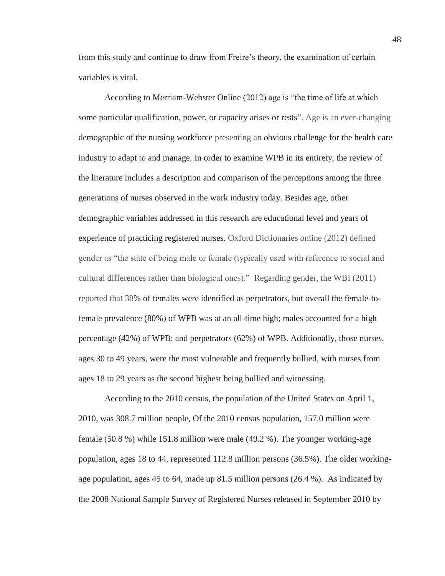from this study and continue to draw from Freire's theory, the examination of certain variables is vital.

According to Merriam-Webster Online (2012) age is "the time of life at which some particular qualification, power, or capacity arises or rests". Age is an ever-changing demographic of the nursing workforce presenting an obvious challenge for the health care industry to adapt to and manage. In order to examine WPB in its entirety, the review of the literature includes a description and comparison of the perceptions among the three generations of nurses observed in the work industry today. Besides age, other demographic variables addressed in this research are educational level and years of experience of practicing registered nurses. Oxford Dictionaries online (2012) defined gender as "the state of being male or female (typically used with reference to social and cultural differences rather than biological ones)." Regarding gender, the WBI (2011) reported that 38% of females were identified as perpetrators, but overall the female-tofemale prevalence (80%) of WPB was at an all-time high; males accounted for a high percentage (42%) of WPB; and perpetrators (62%) of WPB. Additionally, those nurses, ages 30 to 49 years, were the most vulnerable and frequently bullied, with nurses from ages 18 to 29 years as the second highest being bullied and witnessing.

According to the 2010 census, the population of the United States on April 1, 2010, was 308.7 million people, Of the 2010 census population, 157.0 million were female (50.8 %) while 151.8 million were male (49.2 %). The younger working-age population, ages 18 to 44, represented 112.8 million persons (36.5%). The older workingage population, ages 45 to 64, made up 81.5 million persons (26.4 %). As indicated by the 2008 National Sample Survey of Registered Nurses released in September 2010 by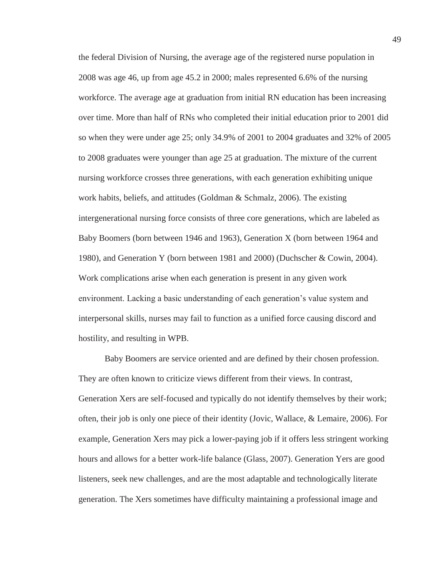the federal Division of Nursing, the average age of the registered nurse population in 2008 was age 46, up from age 45.2 in 2000; males represented 6.6% of the nursing workforce. The average age at graduation from initial RN education has been increasing over time. More than half of RNs who completed their initial education prior to 2001 did so when they were under age 25; only 34.9% of 2001 to 2004 graduates and 32% of 2005 to 2008 graduates were younger than age 25 at graduation. The mixture of the current nursing workforce crosses three generations, with each generation exhibiting unique work habits, beliefs, and attitudes (Goldman & Schmalz, 2006). The existing intergenerational nursing force consists of three core generations, which are labeled as Baby Boomers (born between 1946 and 1963), Generation X (born between 1964 and 1980), and Generation Y (born between 1981 and 2000) (Duchscher & Cowin, 2004). Work complications arise when each generation is present in any given work environment. Lacking a basic understanding of each generation's value system and interpersonal skills, nurses may fail to function as a unified force causing discord and hostility, and resulting in WPB.

Baby Boomers are service oriented and are defined by their chosen profession. They are often known to criticize views different from their views. In contrast, Generation Xers are self-focused and typically do not identify themselves by their work; often, their job is only one piece of their identity (Jovic, Wallace, & Lemaire, 2006). For example, Generation Xers may pick a lower-paying job if it offers less stringent working hours and allows for a better work-life balance (Glass, 2007). Generation Yers are good listeners, seek new challenges, and are the most adaptable and technologically literate generation. The Xers sometimes have difficulty maintaining a professional image and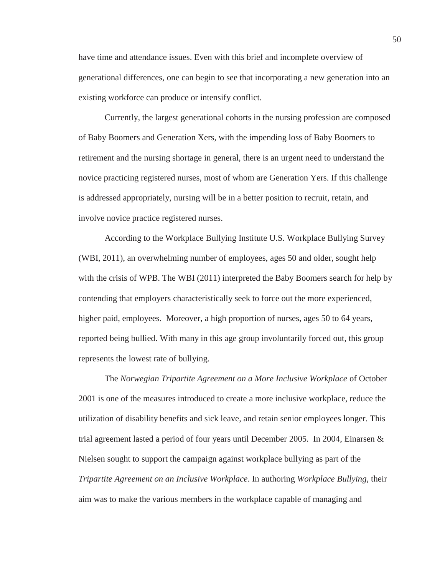have time and attendance issues. Even with this brief and incomplete overview of generational differences, one can begin to see that incorporating a new generation into an existing workforce can produce or intensify conflict.

Currently, the largest generational cohorts in the nursing profession are composed of Baby Boomers and Generation Xers, with the impending loss of Baby Boomers to retirement and the nursing shortage in general, there is an urgent need to understand the novice practicing registered nurses, most of whom are Generation Yers. If this challenge is addressed appropriately, nursing will be in a better position to recruit, retain, and involve novice practice registered nurses.

According to the Workplace Bullying Institute U.S. Workplace Bullying Survey (WBI, 2011), an overwhelming number of employees, ages 50 and older, sought help with the crisis of WPB. The WBI (2011) interpreted the Baby Boomers search for help by contending that employers characteristically seek to force out the more experienced, higher paid, employees. Moreover, a high proportion of nurses, ages 50 to 64 years, reported being bullied. With many in this age group involuntarily forced out, this group represents the lowest rate of bullying.

The *Norwegian Tripartite Agreement on a More Inclusive Workplace* of October 2001 is one of the measures introduced to create a more inclusive workplace, reduce the utilization of disability benefits and sick leave, and retain senior employees longer. This trial agreement lasted a period of four years until December 2005. In 2004, Einarsen & Nielsen sought to support the campaign against workplace bullying as part of the *Tripartite Agreement on an Inclusive Workplace*. In authoring *Workplace Bullying*, their aim was to make the various members in the workplace capable of managing and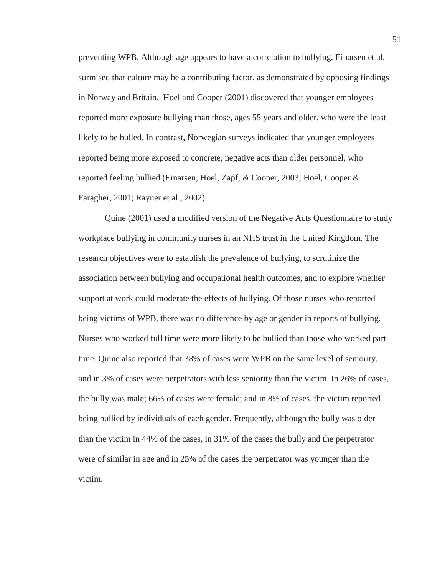preventing WPB. Although age appears to have a correlation to bullying, Einarsen et al. surmised that culture may be a contributing factor, as demonstrated by opposing findings in Norway and Britain. Hoel and Cooper (2001) discovered that younger employees reported more exposure bullying than those, ages 55 years and older, who were the least likely to be bulled. In contrast, Norwegian surveys indicated that younger employees reported being more exposed to concrete, negative acts than older personnel, who reported feeling bullied (Einarsen, Hoel, Zapf, & Cooper, 2003; Hoel, Cooper & Faragher, 2001; Rayner et al., 2002).

Quine (2001) used a modified version of the Negative Acts Questionnaire to study workplace bullying in community nurses in an NHS trust in the United Kingdom. The research objectives were to establish the prevalence of bullying, to scrutinize the association between bullying and occupational health outcomes, and to explore whether support at work could moderate the effects of bullying. Of those nurses who reported being victims of WPB, there was no difference by age or gender in reports of bullying. Nurses who worked full time were more likely to be bullied than those who worked part time. Quine also reported that 38% of cases were WPB on the same level of seniority, and in 3% of cases were perpetrators with less seniority than the victim. In 26% of cases, the bully was male; 66% of cases were female; and in 8% of cases, the victim reported being bullied by individuals of each gender. Frequently, although the bully was older than the victim in 44% of the cases, in 31% of the cases the bully and the perpetrator were of similar in age and in 25% of the cases the perpetrator was younger than the victim.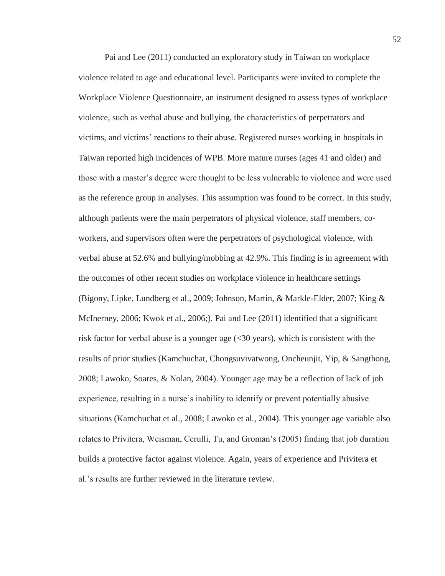Pai and Lee (2011) conducted an exploratory study in Taiwan on workplace violence related to age and educational level. Participants were invited to complete the Workplace Violence Questionnaire, an instrument designed to assess types of workplace violence, such as verbal abuse and bullying, the characteristics of perpetrators and victims, and victims' reactions to their abuse. Registered nurses working in hospitals in Taiwan reported high incidences of WPB. More mature nurses (ages 41 and older) and those with a master's degree were thought to be less vulnerable to violence and were used as the reference group in analyses. This assumption was found to be correct. In this study, although patients were the main perpetrators of physical violence, staff members, coworkers, and supervisors often were the perpetrators of psychological violence, with verbal abuse at 52.6% and bullying/mobbing at 42.9%. This finding is in agreement with the outcomes of other recent studies on workplace violence in healthcare settings (Bigony, Lipke, Lundberg et al., 2009; Johnson, Martin, & Markle-Elder, 2007; King & McInerney, 2006; Kwok et al., 2006;). Pai and Lee (2011) identified that a significant risk factor for verbal abuse is a younger age (<30 years), which is consistent with the results of prior studies (Kamchuchat, Chongsuvivatwong, Oncheunjit, Yip, & Sangthong, 2008; Lawoko, Soares, & Nolan, 2004). Younger age may be a reflection of lack of job experience, resulting in a nurse's inability to identify or prevent potentially abusive situations (Kamchuchat et al., 2008; Lawoko et al., 2004). This younger age variable also relates to Privitera, Weisman, Cerulli, Tu, and Groman's (2005) finding that job duration builds a protective factor against violence. Again, years of experience and Privitera et al.'s results are further reviewed in the literature review.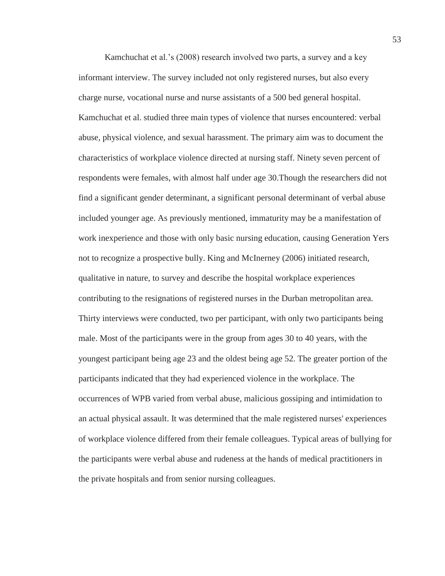Kamchuchat et al.'s (2008) research involved two parts, a survey and a key informant interview. The survey included not only registered nurses, but also every charge nurse, vocational nurse and nurse assistants of a 500 bed general hospital. Kamchuchat et al. studied three main types of violence that nurses encountered: verbal abuse, physical violence, and sexual harassment. The primary aim was to document the characteristics of workplace violence directed at nursing staff. Ninety seven percent of respondents were females, with almost half under age 30.Though the researchers did not find a significant gender determinant, a significant personal determinant of verbal abuse included younger age. As previously mentioned, immaturity may be a manifestation of work inexperience and those with only basic nursing education, causing Generation Yers not to recognize a prospective bully. King and McInerney (2006) initiated research, qualitative in nature, to survey and describe the hospital workplace experiences contributing to the resignations of registered nurses in the Durban metropolitan area. Thirty interviews were conducted, two per participant, with only two participants being male. Most of the participants were in the group from ages 30 to 40 years, with the youngest participant being age 23 and the oldest being age 52. The greater portion of the participants indicated that they had experienced violence in the workplace. The occurrences of WPB varied from verbal abuse, malicious gossiping and intimidation to an actual physical assault. It was determined that the male registered nurses' experiences of workplace violence differed from their female colleagues. Typical areas of bullying for the participants were verbal abuse and rudeness at the hands of medical practitioners in the private hospitals and from senior nursing colleagues.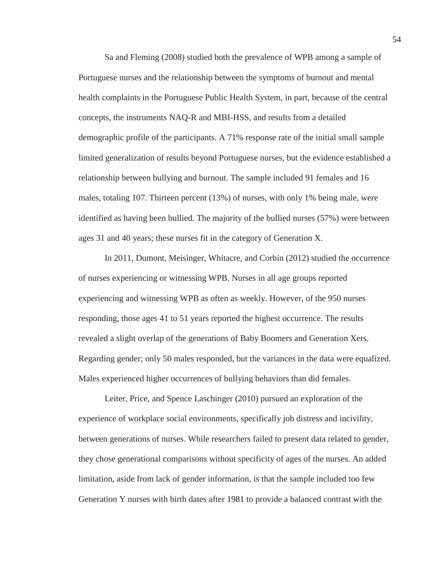Sa and Fleming (2008) studied both the prevalence of WPB among a sample of Portuguese nurses and the relationship between the symptoms of burnout and mental health complaints in the Portuguese Public Health System, in part, because of the central concepts, the instruments NAQ-R and MBI-HSS, and results from a detailed demographic profile of the participants. A 71% response rate of the initial small sample limited generalization of results beyond Portuguese nurses, but the evidence established a relationship between bullying and burnout. The sample included 91 females and 16 males, totaling 107. Thirteen percent (13%) of nurses, with only 1% being male, were identified as having been bullied. The majority of the bullied nurses (57%) were between ages 31 and 40 years; these nurses fit in the category of Generation X.

In 2011, Dumont, Meisinger, Whitacre, and Corbin (2012) studied the occurrence of nurses experiencing or witnessing WPB. Nurses in all age groups reported experiencing and witnessing WPB as often as weekly. However, of the 950 nurses responding, those ages 41 to 51 years reported the highest occurrence. The results revealed a slight overlap of the generations of Baby Boomers and Generation Xers. Regarding gender; only 50 males responded, but the variances in the data were equalized. Males experienced higher occurrences of bullying behaviors than did females.

Leiter, Price, and Spence Laschinger (2010) pursued an exploration of the experience of workplace social environments, specifically job distress and incivility, between generations of nurses. While researchers failed to present data related to gender, they chose generational comparisons without specificity of ages of the nurses. An added limitation, aside from lack of gender information, is that the sample included too few Generation Y nurses with birth dates after 1981 to provide a balanced contrast with the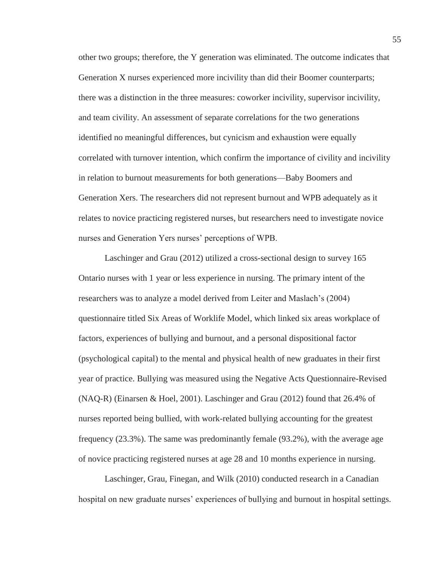other two groups; therefore, the Y generation was eliminated. The outcome indicates that Generation X nurses experienced more incivility than did their Boomer counterparts; there was a distinction in the three measures: coworker incivility, supervisor incivility, and team civility. An assessment of separate correlations for the two generations identified no meaningful differences, but cynicism and exhaustion were equally correlated with turnover intention, which confirm the importance of civility and incivility in relation to burnout measurements for both generations—Baby Boomers and Generation Xers. The researchers did not represent burnout and WPB adequately as it relates to novice practicing registered nurses, but researchers need to investigate novice nurses and Generation Yers nurses' perceptions of WPB.

Laschinger and Grau (2012) utilized a cross-sectional design to survey 165 Ontario nurses with 1 year or less experience in nursing. The primary intent of the researchers was to analyze a model derived from Leiter and Maslach's (2004) questionnaire titled Six Areas of Worklife Model, which linked six areas workplace of factors, experiences of bullying and burnout, and a personal dispositional factor (psychological capital) to the mental and physical health of new graduates in their first year of practice. Bullying was measured using the Negative Acts Questionnaire-Revised (NAQ-R) (Einarsen & Hoel, 2001). Laschinger and Grau (2012) found that 26.4% of nurses reported being bullied, with work-related bullying accounting for the greatest frequency (23.3%). The same was predominantly female (93.2%), with the average age of novice practicing registered nurses at age 28 and 10 months experience in nursing.

Laschinger, Grau, Finegan, and Wilk (2010) conducted research in a Canadian hospital on new graduate nurses' experiences of bullying and burnout in hospital settings.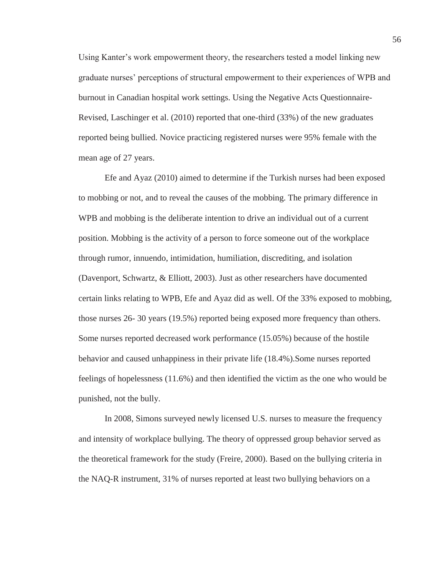Using Kanter's work empowerment theory, the researchers tested a model linking new graduate nurses' perceptions of structural empowerment to their experiences of WPB and burnout in Canadian hospital work settings. Using the Negative Acts Questionnaire-Revised, Laschinger et al. (2010) reported that one-third (33%) of the new graduates reported being bullied. Novice practicing registered nurses were 95% female with the mean age of 27 years.

Efe and Ayaz (2010) aimed to determine if the Turkish nurses had been exposed to mobbing or not, and to reveal the causes of the mobbing. The primary difference in WPB and mobbing is the deliberate intention to drive an individual out of a current position. Mobbing is the activity of a person to force someone out of the workplace through rumor, innuendo, intimidation, humiliation, discrediting, and isolation (Davenport, Schwartz, & Elliott, 2003). Just as other researchers have documented certain links relating to WPB, Efe and Ayaz did as well. Of the 33% exposed to mobbing, those nurses 26- 30 years (19.5%) reported being exposed more frequency than others. Some nurses reported decreased work performance (15.05%) because of the hostile behavior and caused unhappiness in their private life (18.4%).Some nurses reported feelings of hopelessness (11.6%) and then identified the victim as the one who would be punished, not the bully.

In 2008, Simons surveyed newly licensed U.S. nurses to measure the frequency and intensity of workplace bullying. The theory of oppressed group behavior served as the theoretical framework for the study (Freire, 2000). Based on the bullying criteria in the NAQ-R instrument, 31% of nurses reported at least two bullying behaviors on a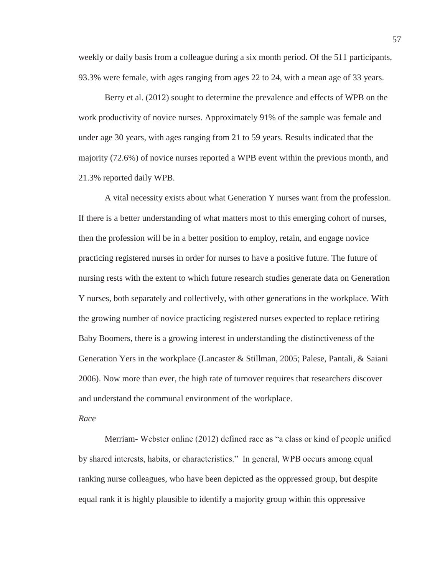weekly or daily basis from a colleague during a six month period. Of the 511 participants, 93.3% were female, with ages ranging from ages 22 to 24, with a mean age of 33 years.

Berry et al. (2012) sought to determine the prevalence and effects of WPB on the work productivity of novice nurses. Approximately 91% of the sample was female and under age 30 years, with ages ranging from 21 to 59 years. Results indicated that the majority (72.6%) of novice nurses reported a WPB event within the previous month, and 21.3% reported daily WPB.

A vital necessity exists about what Generation Y nurses want from the profession. If there is a better understanding of what matters most to this emerging cohort of nurses, then the profession will be in a better position to employ, retain, and engage novice practicing registered nurses in order for nurses to have a positive future. The future of nursing rests with the extent to which future research studies generate data on Generation Y nurses, both separately and collectively, with other generations in the workplace. With the growing number of novice practicing registered nurses expected to replace retiring Baby Boomers, there is a growing interest in understanding the distinctiveness of the Generation Yers in the workplace (Lancaster & Stillman, 2005; Palese, Pantali, & Saiani 2006). Now more than ever, the high rate of turnover requires that researchers discover and understand the communal environment of the workplace.

#### *Race*

Merriam- Webster online (2012) defined race as "a class or kind of people unified by shared interests, habits, or characteristics." In general, WPB occurs among equal ranking nurse colleagues, who have been depicted as the oppressed group, but despite equal rank it is highly plausible to identify a majority group within this oppressive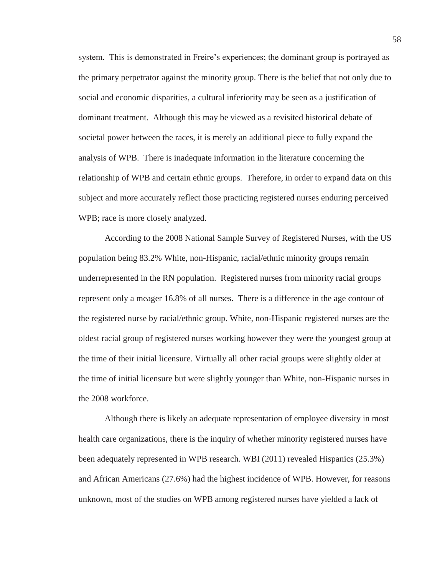system. This is demonstrated in Freire's experiences; the dominant group is portrayed as the primary perpetrator against the minority group. There is the belief that not only due to social and economic disparities, a cultural inferiority may be seen as a justification of dominant treatment. Although this may be viewed as a revisited historical debate of societal power between the races, it is merely an additional piece to fully expand the analysis of WPB. There is inadequate information in the literature concerning the relationship of WPB and certain ethnic groups. Therefore, in order to expand data on this subject and more accurately reflect those practicing registered nurses enduring perceived WPB; race is more closely analyzed.

 According to the 2008 National Sample Survey of Registered Nurses, with the US population being 83.2% White, non-Hispanic, racial/ethnic minority groups remain underrepresented in the RN population. Registered nurses from minority racial groups represent only a meager 16.8% of all nurses. There is a difference in the age contour of the registered nurse by racial/ethnic group. White, non-Hispanic registered nurses are the oldest racial group of registered nurses working however they were the youngest group at the time of their initial licensure. Virtually all other racial groups were slightly older at the time of initial licensure but were slightly younger than White, non-Hispanic nurses in the 2008 workforce.

 Although there is likely an adequate representation of employee diversity in most health care organizations, there is the inquiry of whether minority registered nurses have been adequately represented in WPB research. WBI (2011) revealed Hispanics (25.3%) and African Americans (27.6%) had the highest incidence of WPB. However, for reasons unknown, most of the studies on WPB among registered nurses have yielded a lack of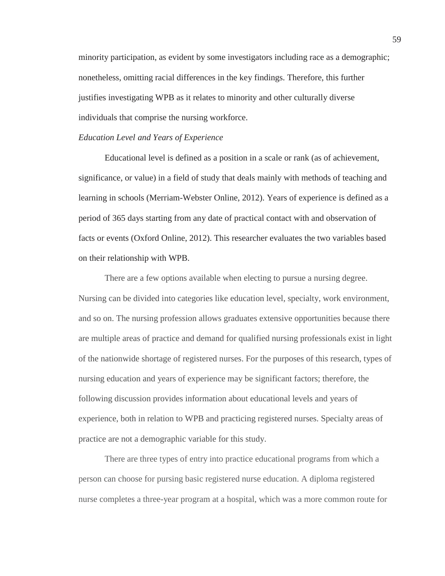minority participation, as evident by some investigators including race as a demographic; nonetheless, omitting racial differences in the key findings. Therefore, this further justifies investigating WPB as it relates to minority and other culturally diverse individuals that comprise the nursing workforce.

## *Education Level and Years of Experience*

Educational level is defined as a position in a scale or rank (as of achievement, significance, or value) in a field of study that deals mainly with methods of teaching and learning in schools (Merriam-Webster Online, 2012). Years of experience is defined as a period of 365 days starting from any date of practical contact with and observation of facts or events (Oxford Online, 2012). This researcher evaluates the two variables based on their relationship with WPB.

There are a few options available when electing to pursue a nursing degree. Nursing can be divided into categories like education level, specialty, work environment, and so on. The nursing profession allows graduates extensive opportunities because there are multiple areas of practice and demand for qualified nursing professionals exist in light of the nationwide shortage of registered nurses. For the purposes of this research, types of nursing education and years of experience may be significant factors; therefore, the following discussion provides information about educational levels and years of experience, both in relation to WPB and practicing registered nurses. Specialty areas of practice are not a demographic variable for this study.

There are three types of entry into practice educational programs from which a person can choose for pursing basic registered nurse education. A diploma registered nurse completes a three-year program at a hospital, which was a more common route for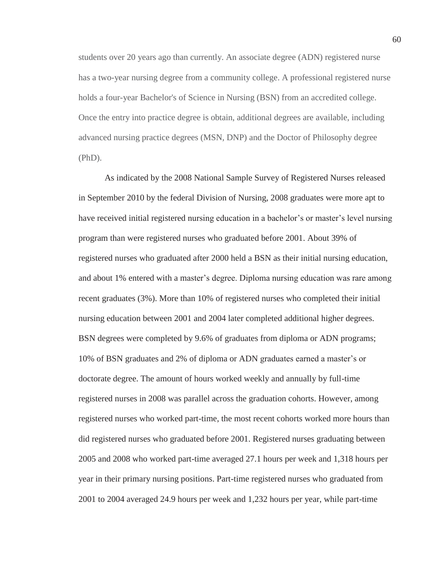students over 20 years ago than currently. An associate degree (ADN) registered nurse has a two-year nursing degree from a community college. A professional registered nurse holds a four-year Bachelor's of Science in Nursing (BSN) from an accredited college. Once the entry into practice degree is obtain, additional degrees are available, including advanced nursing practice degrees (MSN, DNP) and the Doctor of Philosophy degree (PhD).

As indicated by the 2008 National Sample Survey of Registered Nurses released in September 2010 by the federal Division of Nursing, 2008 graduates were more apt to have received initial registered nursing education in a bachelor's or master's level nursing program than were registered nurses who graduated before 2001. About 39% of registered nurses who graduated after 2000 held a BSN as their initial nursing education, and about 1% entered with a master's degree. Diploma nursing education was rare among recent graduates (3%). More than 10% of registered nurses who completed their initial nursing education between 2001 and 2004 later completed additional higher degrees. BSN degrees were completed by 9.6% of graduates from diploma or ADN programs; 10% of BSN graduates and 2% of diploma or ADN graduates earned a master's or doctorate degree. The amount of hours worked weekly and annually by full-time registered nurses in 2008 was parallel across the graduation cohorts. However, among registered nurses who worked part-time, the most recent cohorts worked more hours than did registered nurses who graduated before 2001. Registered nurses graduating between 2005 and 2008 who worked part-time averaged 27.1 hours per week and 1,318 hours per year in their primary nursing positions. Part-time registered nurses who graduated from 2001 to 2004 averaged 24.9 hours per week and 1,232 hours per year, while part-time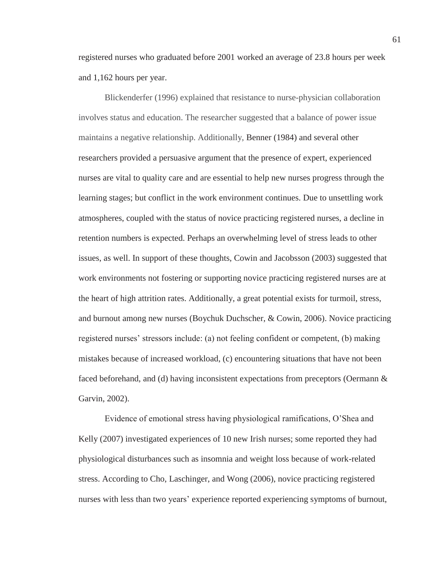registered nurses who graduated before 2001 worked an average of 23.8 hours per week and 1,162 hours per year.

Blickenderfer (1996) explained that resistance to nurse-physician collaboration involves status and education. The researcher suggested that a balance of power issue maintains a negative relationship. Additionally, Benner (1984) and several other researchers provided a persuasive argument that the presence of expert, experienced nurses are vital to quality care and are essential to help new nurses progress through the learning stages; but conflict in the work environment continues. Due to unsettling work atmospheres, coupled with the status of novice practicing registered nurses, a decline in retention numbers is expected. Perhaps an overwhelming level of stress leads to other issues, as well. In support of these thoughts, Cowin and Jacobsson (2003) suggested that work environments not fostering or supporting novice practicing registered nurses are at the heart of high attrition rates. Additionally, a great potential exists for turmoil, stress, and burnout among new nurses (Boychuk Duchscher, & Cowin, 2006). Novice practicing registered nurses' stressors include: (a) not feeling confident or competent, (b) making mistakes because of increased workload, (c) encountering situations that have not been faced beforehand, and (d) having inconsistent expectations from preceptors (Oermann & Garvin, 2002).

Evidence of emotional stress having physiological ramifications, O'Shea and Kelly (2007) investigated experiences of 10 new Irish nurses; some reported they had physiological disturbances such as insomnia and weight loss because of work-related stress. According to Cho, Laschinger, and Wong (2006), novice practicing registered nurses with less than two years' experience reported experiencing symptoms of burnout,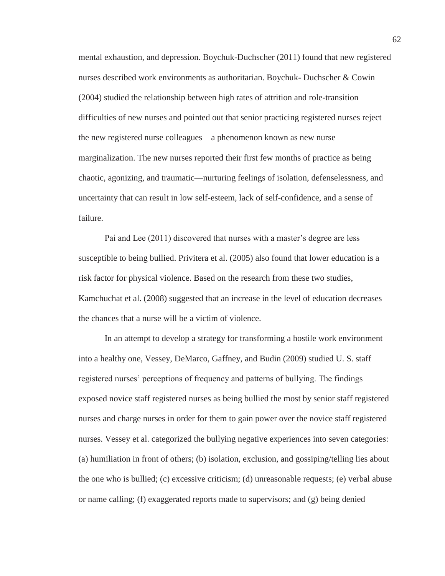mental exhaustion, and depression. Boychuk-Duchscher (2011) found that new registered nurses described work environments as authoritarian. Boychuk- Duchscher & Cowin (2004) studied the relationship between high rates of attrition and role-transition difficulties of new nurses and pointed out that senior practicing registered nurses reject the new registered nurse colleagues—a phenomenon known as new nurse marginalization. The new nurses reported their first few months of practice as being chaotic, agonizing, and traumatic—nurturing feelings of isolation, defenselessness, and uncertainty that can result in low self-esteem, lack of self-confidence, and a sense of failure.

Pai and Lee (2011) discovered that nurses with a master's degree are less susceptible to being bullied. Privitera et al. (2005) also found that lower education is a risk factor for physical violence. Based on the research from these two studies, Kamchuchat et al. (2008) suggested that an increase in the level of education decreases the chances that a nurse will be a victim of violence.

In an attempt to develop a strategy for transforming a hostile work environment into a healthy one, Vessey, DeMarco, Gaffney, and Budin (2009) studied U. S. staff registered nurses' perceptions of frequency and patterns of bullying. The findings exposed novice staff registered nurses as being bullied the most by senior staff registered nurses and charge nurses in order for them to gain power over the novice staff registered nurses. Vessey et al. categorized the bullying negative experiences into seven categories: (a) humiliation in front of others; (b) isolation, exclusion, and gossiping/telling lies about the one who is bullied; (c) excessive criticism; (d) unreasonable requests; (e) verbal abuse or name calling; (f) exaggerated reports made to supervisors; and (g) being denied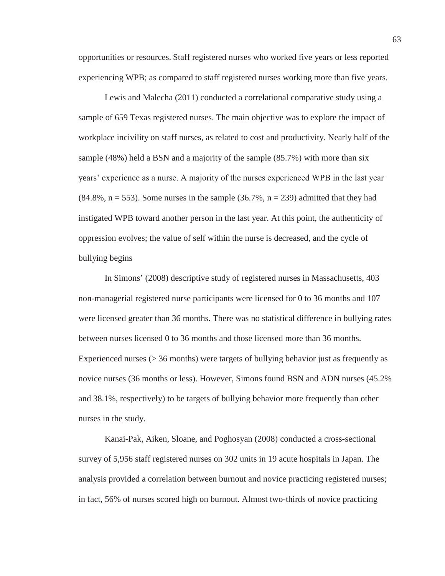opportunities or resources. Staff registered nurses who worked five years or less reported experiencing WPB; as compared to staff registered nurses working more than five years.

Lewis and Malecha (2011) conducted a correlational comparative study using a sample of 659 Texas registered nurses. The main objective was to explore the impact of workplace incivility on staff nurses, as related to cost and productivity. Nearly half of the sample (48%) held a BSN and a majority of the sample (85.7%) with more than six years' experience as a nurse. A majority of the nurses experienced WPB in the last year  $(84.8\%, n = 553)$ . Some nurses in the sample  $(36.7\%, n = 239)$  admitted that they had instigated WPB toward another person in the last year. At this point, the authenticity of oppression evolves; the value of self within the nurse is decreased, and the cycle of bullying begins

In Simons' (2008) descriptive study of registered nurses in Massachusetts, 403 non-managerial registered nurse participants were licensed for 0 to 36 months and 107 were licensed greater than 36 months. There was no statistical difference in bullying rates between nurses licensed 0 to 36 months and those licensed more than 36 months. Experienced nurses ( $>$  36 months) were targets of bullying behavior just as frequently as novice nurses (36 months or less). However, Simons found BSN and ADN nurses (45.2% and 38.1%, respectively) to be targets of bullying behavior more frequently than other nurses in the study.

Kanai-Pak, Aiken, Sloane, and Poghosyan (2008) conducted a cross-sectional survey of 5,956 staff registered nurses on 302 units in 19 acute hospitals in Japan. The analysis provided a correlation between burnout and novice practicing registered nurses; in fact, 56% of nurses scored high on burnout. Almost two-thirds of novice practicing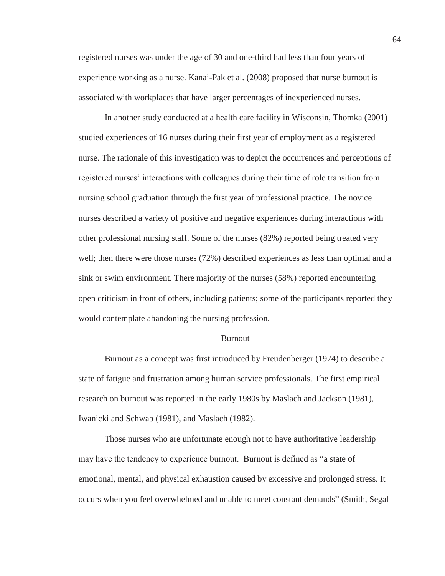registered nurses was under the age of 30 and one-third had less than four years of experience working as a nurse. Kanai-Pak et al. (2008) proposed that nurse burnout is associated with workplaces that have larger percentages of inexperienced nurses.

In another study conducted at a health care facility in Wisconsin, Thomka (2001) studied experiences of 16 nurses during their first year of employment as a registered nurse. The rationale of this investigation was to depict the occurrences and perceptions of registered nurses' interactions with colleagues during their time of role transition from nursing school graduation through the first year of professional practice. The novice nurses described a variety of positive and negative experiences during interactions with other professional nursing staff. Some of the nurses (82%) reported being treated very well; then there were those nurses (72%) described experiences as less than optimal and a sink or swim environment. There majority of the nurses (58%) reported encountering open criticism in front of others, including patients; some of the participants reported they would contemplate abandoning the nursing profession.

#### Burnout

Burnout as a concept was first introduced by Freudenberger (1974) to describe a state of fatigue and frustration among human service professionals. The first empirical research on burnout was reported in the early 1980s by Maslach and Jackson (1981), Iwanicki and Schwab (1981), and Maslach (1982).

Those nurses who are unfortunate enough not to have authoritative leadership may have the tendency to experience burnout. Burnout is defined as "a state of emotional, mental, and physical exhaustion caused by excessive and prolonged stress. It occurs when you feel overwhelmed and unable to meet constant demands" (Smith, Segal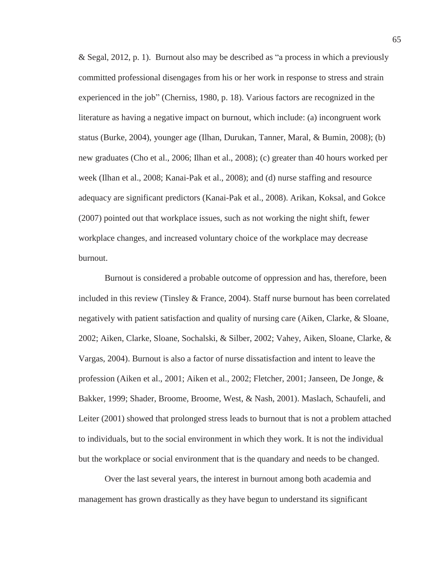& Segal, 2012, p. 1). Burnout also may be described as "a process in which a previously committed professional disengages from his or her work in response to stress and strain experienced in the job" (Cherniss, 1980, p. 18). Various factors are recognized in the literature as having a negative impact on burnout, which include: (a) incongruent work status (Burke, 2004), younger age (Ilhan, Durukan, Tanner, Maral, & Bumin, 2008); (b) new graduates (Cho et al., 2006; Ilhan et al., 2008); (c) greater than 40 hours worked per week (Ilhan et al., 2008; Kanai-Pak et al., 2008); and (d) nurse staffing and resource adequacy are significant predictors (Kanai-Pak et al., 2008). Arikan, Koksal, and Gokce (2007) pointed out that workplace issues, such as not working the night shift, fewer workplace changes, and increased voluntary choice of the workplace may decrease burnout.

Burnout is considered a probable outcome of oppression and has, therefore, been included in this review (Tinsley & France, 2004). Staff nurse burnout has been correlated negatively with patient satisfaction and quality of nursing care (Aiken, Clarke, & Sloane, 2002; Aiken, Clarke, Sloane, Sochalski, & Silber, 2002; Vahey, Aiken, Sloane, Clarke, & Vargas, 2004). Burnout is also a factor of nurse dissatisfaction and intent to leave the profession (Aiken et al., 2001; Aiken et al., 2002; Fletcher, 2001; Janseen, De Jonge, & Bakker, 1999; Shader, Broome, Broome, West, & Nash, 2001). Maslach, Schaufeli, and Leiter (2001) showed that prolonged stress leads to burnout that is not a problem attached to individuals, but to the social environment in which they work. It is not the individual but the workplace or social environment that is the quandary and needs to be changed.

Over the last several years, the interest in burnout among both academia and management has grown drastically as they have begun to understand its significant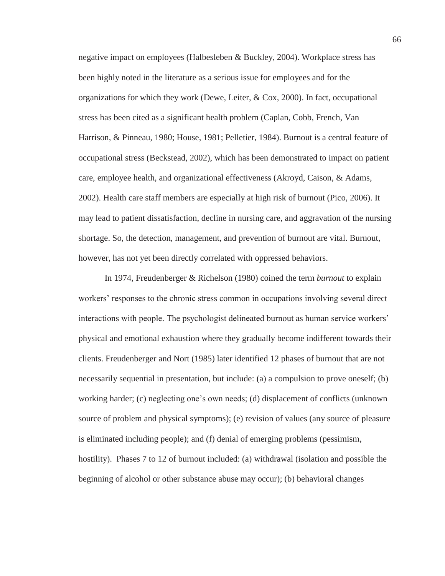negative impact on employees (Halbesleben & Buckley, 2004). Workplace stress has been highly noted in the literature as a serious issue for employees and for the organizations for which they work (Dewe, Leiter, & Cox, 2000). In fact, occupational stress has been cited as a significant health problem (Caplan, Cobb, French, Van Harrison, & Pinneau, 1980; House, 1981; Pelletier, 1984). Burnout is a central feature of occupational stress (Beckstead, 2002), which has been demonstrated to impact on patient care, employee health, and organizational effectiveness (Akroyd, Caison, & Adams, 2002). Health care staff members are especially at high risk of burnout (Pico, 2006). It may lead to patient dissatisfaction, decline in nursing care, and aggravation of the nursing shortage. So, the detection, management, and prevention of burnout are vital. Burnout, however, has not yet been directly correlated with oppressed behaviors.

In 1974, Freudenberger & Richelson (1980) coined the term *burnout* to explain workers' responses to the chronic stress common in occupations involving several direct interactions with people. The psychologist delineated burnout as human service workers' physical and emotional exhaustion where they gradually become indifferent towards their clients. Freudenberger and Nort (1985) later identified 12 phases of burnout that are not necessarily sequential in presentation, but include: (a) a compulsion to prove oneself; (b) working harder; (c) neglecting one's own needs; (d) displacement of conflicts (unknown source of problem and physical symptoms); (e) revision of values (any source of pleasure is eliminated including people); and (f) denial of emerging problems (pessimism, hostility). Phases 7 to 12 of burnout included: (a) withdrawal (isolation and possible the beginning of alcohol or other substance abuse may occur); (b) behavioral changes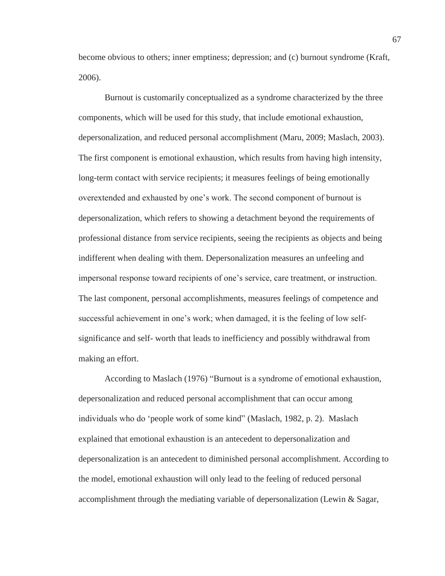become obvious to others; inner emptiness; depression; and (c) burnout syndrome (Kraft, 2006).

Burnout is customarily conceptualized as a syndrome characterized by the three components, which will be used for this study, that include emotional exhaustion, depersonalization, and reduced personal accomplishment (Maru, 2009; Maslach, 2003). The first component is emotional exhaustion, which results from having high intensity, long-term contact with service recipients; it measures feelings of being emotionally overextended and exhausted by one's work. The second component of burnout is depersonalization, which refers to showing a detachment beyond the requirements of professional distance from service recipients, seeing the recipients as objects and being indifferent when dealing with them. Depersonalization measures an unfeeling and impersonal response toward recipients of one's service, care treatment, or instruction. The last component, personal accomplishments, measures feelings of competence and successful achievement in one's work; when damaged, it is the feeling of low selfsignificance and self- worth that leads to inefficiency and possibly withdrawal from making an effort.

According to Maslach (1976) "Burnout is a syndrome of emotional exhaustion, depersonalization and reduced personal accomplishment that can occur among individuals who do 'people work of some kind" (Maslach, 1982, p. 2). Maslach explained that emotional exhaustion is an antecedent to depersonalization and depersonalization is an antecedent to diminished personal accomplishment. According to the model, emotional exhaustion will only lead to the feeling of reduced personal accomplishment through the mediating variable of depersonalization (Lewin & Sagar,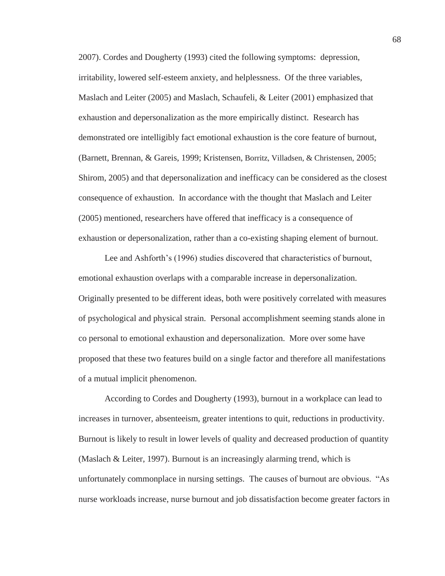2007). Cordes and Dougherty (1993) cited the following symptoms: depression, irritability, lowered self-esteem anxiety, and helplessness. Of the three variables, Maslach and Leiter (2005) and Maslach, Schaufeli, & Leiter (2001) emphasized that exhaustion and depersonalization as the more empirically distinct. Research has demonstrated ore intelligibly fact emotional exhaustion is the core feature of burnout, (Barnett, Brennan, & Gareis, 1999; Kristensen, Borritz, Villadsen, & Christensen, 2005; Shirom, 2005) and that depersonalization and inefficacy can be considered as the closest consequence of exhaustion. In accordance with the thought that Maslach and Leiter (2005) mentioned, researchers have offered that inefficacy is a consequence of exhaustion or depersonalization, rather than a co-existing shaping element of burnout.

Lee and Ashforth's (1996) studies discovered that characteristics of burnout, emotional exhaustion overlaps with a comparable increase in depersonalization. Originally presented to be different ideas, both were positively correlated with measures of psychological and physical strain. Personal accomplishment seeming stands alone in co personal to emotional exhaustion and depersonalization. More over some have proposed that these two features build on a single factor and therefore all manifestations of a mutual implicit phenomenon.

According to Cordes and Dougherty (1993), burnout in a workplace can lead to increases in turnover, absenteeism, greater intentions to quit, reductions in productivity. Burnout is likely to result in lower levels of quality and decreased production of quantity (Maslach & Leiter, 1997). Burnout is an increasingly alarming trend, which is unfortunately commonplace in nursing settings. The causes of burnout are obvious. "As nurse workloads increase, nurse burnout and job dissatisfaction become greater factors in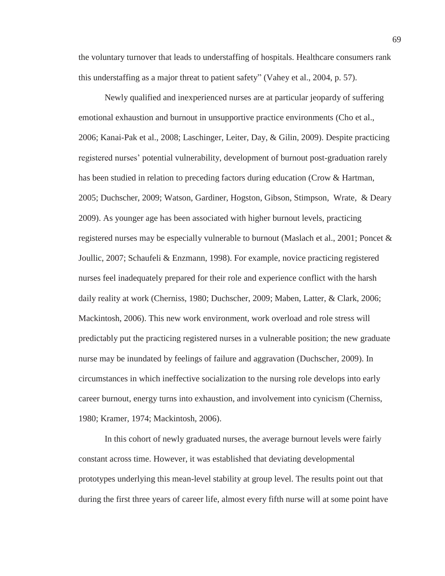the voluntary turnover that leads to understaffing of hospitals. Healthcare consumers rank this understaffing as a major threat to patient safety" (Vahey et al., 2004, p. 57).

Newly qualified and inexperienced nurses are at particular jeopardy of suffering emotional exhaustion and burnout in unsupportive practice environments (Cho et al., 2006; Kanai-Pak et al., 2008; Laschinger, Leiter, Day, & Gilin, 2009). Despite practicing registered nurses' potential vulnerability, development of burnout post-graduation rarely has been studied in relation to preceding factors during education (Crow & Hartman, 2005; Duchscher, 2009; Watson, Gardiner, Hogston, Gibson, Stimpson, Wrate, & Deary 2009). As younger age has been associated with higher burnout levels, practicing registered nurses may be especially vulnerable to burnout (Maslach et al., 2001; Poncet & Joullic, 2007; Schaufeli & Enzmann, 1998). For example, novice practicing registered nurses feel inadequately prepared for their role and experience conflict with the harsh daily reality at work (Cherniss, 1980; Duchscher, 2009; Maben, Latter, & Clark, 2006; Mackintosh, 2006). This new work environment, work overload and role stress will predictably put the practicing registered nurses in a vulnerable position; the new graduate nurse may be inundated by feelings of failure and aggravation (Duchscher, 2009). In circumstances in which ineffective socialization to the nursing role develops into early career burnout, energy turns into exhaustion, and involvement into cynicism (Cherniss, 1980; Kramer, 1974; Mackintosh, 2006).

In this cohort of newly graduated nurses, the average burnout levels were fairly constant across time. However, it was established that deviating developmental prototypes underlying this mean-level stability at group level. The results point out that during the first three years of career life, almost every fifth nurse will at some point have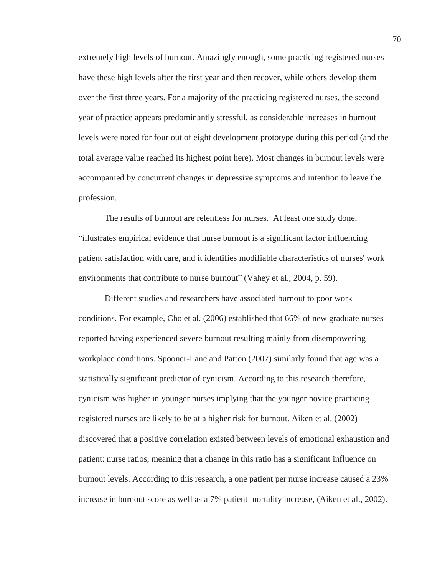extremely high levels of burnout. Amazingly enough, some practicing registered nurses have these high levels after the first year and then recover, while others develop them over the first three years. For a majority of the practicing registered nurses, the second year of practice appears predominantly stressful, as considerable increases in burnout levels were noted for four out of eight development prototype during this period (and the total average value reached its highest point here). Most changes in burnout levels were accompanied by concurrent changes in depressive symptoms and intention to leave the profession.

The results of burnout are relentless for nurses. At least one study done, "illustrates empirical evidence that nurse burnout is a significant factor influencing patient satisfaction with care, and it identifies modifiable characteristics of nurses' work environments that contribute to nurse burnout" (Vahey et al., 2004, p. 59).

Different studies and researchers have associated burnout to poor work conditions. For example, Cho et al. (2006) established that 66% of new graduate nurses reported having experienced severe burnout resulting mainly from disempowering workplace conditions. Spooner-Lane and Patton (2007) similarly found that age was a statistically significant predictor of cynicism. According to this research therefore, cynicism was higher in younger nurses implying that the younger novice practicing registered nurses are likely to be at a higher risk for burnout. Aiken et al. (2002) discovered that a positive correlation existed between levels of emotional exhaustion and patient: nurse ratios, meaning that a change in this ratio has a significant influence on burnout levels. According to this research, a one patient per nurse increase caused a 23% increase in burnout score as well as a 7% patient mortality increase, (Aiken et al., 2002).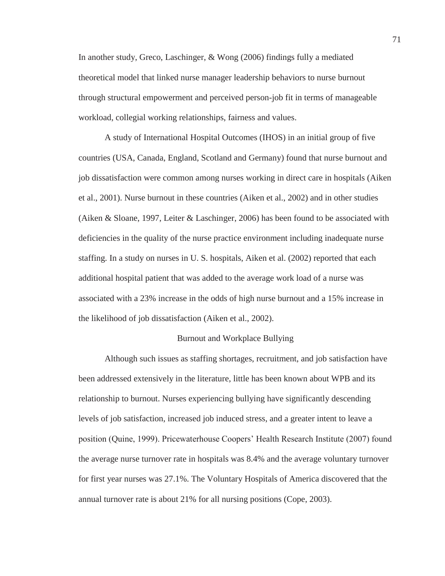In another study, Greco, Laschinger, & Wong (2006) findings fully a mediated theoretical model that linked nurse manager leadership behaviors to nurse burnout through structural empowerment and perceived person-job fit in terms of manageable workload, collegial working relationships, fairness and values.

A study of International Hospital Outcomes (IHOS) in an initial group of five countries (USA, Canada, England, Scotland and Germany) found that nurse burnout and job dissatisfaction were common among nurses working in direct care in hospitals (Aiken et al., 2001). Nurse burnout in these countries (Aiken et al., 2002) and in other studies (Aiken & Sloane, 1997, Leiter & Laschinger, 2006) has been found to be associated with deficiencies in the quality of the nurse practice environment including inadequate nurse staffing. In a study on nurses in U. S. hospitals, Aiken et al. (2002) reported that each additional hospital patient that was added to the average work load of a nurse was associated with a 23% increase in the odds of high nurse burnout and a 15% increase in the likelihood of job dissatisfaction (Aiken et al., 2002).

## Burnout and Workplace Bullying

Although such issues as staffing shortages, recruitment, and job satisfaction have been addressed extensively in the literature, little has been known about WPB and its relationship to burnout. Nurses experiencing bullying have significantly descending levels of job satisfaction, increased job induced stress, and a greater intent to leave a position (Quine, 1999). Pricewaterhouse Coopers' Health Research Institute (2007) found the average nurse turnover rate in hospitals was 8.4% and the average voluntary turnover for first year nurses was 27.1%. The Voluntary Hospitals of America discovered that the annual turnover rate is about 21% for all nursing positions (Cope, 2003).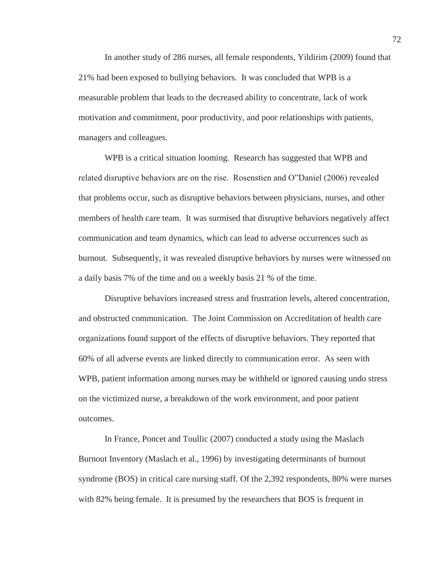In another study of 286 nurses, all female respondents, Yildirim (2009) found that 21% had been exposed to bullying behaviors. It was concluded that WPB is a measurable problem that leads to the decreased ability to concentrate, lack of work motivation and commitment, poor productivity, and poor relationships with patients, managers and colleagues.

WPB is a critical situation looming. Research has suggested that WPB and related disruptive behaviors are on the rise. Rosenstien and O"Daniel (2006) revealed that problems occur, such as disruptive behaviors between physicians, nurses, and other members of health care team. It was surmised that disruptive behaviors negatively affect communication and team dynamics, which can lead to adverse occurrences such as burnout. Subsequently, it was revealed disruptive behaviors by nurses were witnessed on a daily basis 7% of the time and on a weekly basis 21 % of the time.

Disruptive behaviors increased stress and frustration levels, altered concentration, and obstructed communication. The Joint Commission on Accreditation of health care organizations found support of the effects of disruptive behaviors. They reported that 60% of all adverse events are linked directly to communication error. As seen with WPB, patient information among nurses may be withheld or ignored causing undo stress on the victimized nurse, a breakdown of the work environment, and poor patient outcomes.

In France, Poncet and Toullic (2007) conducted a study using the Maslach Burnout Inventory (Maslach et al., 1996) by investigating determinants of burnout syndrome (BOS) in critical care nursing staff. Of the 2,392 respondents, 80% were nurses with 82% being female. It is presumed by the researchers that BOS is frequent in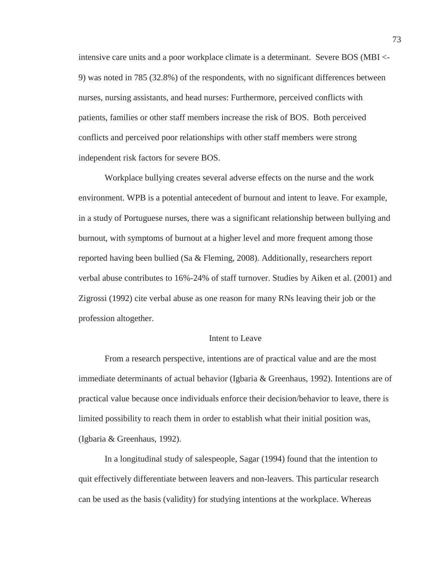intensive care units and a poor workplace climate is a determinant. Severe BOS (MBI <- 9) was noted in 785 (32.8%) of the respondents, with no significant differences between nurses, nursing assistants, and head nurses: Furthermore, perceived conflicts with patients, families or other staff members increase the risk of BOS. Both perceived conflicts and perceived poor relationships with other staff members were strong independent risk factors for severe BOS.

Workplace bullying creates several adverse effects on the nurse and the work environment. WPB is a potential antecedent of burnout and intent to leave. For example, in a study of Portuguese nurses, there was a significant relationship between bullying and burnout, with symptoms of burnout at a higher level and more frequent among those reported having been bullied (Sa & Fleming, 2008). Additionally, researchers report verbal abuse contributes to 16%-24% of staff turnover. Studies by Aiken et al. (2001) and Zigrossi (1992) cite verbal abuse as one reason for many RNs leaving their job or the profession altogether.

## Intent to Leave

From a research perspective, intentions are of practical value and are the most immediate determinants of actual behavior (Igbaria & Greenhaus, 1992). Intentions are of practical value because once individuals enforce their decision/behavior to leave, there is limited possibility to reach them in order to establish what their initial position was, (Igbaria & Greenhaus, 1992).

In a longitudinal study of salespeople, Sagar (1994) found that the intention to quit effectively differentiate between leavers and non-leavers. This particular research can be used as the basis (validity) for studying intentions at the workplace. Whereas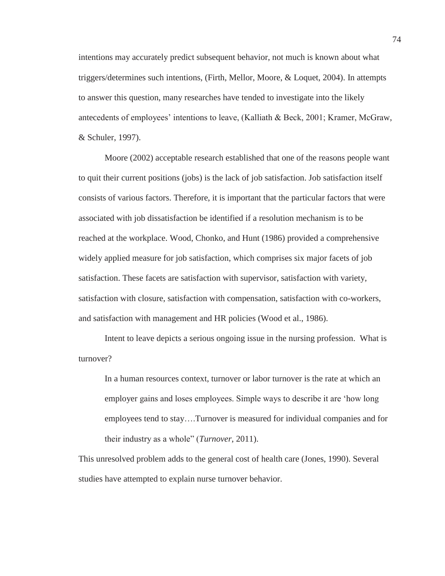intentions may accurately predict subsequent behavior, not much is known about what triggers/determines such intentions, (Firth, Mellor, Moore, & Loquet, 2004). In attempts to answer this question, many researches have tended to investigate into the likely antecedents of employees' intentions to leave, (Kalliath & Beck, 2001; Kramer, McGraw, & Schuler, 1997).

Moore (2002) acceptable research established that one of the reasons people want to quit their current positions (jobs) is the lack of job satisfaction. Job satisfaction itself consists of various factors. Therefore, it is important that the particular factors that were associated with job dissatisfaction be identified if a resolution mechanism is to be reached at the workplace. Wood, Chonko, and Hunt (1986) provided a comprehensive widely applied measure for job satisfaction, which comprises six major facets of job satisfaction. These facets are satisfaction with supervisor, satisfaction with variety, satisfaction with closure, satisfaction with compensation, satisfaction with co-workers, and satisfaction with management and HR policies (Wood et al., 1986).

Intent to leave depicts a serious ongoing issue in the nursing profession. What is turnover?

In a human resources context, turnover or labor turnover is the rate at which an employer gains and loses employees. Simple ways to describe it are 'how long employees tend to stay….Turnover is measured for individual companies and for their industry as a whole" (*Turnover*, 2011).

This unresolved problem adds to the general cost of health care (Jones, 1990). Several studies have attempted to explain nurse turnover behavior.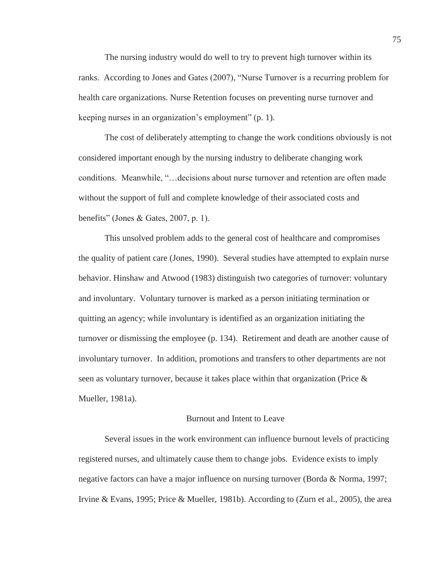The nursing industry would do well to try to prevent high turnover within its ranks. According to Jones and Gates (2007), "Nurse Turnover is a recurring problem for health care organizations. Nurse Retention focuses on preventing nurse turnover and keeping nurses in an organization's employment" (p. 1).

The cost of deliberately attempting to change the work conditions obviously is not considered important enough by the nursing industry to deliberate changing work conditions. Meanwhile, "…decisions about nurse turnover and retention are often made without the support of full and complete knowledge of their associated costs and benefits" (Jones & Gates, 2007, p. 1).

This unsolved problem adds to the general cost of healthcare and compromises the quality of patient care (Jones, 1990). Several studies have attempted to explain nurse behavior. Hinshaw and Atwood (1983) distinguish two categories of turnover: voluntary and involuntary. Voluntary turnover is marked as a person initiating termination or quitting an agency; while involuntary is identified as an organization initiating the turnover or dismissing the employee (p. 134). Retirement and death are another cause of involuntary turnover. In addition, promotions and transfers to other departments are not seen as voluntary turnover, because it takes place within that organization (Price & Mueller, 1981a).

## Burnout and Intent to Leave

Several issues in the work environment can influence burnout levels of practicing registered nurses, and ultimately cause them to change jobs. Evidence exists to imply negative factors can have a major influence on nursing turnover (Borda & Norma, 1997; Irvine & Evans, 1995; Price & Mueller, 1981b). According to (Zurn et al., 2005), the area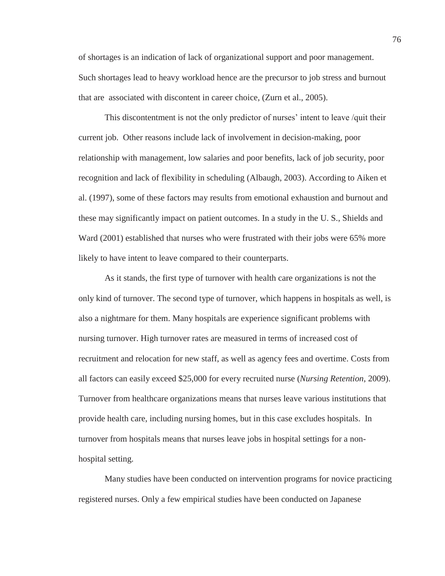of shortages is an indication of lack of organizational support and poor management. Such shortages lead to heavy workload hence are the precursor to job stress and burnout that are associated with discontent in career choice, (Zurn et al., 2005).

This discontentment is not the only predictor of nurses' intent to leave /quit their current job. Other reasons include lack of involvement in decision-making, poor relationship with management, low salaries and poor benefits, lack of job security, poor recognition and lack of flexibility in scheduling (Albaugh, 2003). According to Aiken et al. (1997), some of these factors may results from emotional exhaustion and burnout and these may significantly impact on patient outcomes. In a study in the U. S., Shields and Ward (2001) established that nurses who were frustrated with their jobs were 65% more likely to have intent to leave compared to their counterparts.

As it stands, the first type of turnover with health care organizations is not the only kind of turnover. The second type of turnover, which happens in hospitals as well, is also a nightmare for them. Many hospitals are experience significant problems with nursing turnover. High turnover rates are measured in terms of increased cost of recruitment and relocation for new staff, as well as agency fees and overtime. Costs from all factors can easily exceed \$25,000 for every recruited nurse (*Nursing Retention*, 2009). Turnover from healthcare organizations means that nurses leave various institutions that provide health care, including nursing homes, but in this case excludes hospitals. In turnover from hospitals means that nurses leave jobs in hospital settings for a nonhospital setting.

Many studies have been conducted on intervention programs for novice practicing registered nurses. Only a few empirical studies have been conducted on Japanese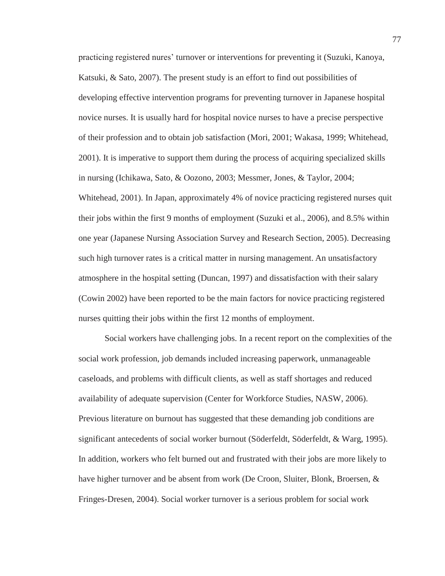practicing registered nures' turnover or interventions for preventing it (Suzuki, Kanoya, Katsuki, & Sato, 2007). The present study is an effort to find out possibilities of developing effective intervention programs for preventing turnover in Japanese hospital novice nurses. It is usually hard for hospital novice nurses to have a precise perspective of their profession and to obtain job satisfaction (Mori, 2001; Wakasa, 1999; Whitehead, 2001). It is imperative to support them during the process of acquiring specialized skills in nursing (Ichikawa, Sato, & Oozono, 2003; Messmer, Jones, & Taylor, 2004; Whitehead, 2001). In Japan, approximately 4% of novice practicing registered nurses quit their jobs within the first 9 months of employment (Suzuki et al., 2006), and 8.5% within one year (Japanese Nursing Association Survey and Research Section, 2005). Decreasing such high turnover rates is a critical matter in nursing management. An unsatisfactory atmosphere in the hospital setting (Duncan, 1997) and dissatisfaction with their salary (Cowin 2002) have been reported to be the main factors for novice practicing registered nurses quitting their jobs within the first 12 months of employment.

Social workers have challenging jobs. In a recent report on the complexities of the social work profession, job demands included increasing paperwork, unmanageable caseloads, and problems with difficult clients, as well as staff shortages and reduced availability of adequate supervision (Center for Workforce Studies, NASW, 2006). Previous literature on burnout has suggested that these demanding job conditions are significant antecedents of social worker burnout (Söderfeldt, Söderfeldt, & Warg, 1995). In addition, workers who felt burned out and frustrated with their jobs are more likely to have higher turnover and be absent from work (De Croon, Sluiter, Blonk, Broersen, & Fringes-Dresen, 2004). Social worker turnover is a serious problem for social work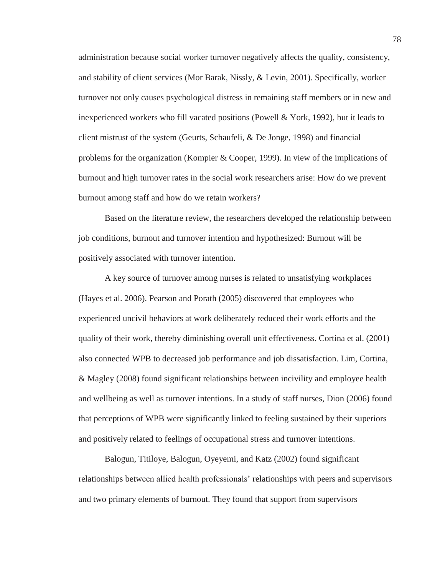administration because social worker turnover negatively affects the quality, consistency, and stability of client services (Mor Barak, Nissly, & Levin, 2001). Specifically, worker turnover not only causes psychological distress in remaining staff members or in new and inexperienced workers who fill vacated positions (Powell & York, 1992), but it leads to client mistrust of the system (Geurts, Schaufeli, & De Jonge, 1998) and financial problems for the organization (Kompier & Cooper, 1999). In view of the implications of burnout and high turnover rates in the social work researchers arise: How do we prevent burnout among staff and how do we retain workers?

Based on the literature review, the researchers developed the relationship between job conditions, burnout and turnover intention and hypothesized: Burnout will be positively associated with turnover intention.

A key source of turnover among nurses is related to unsatisfying workplaces (Hayes et al. 2006). Pearson and Porath (2005) discovered that employees who experienced uncivil behaviors at work deliberately reduced their work efforts and the quality of their work, thereby diminishing overall unit effectiveness. Cortina et al. (2001) also connected WPB to decreased job performance and job dissatisfaction. Lim, Cortina, & Magley (2008) found significant relationships between incivility and employee health and wellbeing as well as turnover intentions. In a study of staff nurses, Dion (2006) found that perceptions of WPB were significantly linked to feeling sustained by their superiors and positively related to feelings of occupational stress and turnover intentions.

Balogun, Titiloye, Balogun, Oyeyemi, and Katz (2002) found significant relationships between allied health professionals' relationships with peers and supervisors and two primary elements of burnout. They found that support from supervisors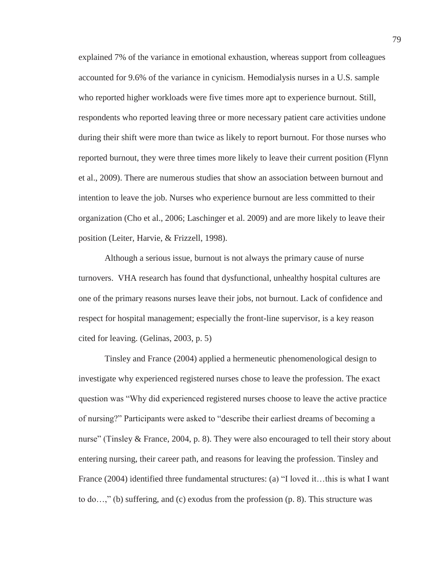explained 7% of the variance in emotional exhaustion, whereas support from colleagues accounted for 9.6% of the variance in cynicism. Hemodialysis nurses in a U.S. sample who reported higher workloads were five times more apt to experience burnout. Still, respondents who reported leaving three or more necessary patient care activities undone during their shift were more than twice as likely to report burnout. For those nurses who reported burnout, they were three times more likely to leave their current position (Flynn et al., 2009). There are numerous studies that show an association between burnout and intention to leave the job. Nurses who experience burnout are less committed to their organization (Cho et al., 2006; Laschinger et al. 2009) and are more likely to leave their position (Leiter, Harvie, & Frizzell, 1998).

Although a serious issue, burnout is not always the primary cause of nurse turnovers. VHA research has found that dysfunctional, unhealthy hospital cultures are one of the primary reasons nurses leave their jobs, not burnout. Lack of confidence and respect for hospital management; especially the front-line supervisor, is a key reason cited for leaving. (Gelinas, 2003, p. 5)

Tinsley and France (2004) applied a hermeneutic phenomenological design to investigate why experienced registered nurses chose to leave the profession. The exact question was "Why did experienced registered nurses choose to leave the active practice of nursing?" Participants were asked to "describe their earliest dreams of becoming a nurse" (Tinsley & France, 2004, p. 8). They were also encouraged to tell their story about entering nursing, their career path, and reasons for leaving the profession. Tinsley and France (2004) identified three fundamental structures: (a) "I loved it...this is what I want to do…," (b) suffering, and (c) exodus from the profession (p. 8). This structure was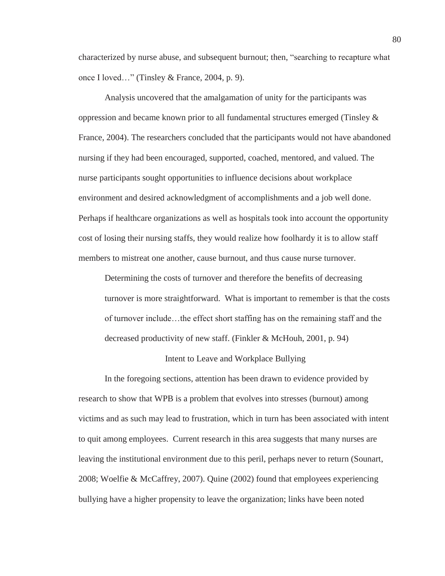characterized by nurse abuse, and subsequent burnout; then, "searching to recapture what once I loved…" (Tinsley & France, 2004, p. 9).

Analysis uncovered that the amalgamation of unity for the participants was oppression and became known prior to all fundamental structures emerged (Tinsley  $\&$ France, 2004). The researchers concluded that the participants would not have abandoned nursing if they had been encouraged, supported, coached, mentored, and valued. The nurse participants sought opportunities to influence decisions about workplace environment and desired acknowledgment of accomplishments and a job well done. Perhaps if healthcare organizations as well as hospitals took into account the opportunity cost of losing their nursing staffs, they would realize how foolhardy it is to allow staff members to mistreat one another, cause burnout, and thus cause nurse turnover.

Determining the costs of turnover and therefore the benefits of decreasing turnover is more straightforward. What is important to remember is that the costs of turnover include…the effect short staffing has on the remaining staff and the decreased productivity of new staff. (Finkler & McHouh, 2001, p. 94)

# Intent to Leave and Workplace Bullying

In the foregoing sections, attention has been drawn to evidence provided by research to show that WPB is a problem that evolves into stresses (burnout) among victims and as such may lead to frustration, which in turn has been associated with intent to quit among employees. Current research in this area suggests that many nurses are leaving the institutional environment due to this peril, perhaps never to return (Sounart, 2008; Woelfie & McCaffrey, 2007). Quine (2002) found that employees experiencing bullying have a higher propensity to leave the organization; links have been noted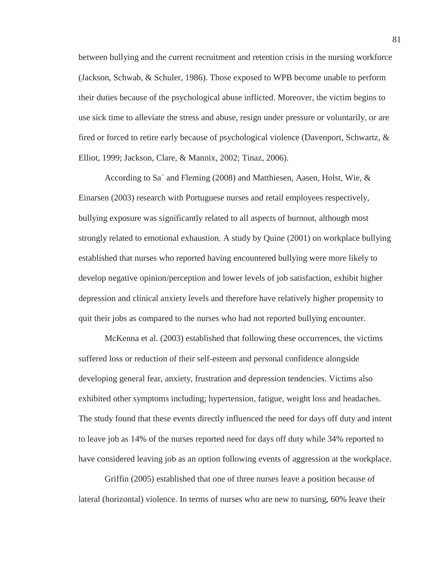between bullying and the current recruitment and retention crisis in the nursing workforce (Jackson, Schwab, & Schuler, 1986). Those exposed to WPB become unable to perform their duties because of the psychological abuse inflicted. Moreover, the victim begins to use sick time to alleviate the stress and abuse, resign under pressure or voluntarily, or are fired or forced to retire early because of psychological violence (Davenport, Schwartz, & Elliot, 1999; Jackson, Clare, & Mannix, 2002; Tinaz, 2006).

According to Sa´ and Fleming (2008) and Matthiesen, Aasen, Holst, Wie, & Einarsen (2003) research with Portuguese nurses and retail employees respectively, bullying exposure was significantly related to all aspects of burnout, although most strongly related to emotional exhaustion. A study by Quine (2001) on workplace bullying established that nurses who reported having encountered bullying were more likely to develop negative opinion/perception and lower levels of job satisfaction, exhibit higher depression and clinical anxiety levels and therefore have relatively higher propensity to quit their jobs as compared to the nurses who had not reported bullying encounter.

McKenna et al. (2003) established that following these occurrences, the victims suffered loss or reduction of their self-esteem and personal confidence alongside developing general fear, anxiety, frustration and depression tendencies. Victims also exhibited other symptoms including; hypertension, fatigue, weight loss and headaches. The study found that these events directly influenced the need for days off duty and intent to leave job as 14% of the nurses reported need for days off duty while 34% reported to have considered leaving job as an option following events of aggression at the workplace.

Griffin (2005) established that one of three nurses leave a position because of lateral (horizontal) violence. In terms of nurses who are new to nursing, 60% leave their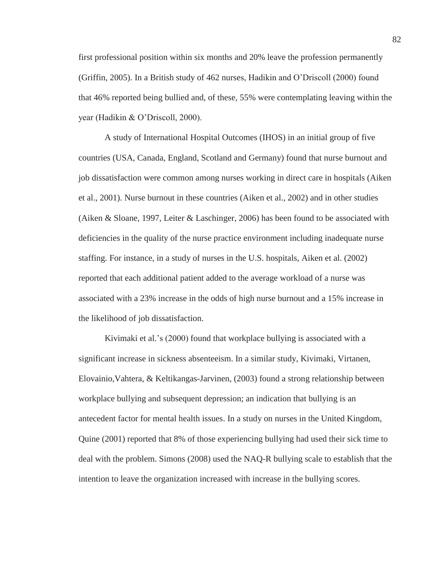first professional position within six months and 20% leave the profession permanently (Griffin, 2005). In a British study of 462 nurses, Hadikin and O'Driscoll (2000) found that 46% reported being bullied and, of these, 55% were contemplating leaving within the year (Hadikin & O'Driscoll, 2000).

A study of International Hospital Outcomes (IHOS) in an initial group of five countries (USA, Canada, England, Scotland and Germany) found that nurse burnout and job dissatisfaction were common among nurses working in direct care in hospitals (Aiken et al., 2001). Nurse burnout in these countries (Aiken et al., 2002) and in other studies (Aiken & Sloane, 1997, Leiter & Laschinger, 2006) has been found to be associated with deficiencies in the quality of the nurse practice environment including inadequate nurse staffing. For instance, in a study of nurses in the U.S. hospitals, Aiken et al. (2002) reported that each additional patient added to the average workload of a nurse was associated with a 23% increase in the odds of high nurse burnout and a 15% increase in the likelihood of job dissatisfaction.

Kivimaki et al.'s (2000) found that workplace bullying is associated with a significant increase in sickness absenteeism. In a similar study, Kivimaki, Virtanen, Elovainio,Vahtera, & Keltikangas-Jarvinen, (2003) found a strong relationship between workplace bullying and subsequent depression; an indication that bullying is an antecedent factor for mental health issues. In a study on nurses in the United Kingdom, Quine (2001) reported that 8% of those experiencing bullying had used their sick time to deal with the problem. Simons (2008) used the NAQ-R bullying scale to establish that the intention to leave the organization increased with increase in the bullying scores.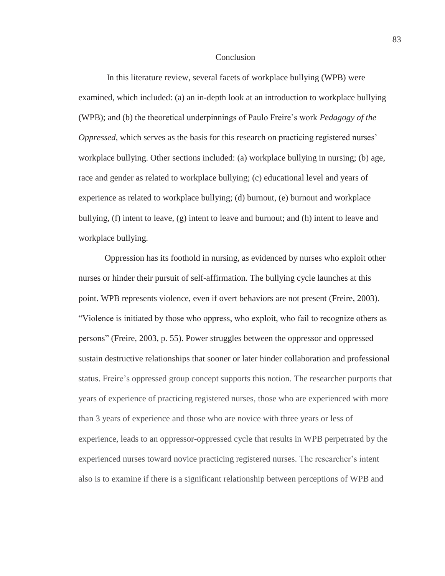#### **Conclusion**

 In this literature review, several facets of workplace bullying (WPB) were examined, which included: (a) an in-depth look at an introduction to workplace bullying (WPB); and (b) the theoretical underpinnings of Paulo Freire's work *Pedagogy of the Oppressed*, which serves as the basis for this research on practicing registered nurses' workplace bullying. Other sections included: (a) workplace bullying in nursing; (b) age, race and gender as related to workplace bullying; (c) educational level and years of experience as related to workplace bullying; (d) burnout, (e) burnout and workplace bullying, (f) intent to leave, (g) intent to leave and burnout; and (h) intent to leave and workplace bullying.

Oppression has its foothold in nursing, as evidenced by nurses who exploit other nurses or hinder their pursuit of self-affirmation. The bullying cycle launches at this point. WPB represents violence, even if overt behaviors are not present (Freire, 2003). "Violence is initiated by those who oppress, who exploit, who fail to recognize others as persons" (Freire, 2003, p. 55). Power struggles between the oppressor and oppressed sustain destructive relationships that sooner or later hinder collaboration and professional status. Freire's oppressed group concept supports this notion. The researcher purports that years of experience of practicing registered nurses, those who are experienced with more than 3 years of experience and those who are novice with three years or less of experience, leads to an oppressor-oppressed cycle that results in WPB perpetrated by the experienced nurses toward novice practicing registered nurses. The researcher's intent also is to examine if there is a significant relationship between perceptions of WPB and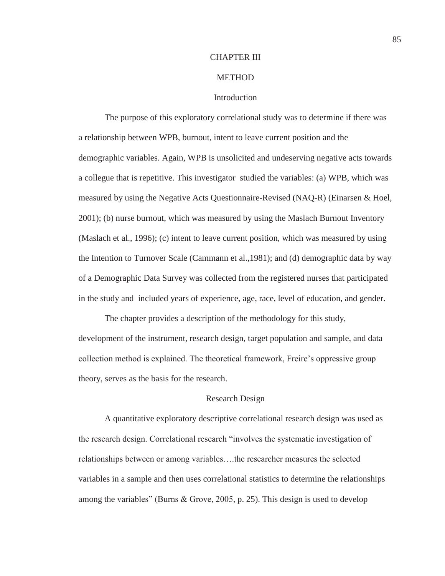### CHAPTER III

## **METHOD**

### **Introduction**

The purpose of this exploratory correlational study was to determine if there was a relationship between WPB, burnout, intent to leave current position and the demographic variables. Again, WPB is unsolicited and undeserving negative acts towards a collegue that is repetitive. This investigator studied the variables: (a) WPB, which was measured by using the Negative Acts Questionnaire-Revised (NAQ-R) (Einarsen & Hoel, 2001); (b) nurse burnout, which was measured by using the Maslach Burnout Inventory (Maslach et al., 1996); (c) intent to leave current position, which was measured by using the Intention to Turnover Scale (Cammann et al.,1981); and (d) demographic data by way of a Demographic Data Survey was collected from the registered nurses that participated in the study and included years of experience, age, race, level of education, and gender.

The chapter provides a description of the methodology for this study, development of the instrument, research design, target population and sample, and data collection method is explained. The theoretical framework, Freire's oppressive group theory, serves as the basis for the research.

### Research Design

A quantitative exploratory descriptive correlational research design was used as the research design. Correlational research "involves the systematic investigation of relationships between or among variables….the researcher measures the selected variables in a sample and then uses correlational statistics to determine the relationships among the variables" (Burns  $\&$  Grove, 2005, p. 25). This design is used to develop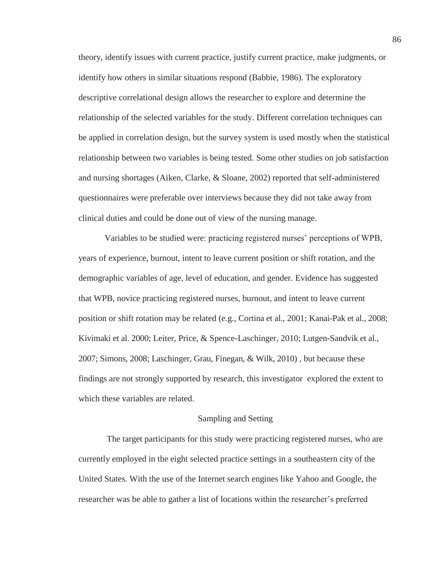theory, identify issues with current practice, justify current practice, make judgments, or identify how others in similar situations respond (Babbie, 1986). The exploratory descriptive correlational design allows the researcher to explore and determine the relationship of the selected variables for the study. Different correlation techniques can be applied in correlation design, but the survey system is used mostly when the statistical relationship between two variables is being tested. Some other studies on job satisfaction and nursing shortages (Aiken, Clarke, & Sloane, 2002) reported that self-administered questionnaires were preferable over interviews because they did not take away from clinical duties and could be done out of view of the nursing manage.

Variables to be studied were: practicing registered nurses' perceptions of WPB, years of experience, burnout, intent to leave current position or shift rotation, and the demographic variables of age, level of education, and gender. Evidence has suggested that WPB, novice practicing registered nurses, burnout, and intent to leave current position or shift rotation may be related (e.g., Cortina et al., 2001; Kanai-Pak et al., 2008; Kivimaki et al. 2000; Leiter, Price, & Spence-Laschinger, 2010; Lutgen-Sandvik et al., 2007; Simons, 2008; Laschinger, Grau, Finegan, & Wilk, 2010) , but because these findings are not strongly supported by research, this investigator explored the extent to which these variables are related.

#### Sampling and Setting

 The target participants for this study were practicing registered nurses, who are currently employed in the eight selected practice settings in a southeastern city of the United States. With the use of the Internet search engines like Yahoo and Google, the researcher was be able to gather a list of locations within the researcher's preferred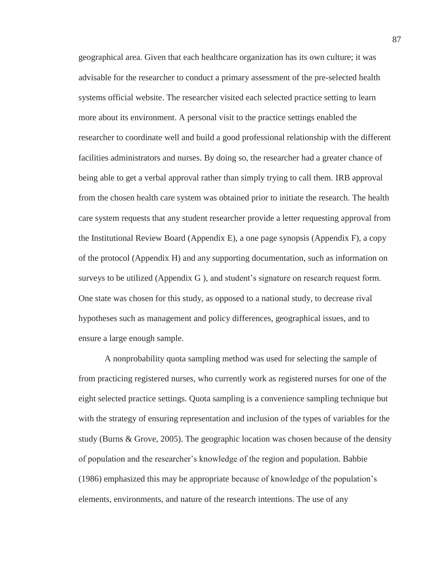geographical area. Given that each healthcare organization has its own culture; it was advisable for the researcher to conduct a primary assessment of the pre-selected health systems official website. The researcher visited each selected practice setting to learn more about its environment. A personal visit to the practice settings enabled the researcher to coordinate well and build a good professional relationship with the different facilities administrators and nurses. By doing so, the researcher had a greater chance of being able to get a verbal approval rather than simply trying to call them. IRB approval from the chosen health care system was obtained prior to initiate the research. The health care system requests that any student researcher provide a letter requesting approval from the Institutional Review Board (Appendix E), a one page synopsis (Appendix F), a copy of the protocol (Appendix H) and any supporting documentation, such as information on surveys to be utilized (Appendix G ), and student's signature on research request form. One state was chosen for this study, as opposed to a national study, to decrease rival hypotheses such as management and policy differences, geographical issues, and to ensure a large enough sample.

A nonprobability quota sampling method was used for selecting the sample of from practicing registered nurses, who currently work as registered nurses for one of the eight selected practice settings. Quota sampling is a convenience sampling technique but with the strategy of ensuring representation and inclusion of the types of variables for the study (Burns & Grove, 2005). The geographic location was chosen because of the density of population and the researcher's knowledge of the region and population. Babbie (1986) emphasized this may be appropriate because of knowledge of the population's elements, environments, and nature of the research intentions. The use of any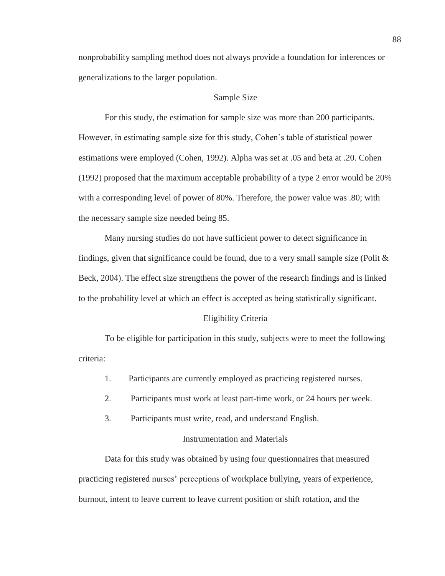nonprobability sampling method does not always provide a foundation for inferences or generalizations to the larger population.

## Sample Size

For this study, the estimation for sample size was more than 200 participants. However, in estimating sample size for this study, Cohen's table of statistical power estimations were employed (Cohen, 1992). Alpha was set at .05 and beta at .20. Cohen (1992) proposed that the maximum acceptable probability of a type 2 error would be 20% with a corresponding level of power of 80%. Therefore, the power value was .80; with the necessary sample size needed being 85.

Many nursing studies do not have sufficient power to detect significance in findings, given that significance could be found, due to a very small sample size (Polit  $\&$ Beck, 2004). The effect size strengthens the power of the research findings and is linked to the probability level at which an effect is accepted as being statistically significant.

### Eligibility Criteria

To be eligible for participation in this study, subjects were to meet the following criteria:

- 1. Participants are currently employed as practicing registered nurses.
- 2. Participants must work at least part-time work, or 24 hours per week.
- 3. Participants must write, read, and understand English.

## Instrumentation and Materials

Data for this study was obtained by using four questionnaires that measured practicing registered nurses' perceptions of workplace bullying, years of experience, burnout, intent to leave current to leave current position or shift rotation, and the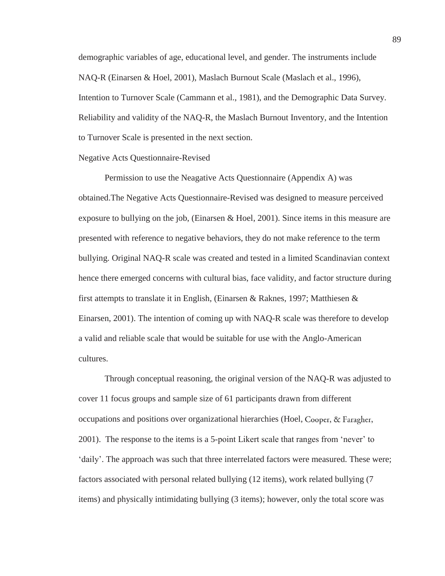demographic variables of age, educational level, and gender. The instruments include NAQ-R (Einarsen & Hoel, 2001), Maslach Burnout Scale (Maslach et al., 1996), Intention to Turnover Scale (Cammann et al., 1981), and the Demographic Data Survey. Reliability and validity of the NAQ-R, the Maslach Burnout Inventory, and the Intention to Turnover Scale is presented in the next section.

#### Negative Acts Questionnaire-Revised

Permission to use the Neagative Acts Questionnaire (Appendix A) was obtained.The Negative Acts Questionnaire-Revised was designed to measure perceived exposure to bullying on the job, (Einarsen & Hoel, 2001). Since items in this measure are presented with reference to negative behaviors, they do not make reference to the term bullying. Original NAQ-R scale was created and tested in a limited Scandinavian context hence there emerged concerns with cultural bias, face validity, and factor structure during first attempts to translate it in English, (Einarsen & Raknes, 1997; Matthiesen & Einarsen, 2001). The intention of coming up with NAQ-R scale was therefore to develop a valid and reliable scale that would be suitable for use with the Anglo-American cultures.

Through conceptual reasoning, the original version of the NAQ-R was adjusted to cover 11 focus groups and sample size of 61 participants drawn from different occupations and positions over organizational hierarchies (Hoel, 2001). The response to the items is a 5-point Likert scale that ranges from 'never' to 'daily'. The approach was such that three interrelated factors were measured. These were; factors associated with personal related bullying (12 items), work related bullying (7 items) and physically intimidating bullying (3 items); however, only the total score was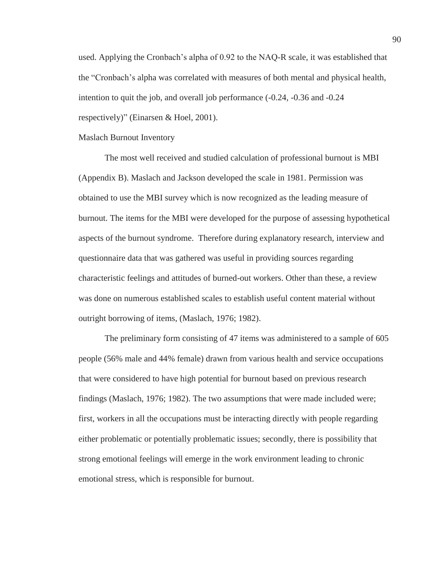used. Applying the Cronbach's alpha of 0.92 to the NAQ-R scale, it was established that the "Cronbach's alpha was correlated with measures of both mental and physical health, intention to quit the job, and overall job performance (-0.24, -0.36 and -0.24 respectively)" (Einarsen & Hoel, 2001).

#### Maslach Burnout Inventory

The most well received and studied calculation of professional burnout is MBI (Appendix B). Maslach and Jackson developed the scale in 1981. Permission was obtained to use the MBI survey which is now recognized as the leading measure of burnout. The items for the MBI were developed for the purpose of assessing hypothetical aspects of the burnout syndrome. Therefore during explanatory research, interview and questionnaire data that was gathered was useful in providing sources regarding characteristic feelings and attitudes of burned-out workers. Other than these, a review was done on numerous established scales to establish useful content material without outright borrowing of items, (Maslach, 1976; 1982).

The preliminary form consisting of 47 items was administered to a sample of 605 people (56% male and 44% female) drawn from various health and service occupations that were considered to have high potential for burnout based on previous research findings (Maslach, 1976; 1982). The two assumptions that were made included were; first, workers in all the occupations must be interacting directly with people regarding either problematic or potentially problematic issues; secondly, there is possibility that strong emotional feelings will emerge in the work environment leading to chronic emotional stress, which is responsible for burnout.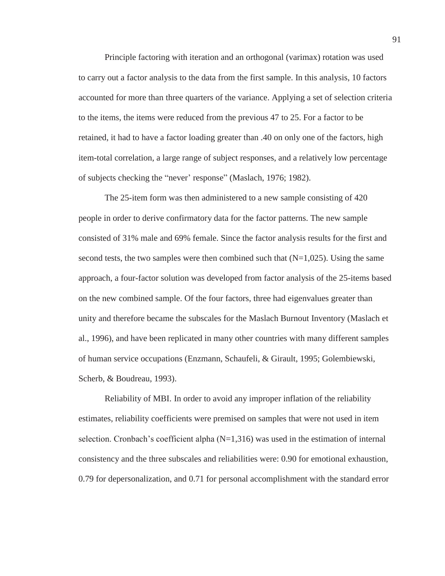Principle factoring with iteration and an orthogonal (varimax) rotation was used to carry out a factor analysis to the data from the first sample. In this analysis, 10 factors accounted for more than three quarters of the variance. Applying a set of selection criteria to the items, the items were reduced from the previous 47 to 25. For a factor to be retained, it had to have a factor loading greater than .40 on only one of the factors, high item-total correlation, a large range of subject responses, and a relatively low percentage of subjects checking the "never' response" (Maslach, 1976; 1982).

The 25-item form was then administered to a new sample consisting of 420 people in order to derive confirmatory data for the factor patterns. The new sample consisted of 31% male and 69% female. Since the factor analysis results for the first and second tests, the two samples were then combined such that  $(N=1,025)$ . Using the same approach, a four-factor solution was developed from factor analysis of the 25-items based on the new combined sample. Of the four factors, three had eigenvalues greater than unity and therefore became the subscales for the Maslach Burnout Inventory (Maslach et al., 1996), and have been replicated in many other countries with many different samples of human service occupations (Enzmann, Schaufeli, & Girault, 1995; Golembiewski, Scherb, & Boudreau, 1993).

Reliability of MBI. In order to avoid any improper inflation of the reliability estimates, reliability coefficients were premised on samples that were not used in item selection. Cronbach's coefficient alpha  $(N=1,316)$  was used in the estimation of internal consistency and the three subscales and reliabilities were: 0.90 for emotional exhaustion, 0.79 for depersonalization, and 0.71 for personal accomplishment with the standard error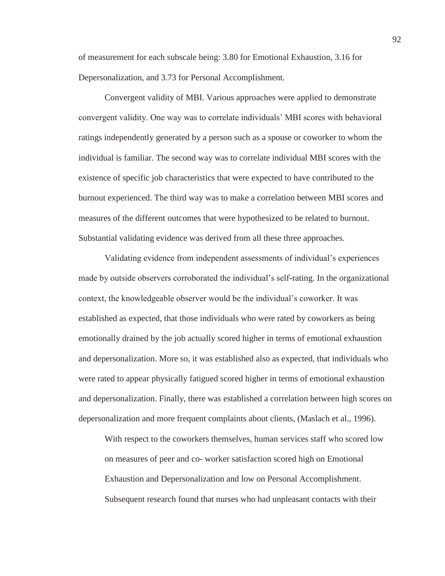of measurement for each subscale being: 3.80 for Emotional Exhaustion, 3.16 for Depersonalization, and 3.73 for Personal Accomplishment.

Convergent validity of MBI. Various approaches were applied to demonstrate convergent validity. One way was to correlate individuals' MBI scores with behavioral ratings independently generated by a person such as a spouse or coworker to whom the individual is familiar. The second way was to correlate individual MBI scores with the existence of specific job characteristics that were expected to have contributed to the burnout experienced. The third way was to make a correlation between MBI scores and measures of the different outcomes that were hypothesized to be related to burnout. Substantial validating evidence was derived from all these three approaches.

Validating evidence from independent assessments of individual's experiences made by outside observers corroborated the individual's self-rating. In the organizational context, the knowledgeable observer would be the individual's coworker. It was established as expected, that those individuals who were rated by coworkers as being emotionally drained by the job actually scored higher in terms of emotional exhaustion and depersonalization. More so, it was established also as expected, that individuals who were rated to appear physically fatigued scored higher in terms of emotional exhaustion and depersonalization. Finally, there was established a correlation between high scores on depersonalization and more frequent complaints about clients, (Maslach et al., 1996).

With respect to the coworkers themselves, human services staff who scored low on measures of peer and co- worker satisfaction scored high on Emotional Exhaustion and Depersonalization and low on Personal Accomplishment. Subsequent research found that nurses who had unpleasant contacts with their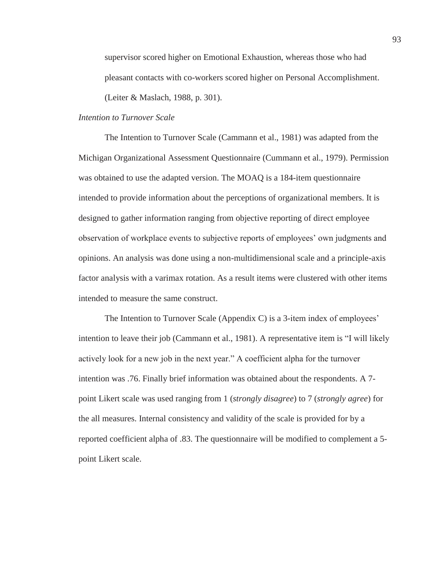supervisor scored higher on Emotional Exhaustion, whereas those who had pleasant contacts with co-workers scored higher on Personal Accomplishment. (Leiter & Maslach, 1988, p. 301).

### *Intention to Turnover Scale*

The Intention to Turnover Scale (Cammann et al., 1981) was adapted from the Michigan Organizational Assessment Questionnaire (Cummann et al., 1979). Permission was obtained to use the adapted version. The MOAQ is a 184-item questionnaire intended to provide information about the perceptions of organizational members. It is designed to gather information ranging from objective reporting of direct employee observation of workplace events to subjective reports of employees' own judgments and opinions. An analysis was done using a non-multidimensional scale and a principle-axis factor analysis with a varimax rotation. As a result items were clustered with other items intended to measure the same construct.

The Intention to Turnover Scale (Appendix C) is a 3-item index of employees' intention to leave their job (Cammann et al., 1981). A representative item is "I will likely actively look for a new job in the next year." A coefficient alpha for the turnover intention was .76. Finally brief information was obtained about the respondents. A 7 point Likert scale was used ranging from 1 (*strongly disagree*) to 7 (*strongly agree*) for the all measures. Internal consistency and validity of the scale is provided for by a reported coefficient alpha of .83. The questionnaire will be modified to complement a 5 point Likert scale.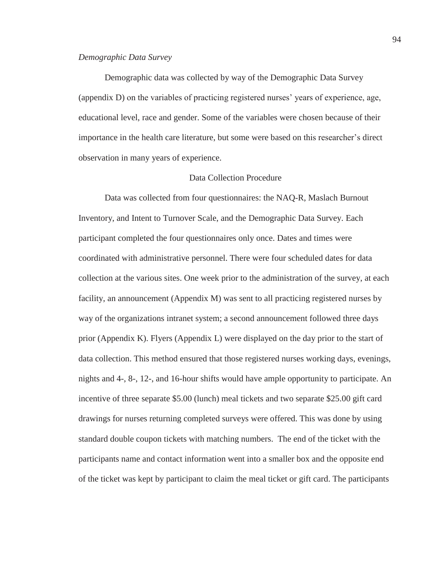### *Demographic Data Survey*

Demographic data was collected by way of the Demographic Data Survey (appendix D) on the variables of practicing registered nurses' years of experience, age, educational level, race and gender. Some of the variables were chosen because of their importance in the health care literature, but some were based on this researcher's direct observation in many years of experience.

## Data Collection Procedure

Data was collected from four questionnaires: the NAQ-R, Maslach Burnout Inventory, and Intent to Turnover Scale, and the Demographic Data Survey. Each participant completed the four questionnaires only once. Dates and times were coordinated with administrative personnel. There were four scheduled dates for data collection at the various sites. One week prior to the administration of the survey, at each facility, an announcement (Appendix M) was sent to all practicing registered nurses by way of the organizations intranet system; a second announcement followed three days prior (Appendix K). Flyers (Appendix L) were displayed on the day prior to the start of data collection. This method ensured that those registered nurses working days, evenings, nights and 4-, 8-, 12-, and 16-hour shifts would have ample opportunity to participate. An incentive of three separate \$5.00 (lunch) meal tickets and two separate \$25.00 gift card drawings for nurses returning completed surveys were offered. This was done by using standard double coupon tickets with matching numbers. The end of the ticket with the participants name and contact information went into a smaller box and the opposite end of the ticket was kept by participant to claim the meal ticket or gift card. The participants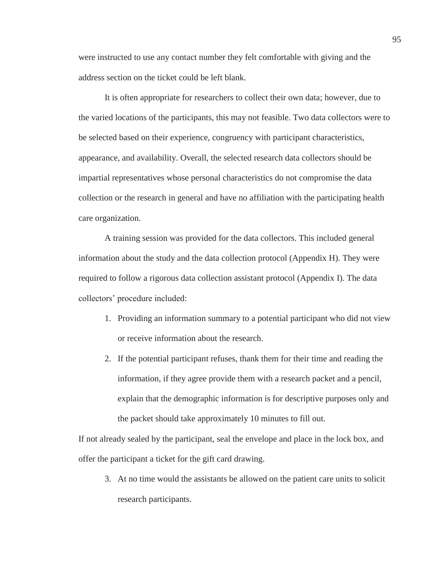were instructed to use any contact number they felt comfortable with giving and the address section on the ticket could be left blank.

It is often appropriate for researchers to collect their own data; however, due to the varied locations of the participants, this may not feasible. Two data collectors were to be selected based on their experience, congruency with participant characteristics, appearance, and availability. Overall, the selected research data collectors should be impartial representatives whose personal characteristics do not compromise the data collection or the research in general and have no affiliation with the participating health care organization.

A training session was provided for the data collectors. This included general information about the study and the data collection protocol (Appendix H). They were required to follow a rigorous data collection assistant protocol (Appendix I). The data collectors' procedure included:

- 1. Providing an information summary to a potential participant who did not view or receive information about the research.
- 2. If the potential participant refuses, thank them for their time and reading the information, if they agree provide them with a research packet and a pencil, explain that the demographic information is for descriptive purposes only and the packet should take approximately 10 minutes to fill out.

If not already sealed by the participant, seal the envelope and place in the lock box, and offer the participant a ticket for the gift card drawing.

3. At no time would the assistants be allowed on the patient care units to solicit research participants.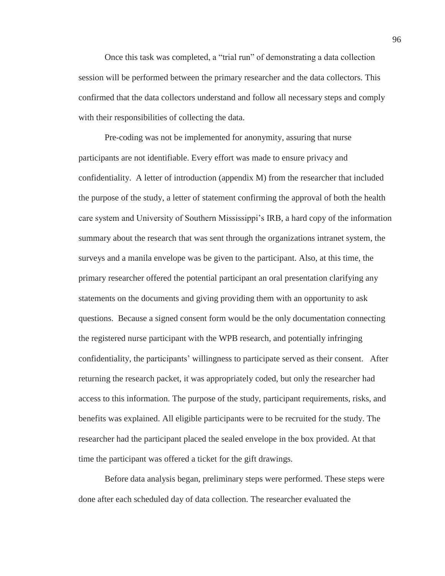Once this task was completed, a "trial run" of demonstrating a data collection session will be performed between the primary researcher and the data collectors. This confirmed that the data collectors understand and follow all necessary steps and comply with their responsibilities of collecting the data.

Pre-coding was not be implemented for anonymity, assuring that nurse participants are not identifiable. Every effort was made to ensure privacy and confidentiality. A letter of introduction (appendix M) from the researcher that included the purpose of the study, a letter of statement confirming the approval of both the health care system and University of Southern Mississippi's IRB, a hard copy of the information summary about the research that was sent through the organizations intranet system, the surveys and a manila envelope was be given to the participant. Also, at this time, the primary researcher offered the potential participant an oral presentation clarifying any statements on the documents and giving providing them with an opportunity to ask questions. Because a signed consent form would be the only documentation connecting the registered nurse participant with the WPB research, and potentially infringing confidentiality, the participants' willingness to participate served as their consent. After returning the research packet, it was appropriately coded, but only the researcher had access to this information. The purpose of the study, participant requirements, risks, and benefits was explained. All eligible participants were to be recruited for the study. The researcher had the participant placed the sealed envelope in the box provided. At that time the participant was offered a ticket for the gift drawings.

Before data analysis began, preliminary steps were performed. These steps were done after each scheduled day of data collection. The researcher evaluated the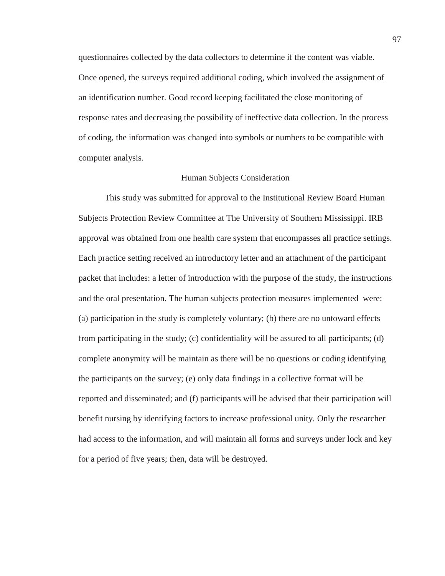questionnaires collected by the data collectors to determine if the content was viable. Once opened, the surveys required additional coding, which involved the assignment of an identification number. Good record keeping facilitated the close monitoring of response rates and decreasing the possibility of ineffective data collection. In the process of coding, the information was changed into symbols or numbers to be compatible with computer analysis.

## Human Subjects Consideration

This study was submitted for approval to the Institutional Review Board Human Subjects Protection Review Committee at The University of Southern Mississippi. IRB approval was obtained from one health care system that encompasses all practice settings. Each practice setting received an introductory letter and an attachment of the participant packet that includes: a letter of introduction with the purpose of the study, the instructions and the oral presentation. The human subjects protection measures implemented were: (a) participation in the study is completely voluntary; (b) there are no untoward effects from participating in the study; (c) confidentiality will be assured to all participants; (d) complete anonymity will be maintain as there will be no questions or coding identifying the participants on the survey; (e) only data findings in a collective format will be reported and disseminated; and (f) participants will be advised that their participation will benefit nursing by identifying factors to increase professional unity. Only the researcher had access to the information, and will maintain all forms and surveys under lock and key for a period of five years; then, data will be destroyed.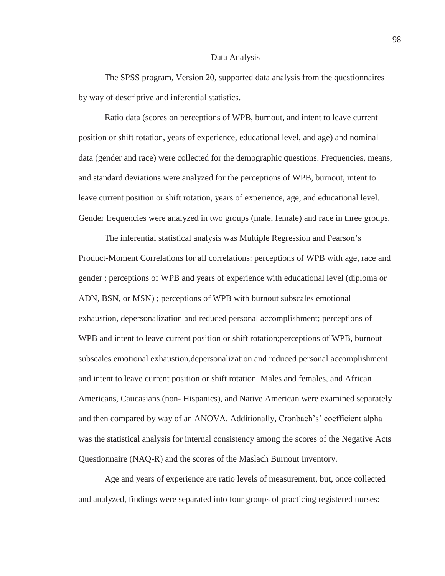#### Data Analysis

The SPSS program, Version 20, supported data analysis from the questionnaires by way of descriptive and inferential statistics.

Ratio data (scores on perceptions of WPB, burnout, and intent to leave current position or shift rotation, years of experience, educational level, and age) and nominal data (gender and race) were collected for the demographic questions. Frequencies, means, and standard deviations were analyzed for the perceptions of WPB, burnout, intent to leave current position or shift rotation, years of experience, age, and educational level. Gender frequencies were analyzed in two groups (male, female) and race in three groups.

The inferential statistical analysis was Multiple Regression and Pearson's Product-Moment Correlations for all correlations: perceptions of WPB with age, race and gender ; perceptions of WPB and years of experience with educational level (diploma or ADN, BSN, or MSN) ; perceptions of WPB with burnout subscales emotional exhaustion, depersonalization and reduced personal accomplishment; perceptions of WPB and intent to leave current position or shift rotation;perceptions of WPB, burnout subscales emotional exhaustion,depersonalization and reduced personal accomplishment and intent to leave current position or shift rotation. Males and females, and African Americans, Caucasians (non- Hispanics), and Native American were examined separately and then compared by way of an ANOVA. Additionally, Cronbach's' coefficient alpha was the statistical analysis for internal consistency among the scores of the Negative Acts Questionnaire (NAQ-R) and the scores of the Maslach Burnout Inventory.

Age and years of experience are ratio levels of measurement, but, once collected and analyzed, findings were separated into four groups of practicing registered nurses:

98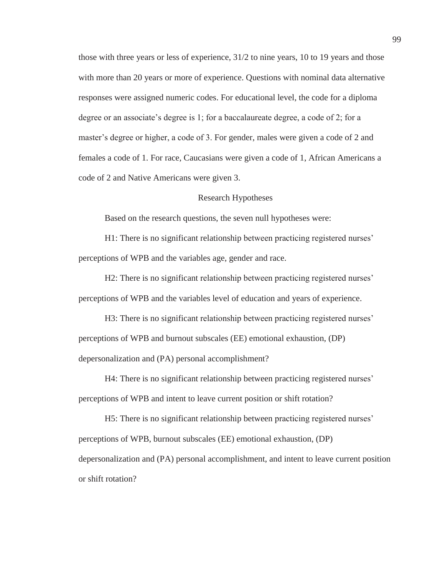those with three years or less of experience, 31/2 to nine years, 10 to 19 years and those with more than 20 years or more of experience. Questions with nominal data alternative responses were assigned numeric codes. For educational level, the code for a diploma degree or an associate's degree is 1; for a baccalaureate degree, a code of 2; for a master's degree or higher, a code of 3. For gender, males were given a code of 2 and females a code of 1. For race, Caucasians were given a code of 1, African Americans a code of 2 and Native Americans were given 3.

#### Research Hypotheses

Based on the research questions, the seven null hypotheses were:

H1: There is no significant relationship between practicing registered nurses' perceptions of WPB and the variables age, gender and race.

H2: There is no significant relationship between practicing registered nurses' perceptions of WPB and the variables level of education and years of experience.

H3: There is no significant relationship between practicing registered nurses' perceptions of WPB and burnout subscales (EE) emotional exhaustion, (DP) depersonalization and (PA) personal accomplishment?

H4: There is no significant relationship between practicing registered nurses' perceptions of WPB and intent to leave current position or shift rotation?

H5: There is no significant relationship between practicing registered nurses' perceptions of WPB, burnout subscales (EE) emotional exhaustion, (DP) depersonalization and (PA) personal accomplishment, and intent to leave current position or shift rotation?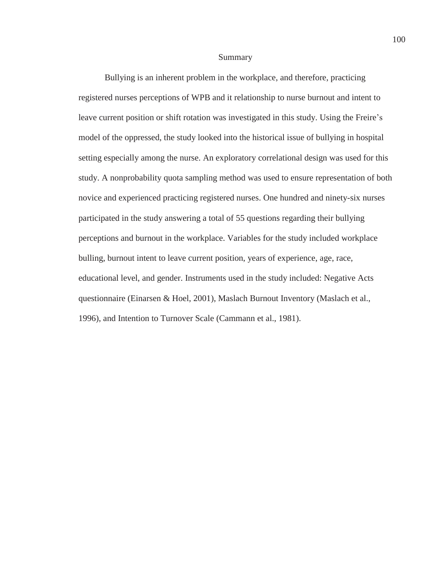#### Summary

Bullying is an inherent problem in the workplace, and therefore, practicing registered nurses perceptions of WPB and it relationship to nurse burnout and intent to leave current position or shift rotation was investigated in this study. Using the Freire's model of the oppressed, the study looked into the historical issue of bullying in hospital setting especially among the nurse. An exploratory correlational design was used for this study. A nonprobability quota sampling method was used to ensure representation of both novice and experienced practicing registered nurses. One hundred and ninety-six nurses participated in the study answering a total of 55 questions regarding their bullying perceptions and burnout in the workplace. Variables for the study included workplace bulling, burnout intent to leave current position, years of experience, age, race, educational level, and gender. Instruments used in the study included: Negative Acts questionnaire (Einarsen & Hoel, 2001), Maslach Burnout Inventory (Maslach et al., 1996), and Intention to Turnover Scale (Cammann et al., 1981).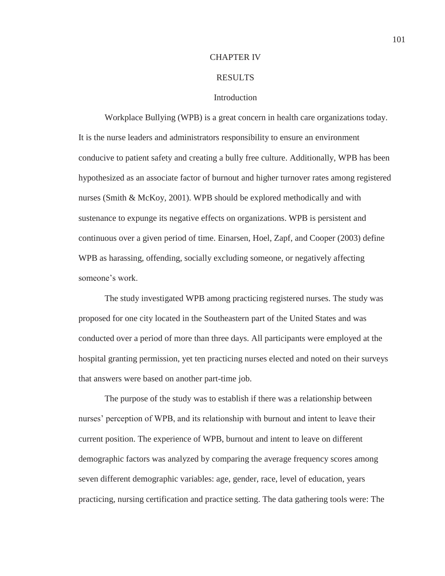### CHAPTER IV

## RESULTS

### **Introduction**

 Workplace Bullying (WPB) is a great concern in health care organizations today. It is the nurse leaders and administrators responsibility to ensure an environment conducive to patient safety and creating a bully free culture. Additionally, WPB has been hypothesized as an associate factor of burnout and higher turnover rates among registered nurses (Smith & McKoy, 2001). WPB should be explored methodically and with sustenance to expunge its negative effects on organizations. WPB is persistent and continuous over a given period of time. Einarsen, Hoel, Zapf, and Cooper (2003) define WPB as harassing, offending, socially excluding someone, or negatively affecting someone's work.

 The study investigated WPB among practicing registered nurses. The study was proposed for one city located in the Southeastern part of the United States and was conducted over a period of more than three days. All participants were employed at the hospital granting permission, yet ten practicing nurses elected and noted on their surveys that answers were based on another part-time job.

 The purpose of the study was to establish if there was a relationship between nurses' perception of WPB, and its relationship with burnout and intent to leave their current position. The experience of WPB, burnout and intent to leave on different demographic factors was analyzed by comparing the average frequency scores among seven different demographic variables: age, gender, race, level of education, years practicing, nursing certification and practice setting. The data gathering tools were: The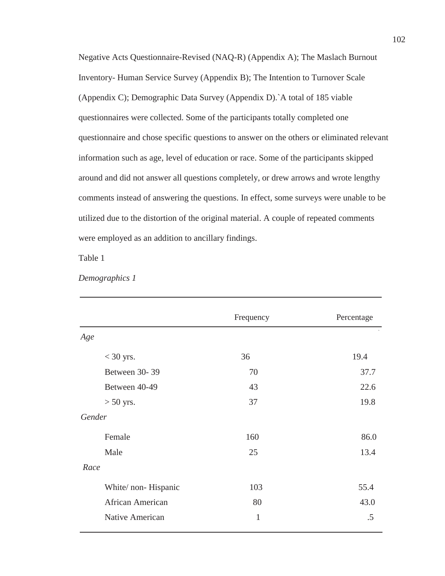Negative Acts Questionnaire-Revised (NAQ-R) (Appendix A); The Maslach Burnout Inventory- Human Service Survey (Appendix B); The Intention to Turnover Scale (Appendix C); Demographic Data Survey (Appendix D).`A total of 185 viable questionnaires were collected. Some of the participants totally completed one questionnaire and chose specific questions to answer on the others or eliminated relevant information such as age, level of education or race. Some of the participants skipped around and did not answer all questions completely, or drew arrows and wrote lengthy comments instead of answering the questions. In effect, some surveys were unable to be utilized due to the distortion of the original material. A couple of repeated comments were employed as an addition to ancillary findings.

Table 1

| Demographics 1 |  |
|----------------|--|
|----------------|--|

|                      | Frequency    | Percentage |
|----------------------|--------------|------------|
| Age                  |              |            |
| $<$ 30 yrs.          | 36           | 19.4       |
| Between 30-39        | 70           | 37.7       |
| Between 40-49        | 43           | 22.6       |
| $> 50$ yrs.          | 37           | 19.8       |
| Gender               |              |            |
| Female               | 160          | 86.0       |
| Male                 | 25           | 13.4       |
| Race                 |              |            |
| White/ non- Hispanic | 103          | 55.4       |
| African American     | 80           | 43.0       |
| Native American      | $\mathbf{1}$ | .5         |
|                      |              |            |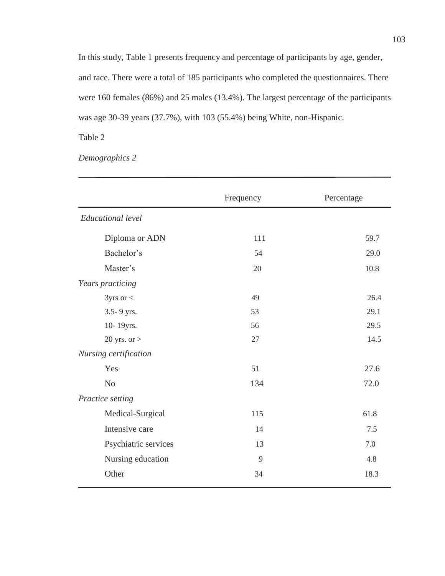In this study, Table 1 presents frequency and percentage of participants by age, gender, and race. There were a total of 185 participants who completed the questionnaires. There were 160 females (86%) and 25 males (13.4%). The largest percentage of the participants was age 30-39 years (37.7%), with 103 (55.4%) being White, non-Hispanic.

Table 2

*Demographics 2* 

|                       | Frequency | Percentage |
|-----------------------|-----------|------------|
| Educational level     |           |            |
| Diploma or ADN        | 111       | 59.7       |
| Bachelor's            | 54        | 29.0       |
| Master's              | 20        | $10.8\,$   |
| Years practicing      |           |            |
| $3yrs$ or $<$         | 49        | 26.4       |
| 3.5-9 yrs.            | 53        | 29.1       |
| 10-19yrs.             | 56        | 29.5       |
| 20 yrs. or $>$        | $27\,$    | 14.5       |
| Nursing certification |           |            |
| Yes                   | 51        | 27.6       |
| $\rm No$              | 134       | 72.0       |
| Practice setting      |           |            |
| Medical-Surgical      | 115       | 61.8       |
| Intensive care        | 14        | 7.5        |
| Psychiatric services  | 13        | 7.0        |
| Nursing education     | 9         | 4.8        |
| Other                 | 34        | 18.3       |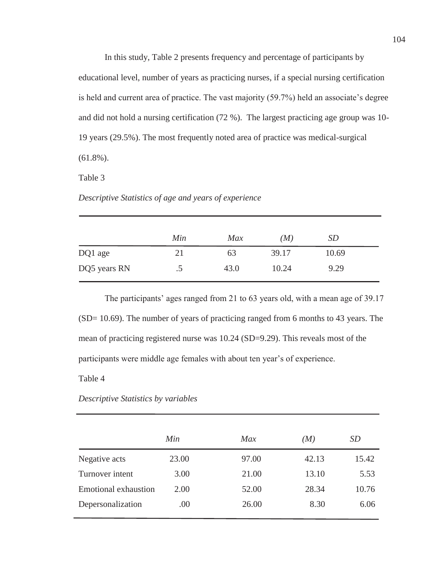In this study, Table 2 presents frequency and percentage of participants by educational level, number of years as practicing nurses, if a special nursing certification is held and current area of practice. The vast majority (59.7%) held an associate's degree and did not hold a nursing certification (72 %). The largest practicing age group was 10- 19 years (29.5%). The most frequently noted area of practice was medical-surgical (61.8%).

Table 3

*Descriptive Statistics of age and years of experience* 

|              | Min       | <b>Max</b> | (M)   | <i>SD</i> |
|--------------|-----------|------------|-------|-----------|
| DQ1 age      | 21        | 63         | 39.17 | 10.69     |
| DQ5 years RN | $\cdot$ . | 43.0       | 10.24 | 9.29      |

The participants' ages ranged from 21 to 63 years old, with a mean age of 39.17 (SD= 10.69). The number of years of practicing ranged from 6 months to 43 years. The mean of practicing registered nurse was 10.24 (SD=9.29). This reveals most of the participants were middle age females with about ten year's of experience.

Table 4

*Descriptive Statistics by variables* 

|                             | Min   | Max   | (M)   | SD    |
|-----------------------------|-------|-------|-------|-------|
| Negative acts               | 23.00 | 97.00 | 42.13 | 15.42 |
| Turnover intent             | 3.00  | 21.00 | 13.10 | 5.53  |
| <b>Emotional exhaustion</b> | 2.00  | 52.00 | 28.34 | 10.76 |
| Depersonalization           | .00   | 26.00 | 8.30  | 6.06  |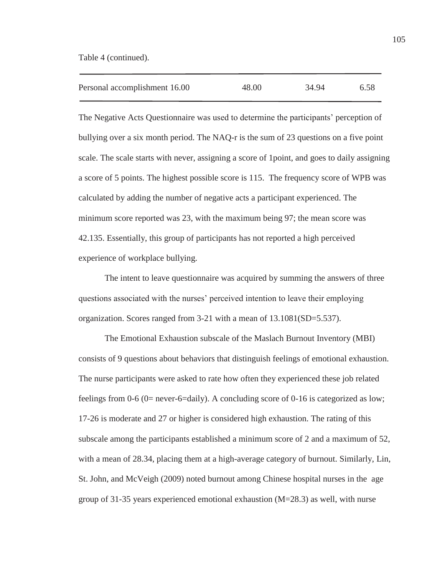Table 4 (continued).

j

| Personal accomplishment 16.00 | 48.00 | 34.94 | 6.58 |
|-------------------------------|-------|-------|------|
|                               |       |       |      |

The Negative Acts Questionnaire was used to determine the participants' perception of bullying over a six month period. The NAQ-r is the sum of 23 questions on a five point scale. The scale starts with never, assigning a score of 1point, and goes to daily assigning a score of 5 points. The highest possible score is 115. The frequency score of WPB was calculated by adding the number of negative acts a participant experienced. The minimum score reported was 23, with the maximum being 97; the mean score was 42.135. Essentially, this group of participants has not reported a high perceived experience of workplace bullying.

The intent to leave questionnaire was acquired by summing the answers of three questions associated with the nurses' perceived intention to leave their employing organization. Scores ranged from 3-21 with a mean of 13.1081(SD=5.537).

The Emotional Exhaustion subscale of the Maslach Burnout Inventory (MBI) consists of 9 questions about behaviors that distinguish feelings of emotional exhaustion. The nurse participants were asked to rate how often they experienced these job related feelings from 0-6 (0= never-6=daily). A concluding score of 0-16 is categorized as low; 17-26 is moderate and 27 or higher is considered high exhaustion. The rating of this subscale among the participants established a minimum score of 2 and a maximum of 52, with a mean of 28.34, placing them at a high-average category of burnout. Similarly, Lin, St. John, and McVeigh (2009) noted burnout among Chinese hospital nurses in the age group of 31-35 years experienced emotional exhaustion (M=28.3) as well, with nurse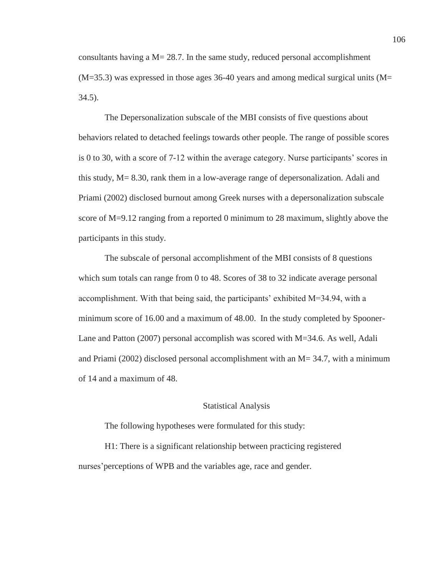consultants having a  $M = 28.7$ . In the same study, reduced personal accomplishment  $(M=35.3)$  was expressed in those ages 36-40 years and among medical surgical units  $(M=$ 34.5).

The Depersonalization subscale of the MBI consists of five questions about behaviors related to detached feelings towards other people. The range of possible scores is 0 to 30, with a score of 7-12 within the average category. Nurse participants' scores in this study, M= 8.30, rank them in a low-average range of depersonalization. Adali and Priami (2002) disclosed burnout among Greek nurses with a depersonalization subscale score of M=9.12 ranging from a reported 0 minimum to 28 maximum, slightly above the participants in this study.

The subscale of personal accomplishment of the MBI consists of 8 questions which sum totals can range from 0 to 48. Scores of 38 to 32 indicate average personal accomplishment. With that being said, the participants' exhibited M=34.94, with a minimum score of 16.00 and a maximum of 48.00. In the study completed by Spooner-Lane and Patton (2007) personal accomplish was scored with M=34.6. As well, Adali and Priami (2002) disclosed personal accomplishment with an  $M = 34.7$ , with a minimum of 14 and a maximum of 48.

#### Statistical Analysis

The following hypotheses were formulated for this study:

H1: There is a significant relationship between practicing registered nurses'perceptions of WPB and the variables age, race and gender.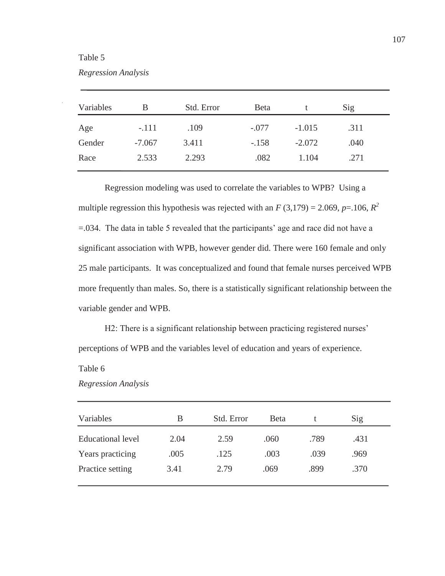# Table 5

| Regression Analysis |  |  |
|---------------------|--|--|
|                     |  |  |

| Variables | В        | Std. Error | <b>B</b> eta |          | Sig  |  |
|-----------|----------|------------|--------------|----------|------|--|
| Age       | $-.111$  | .109       | $-.077$      | $-1.015$ | .311 |  |
| Gender    | $-7.067$ | 3.411      | $-.158$      | $-2.072$ | .040 |  |
| Race      | 2.533    | 2.293      | .082         | 1.104    | .271 |  |

Regression modeling was used to correlate the variables to WPB? Using a multiple regression this hypothesis was rejected with an  $F(3,179) = 2.069$ ,  $p = .106$ ,  $R^2$ =.034. The data in table 5 revealed that the participants' age and race did not have a significant association with WPB, however gender did. There were 160 female and only 25 male participants. It was conceptualized and found that female nurses perceived WPB more frequently than males. So, there is a statistically significant relationship between the variable gender and WPB.

H2: There is a significant relationship between practicing registered nurses' perceptions of WPB and the variables level of education and years of experience.

Table 6

| Variables                | B    | Std. Error | Beta |      | Sig  |  |
|--------------------------|------|------------|------|------|------|--|
| <b>Educational level</b> | 2.04 | 2.59       | .060 | .789 | .431 |  |
| Years practicing         | .005 | .125       | .003 | .039 | .969 |  |
| Practice setting         | 3.41 | 2.79       | .069 | .899 | .370 |  |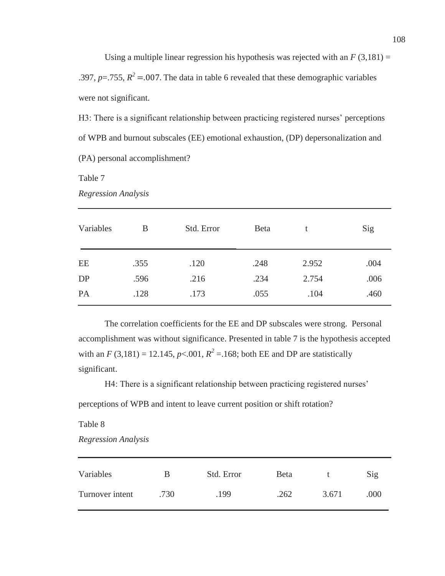Using a multiple linear regression his hypothesis was rejected with an  $F(3,181) =$ .397, *p*=.755,  $R^2$  = .007. The data in table 6 revealed that these demographic variables were not significant.

H3: There is a significant relationship between practicing registered nurses' perceptions of WPB and burnout subscales (EE) emotional exhaustion, (DP) depersonalization and (PA) personal accomplishment?

Table 7

*Regression Analysis* 

| Variables | B    | Std. Error | <b>Beta</b> | t     | Sig  |
|-----------|------|------------|-------------|-------|------|
| EE        | .355 | .120       | .248        | 2.952 | .004 |
| DP        | .596 | .216       | .234        | 2.754 | .006 |
| PA        | .128 | .173       | .055        | .104  | .460 |

The correlation coefficients for the EE and DP subscales were strong. Personal accomplishment was without significance. Presented in table 7 is the hypothesis accepted with an *F* (3,181) = 12.145, *p*<.001,  $R^2$  = 168; both EE and DP are statistically significant.

H4: There is a significant relationship between practicing registered nurses' perceptions of WPB and intent to leave current position or shift rotation?

Table 8

*Regression Analysis* 

| Variables       | B    | Std. Error | <b>Beta</b> |       | $\mathrm{Sig}$ |
|-----------------|------|------------|-------------|-------|----------------|
| Turnover intent | .730 | .199       | .262        | 3.671 | .000           |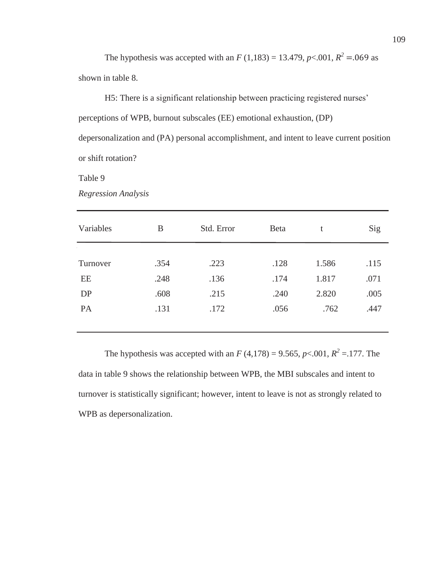The hypothesis was accepted with an *F* (1,183) = 13.479, *p*<.001,  $R^2$  = 069 as shown in table 8.

H5: There is a significant relationship between practicing registered nurses' perceptions of WPB, burnout subscales (EE) emotional exhaustion, (DP) depersonalization and (PA) personal accomplishment, and intent to leave current position or shift rotation?

Table 9

*Regression Analysis* 

| Variables | B    | Std. Error | Beta | t     | Sig  |
|-----------|------|------------|------|-------|------|
|           |      |            |      |       |      |
| Turnover  | .354 | .223       | .128 | 1.586 | .115 |
| EE        | .248 | .136       | .174 | 1.817 | .071 |
| DP        | .608 | .215       | .240 | 2.820 | .005 |
| PA        | .131 | .172       | .056 | .762  | .447 |
|           |      |            |      |       |      |

The hypothesis was accepted with an  $F(4,178) = 9.565$ ,  $p < .001$ ,  $R^2 = .177$ . The data in table 9 shows the relationship between WPB, the MBI subscales and intent to turnover is statistically significant; however, intent to leave is not as strongly related to WPB as depersonalization.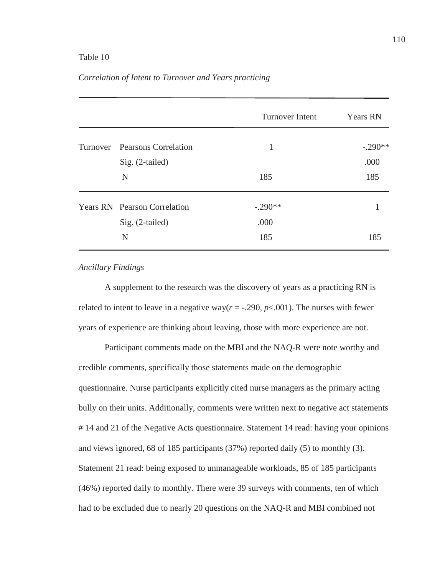# Table 10

|  |                               | Turnover Intent | <b>Years RN</b> |
|--|-------------------------------|-----------------|-----------------|
|  | Turnover Pearsons Correlation | 1               | $-.290**$       |
|  | Sig. (2-tailed)               |                 | .000            |
|  | N                             | 185             | 185             |
|  | Years RN Pearson Correlation  | $-.290**$       |                 |
|  | Sig. (2-tailed)               | .000            |                 |
|  | N                             | 185             | 185             |

## *Correlation of Intent to Turnover and Years practicing*

# *Ancillary Findings*

A supplement to the research was the discovery of years as a practicing RN is related to intent to leave in a negative way( $r = -0.290$ ,  $p < 0.001$ ). The nurses with fewer years of experience are thinking about leaving, those with more experience are not.

 Participant comments made on the MBI and the NAQ-R were note worthy and credible comments, specifically those statements made on the demographic questionnaire. Nurse participants explicitly cited nurse managers as the primary acting bully on their units. Additionally, comments were written next to negative act statements # 14 and 21 of the Negative Acts questionnaire. Statement 14 read: having your opinions and views ignored, 68 of 185 participants (37%) reported daily (5) to monthly (3). Statement 21 read: being exposed to unmanageable workloads, 85 of 185 participants (46%) reported daily to monthly. There were 39 surveys with comments, ten of which had to be excluded due to nearly 20 questions on the NAQ-R and MBI combined not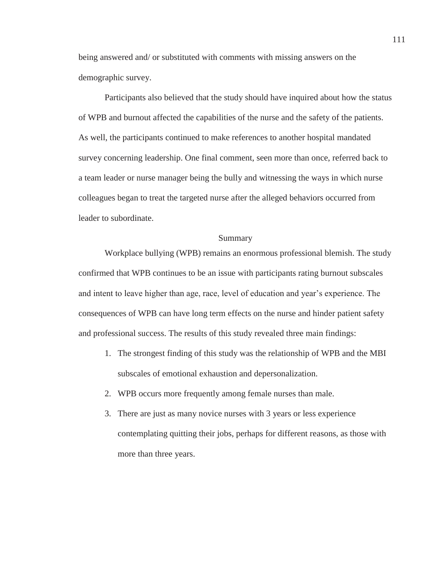being answered and/ or substituted with comments with missing answers on the demographic survey.

 Participants also believed that the study should have inquired about how the status of WPB and burnout affected the capabilities of the nurse and the safety of the patients. As well, the participants continued to make references to another hospital mandated survey concerning leadership. One final comment, seen more than once, referred back to a team leader or nurse manager being the bully and witnessing the ways in which nurse colleagues began to treat the targeted nurse after the alleged behaviors occurred from leader to subordinate.

### Summary

Workplace bullying (WPB) remains an enormous professional blemish. The study confirmed that WPB continues to be an issue with participants rating burnout subscales and intent to leave higher than age, race, level of education and year's experience. The consequences of WPB can have long term effects on the nurse and hinder patient safety and professional success. The results of this study revealed three main findings:

- 1. The strongest finding of this study was the relationship of WPB and the MBI subscales of emotional exhaustion and depersonalization.
- 2. WPB occurs more frequently among female nurses than male.
- 3. There are just as many novice nurses with 3 years or less experience contemplating quitting their jobs, perhaps for different reasons, as those with more than three years.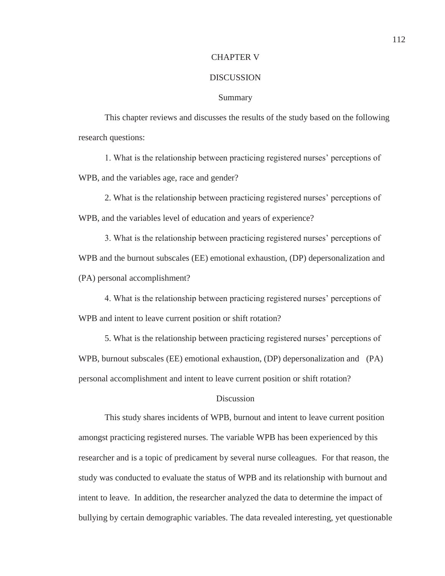## CHAPTER V

#### **DISCUSSION**

#### Summary

This chapter reviews and discusses the results of the study based on the following research questions:

1. What is the relationship between practicing registered nurses' perceptions of WPB, and the variables age, race and gender?

2. What is the relationship between practicing registered nurses' perceptions of WPB, and the variables level of education and years of experience?

3. What is the relationship between practicing registered nurses' perceptions of WPB and the burnout subscales (EE) emotional exhaustion, (DP) depersonalization and (PA) personal accomplishment?

4. What is the relationship between practicing registered nurses' perceptions of WPB and intent to leave current position or shift rotation?

5. What is the relationship between practicing registered nurses' perceptions of WPB, burnout subscales (EE) emotional exhaustion, (DP) depersonalization and (PA) personal accomplishment and intent to leave current position or shift rotation?

## **Discussion**

 This study shares incidents of WPB, burnout and intent to leave current position amongst practicing registered nurses. The variable WPB has been experienced by this researcher and is a topic of predicament by several nurse colleagues. For that reason, the study was conducted to evaluate the status of WPB and its relationship with burnout and intent to leave. In addition, the researcher analyzed the data to determine the impact of bullying by certain demographic variables. The data revealed interesting, yet questionable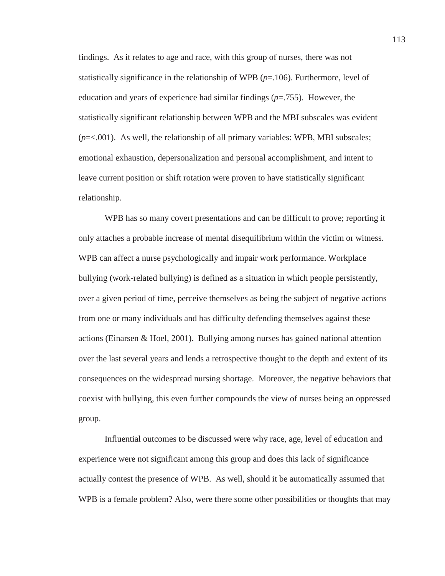findings. As it relates to age and race, with this group of nurses, there was not statistically significance in the relationship of WPB  $(p=106)$ . Furthermore, level of education and years of experience had similar findings (*p*=.755). However, the statistically significant relationship between WPB and the MBI subscales was evident (*p*=<.001). As well, the relationship of all primary variables: WPB, MBI subscales; emotional exhaustion, depersonalization and personal accomplishment, and intent to leave current position or shift rotation were proven to have statistically significant relationship.

WPB has so many covert presentations and can be difficult to prove; reporting it only attaches a probable increase of mental disequilibrium within the victim or witness. WPB can affect a nurse psychologically and impair work performance. Workplace bullying (work-related bullying) is defined as a situation in which people persistently, over a given period of time, perceive themselves as being the subject of negative actions from one or many individuals and has difficulty defending themselves against these actions (Einarsen & Hoel, 2001). Bullying among nurses has gained national attention over the last several years and lends a retrospective thought to the depth and extent of its consequences on the widespread nursing shortage. Moreover, the negative behaviors that coexist with bullying, this even further compounds the view of nurses being an oppressed group.

Influential outcomes to be discussed were why race, age, level of education and experience were not significant among this group and does this lack of significance actually contest the presence of WPB. As well, should it be automatically assumed that WPB is a female problem? Also, were there some other possibilities or thoughts that may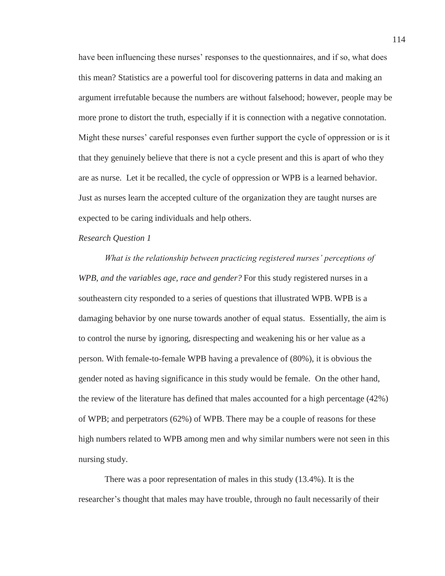have been influencing these nurses' responses to the questionnaires, and if so, what does this mean? Statistics are a powerful tool for discovering patterns in data and making an argument irrefutable because the numbers are without falsehood; however, people may be more prone to distort the truth, especially if it is connection with a negative connotation. Might these nurses' careful responses even further support the cycle of oppression or is it that they genuinely believe that there is not a cycle present and this is apart of who they are as nurse. Let it be recalled, the cycle of oppression or WPB is a learned behavior. Just as nurses learn the accepted culture of the organization they are taught nurses are expected to be caring individuals and help others.

# *Research Question 1*

*What is the relationship between practicing registered nurses' perceptions of WPB, and the variables age, race and gender?* For this study registered nurses in a southeastern city responded to a series of questions that illustrated WPB. WPB is a damaging behavior by one nurse towards another of equal status. Essentially, the aim is to control the nurse by ignoring, disrespecting and weakening his or her value as a person. With female-to-female WPB having a prevalence of (80%), it is obvious the gender noted as having significance in this study would be female. On the other hand, the review of the literature has defined that males accounted for a high percentage (42%) of WPB; and perpetrators (62%) of WPB. There may be a couple of reasons for these high numbers related to WPB among men and why similar numbers were not seen in this nursing study.

There was a poor representation of males in this study (13.4%). It is the researcher's thought that males may have trouble, through no fault necessarily of their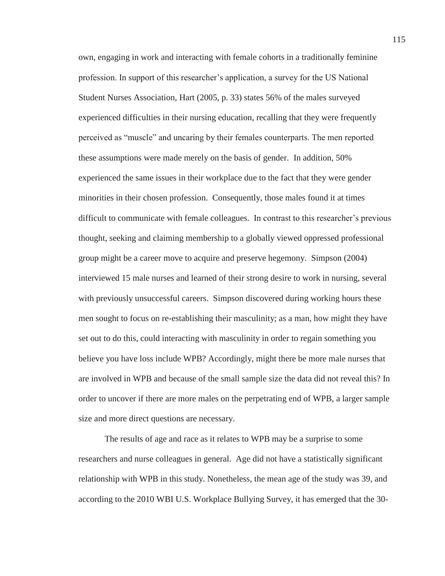own, engaging in work and interacting with female cohorts in a traditionally feminine profession. In support of this researcher's application, a survey for the US National Student Nurses Association, Hart (2005, p. 33) states 56% of the males surveyed experienced difficulties in their nursing education, recalling that they were frequently perceived as "muscle" and uncaring by their females counterparts. The men reported these assumptions were made merely on the basis of gender. In addition, 50% experienced the same issues in their workplace due to the fact that they were gender minorities in their chosen profession. Consequently, those males found it at times difficult to communicate with female colleagues. In contrast to this researcher's previous thought, seeking and claiming membership to a globally viewed oppressed professional group might be a career move to acquire and preserve hegemony. Simpson (2004) interviewed 15 male nurses and learned of their strong desire to work in nursing, several with previously unsuccessful careers. Simpson discovered during working hours these men sought to focus on re-establishing their masculinity; as a man, how might they have set out to do this, could interacting with masculinity in order to regain something you believe you have loss include WPB? Accordingly, might there be more male nurses that are involved in WPB and because of the small sample size the data did not reveal this? In order to uncover if there are more males on the perpetrating end of WPB, a larger sample size and more direct questions are necessary.

The results of age and race as it relates to WPB may be a surprise to some researchers and nurse colleagues in general. Age did not have a statistically significant relationship with WPB in this study. Nonetheless, the mean age of the study was 39, and according to the 2010 WBI U.S. Workplace Bullying Survey, it has emerged that the 30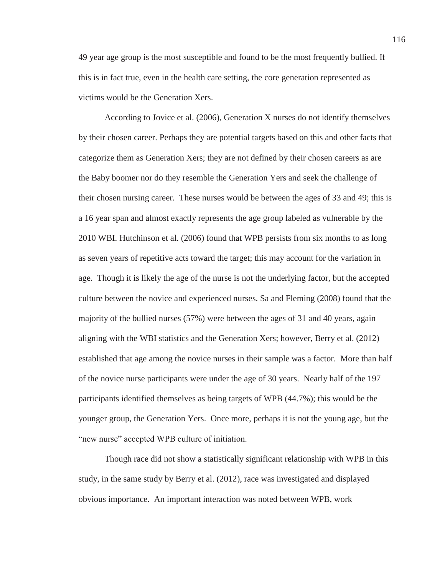49 year age group is the most susceptible and found to be the most frequently bullied. If this is in fact true, even in the health care setting, the core generation represented as victims would be the Generation Xers.

According to Jovice et al. (2006), Generation X nurses do not identify themselves by their chosen career. Perhaps they are potential targets based on this and other facts that categorize them as Generation Xers; they are not defined by their chosen careers as are the Baby boomer nor do they resemble the Generation Yers and seek the challenge of their chosen nursing career. These nurses would be between the ages of 33 and 49; this is a 16 year span and almost exactly represents the age group labeled as vulnerable by the 2010 WBI. Hutchinson et al. (2006) found that WPB persists from six months to as long as seven years of repetitive acts toward the target; this may account for the variation in age. Though it is likely the age of the nurse is not the underlying factor, but the accepted culture between the novice and experienced nurses. Sa and Fleming (2008) found that the majority of the bullied nurses (57%) were between the ages of 31 and 40 years, again aligning with the WBI statistics and the Generation Xers; however, Berry et al. (2012) established that age among the novice nurses in their sample was a factor. More than half of the novice nurse participants were under the age of 30 years. Nearly half of the 197 participants identified themselves as being targets of WPB (44.7%); this would be the younger group, the Generation Yers. Once more, perhaps it is not the young age, but the "new nurse" accepted WPB culture of initiation.

Though race did not show a statistically significant relationship with WPB in this study, in the same study by Berry et al. (2012), race was investigated and displayed obvious importance. An important interaction was noted between WPB, work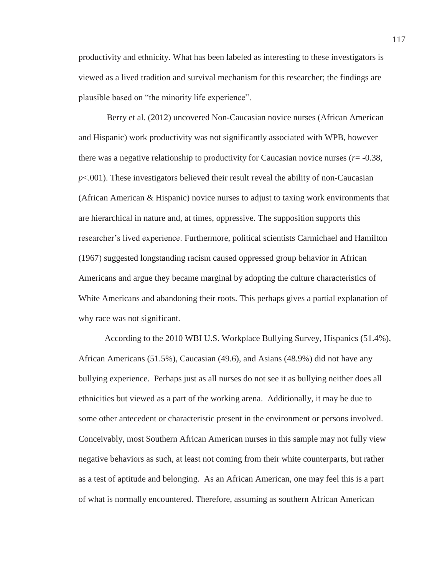productivity and ethnicity. What has been labeled as interesting to these investigators is viewed as a lived tradition and survival mechanism for this researcher; the findings are plausible based on "the minority life experience".

 Berry et al. (2012) uncovered Non-Caucasian novice nurses (African American and Hispanic) work productivity was not significantly associated with WPB, however there was a negative relationship to productivity for Caucasian novice nurses (*r*= -0.38, *p*<.001). These investigators believed their result reveal the ability of non-Caucasian (African American & Hispanic) novice nurses to adjust to taxing work environments that are hierarchical in nature and, at times, oppressive. The supposition supports this researcher's lived experience. Furthermore, political scientists Carmichael and Hamilton (1967) suggested longstanding racism caused oppressed group behavior in African Americans and argue they became marginal by adopting the culture characteristics of White Americans and abandoning their roots. This perhaps gives a partial explanation of why race was not significant.

 According to the 2010 WBI U.S. Workplace Bullying Survey, Hispanics (51.4%), African Americans (51.5%), Caucasian (49.6), and Asians (48.9%) did not have any bullying experience. Perhaps just as all nurses do not see it as bullying neither does all ethnicities but viewed as a part of the working arena. Additionally, it may be due to some other antecedent or characteristic present in the environment or persons involved. Conceivably, most Southern African American nurses in this sample may not fully view negative behaviors as such, at least not coming from their white counterparts, but rather as a test of aptitude and belonging. As an African American, one may feel this is a part of what is normally encountered. Therefore, assuming as southern African American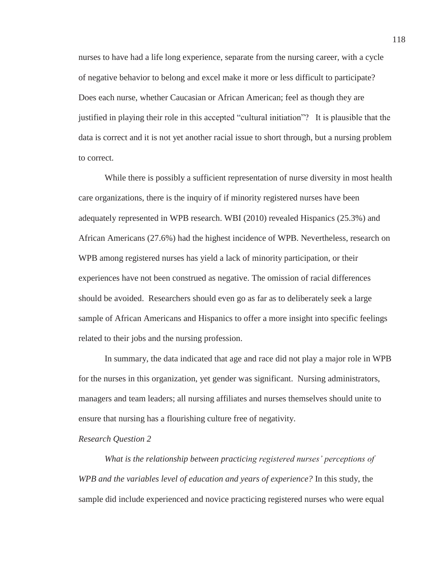nurses to have had a life long experience, separate from the nursing career, with a cycle of negative behavior to belong and excel make it more or less difficult to participate? Does each nurse, whether Caucasian or African American; feel as though they are justified in playing their role in this accepted "cultural initiation"? It is plausible that the data is correct and it is not yet another racial issue to short through, but a nursing problem to correct.

While there is possibly a sufficient representation of nurse diversity in most health care organizations, there is the inquiry of if minority registered nurses have been adequately represented in WPB research. WBI (2010) revealed Hispanics (25.3%) and African Americans (27.6%) had the highest incidence of WPB. Nevertheless, research on WPB among registered nurses has yield a lack of minority participation, or their experiences have not been construed as negative. The omission of racial differences should be avoided. Researchers should even go as far as to deliberately seek a large sample of African Americans and Hispanics to offer a more insight into specific feelings related to their jobs and the nursing profession.

In summary, the data indicated that age and race did not play a major role in WPB for the nurses in this organization, yet gender was significant. Nursing administrators, managers and team leaders; all nursing affiliates and nurses themselves should unite to ensure that nursing has a flourishing culture free of negativity.

## *Research Question 2*

*What is the relationship between practicing registered nurses' perceptions of WPB and the variables level of education and years of experience?* In this study, the sample did include experienced and novice practicing registered nurses who were equal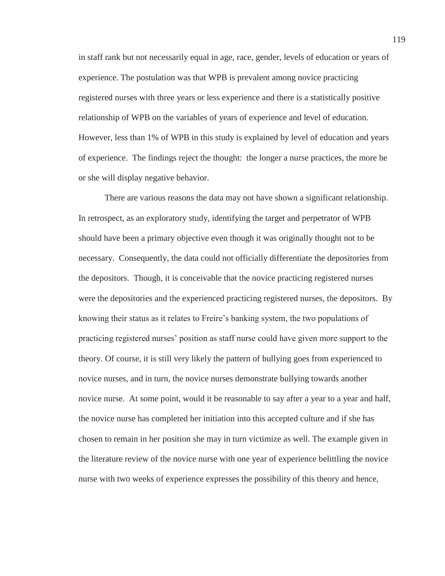in staff rank but not necessarily equal in age, race, gender, levels of education or years of experience. The postulation was that WPB is prevalent among novice practicing registered nurses with three years or less experience and there is a statistically positive relationship of WPB on the variables of years of experience and level of education. However, less than 1% of WPB in this study is explained by level of education and years of experience. The findings reject the thought: the longer a nurse practices, the more he or she will display negative behavior.

There are various reasons the data may not have shown a significant relationship. In retrospect, as an exploratory study, identifying the target and perpetrator of WPB should have been a primary objective even though it was originally thought not to be necessary. Consequently, the data could not officially differentiate the depositories from the depositors. Though, it is conceivable that the novice practicing registered nurses were the depositories and the experienced practicing registered nurses, the depositors. By knowing their status as it relates to Freire's banking system, the two populations of practicing registered nurses' position as staff nurse could have given more support to the theory. Of course, it is still very likely the pattern of bullying goes from experienced to novice nurses, and in turn, the novice nurses demonstrate bullying towards another novice nurse. At some point, would it be reasonable to say after a year to a year and half, the novice nurse has completed her initiation into this accepted culture and if she has chosen to remain in her position she may in turn victimize as well. The example given in the literature review of the novice nurse with one year of experience belittling the novice nurse with two weeks of experience expresses the possibility of this theory and hence,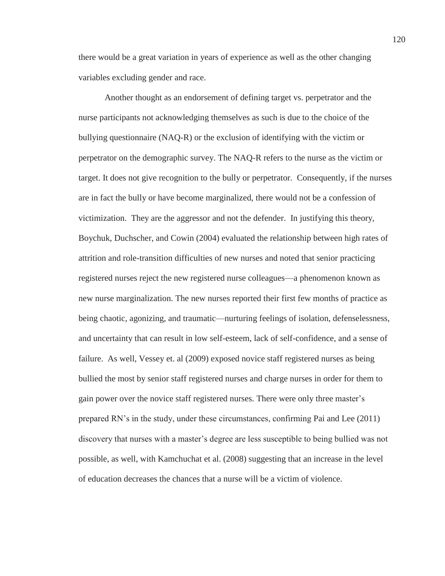there would be a great variation in years of experience as well as the other changing variables excluding gender and race.

Another thought as an endorsement of defining target vs. perpetrator and the nurse participants not acknowledging themselves as such is due to the choice of the bullying questionnaire (NAQ-R) or the exclusion of identifying with the victim or perpetrator on the demographic survey. The NAQ-R refers to the nurse as the victim or target. It does not give recognition to the bully or perpetrator. Consequently, if the nurses are in fact the bully or have become marginalized, there would not be a confession of victimization. They are the aggressor and not the defender. In justifying this theory, Boychuk, Duchscher, and Cowin (2004) evaluated the relationship between high rates of attrition and role-transition difficulties of new nurses and noted that senior practicing registered nurses reject the new registered nurse colleagues—a phenomenon known as new nurse marginalization. The new nurses reported their first few months of practice as being chaotic, agonizing, and traumatic—nurturing feelings of isolation, defenselessness, and uncertainty that can result in low self-esteem, lack of self-confidence, and a sense of failure. As well, Vessey et. al (2009) exposed novice staff registered nurses as being bullied the most by senior staff registered nurses and charge nurses in order for them to gain power over the novice staff registered nurses. There were only three master's prepared RN's in the study, under these circumstances, confirming Pai and Lee (2011) discovery that nurses with a master's degree are less susceptible to being bullied was not possible, as well, with Kamchuchat et al. (2008) suggesting that an increase in the level of education decreases the chances that a nurse will be a victim of violence.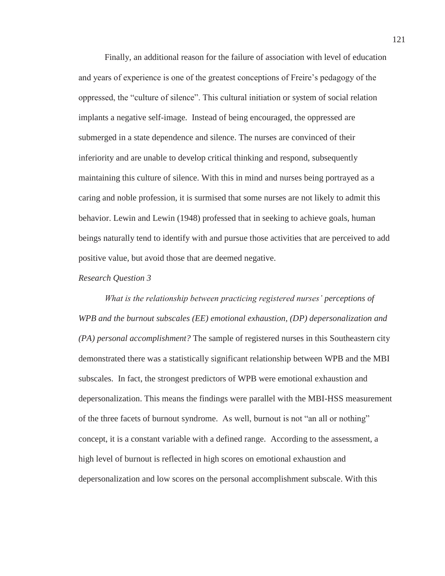Finally, an additional reason for the failure of association with level of education and years of experience is one of the greatest conceptions of Freire's pedagogy of the oppressed, the "culture of silence". This cultural initiation or system of social relation implants a negative self-image. Instead of being encouraged, the oppressed are submerged in a state dependence and silence. The nurses are convinced of their inferiority and are unable to develop critical thinking and respond, subsequently maintaining this culture of silence. With this in mind and nurses being portrayed as a caring and noble profession, it is surmised that some nurses are not likely to admit this behavior. Lewin and Lewin (1948) professed that in seeking to achieve goals, human beings naturally tend to identify with and pursue those activities that are perceived to add positive value, but avoid those that are deemed negative.

#### *Research Question 3*

*What is the relationship between practicing registered nurses' perceptions of WPB and the burnout subscales (EE) emotional exhaustion, (DP) depersonalization and (PA) personal accomplishment?* The sample of registered nurses in this Southeastern city demonstrated there was a statistically significant relationship between WPB and the MBI subscales. In fact, the strongest predictors of WPB were emotional exhaustion and depersonalization. This means the findings were parallel with the MBI-HSS measurement of the three facets of burnout syndrome. As well, burnout is not "an all or nothing" concept, it is a constant variable with a defined range. According to the assessment, a high level of burnout is reflected in high scores on emotional exhaustion and depersonalization and low scores on the personal accomplishment subscale. With this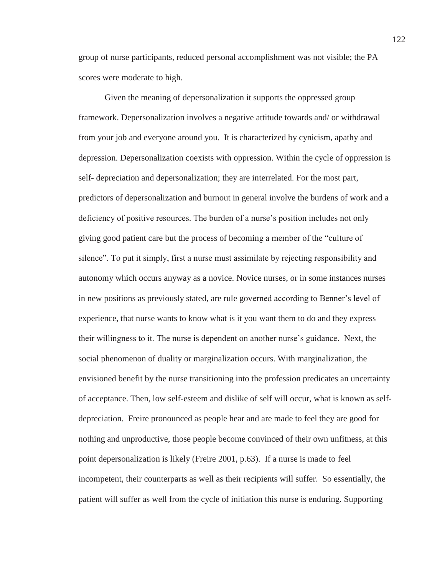group of nurse participants, reduced personal accomplishment was not visible; the PA scores were moderate to high.

Given the meaning of depersonalization it supports the oppressed group framework. Depersonalization involves a negative attitude towards and/ or withdrawal from your job and everyone around you. It is characterized by cynicism, apathy and depression. Depersonalization coexists with oppression. Within the cycle of oppression is self- depreciation and depersonalization; they are interrelated. For the most part, predictors of depersonalization and burnout in general involve the burdens of work and a deficiency of positive resources. The burden of a nurse's position includes not only giving good patient care but the process of becoming a member of the "culture of silence". To put it simply, first a nurse must assimilate by rejecting responsibility and autonomy which occurs anyway as a novice. Novice nurses, or in some instances nurses in new positions as previously stated, are rule governed according to Benner's level of experience, that nurse wants to know what is it you want them to do and they express their willingness to it. The nurse is dependent on another nurse's guidance. Next, the social phenomenon of duality or marginalization occurs. With marginalization, the envisioned benefit by the nurse transitioning into the profession predicates an uncertainty of acceptance. Then, low self-esteem and dislike of self will occur, what is known as selfdepreciation. Freire pronounced as people hear and are made to feel they are good for nothing and unproductive, those people become convinced of their own unfitness, at this point depersonalization is likely (Freire 2001, p.63). If a nurse is made to feel incompetent, their counterparts as well as their recipients will suffer. So essentially, the patient will suffer as well from the cycle of initiation this nurse is enduring. Supporting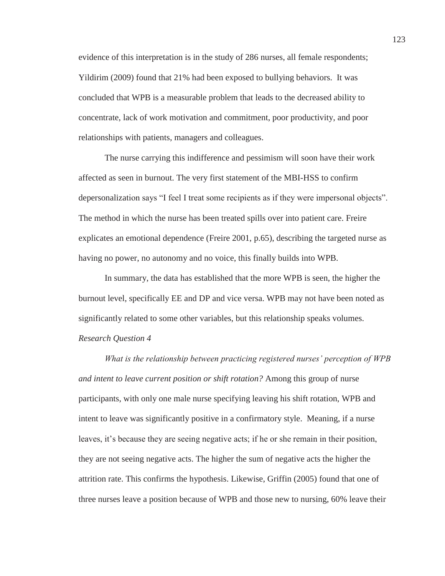evidence of this interpretation is in the study of 286 nurses, all female respondents; Yildirim (2009) found that 21% had been exposed to bullying behaviors. It was concluded that WPB is a measurable problem that leads to the decreased ability to concentrate, lack of work motivation and commitment, poor productivity, and poor relationships with patients, managers and colleagues.

 The nurse carrying this indifference and pessimism will soon have their work affected as seen in burnout. The very first statement of the MBI-HSS to confirm depersonalization says "I feel I treat some recipients as if they were impersonal objects". The method in which the nurse has been treated spills over into patient care. Freire explicates an emotional dependence (Freire 2001, p.65), describing the targeted nurse as having no power, no autonomy and no voice, this finally builds into WPB.

 In summary, the data has established that the more WPB is seen, the higher the burnout level, specifically EE and DP and vice versa. WPB may not have been noted as significantly related to some other variables, but this relationship speaks volumes. *Research Question 4* 

*What is the relationship between practicing registered nurses' perception of WPB and intent to leave current position or shift rotation?* Among this group of nurse participants, with only one male nurse specifying leaving his shift rotation, WPB and intent to leave was significantly positive in a confirmatory style. Meaning, if a nurse leaves, it's because they are seeing negative acts; if he or she remain in their position, they are not seeing negative acts. The higher the sum of negative acts the higher the attrition rate. This confirms the hypothesis. Likewise, Griffin (2005) found that one of three nurses leave a position because of WPB and those new to nursing, 60% leave their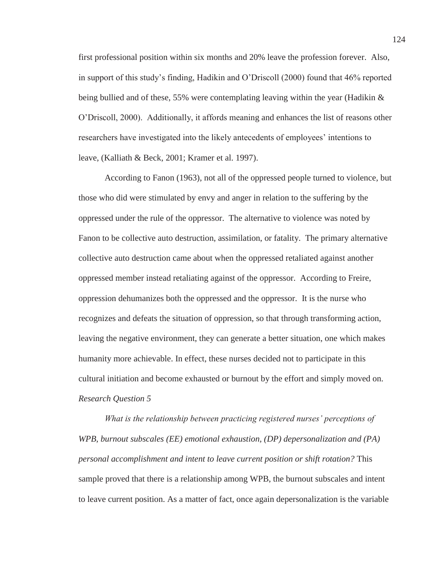first professional position within six months and 20% leave the profession forever. Also, in support of this study's finding, Hadikin and O'Driscoll (2000) found that 46% reported being bullied and of these, 55% were contemplating leaving within the year (Hadikin  $\&$ O'Driscoll, 2000). Additionally, it affords meaning and enhances the list of reasons other researchers have investigated into the likely antecedents of employees' intentions to leave, (Kalliath & Beck, 2001; Kramer et al. 1997).

According to Fanon (1963), not all of the oppressed people turned to violence, but those who did were stimulated by envy and anger in relation to the suffering by the oppressed under the rule of the oppressor. The alternative to violence was noted by Fanon to be collective auto destruction, assimilation, or fatality. The primary alternative collective auto destruction came about when the oppressed retaliated against another oppressed member instead retaliating against of the oppressor. According to Freire, oppression dehumanizes both the oppressed and the oppressor. It is the nurse who recognizes and defeats the situation of oppression, so that through transforming action, leaving the negative environment, they can generate a better situation, one which makes humanity more achievable. In effect, these nurses decided not to participate in this cultural initiation and become exhausted or burnout by the effort and simply moved on. *Research Question 5*

 *What is the relationship between practicing registered nurses' perceptions of WPB, burnout subscales (EE) emotional exhaustion, (DP) depersonalization and (PA) personal accomplishment and intent to leave current position or shift rotation?* This sample proved that there is a relationship among WPB, the burnout subscales and intent to leave current position. As a matter of fact, once again depersonalization is the variable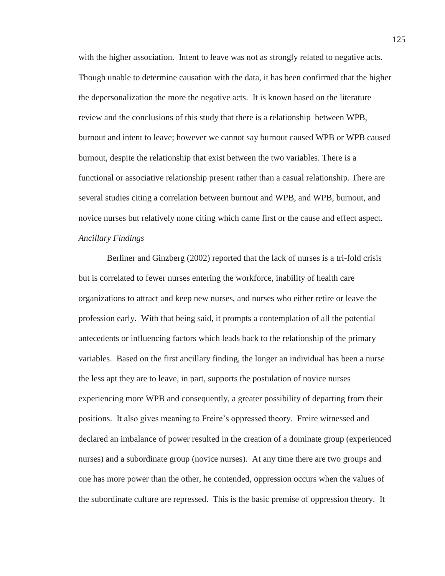with the higher association. Intent to leave was not as strongly related to negative acts. Though unable to determine causation with the data, it has been confirmed that the higher the depersonalization the more the negative acts. It is known based on the literature review and the conclusions of this study that there is a relationship between WPB, burnout and intent to leave; however we cannot say burnout caused WPB or WPB caused burnout, despite the relationship that exist between the two variables. There is a functional or associative relationship present rather than a casual relationship. There are several studies citing a correlation between burnout and WPB, and WPB, burnout, and novice nurses but relatively none citing which came first or the cause and effect aspect. *Ancillary Findings* 

 Berliner and Ginzberg (2002) reported that the lack of nurses is a tri-fold crisis but is correlated to fewer nurses entering the workforce, inability of health care organizations to attract and keep new nurses, and nurses who either retire or leave the profession early. With that being said, it prompts a contemplation of all the potential antecedents or influencing factors which leads back to the relationship of the primary variables. Based on the first ancillary finding, the longer an individual has been a nurse the less apt they are to leave, in part, supports the postulation of novice nurses experiencing more WPB and consequently, a greater possibility of departing from their positions. It also gives meaning to Freire's oppressed theory. Freire witnessed and declared an imbalance of power resulted in the creation of a dominate group (experienced nurses) and a subordinate group (novice nurses). At any time there are two groups and one has more power than the other, he contended, oppression occurs when the values of the subordinate culture are repressed. This is the basic premise of oppression theory. It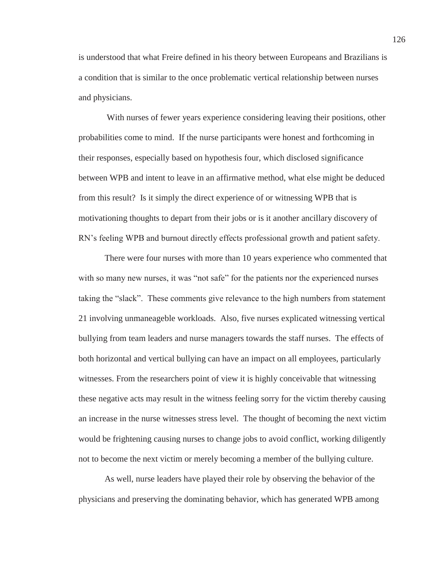is understood that what Freire defined in his theory between Europeans and Brazilians is a condition that is similar to the once problematic vertical relationship between nurses and physicians.

 With nurses of fewer years experience considering leaving their positions, other probabilities come to mind. If the nurse participants were honest and forthcoming in their responses, especially based on hypothesis four, which disclosed significance between WPB and intent to leave in an affirmative method, what else might be deduced from this result? Is it simply the direct experience of or witnessing WPB that is motivationing thoughts to depart from their jobs or is it another ancillary discovery of RN's feeling WPB and burnout directly effects professional growth and patient safety.

There were four nurses with more than 10 years experience who commented that with so many new nurses, it was "not safe" for the patients nor the experienced nurses taking the "slack". These comments give relevance to the high numbers from statement 21 involving unmaneageble workloads. Also, five nurses explicated witnessing vertical bullying from team leaders and nurse managers towards the staff nurses. The effects of both horizontal and vertical bullying can have an impact on all employees, particularly witnesses. From the researchers point of view it is highly conceivable that witnessing these negative acts may result in the witness feeling sorry for the victim thereby causing an increase in the nurse witnesses stress level. The thought of becoming the next victim would be frightening causing nurses to change jobs to avoid conflict, working diligently not to become the next victim or merely becoming a member of the bullying culture.

As well, nurse leaders have played their role by observing the behavior of the physicians and preserving the dominating behavior, which has generated WPB among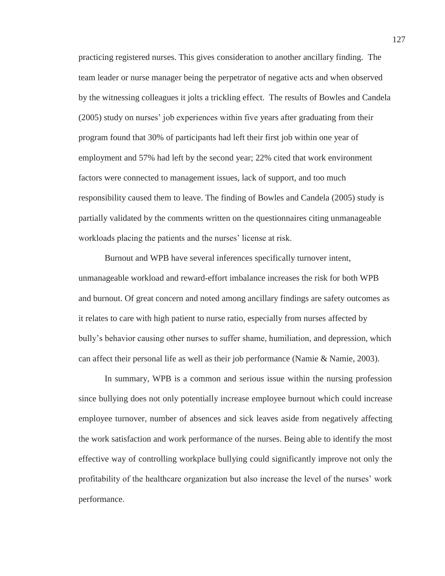practicing registered nurses. This gives consideration to another ancillary finding. The team leader or nurse manager being the perpetrator of negative acts and when observed by the witnessing colleagues it jolts a trickling effect. The results of Bowles and Candela (2005) study on nurses' job experiences within five years after graduating from their program found that 30% of participants had left their first job within one year of employment and 57% had left by the second year; 22% cited that work environment factors were connected to management issues, lack of support, and too much responsibility caused them to leave. The finding of Bowles and Candela (2005) study is partially validated by the comments written on the questionnaires citing unmanageable workloads placing the patients and the nurses' license at risk.

Burnout and WPB have several inferences specifically turnover intent, unmanageable workload and reward-effort imbalance increases the risk for both WPB and burnout. Of great concern and noted among ancillary findings are safety outcomes as it relates to care with high patient to nurse ratio, especially from nurses affected by bully's behavior causing other nurses to suffer shame, humiliation, and depression, which can affect their personal life as well as their job performance (Namie & Namie, 2003).

In summary, WPB is a common and serious issue within the nursing profession since bullying does not only potentially increase employee burnout which could increase employee turnover, number of absences and sick leaves aside from negatively affecting the work satisfaction and work performance of the nurses. Being able to identify the most effective way of controlling workplace bullying could significantly improve not only the profitability of the healthcare organization but also increase the level of the nurses' work performance.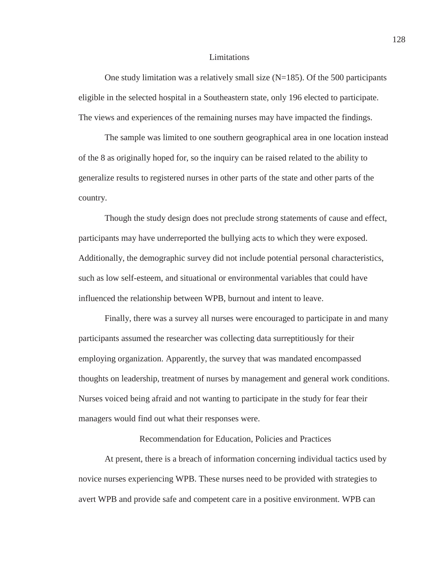#### Limitations

One study limitation was a relatively small size  $(N=185)$ . Of the 500 participants eligible in the selected hospital in a Southeastern state, only 196 elected to participate. The views and experiences of the remaining nurses may have impacted the findings.

The sample was limited to one southern geographical area in one location instead of the 8 as originally hoped for, so the inquiry can be raised related to the ability to generalize results to registered nurses in other parts of the state and other parts of the country.

Though the study design does not preclude strong statements of cause and effect, participants may have underreported the bullying acts to which they were exposed. Additionally, the demographic survey did not include potential personal characteristics, such as low self-esteem, and situational or environmental variables that could have influenced the relationship between WPB, burnout and intent to leave.

Finally, there was a survey all nurses were encouraged to participate in and many participants assumed the researcher was collecting data surreptitiously for their employing organization. Apparently, the survey that was mandated encompassed thoughts on leadership, treatment of nurses by management and general work conditions. Nurses voiced being afraid and not wanting to participate in the study for fear their managers would find out what their responses were.

Recommendation for Education, Policies and Practices

At present, there is a breach of information concerning individual tactics used by novice nurses experiencing WPB. These nurses need to be provided with strategies to avert WPB and provide safe and competent care in a positive environment. WPB can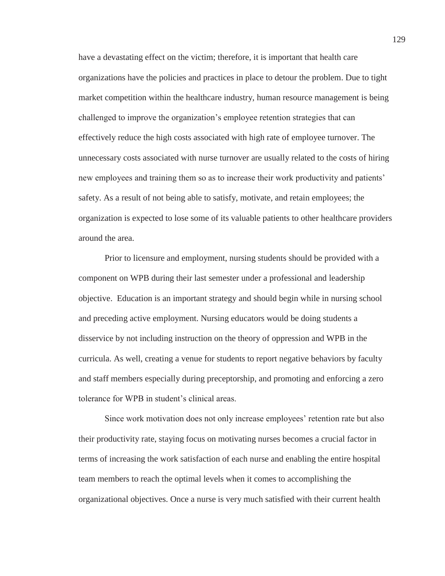have a devastating effect on the victim; therefore, it is important that health care organizations have the policies and practices in place to detour the problem. Due to tight market competition within the healthcare industry, human resource management is being challenged to improve the organization's employee retention strategies that can effectively reduce the high costs associated with high rate of employee turnover. The unnecessary costs associated with nurse turnover are usually related to the costs of hiring new employees and training them so as to increase their work productivity and patients' safety. As a result of not being able to satisfy, motivate, and retain employees; the organization is expected to lose some of its valuable patients to other healthcare providers around the area.

Prior to licensure and employment, nursing students should be provided with a component on WPB during their last semester under a professional and leadership objective. Education is an important strategy and should begin while in nursing school and preceding active employment. Nursing educators would be doing students a disservice by not including instruction on the theory of oppression and WPB in the curricula. As well, creating a venue for students to report negative behaviors by faculty and staff members especially during preceptorship, and promoting and enforcing a zero tolerance for WPB in student's clinical areas.

Since work motivation does not only increase employees' retention rate but also their productivity rate, staying focus on motivating nurses becomes a crucial factor in terms of increasing the work satisfaction of each nurse and enabling the entire hospital team members to reach the optimal levels when it comes to accomplishing the organizational objectives. Once a nurse is very much satisfied with their current health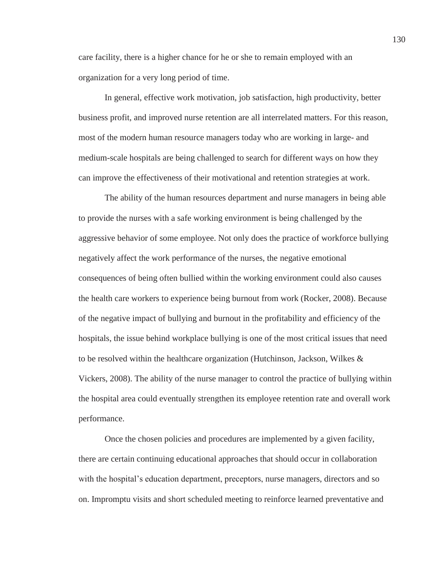care facility, there is a higher chance for he or she to remain employed with an organization for a very long period of time.

In general, effective work motivation, job satisfaction, high productivity, better business profit, and improved nurse retention are all interrelated matters. For this reason, most of the modern human resource managers today who are working in large- and medium-scale hospitals are being challenged to search for different ways on how they can improve the effectiveness of their motivational and retention strategies at work.

The ability of the human resources department and nurse managers in being able to provide the nurses with a safe working environment is being challenged by the aggressive behavior of some employee. Not only does the practice of workforce bullying negatively affect the work performance of the nurses, the negative emotional consequences of being often bullied within the working environment could also causes the health care workers to experience being burnout from work (Rocker, 2008). Because of the negative impact of bullying and burnout in the profitability and efficiency of the hospitals, the issue behind workplace bullying is one of the most critical issues that need to be resolved within the healthcare organization (Hutchinson, Jackson, Wilkes  $\&$ Vickers, 2008). The ability of the nurse manager to control the practice of bullying within the hospital area could eventually strengthen its employee retention rate and overall work performance.

Once the chosen policies and procedures are implemented by a given facility, there are certain continuing educational approaches that should occur in collaboration with the hospital's education department, preceptors, nurse managers, directors and so on. Impromptu visits and short scheduled meeting to reinforce learned preventative and 130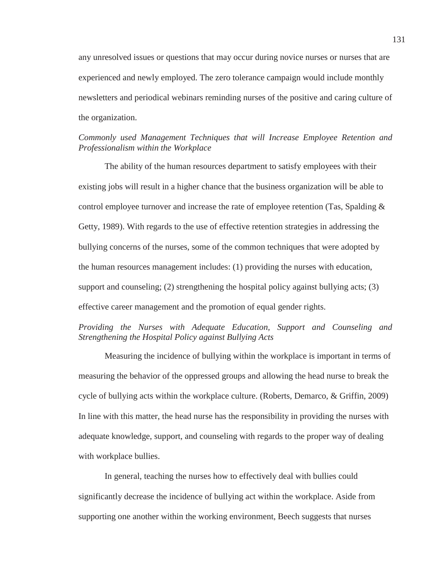any unresolved issues or questions that may occur during novice nurses or nurses that are experienced and newly employed. The zero tolerance campaign would include monthly newsletters and periodical webinars reminding nurses of the positive and caring culture of the organization.

# *Commonly used Management Techniques that will Increase Employee Retention and Professionalism within the Workplace*

The ability of the human resources department to satisfy employees with their existing jobs will result in a higher chance that the business organization will be able to control employee turnover and increase the rate of employee retention (Tas, Spalding & Getty, 1989). With regards to the use of effective retention strategies in addressing the bullying concerns of the nurses, some of the common techniques that were adopted by the human resources management includes: (1) providing the nurses with education, support and counseling; (2) strengthening the hospital policy against bullying acts; (3) effective career management and the promotion of equal gender rights.

# *Providing the Nurses with Adequate Education, Support and Counseling and Strengthening the Hospital Policy against Bullying Acts*

 Measuring the incidence of bullying within the workplace is important in terms of measuring the behavior of the oppressed groups and allowing the head nurse to break the cycle of bullying acts within the workplace culture. (Roberts, Demarco, & Griffin, 2009) In line with this matter, the head nurse has the responsibility in providing the nurses with adequate knowledge, support, and counseling with regards to the proper way of dealing with workplace bullies.

 In general, teaching the nurses how to effectively deal with bullies could significantly decrease the incidence of bullying act within the workplace. Aside from supporting one another within the working environment, Beech suggests that nurses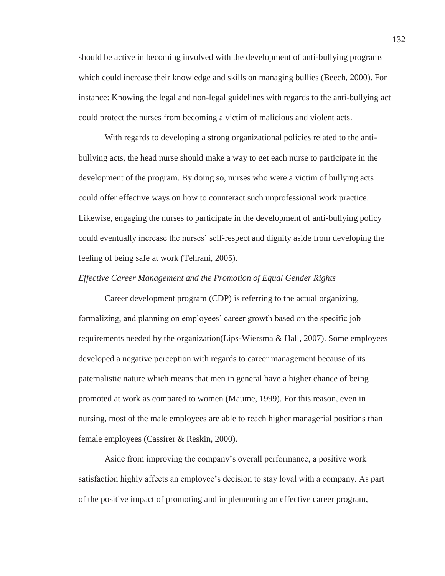should be active in becoming involved with the development of anti-bullying programs which could increase their knowledge and skills on managing bullies (Beech, 2000). For instance: Knowing the legal and non-legal guidelines with regards to the anti-bullying act could protect the nurses from becoming a victim of malicious and violent acts.

 With regards to developing a strong organizational policies related to the antibullying acts, the head nurse should make a way to get each nurse to participate in the development of the program. By doing so, nurses who were a victim of bullying acts could offer effective ways on how to counteract such unprofessional work practice. Likewise, engaging the nurses to participate in the development of anti-bullying policy could eventually increase the nurses' self-respect and dignity aside from developing the feeling of being safe at work (Tehrani, 2005).

### *Effective Career Management and the Promotion of Equal Gender Rights*

 Career development program (CDP) is referring to the actual organizing, formalizing, and planning on employees' career growth based on the specific job requirements needed by the organization(Lips-Wiersma & Hall, 2007). Some employees developed a negative perception with regards to career management because of its paternalistic nature which means that men in general have a higher chance of being promoted at work as compared to women (Maume, 1999). For this reason, even in nursing, most of the male employees are able to reach higher managerial positions than female employees (Cassirer & Reskin, 2000).

Aside from improving the company's overall performance, a positive work satisfaction highly affects an employee's decision to stay loyal with a company. As part of the positive impact of promoting and implementing an effective career program,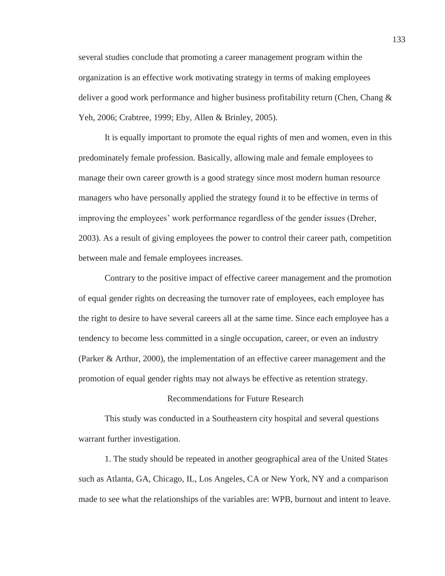several studies conclude that promoting a career management program within the organization is an effective work motivating strategy in terms of making employees deliver a good work performance and higher business profitability return (Chen, Chang & Yeh, 2006; Crabtree, 1999; Eby, Allen & Brinley, 2005).

 It is equally important to promote the equal rights of men and women, even in this predominately female profession. Basically, allowing male and female employees to manage their own career growth is a good strategy since most modern human resource managers who have personally applied the strategy found it to be effective in terms of improving the employees' work performance regardless of the gender issues (Dreher, 2003). As a result of giving employees the power to control their career path, competition between male and female employees increases.

 Contrary to the positive impact of effective career management and the promotion of equal gender rights on decreasing the turnover rate of employees, each employee has the right to desire to have several careers all at the same time. Since each employee has a tendency to become less committed in a single occupation, career, or even an industry (Parker & Arthur, 2000), the implementation of an effective career management and the promotion of equal gender rights may not always be effective as retention strategy.

## Recommendations for Future Research

 This study was conducted in a Southeastern city hospital and several questions warrant further investigation.

 1. The study should be repeated in another geographical area of the United States such as Atlanta, GA, Chicago, IL, Los Angeles, CA or New York, NY and a comparison made to see what the relationships of the variables are: WPB, burnout and intent to leave.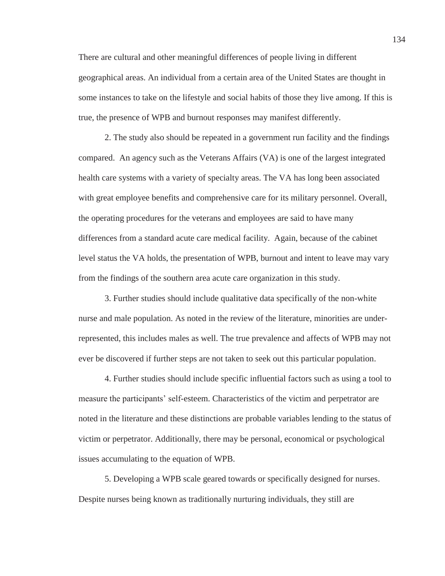There are cultural and other meaningful differences of people living in different geographical areas. An individual from a certain area of the United States are thought in some instances to take on the lifestyle and social habits of those they live among. If this is true, the presence of WPB and burnout responses may manifest differently.

 2. The study also should be repeated in a government run facility and the findings compared. An agency such as the Veterans Affairs (VA) is one of the largest integrated health care systems with a variety of specialty areas. The VA has long been associated with great employee benefits and comprehensive care for its military personnel. Overall, the operating procedures for the veterans and employees are said to have many differences from a standard acute care medical facility. Again, because of the cabinet level status the VA holds, the presentation of WPB, burnout and intent to leave may vary from the findings of the southern area acute care organization in this study.

 3. Further studies should include qualitative data specifically of the non-white nurse and male population. As noted in the review of the literature, minorities are underrepresented, this includes males as well. The true prevalence and affects of WPB may not ever be discovered if further steps are not taken to seek out this particular population.

 4. Further studies should include specific influential factors such as using a tool to measure the participants' self-esteem. Characteristics of the victim and perpetrator are noted in the literature and these distinctions are probable variables lending to the status of victim or perpetrator. Additionally, there may be personal, economical or psychological issues accumulating to the equation of WPB.

 5. Developing a WPB scale geared towards or specifically designed for nurses. Despite nurses being known as traditionally nurturing individuals, they still are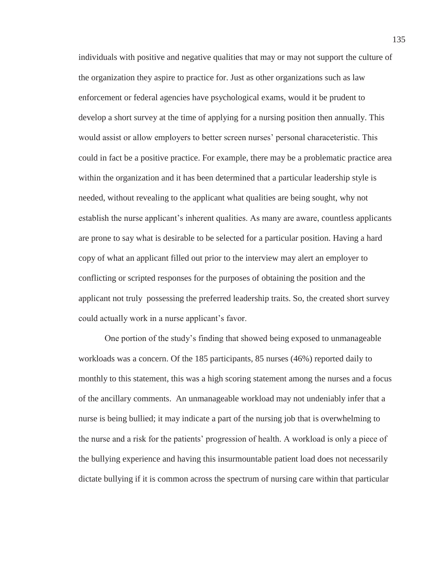individuals with positive and negative qualities that may or may not support the culture of the organization they aspire to practice for. Just as other organizations such as law enforcement or federal agencies have psychological exams, would it be prudent to develop a short survey at the time of applying for a nursing position then annually. This would assist or allow employers to better screen nurses' personal characeteristic. This could in fact be a positive practice. For example, there may be a problematic practice area within the organization and it has been determined that a particular leadership style is needed, without revealing to the applicant what qualities are being sought, why not establish the nurse applicant's inherent qualities. As many are aware, countless applicants are prone to say what is desirable to be selected for a particular position. Having a hard copy of what an applicant filled out prior to the interview may alert an employer to conflicting or scripted responses for the purposes of obtaining the position and the applicant not truly possessing the preferred leadership traits. So, the created short survey could actually work in a nurse applicant's favor.

One portion of the study's finding that showed being exposed to unmanageable workloads was a concern. Of the 185 participants, 85 nurses (46%) reported daily to monthly to this statement, this was a high scoring statement among the nurses and a focus of the ancillary comments. An unmanageable workload may not undeniably infer that a nurse is being bullied; it may indicate a part of the nursing job that is overwhelming to the nurse and a risk for the patients' progression of health. A workload is only a piece of the bullying experience and having this insurmountable patient load does not necessarily dictate bullying if it is common across the spectrum of nursing care within that particular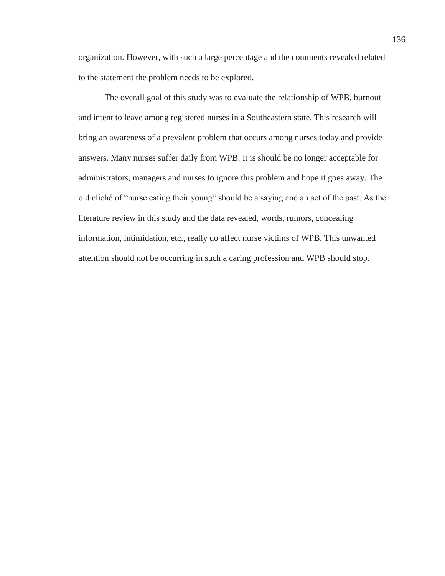organization. However, with such a large percentage and the comments revealed related to the statement the problem needs to be explored.

 The overall goal of this study was to evaluate the relationship of WPB, burnout and intent to leave among registered nurses in a Southeastern state. This research will bring an awareness of a prevalent problem that occurs among nurses today and provide answers. Many nurses suffer daily from WPB. It is should be no longer acceptable for administrators, managers and nurses to ignore this problem and hope it goes away. The old cliché of "nurse eating their young" should be a saying and an act of the past. As the literature review in this study and the data revealed, words, rumors, concealing information, intimidation, etc., really do affect nurse victims of WPB. This unwanted attention should not be occurring in such a caring profession and WPB should stop.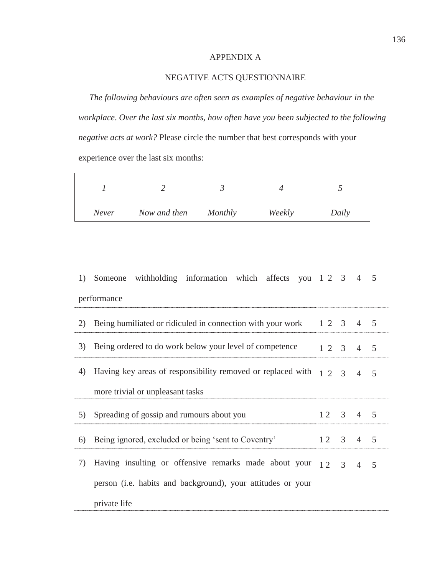# APPENDIX A

# NEGATIVE ACTS QUESTIONNAIRE

 *The following behaviours are often seen as examples of negative behaviour in the workplace*. *Over the last six months, how often have you been subjected to the following negative acts at work?* Please circle the number that best corresponds with your experience over the last six months:

| Never | Now and then | Monthly | Weekly | Daily |
|-------|--------------|---------|--------|-------|

| 1) | Someone withholding information which affects you 1 2 3 4                                                     |                              |  |  | - 5 |
|----|---------------------------------------------------------------------------------------------------------------|------------------------------|--|--|-----|
|    | performance                                                                                                   |                              |  |  |     |
| 2) | Being humiliated or ridiculed in connection with your work 1 2 3 4 5                                          |                              |  |  |     |
| 3) | Being ordered to do work below your level of competence<br>12345                                              |                              |  |  |     |
| 4) | Having key areas of responsibility removed or replaced with $\begin{bmatrix} 1 & 2 & 3 & 4 & 5 \end{bmatrix}$ |                              |  |  |     |
|    | more trivial or unpleasant tasks                                                                              |                              |  |  |     |
| 5) | Spreading of gossip and rumours about you                                                                     | $12 \quad 3 \quad 4 \quad 5$ |  |  |     |
| 6) | Being ignored, excluded or being 'sent to Coventry'                                                           | 12    3    4    5            |  |  |     |
| 7) | Having insulting or offensive remarks made about your $12 \quad 3 \quad 4$                                    |                              |  |  | 5   |
|    | person (i.e. habits and background), your attitudes or your                                                   |                              |  |  |     |
|    | private life                                                                                                  |                              |  |  |     |

136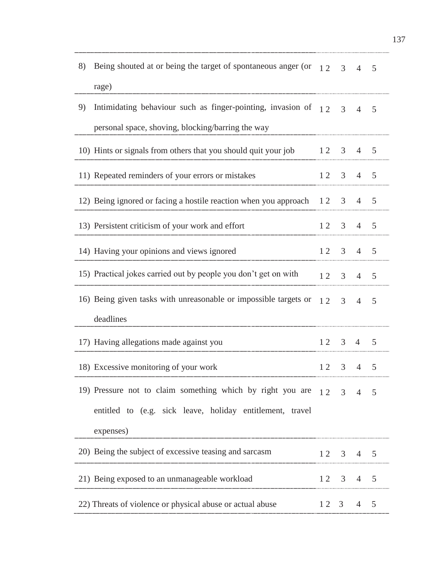| 8) | Being shouted at or being the target of spontaneous anger (or $12 \overline{3}$ |              |                | $\overline{4}$               | 5              |  |
|----|---------------------------------------------------------------------------------|--------------|----------------|------------------------------|----------------|--|
|    | rage)                                                                           |              |                |                              |                |  |
| 9) | Intimidating behaviour such as finger-pointing, invasion of $12 \overline{3}$   |              |                | $\overline{4}$               | 5              |  |
|    | personal space, shoving, blocking/barring the way                               |              |                |                              |                |  |
|    | 10) Hints or signals from others that you should quit your job                  |              |                | $12 \quad 3 \quad 4 \quad 5$ |                |  |
|    | 11) Repeated reminders of your errors or mistakes                               |              |                | $12 \quad 3 \quad 4 \quad 5$ |                |  |
|    | 12) Being ignored or facing a hostile reaction when you approach 12 3 4         |              |                |                              | 5              |  |
|    | 13) Persistent criticism of your work and effort                                |              |                | $12 \quad 3 \quad 4 \quad 5$ |                |  |
|    | 14) Having your opinions and views ignored                                      | $12 \quad 3$ |                | $4\overline{ }$              | 5              |  |
|    | 15) Practical jokes carried out by people you don't get on with                 | 12           | 3 <sup>7</sup> | $\overline{4}$               | 5              |  |
|    | 16) Being given tasks with unreasonable or impossible targets or                |              | $12 \quad 3$   | $\overline{4}$               | 5              |  |
|    | deadlines                                                                       |              |                |                              |                |  |
|    | 17) Having allegations made against you                                         |              |                | $12 \quad 3 \quad 4 \quad 5$ |                |  |
|    | 18) Excessive monitoring of your work                                           | 12           |                | $3 \quad 4$                  | 5              |  |
|    | 19) Pressure not to claim something which by right you are $12 \quad 3$         |              |                | $\overline{4}$               | $\overline{5}$ |  |
|    | entitled to (e.g. sick leave, holiday entitlement, travel                       |              |                |                              |                |  |
|    | expenses)                                                                       |              |                |                              |                |  |
|    | 20) Being the subject of excessive teasing and sarcasm                          |              |                | $12 \quad 3 \quad 4 \quad 5$ |                |  |
|    | 21) Being exposed to an unmanageable workload                                   |              |                | $12 \quad 3 \quad 4 \quad 5$ |                |  |
|    | 22) Threats of violence or physical abuse or actual abuse                       | $12 \quad 3$ |                | $\overline{4}$               | 5              |  |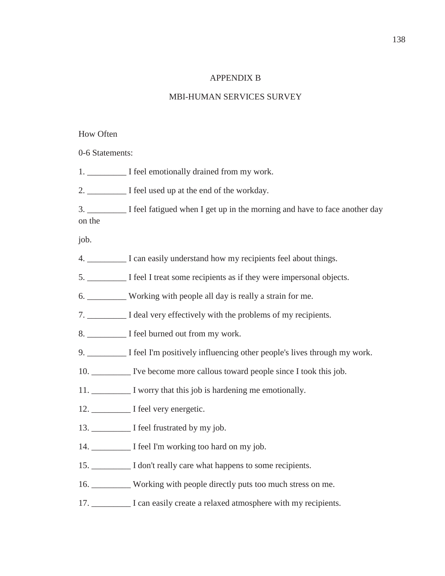# APPENDIX B

# MBI-HUMAN SERVICES SURVEY

# How Often

0-6 Statements:

1. \_\_\_\_\_\_\_\_\_\_\_\_\_ I feel emotionally drained from my work.

2. \_\_\_\_\_\_\_\_\_ I feel used up at the end of the workday.

3. \_\_\_\_\_\_\_\_\_ I feel fatigued when I get up in the morning and have to face another day on the

job.

4. \_\_\_\_\_\_\_\_\_ I can easily understand how my recipients feel about things.

5. \_\_\_\_\_\_\_\_\_ I feel I treat some recipients as if they were impersonal objects.

6. Working with people all day is really a strain for me.

7. \_\_\_\_\_\_\_\_\_ I deal very effectively with the problems of my recipients.

8. \_\_\_\_\_\_\_\_\_\_\_ I feel burned out from my work.

9. \_\_\_\_\_\_\_\_\_ I feel I'm positively influencing other people's lives through my work.

10. \_\_\_\_\_\_\_\_\_ I've become more callous toward people since I took this job.

11.  $\blacksquare$  I worry that this job is hardening me emotionally.

12. \_\_\_\_\_\_\_\_\_ I feel very energetic.

13. \_\_\_\_\_\_\_\_\_\_\_ I feel frustrated by my job.

14. \_\_\_\_\_\_\_\_\_ I feel I'm working too hard on my job.

15. \_\_\_\_\_\_\_\_\_ I don't really care what happens to some recipients.

16. \_\_\_\_\_\_\_\_\_ Working with people directly puts too much stress on me.

17. \_\_\_\_\_\_\_\_\_ I can easily create a relaxed atmosphere with my recipients.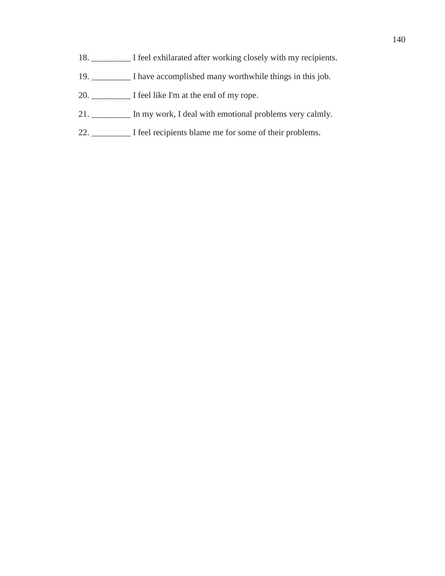- 18. \_\_\_\_\_\_\_\_\_ I feel exhilarated after working closely with my recipients.
- 19. \_\_\_\_\_\_\_\_\_ I have accomplished many worthwhile things in this job.
- 20. \_\_\_\_\_\_\_\_\_ I feel like I'm at the end of my rope.
- 21. \_\_\_\_\_\_\_\_\_ In my work, I deal with emotional problems very calmly.
- 22. \_\_\_\_\_\_\_\_\_ I feel recipients blame me for some of their problems.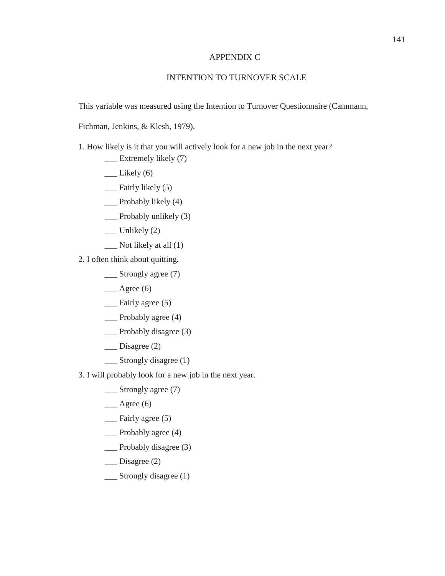# APPENDIX C

# INTENTION TO TURNOVER SCALE

This variable was measured using the Intention to Turnover Questionnaire (Cammann,

Fichman, Jenkins, & Klesh, 1979).

1. How likely is it that you will actively look for a new job in the next year?

- \_\_\_ Extremely likely (7)
- $\qquad$  Likely (6)
- \_\_\_ Fairly likely (5)
- \_\_\_ Probably likely (4)
- $\Box$  Probably unlikely (3)
- $\equiv$  Unlikely (2)
- $\sum$  Not likely at all (1)
- 2. I often think about quitting.
	- \_\_\_ Strongly agree (7)
	- $\qquad \qquad$  Agree (6)
	- \_\_\_ Fairly agree (5)
	- \_\_\_ Probably agree (4)
	- \_\_\_ Probably disagree (3)
	- \_\_\_ Disagree (2)
	- \_\_\_ Strongly disagree (1)
- 3. I will probably look for a new job in the next year.
	- \_\_\_ Strongly agree (7)
	- $\qquad \qquad$  Agree (6)
	- \_\_\_ Fairly agree (5)
	- \_\_\_ Probably agree (4)
	- \_\_\_ Probably disagree (3)
	- \_\_\_ Disagree (2)
	- \_\_\_ Strongly disagree (1)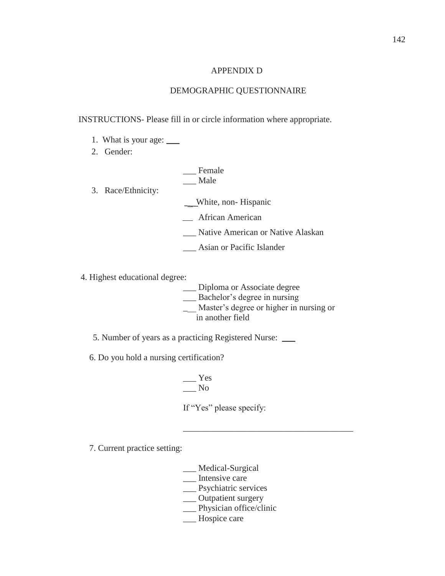#### APPENDIX D

#### DEMOGRAPHIC QUESTIONNAIRE

#### INSTRUCTIONS- Please fill in or circle information where appropriate.

- 1. What is your age: \_\_\_
- 2. Gender:

|                    | Female                            |
|--------------------|-----------------------------------|
|                    | Male                              |
| 3. Race/Ethnicity: |                                   |
|                    | White, non-Hispanic               |
|                    | African American                  |
|                    | Native American or Native Alaskan |
|                    | Asian or Pacific Islander         |

- 4. Highest educational degree:
	- \_\_\_ Diploma or Associate degree
	- \_\_\_ Bachelor's degree in nursing
	- \_\_\_ Master's degree or higher in nursing or in another field
	- 5. Number of years as a practicing Registered Nurse: \_\_\_
	- 6. Do you hold a nursing certification?

 $\equiv$  Yes \_\_\_ No

If "Yes" please specify:

 $\overline{\phantom{a}}$  , which is a set of the set of the set of the set of the set of the set of the set of the set of the set of the set of the set of the set of the set of the set of the set of the set of the set of the set of th

7. Current practice setting:

- \_\_\_ Medical-Surgical
- \_\_\_ Intensive care
- \_\_\_ Psychiatric services
- \_\_ Outpatient surgery
- \_\_ Physician office/clinic
- \_\_\_ Hospice care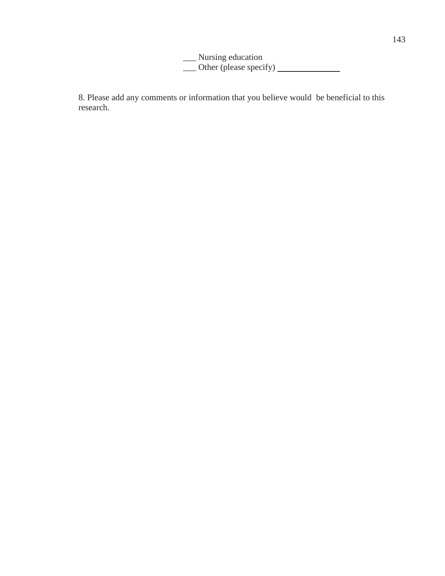\_\_\_ Nursing education \_\_\_ Other (please specify)

8. Please add any comments or information that you believe would be beneficial to this research.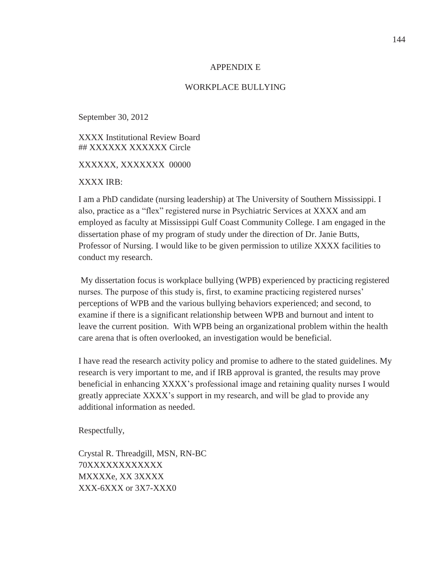#### APPENDIX E

#### WORKPLACE BULLYING

September 30, 2012

XXXX Institutional Review Board ## XXXXXX XXXXXX Circle

XXXXXX, XXXXXXX 00000

XXXX IRB:

I am a PhD candidate (nursing leadership) at The University of Southern Mississippi. I also, practice as a "flex" registered nurse in Psychiatric Services at XXXX and am employed as faculty at Mississippi Gulf Coast Community College. I am engaged in the dissertation phase of my program of study under the direction of Dr. Janie Butts, Professor of Nursing. I would like to be given permission to utilize XXXX facilities to conduct my research.

 My dissertation focus is workplace bullying (WPB) experienced by practicing registered nurses. The purpose of this study is, first, to examine practicing registered nurses' perceptions of WPB and the various bullying behaviors experienced; and second, to examine if there is a significant relationship between WPB and burnout and intent to leave the current position. With WPB being an organizational problem within the health care arena that is often overlooked, an investigation would be beneficial.

I have read the research activity policy and promise to adhere to the stated guidelines. My research is very important to me, and if IRB approval is granted, the results may prove beneficial in enhancing XXXX's professional image and retaining quality nurses I would greatly appreciate XXXX's support in my research, and will be glad to provide any additional information as needed.

Respectfully,

Crystal R. Threadgill, MSN, RN-BC 70XXXXXXXXXXXX MXXXXe, XX 3XXXX XXX-6XXX or 3X7-XXX0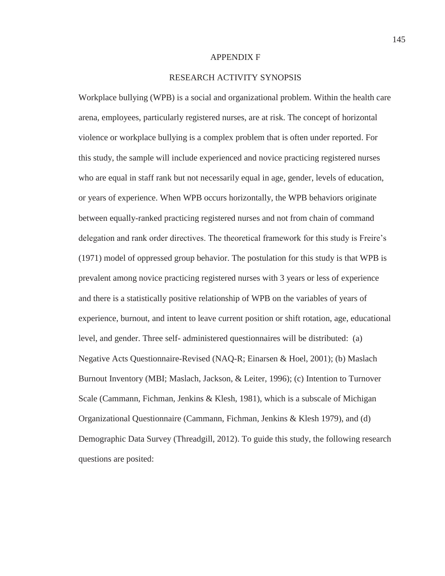#### APPENDIX F

### RESEARCH ACTIVITY SYNOPSIS

Workplace bullying (WPB) is a social and organizational problem. Within the health care arena, employees, particularly registered nurses, are at risk. The concept of horizontal violence or workplace bullying is a complex problem that is often under reported. For this study, the sample will include experienced and novice practicing registered nurses who are equal in staff rank but not necessarily equal in age, gender, levels of education, or years of experience. When WPB occurs horizontally, the WPB behaviors originate between equally-ranked practicing registered nurses and not from chain of command delegation and rank order directives. The theoretical framework for this study is Freire's (1971) model of oppressed group behavior. The postulation for this study is that WPB is prevalent among novice practicing registered nurses with 3 years or less of experience and there is a statistically positive relationship of WPB on the variables of years of experience, burnout, and intent to leave current position or shift rotation, age, educational level, and gender. Three self- administered questionnaires will be distributed: (a) Negative Acts Questionnaire-Revised (NAQ-R; Einarsen & Hoel, 2001); (b) Maslach Burnout Inventory (MBI; Maslach, Jackson, & Leiter, 1996); (c) Intention to Turnover Scale (Cammann, Fichman, Jenkins & Klesh, 1981), which is a subscale of Michigan Organizational Questionnaire (Cammann, Fichman, Jenkins & Klesh 1979), and (d) Demographic Data Survey (Threadgill, 2012). To guide this study, the following research questions are posited: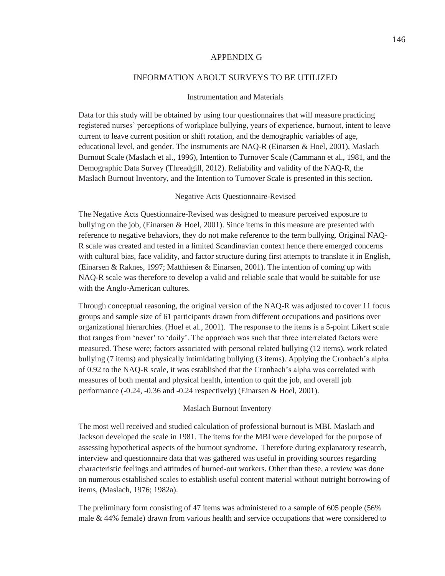#### APPENDIX G

#### INFORMATION ABOUT SURVEYS TO BE UTILIZED

#### Instrumentation and Materials

Data for this study will be obtained by using four questionnaires that will measure practicing registered nurses' perceptions of workplace bullying, years of experience, burnout, intent to leave current to leave current position or shift rotation, and the demographic variables of age, educational level, and gender. The instruments are NAQ-R (Einarsen & Hoel, 2001), Maslach Burnout Scale (Maslach et al., 1996), Intention to Turnover Scale (Cammann et al., 1981, and the Demographic Data Survey (Threadgill, 2012). Reliability and validity of the NAQ-R, the Maslach Burnout Inventory, and the Intention to Turnover Scale is presented in this section.

#### Negative Acts Questionnaire-Revised

The Negative Acts Questionnaire-Revised was designed to measure perceived exposure to bullying on the job, (Einarsen & Hoel, 2001). Since items in this measure are presented with reference to negative behaviors, they do not make reference to the term bullying. Original NAQ-R scale was created and tested in a limited Scandinavian context hence there emerged concerns with cultural bias, face validity, and factor structure during first attempts to translate it in English, (Einarsen & Raknes, 1997; Matthiesen & Einarsen, 2001). The intention of coming up with NAQ-R scale was therefore to develop a valid and reliable scale that would be suitable for use with the Anglo-American cultures.

Through conceptual reasoning, the original version of the NAQ-R was adjusted to cover 11 focus groups and sample size of 61 participants drawn from different occupations and positions over organizational hierarchies. (Hoel et al., 2001). The response to the items is a 5-point Likert scale that ranges from 'never' to 'daily'. The approach was such that three interrelated factors were measured. These were; factors associated with personal related bullying (12 items), work related bullying (7 items) and physically intimidating bullying (3 items). Applying the Cronbach's alpha of 0.92 to the NAQ-R scale, it was established that the Cronbach's alpha was correlated with measures of both mental and physical health, intention to quit the job, and overall job performance (-0.24, -0.36 and -0.24 respectively) (Einarsen & Hoel, 2001).

#### Maslach Burnout Inventory

The most well received and studied calculation of professional burnout is MBI. Maslach and Jackson developed the scale in 1981. The items for the MBI were developed for the purpose of assessing hypothetical aspects of the burnout syndrome. Therefore during explanatory research, interview and questionnaire data that was gathered was useful in providing sources regarding characteristic feelings and attitudes of burned-out workers. Other than these, a review was done on numerous established scales to establish useful content material without outright borrowing of items, (Maslach, 1976; 1982a).

The preliminary form consisting of 47 items was administered to a sample of 605 people (56% male & 44% female) drawn from various health and service occupations that were considered to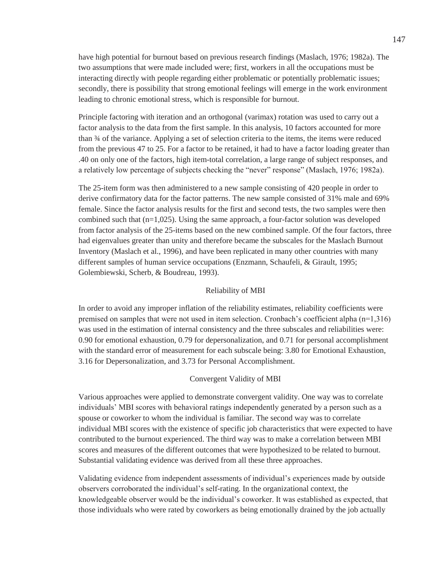have high potential for burnout based on previous research findings (Maslach, 1976; 1982a). The two assumptions that were made included were; first, workers in all the occupations must be interacting directly with people regarding either problematic or potentially problematic issues; secondly, there is possibility that strong emotional feelings will emerge in the work environment leading to chronic emotional stress, which is responsible for burnout.

Principle factoring with iteration and an orthogonal (varimax) rotation was used to carry out a factor analysis to the data from the first sample. In this analysis, 10 factors accounted for more than ¾ of the variance. Applying a set of selection criteria to the items, the items were reduced from the previous 47 to 25. For a factor to be retained, it had to have a factor loading greater than .40 on only one of the factors, high item-total correlation, a large range of subject responses, and a relatively low percentage of subjects checking the "never" response" (Maslach, 1976; 1982a).

The 25-item form was then administered to a new sample consisting of 420 people in order to derive confirmatory data for the factor patterns. The new sample consisted of 31% male and 69% female. Since the factor analysis results for the first and second tests, the two samples were then combined such that  $(n=1,025)$ . Using the same approach, a four-factor solution was developed from factor analysis of the 25-items based on the new combined sample. Of the four factors, three had eigenvalues greater than unity and therefore became the subscales for the Maslach Burnout Inventory (Maslach et al., 1996), and have been replicated in many other countries with many different samples of human service occupations (Enzmann, Schaufeli, & Girault, 1995; Golembiewski, Scherb, & Boudreau, 1993).

#### Reliability of MBI

In order to avoid any improper inflation of the reliability estimates, reliability coefficients were premised on samples that were not used in item selection. Cronbach's coefficient alpha (n=1,316) was used in the estimation of internal consistency and the three subscales and reliabilities were: 0.90 for emotional exhaustion, 0.79 for depersonalization, and 0.71 for personal accomplishment with the standard error of measurement for each subscale being: 3.80 for Emotional Exhaustion, 3.16 for Depersonalization, and 3.73 for Personal Accomplishment.

#### Convergent Validity of MBI

Various approaches were applied to demonstrate convergent validity. One way was to correlate individuals' MBI scores with behavioral ratings independently generated by a person such as a spouse or coworker to whom the individual is familiar. The second way was to correlate individual MBI scores with the existence of specific job characteristics that were expected to have contributed to the burnout experienced. The third way was to make a correlation between MBI scores and measures of the different outcomes that were hypothesized to be related to burnout. Substantial validating evidence was derived from all these three approaches.

Validating evidence from independent assessments of individual's experiences made by outside observers corroborated the individual's self-rating. In the organizational context, the knowledgeable observer would be the individual's coworker. It was established as expected, that those individuals who were rated by coworkers as being emotionally drained by the job actually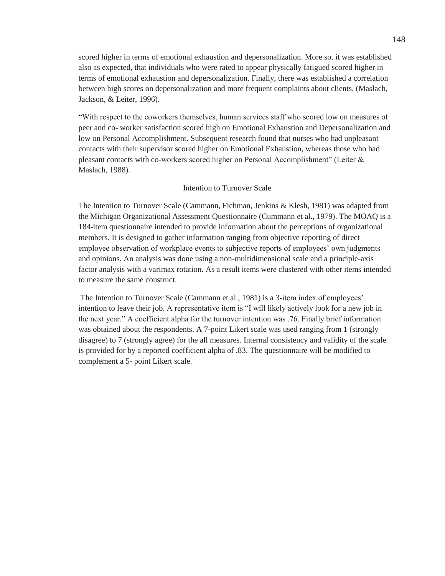scored higher in terms of emotional exhaustion and depersonalization. More so, it was established also as expected, that individuals who were rated to appear physically fatigued scored higher in terms of emotional exhaustion and depersonalization. Finally, there was established a correlation between high scores on depersonalization and more frequent complaints about clients, (Maslach, Jackson, & Leiter, 1996).

"With respect to the coworkers themselves, human services staff who scored low on measures of peer and co- worker satisfaction scored high on Emotional Exhaustion and Depersonalization and low on Personal Accomplishment. Subsequent research found that nurses who had unpleasant contacts with their supervisor scored higher on Emotional Exhaustion, whereas those who had pleasant contacts with co-workers scored higher on Personal Accomplishment" (Leiter & Maslach, 1988).

### Intention to Turnover Scale

The Intention to Turnover Scale (Cammann, Fichman, Jenkins & Klesh, 1981) was adapted from the Michigan Organizational Assessment Questionnaire (Cummann et al., 1979). The MOAQ is a 184-item questionnaire intended to provide information about the perceptions of organizational members. It is designed to gather information ranging from objective reporting of direct employee observation of workplace events to subjective reports of employees' own judgments and opinions. An analysis was done using a non-multidimensional scale and a principle-axis factor analysis with a varimax rotation. As a result items were clustered with other items intended to measure the same construct.

 The Intention to Turnover Scale (Cammann et al., 1981) is a 3-item index of employees' intention to leave their job. A representative item is "I will likely actively look for a new job in the next year." A coefficient alpha for the turnover intention was .76. Finally brief information was obtained about the respondents. A 7-point Likert scale was used ranging from 1 (strongly disagree) to 7 (strongly agree) for the all measures. Internal consistency and validity of the scale is provided for by a reported coefficient alpha of .83. The questionnaire will be modified to complement a 5- point Likert scale.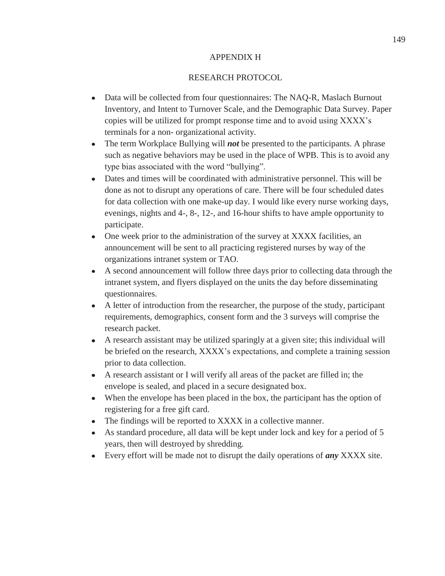# APPENDIX H

# RESEARCH PROTOCOL

- $\bullet$ Data will be collected from four questionnaires: The NAQ-R, Maslach Burnout Inventory, and Intent to Turnover Scale, and the Demographic Data Survey. Paper copies will be utilized for prompt response time and to avoid using XXXX's terminals for a non- organizational activity.
- The term Workplace Bullying will *not* be presented to the participants. A phrase  $\bullet$ such as negative behaviors may be used in the place of WPB. This is to avoid any type bias associated with the word "bullying".
- Dates and times will be coordinated with administrative personnel. This will be done as not to disrupt any operations of care. There will be four scheduled dates for data collection with one make-up day. I would like every nurse working days, evenings, nights and 4-, 8-, 12-, and 16-hour shifts to have ample opportunity to participate.
- One week prior to the administration of the survey at XXXX facilities, an announcement will be sent to all practicing registered nurses by way of the organizations intranet system or TAO.
- A second announcement will follow three days prior to collecting data through the intranet system, and flyers displayed on the units the day before disseminating questionnaires.
- A letter of introduction from the researcher, the purpose of the study, participant requirements, demographics, consent form and the 3 surveys will comprise the research packet.
- A research assistant may be utilized sparingly at a given site; this individual will be briefed on the research, XXXX's expectations, and complete a training session prior to data collection.
- A research assistant or I will verify all areas of the packet are filled in; the envelope is sealed, and placed in a secure designated box.
- When the envelope has been placed in the box, the participant has the option of  $\bullet$ registering for a free gift card.
- The findings will be reported to XXXX in a collective manner.  $\bullet$
- As standard procedure, all data will be kept under lock and key for a period of 5 years, then will destroyed by shredding.
- Every effort will be made not to disrupt the daily operations of *any* XXXX site.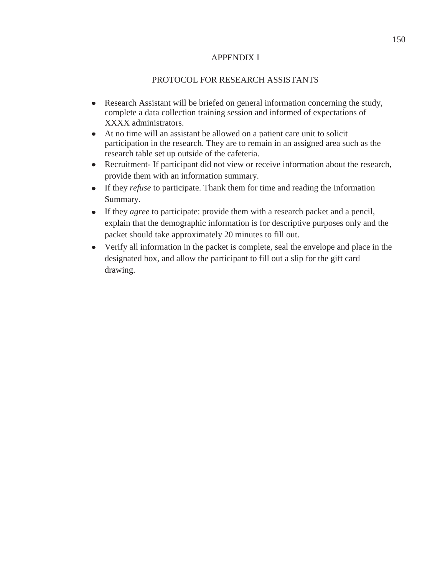# APPENDIX I

# PROTOCOL FOR RESEARCH ASSISTANTS

- Research Assistant will be briefed on general information concerning the study, complete a data collection training session and informed of expectations of XXXX administrators.
- At no time will an assistant be allowed on a patient care unit to solicit participation in the research. They are to remain in an assigned area such as the research table set up outside of the cafeteria.
- Recruitment- If participant did not view or receive information about the research, provide them with an information summary.
- If they *refuse* to participate. Thank them for time and reading the Information Summary.
- If they *agree* to participate: provide them with a research packet and a pencil, explain that the demographic information is for descriptive purposes only and the packet should take approximately 20 minutes to fill out.
- Verify all information in the packet is complete, seal the envelope and place in the designated box, and allow the participant to fill out a slip for the gift card drawing.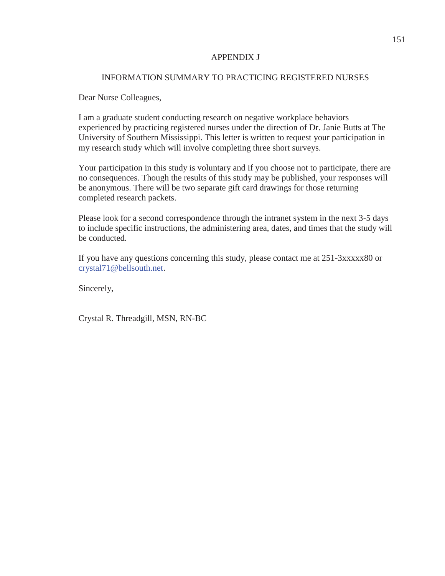# APPENDIX J

# INFORMATION SUMMARY TO PRACTICING REGISTERED NURSES

Dear Nurse Colleagues,

I am a graduate student conducting research on negative workplace behaviors experienced by practicing registered nurses under the direction of Dr. Janie Butts at The University of Southern Mississippi. This letter is written to request your participation in my research study which will involve completing three short surveys.

Your participation in this study is voluntary and if you choose not to participate, there are no consequences. Though the results of this study may be published, your responses will be anonymous. There will be two separate gift card drawings for those returning completed research packets.

Please look for a second correspondence through the intranet system in the next 3-5 days to include specific instructions, the administering area, dates, and times that the study will be conducted.

If you have any questions concerning this study, please contact me at 251-3xxxxx80 or crystal71@bellsouth.net.

Sincerely,

Crystal R. Threadgill, MSN, RN-BC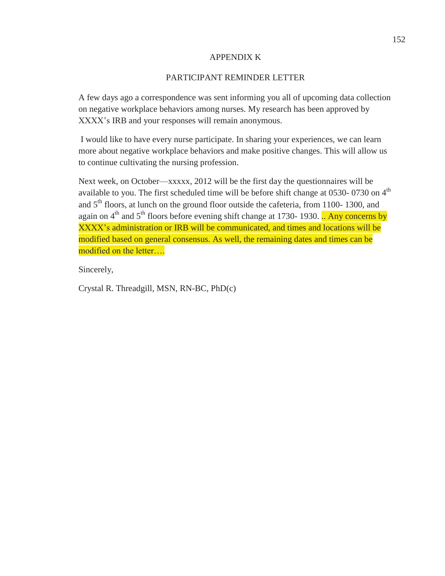# APPENDIX K

# PARTICIPANT REMINDER LETTER

A few days ago a correspondence was sent informing you all of upcoming data collection on negative workplace behaviors among nurses. My research has been approved by XXXX's IRB and your responses will remain anonymous.

 I would like to have every nurse participate. In sharing your experiences, we can learn more about negative workplace behaviors and make positive changes. This will allow us to continue cultivating the nursing profession.

Next week, on October—xxxxx, 2012 will be the first day the questionnaires will be available to you. The first scheduled time will be before shift change at 0530- 0730 on  $4<sup>th</sup>$ and  $5<sup>th</sup>$  floors, at lunch on the ground floor outside the cafeteria, from 1100- 1300, and again on  $4<sup>th</sup>$  and  $5<sup>th</sup>$  floors before evening shift change at 1730- 1930. .. Any concerns by XXXX's administration or IRB will be communicated, and times and locations will be modified based on general consensus. As well, the remaining dates and times can be modified on the letter….

Sincerely,

Crystal R. Threadgill, MSN, RN-BC, PhD(c)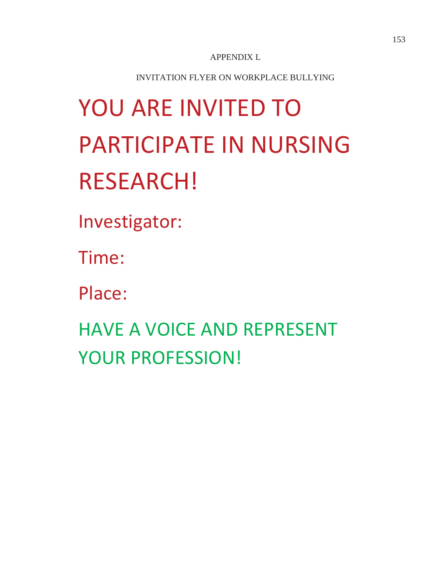APPENDIX L

INVITATION FLYER ON WORKPLACE BULLYING

# YOU ARE INVITED TO PARTICIPATE IN NURSING RESEARCH!

Investigator:

Time:

Place:

HAVE A VOICE AND REPRESENT YOUR PROFESSION!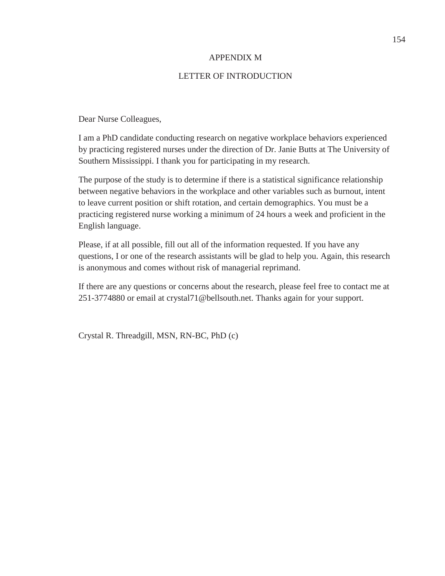# APPENDIX M

# LETTER OF INTRODUCTION

Dear Nurse Colleagues,

I am a PhD candidate conducting research on negative workplace behaviors experienced by practicing registered nurses under the direction of Dr. Janie Butts at The University of Southern Mississippi. I thank you for participating in my research.

The purpose of the study is to determine if there is a statistical significance relationship between negative behaviors in the workplace and other variables such as burnout, intent to leave current position or shift rotation, and certain demographics. You must be a practicing registered nurse working a minimum of 24 hours a week and proficient in the English language.

Please, if at all possible, fill out all of the information requested. If you have any questions, I or one of the research assistants will be glad to help you. Again, this research is anonymous and comes without risk of managerial reprimand.

If there are any questions or concerns about the research, please feel free to contact me at 251-3774880 or email at crystal71@bellsouth.net. Thanks again for your support.

Crystal R. Threadgill, MSN, RN-BC, PhD (c)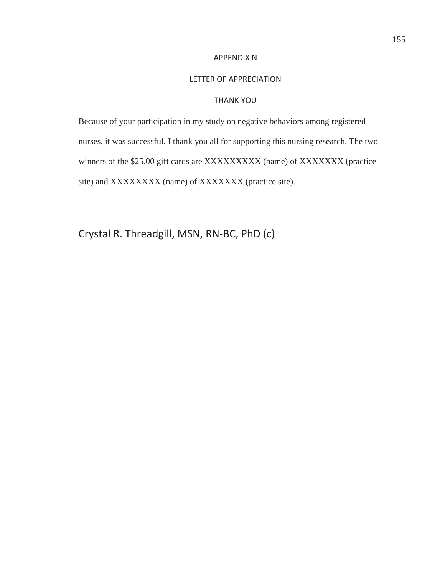#### APPENDIX N

#### LETTER OF APPRECIATION

# THANK YOU

Because of your participation in my study on negative behaviors among registered nurses, it was successful. I thank you all for supporting this nursing research. The two winners of the \$25.00 gift cards are XXXXXXXXX (name) of XXXXXXX (practice site) and XXXXXXXX (name) of XXXXXXX (practice site).

Crystal R. Threadgill, MSN, RN-BC, PhD (c)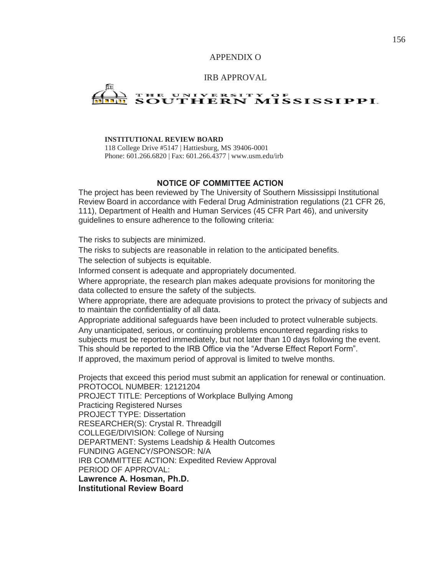# APPENDIX O

#### IRB APPROVAL

# UNIVERSITY OF<br>JTHERN MISSISSIPPI.

#### **INSTITUTIONAL REVIEW BOARD**

118 College Drive #5147 | Hattiesburg, MS 39406-0001 Phone: 601.266.6820 | Fax: 601.266.4377 | www.usm.edu/irb

#### **NOTICE OF COMMITTEE ACTION**

The project has been reviewed by The University of Southern Mississippi Institutional Review Board in accordance with Federal Drug Administration regulations (21 CFR 26, 111), Department of Health and Human Services (45 CFR Part 46), and university guidelines to ensure adherence to the following criteria:

The risks to subjects are minimized.

The risks to subjects are reasonable in relation to the anticipated benefits. The selection of subjects is equitable.

Informed consent is adequate and appropriately documented.

Where appropriate, the research plan makes adequate provisions for monitoring the data collected to ensure the safety of the subjects.

Where appropriate, there are adequate provisions to protect the privacy of subjects and to maintain the confidentiality of all data.

Appropriate additional safeguards have been included to protect vulnerable subjects. Any unanticipated, serious, or continuing problems encountered regarding risks to subjects must be reported immediately, but not later than 10 days following the event. This should be reported to the IRB Office via the "Adverse Effect Report Form". If approved, the maximum period of approval is limited to twelve months.

Projects that exceed this period must submit an application for renewal or continuation. PROTOCOL NUMBER: 12121204 PROJECT TITLE: Perceptions of Workplace Bullying Among Practicing Registered Nurses PROJECT TYPE: Dissertation RESEARCHER(S): Crystal R. Threadgill COLLEGE/DIVISION: College of Nursing DEPARTMENT: Systems Leadship & Health Outcomes FUNDING AGENCY/SPONSOR: N/A IRB COMMITTEE ACTION: Expedited Review Approval PERIOD OF APPROVAL: **Lawrence A. Hosman, Ph.D. Institutional Review Board**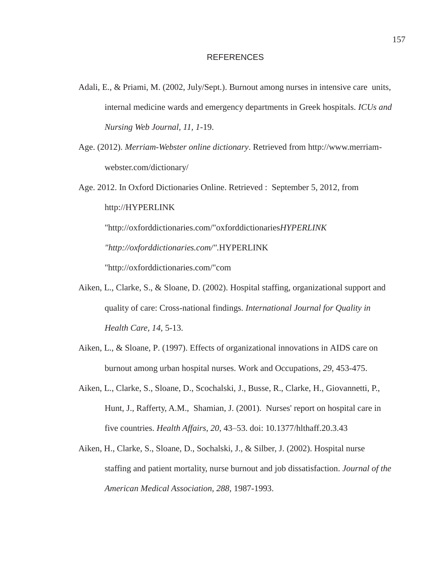- Adali, E., & Priami, M. (2002, July/Sept.). Burnout among nurses in intensive care units, internal medicine wards and emergency departments in Greek hospitals. *ICUs and Nursing Web Journal, 11, 1*-19.
- Age. (2012). *Merriam-Webster online dictionary*. Retrieved from http://www.merriamwebster.com/dictionary/
- Age. 2012. In Oxford Dictionaries Online. Retrieved : September 5, 2012, from http://HYPERLINK "http://oxforddictionaries.com/"oxforddictionaries*HYPERLINK "http://oxforddictionaries.com/".*HYPERLINK "http://oxforddictionaries.com/"com
- Aiken, L., Clarke, S., & Sloane, D. (2002). Hospital staffing, organizational support and quality of care: Cross-national findings. *International Journal for Quality in Health Care, 14,* 5-13.
- Aiken, L., & Sloane, P. (1997). Effects of organizational innovations in AIDS care on burnout among urban hospital nurses. Work and Occupations*, 29,* 453-475.
- Aiken, L., Clarke, S., Sloane, D., Scochalski, J., Busse, R., Clarke, H., Giovannetti, P., Hunt, J., Rafferty, A.M., Shamian, J. (2001). Nurses' report on hospital care in five countries. *Health Affairs, 20,* 43–53. doi: 10.1377/hlthaff.20.3.43
- Aiken, H., Clarke, S., Sloane, D., Sochalski, J., & Silber, J. (2002). Hospital nurse staffing and patient mortality, nurse burnout and job dissatisfaction. *Journal of the American Medical Association, 288,* 1987-1993.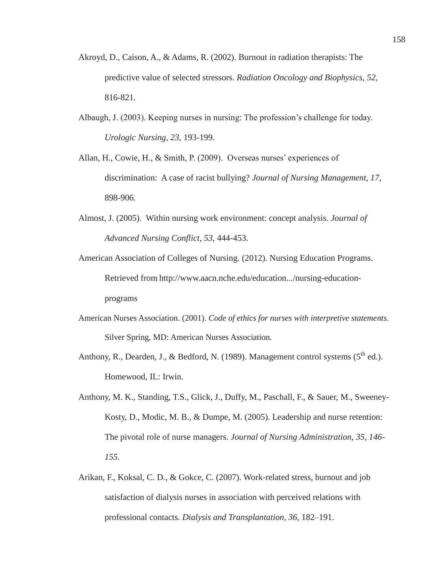- Akroyd, D., Caison, A., & Adams, R. (2002). Burnout in radiation therapists: The predictive value of selected stressors. *Radiation Oncology and Biophysics, 52,* 816-821.
- Albaugh, J. (2003). Keeping nurses in nursing: The profession's challenge for today. *Urologic Nursing, 23,* 193-199.
- Allan, H., Cowie, H., & Smith, P. (2009). Overseas nurses' experiences of discrimination: A case of racist bullying? *Journal of Nursing Management, 17,* 898-906.
- Almost, J. (2005). Within nursing work environment: concept analysis. *Journal of Advanced Nursing Conflict*, *53*, 444-453.
- American Association of Colleges of Nursing. (2012). Nursing Education Programs. Retrieved from http://www.aacn.nche.edu/education.../nursing-educationprograms
- American Nurses Association. (2001). *Code of ethics for nurses with interpretive statements*. Silver Spring, MD: American Nurses Association.
- Anthony, R., Dearden, J., & Bedford, N. (1989). Management control systems  $(5^{th}$  ed.). Homewood, IL: Irwin.
- Anthony, M. K., Standing, T.S., Glick, J., Duffy, M., Paschall, F., & Sauer, M., Sweeney-Kosty, D., Modic, M. B., & Dumpe, M. (2005). Leadership and nurse retention: The pivotal role of nurse managers*. Journal of Nursing Administration, 35, 146- 155.*
- Arikan, F., Koksal, C. D., & Gokce, C. (2007). Work-related stress, burnout and job satisfaction of dialysis nurses in association with perceived relations with professional contacts. *Dialysis and Transplantation*, *36,* 182–191.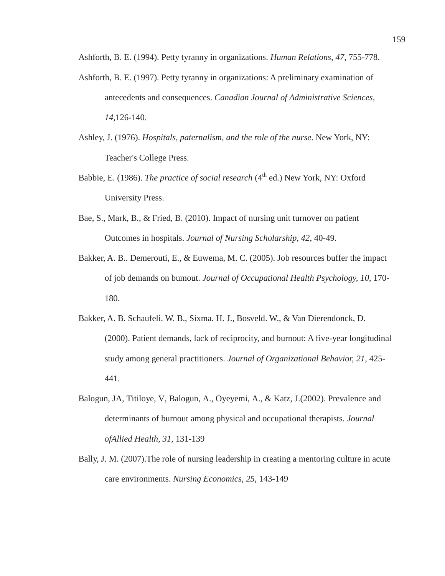Ashforth, B. E. (1994). Petty tyranny in organizations. *Human Relations*, *47,* 755-778.

- Ashforth, B. E. (1997). Petty tyranny in organizations: A preliminary examination of antecedents and consequences. *Canadian Journal of Administrative Sciences, 14,*126-140.
- Ashley, J. (1976). *Hospitals, paternalism, and the role of the nurse*. New York, NY: Teacher's College Press.
- Babbie, E. (1986). *The practice of social research* (4<sup>th</sup> ed.) New York, NY: Oxford University Press.
- Bae, S., Mark, B., & Fried, B. (2010). Impact of nursing unit turnover on patient Outcomes in hospitals. *Journal of Nursing Scholarship, 42*, 40-49.
- Bakker, A. B.. Demerouti, E., & Euwema, M. C. (2005). Job resources buffer the impact of job demands on bumout. *Journal of Occupational Health Psychology, 10*, 170- 180.
- Bakker, A. B. Schaufeli. W. B., Sixma. H. J., Bosveld. W., & Van Dierendonck, D. (2000). Patient demands, lack of reciprocity, and burnout: A five-year longitudinal study among general practitioners. *Journal of Organizational Behavior, 21,* 425- 441.
- Balogun, JA, Titiloye, V, Balogun, A., Oyeyemi, A., & Katz, J.(2002). Prevalence and determinants of burnout among physical and occupational therapists. *Journal ofAllied Health*, *31*, 131-139
- Bally, J. M. (2007).The role of nursing leadership in creating a mentoring culture in acute care environments. *Nursing Economics, 25*, 143-149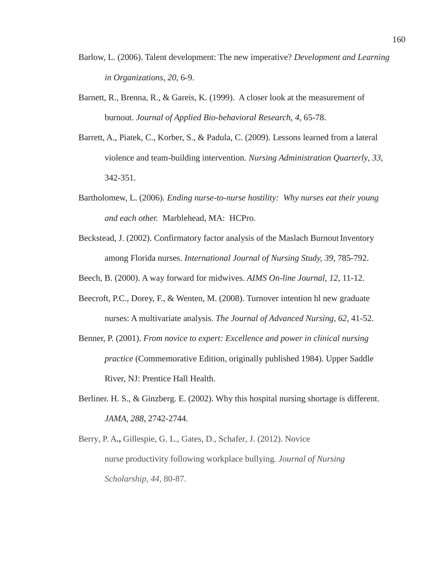- Barlow, L. (2006). Talent development: The new imperative? *Development and Learning in Organizations*, *20*, 6-9.
- Barnett, R., Brenna, R., & Gareis, K. (1999). A closer look at the measurement of burnout. *Journal of Applied Bio-behavioral Research, 4*, 65-78.
- Barrett, A., Piatek, C., Korber, S., & Padula, C. (2009). Lessons learned from a lateral violence and team-building intervention. *Nursing Administration Quarterly*, *33*, 342-351.
- Bartholomew, L. (2006). *Ending nurse-to-nurse hostility: Why nurses eat their young and each other.* Marblehead, MA: HCPro.
- Beckstead, J. (2002). Confirmatory factor analysis of the Maslach Burnout Inventory among Florida nurses. *International Journal of Nursing Study, 39*, 785-792.

Beech, B. (2000). A way forward for midwives. *AIMS On-line Journal, 12*, 11-12.

- Beecroft, P.C., Dorey, F., & Wenten, M. (2008). Turnover intention hl new graduate nurses: A multivariate analysis. *The Journal of Advanced Nursing, 62*, 41-52.
- Benner, P. (2001). *From novice to expert: Excellence and power in clinical nursing practice* (Commemorative Edition, originally published 1984). Upper Saddle River, NJ: Prentice Hall Health.
- Berliner. H. S., & Ginzberg. E. (2002). Why this hospital nursing shortage is different. *JAMA, 288*, 2742-2744.
- Berry, P. A**.,** Gillespie, G. L., Gates, D., Schafer, J. (2012). Novice nurse productivity following workplace bullying*. Journal of Nursing Scholarship, 44,* 80-87.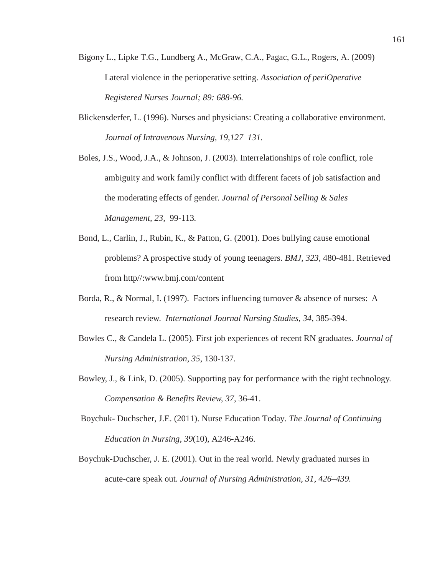- Bigony L., Lipke T.G., Lundberg A., McGraw, C.A., Pagac, G.L., Rogers, A. (2009) Lateral violence in the perioperative setting. *Association of periOperative Registered Nurses Journal; 89: 688-96.*
- Blickensderfer, L. (1996). Nurses and physicians: Creating a collaborative environment. *Journal of Intravenous Nursing, 19,127–131.*
- Boles, J.S., Wood, J.A., & Johnson, J. (2003). Interrelationships of role conflict, role ambiguity and work family conflict with different facets of job satisfaction and the moderating effects of gender*. Journal of Personal Selling & Sales Management, 23,* 99-113*.*
- Bond, L., Carlin, J., Rubin, K., & Patton, G. (2001). Does bullying cause emotional problems? A prospective study of young teenagers. *BMJ, 323*, 480-481. Retrieved from http//:www.bmj.com/content
- Borda, R., & Normal, I. (1997). Factors influencing turnover & absence of nurses: A research review. *International Journal Nursing Studies, 34*, 385-394.
- Bowles C., & Candela L. (2005). First job experiences of recent RN graduates. *Journal of Nursing Administration, 35*, 130-137.
- Bowley, J., & Link, D. (2005). Supporting pay for performance with the right technology. *Compensation & Benefits Review, 37*, 36-41.
- Boychuk- Duchscher, J.E. (2011). Nurse Education Today. *The Journal of Continuing Education in Nursing, 39*(10), A246-A246.
- Boychuk-Duchscher, J. E. (2001). Out in the real world. Newly graduated nurses in acute-care speak out. *Journal of Nursing Administration, 31, 426–439.*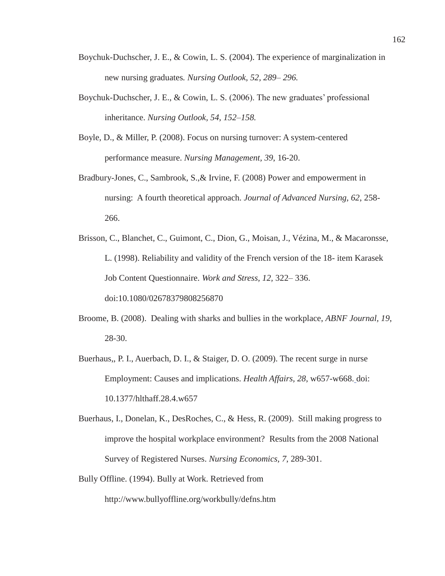- Boychuk-Duchscher, J. E., & Cowin, L. S. (2004). The experience of marginalization in new nursing graduates*. Nursing Outlook, 52, 289– 296.*
- Boychuk-Duchscher, J. E., & Cowin, L. S. (2006). The new graduates' professional inheritance. *Nursing Outlook, 54, 152–158.*
- Boyle, D., & Miller, P. (2008). Focus on nursing turnover: A system-centered performance measure. *Nursing Management, 39*, 16-20.
- Bradbury-Jones, C., Sambrook, S.,& Irvine, F. (2008) Power and empowerment in nursing: A fourth theoretical approach. *Journal of Advanced Nursing, 62*, 258- 266.
- Brisson, C., Blanchet, C., Guimont, C., Dion, G., Moisan, J., Vézina, M., & Macaronsse, L. (1998). Reliability and validity of the French version of the 18- item Karasek Job Content Questionnaire. *Work and Stress, 12,* 322– 336. doi:10.1080/02678379808256870
- Broome, B. (2008). Dealing with sharks and bullies in the workplace, *ABNF Journal, 19*, 28-30.
- Buerhaus,, P. I., Auerbach, D. I., & Staiger, D. O. (2009). The recent surge in nurse Employment: Causes and implications. *Health Affairs, 28*, w657-w668. doi: 10.1377/hlthaff.28.4.w657
- Buerhaus, I., Donelan, K., DesRoches, C., & Hess, R. (2009). Still making progress to improve the hospital workplace environment? Results from the 2008 National Survey of Registered Nurses. *Nursing Economics, 7*, 289-301.
- Bully Offline. (1994). Bully at Work. Retrieved from http://www.bullyoffline.org/workbully/defns.htm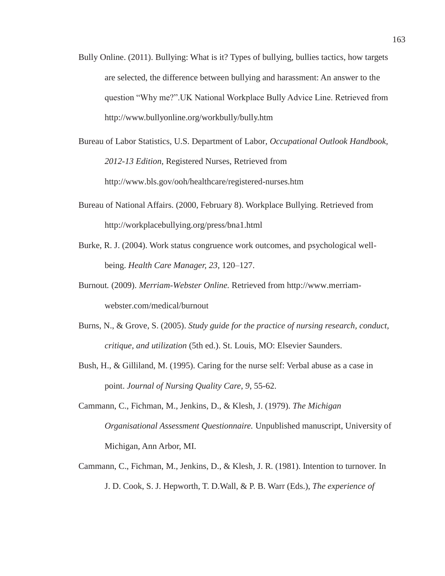- Bully Online. (2011). Bullying: What is it? Types of bullying, bullies tactics, how targets are selected, the difference between bullying and harassment: An answer to the question "Why me?".UK National Workplace Bully Advice Line. Retrieved from http://www.bullyonline.org/workbully/bully.htm
- Bureau of Labor Statistics, U.S. Department of Labor, *Occupational Outlook Handbook, 2012-13 Edition*, Registered Nurses, Retrieved from http://www.bls.gov/ooh/healthcare/registered-nurses.htm
- Bureau of National Affairs. (2000, February 8). Workplace Bullying. Retrieved from http://workplacebullying.org/press/bna1.html
- Burke, R. J. (2004). Work status congruence work outcomes, and psychological wellbeing. *Health Care Manager, 23*, 120–127.
- Burnout*.* (2009). *Merriam-Webster Online.* Retrieved from http://www.merriamwebster.com/medical/burnout
- Burns, N., & Grove, S. (2005). *Study guide for the practice of nursing research, conduct, critique, and utilization* (5th ed.). St. Louis, MO: Elsevier Saunders.
- Bush, H., & Gilliland, M. (1995). Caring for the nurse self: Verbal abuse as a case in point. *Journal of Nursing Quality Care*, *9*, 55-62.
- Cammann, C., Fichman, M., Jenkins, D., & Klesh, J. (1979). *The Michigan Organisational Assessment Questionnaire.* Unpublished manuscript, University of Michigan, Ann Arbor, MI.
- Cammann, C., Fichman, M., Jenkins, D., & Klesh, J. R. (1981). Intention to turnover. In J. D. Cook, S. J. Hepworth, T. D.Wall, & P. B. Warr (Eds.), *The experience of*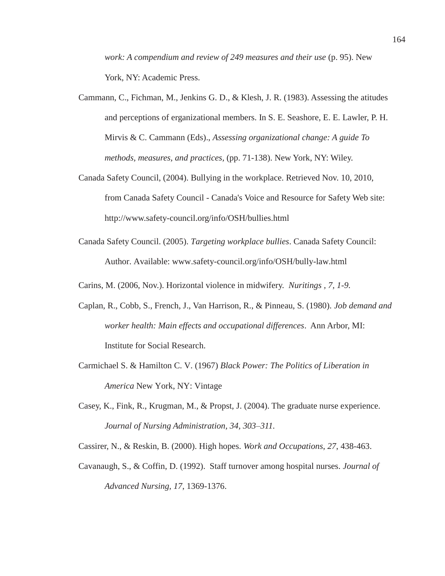*work: A compendium and review of 249 measures and their use* (p. 95). New York, NY: Academic Press.

- Cammann, C., Fichman, M., Jenkins G. D., & Klesh, J. R. (1983). Assessing the atitudes and perceptions of erganizational members. In S. E. Seashore, E. E. Lawler, P. H. Mirvis & C. Cammann (Eds)., *Assessing organizational change: A guide To methods, measures, and practices,* (pp. 71-138). New York, NY: Wiley.
- Canada Safety Council, (2004). Bullying in the workplace. Retrieved Nov. 10, 2010, from Canada Safety Council - Canada's Voice and Resource for Safety Web site: http://www.safety-council.org/info/OSH/bullies.html
- Canada Safety Council. (2005). *Targeting workplace bullies*. Canada Safety Council: Author. Available: www.safety-council.org/info/OSH/bully-law.html
- Carins, M. (2006, Nov.). Horizontal violence in midwifery. *Nuritings , 7, 1-9.*
- Caplan, R., Cobb, S., French, J., Van Harrison, R., & Pinneau, S. (1980). *Job demand and worker health: Main effects and occupational differences*. Ann Arbor, MI: Institute for Social Research.
- Carmichael S. & Hamilton C. V. (1967) *Black Power: The Politics of Liberation in America* New York, NY: Vintage
- Casey, K., Fink, R., Krugman, M., & Propst, J. (2004). The graduate nurse experience. *Journal of Nursing Administration, 34, 303–311.*

Cassirer, N., & Reskin, B. (2000). High hopes. *Work and Occupations*, *27*, 438-463.

Cavanaugh, S., & Coffin, D. (1992). Staff turnover among hospital nurses. *Journal of Advanced Nursing, 17*, 1369-1376.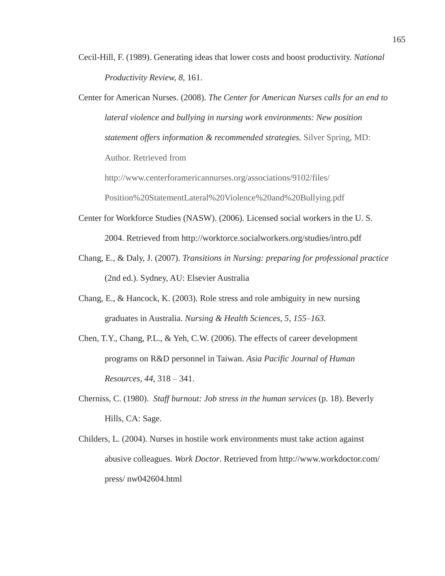- Cecil-Hill, F. (1989). Generating ideas that lower costs and boost productivity. *National Productivity Review, 8*, 161.
- Center for American Nurses. (2008). *The Center for American Nurses calls for an end to lateral violence and bullying in nursing work environments: New position statement offers information & recommended strategies.* Silver Spring, MD: Author. Retrieved from

http://www.centerforamericannurses.org/associations/9102/files/

Position%20StatementLateral%20Violence%20and%20Bullying.pdf

- Center for Workforce Studies (NASW). (2006). Licensed social workers in the U. S. 2004. Retrieved from http://worktorce.socialworkers.org/studies/intro.pdf
- Chang, E., & Daly, J. (2007). *Transitions in Nursing: preparing for professional practice* (2nd ed.). Sydney, AU: Elsevier Australia
- Chang, E., & Hancock, K. (2003). Role stress and role ambiguity in new nursing graduates in Australia. *Nursing & Health Sciences, 5, 155–163.*
- Chen, T.Y., Chang, P.L., & Yeh, C.W. (2006). The effects of career development programs on R&D personnel in Taiwan. *Asia Pacific Journal of Human Resources, 44*, 318 – 341.
- Cherniss, C. (1980). *Staff burnout: Job stress in the human services* (p. 18). Beverly Hills, CA: Sage.
- Childers, L. (2004). Nurses in hostile work environments must take action against abusive colleagues. *Work Doctor*. Retrieved from http://www.workdoctor.com/ press/ nw042604.html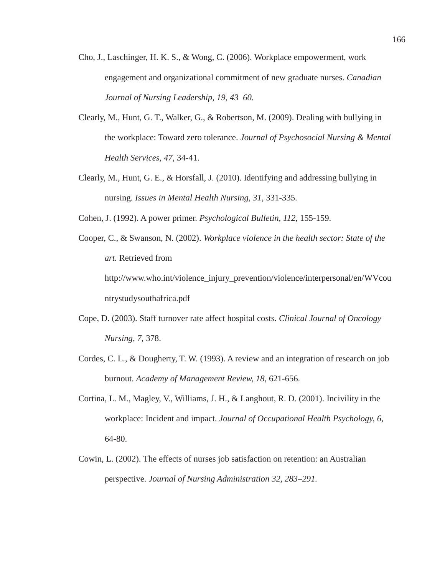- Cho, J., Laschinger, H. K. S., & Wong, C. (2006). Workplace empowerment, work engagement and organizational commitment of new graduate nurses. *Canadian Journal of Nursing Leadership, 19, 43–60.*
- Clearly, M., Hunt, G. T., Walker, G., & Robertson, M. (2009). Dealing with bullying in the workplace: Toward zero tolerance. *Journal of Psychosocial Nursing & Mental Health Services, 47*, 34-41.
- Clearly, M., Hunt, G. E., & Horsfall, J. (2010). Identifying and addressing bullying in nursing. *Issues in Mental Health Nursing, 31,* 331-335.
- Cohen, J. (1992). A power primer. *Psychological Bulletin, 112,* 155-159.
- Cooper, C., & Swanson, N. (2002). *Workplace violence in the health sector: State of the art.* Retrieved from http://www.who.int/violence\_injury\_prevention/violence/interpersonal/en/WVcou ntrystudysouthafrica.pdf
- Cope, D. (2003). Staff turnover rate affect hospital costs. *Clinical Journal of Oncology Nursing, 7,* 378.
- Cordes, C. L., & Dougherty, T. W. (1993). A review and an integration of research on job burnout. *Academy of Management Review, 18*, 621-656.
- Cortina, L. M., Magley, V., Williams, J. H., & Langhout, R. D. (2001). Incivility in the workplace: Incident and impact. *Journal of Occupational Health Psychology, 6,*  64-80.
- Cowin, L. (2002). The effects of nurses job satisfaction on retention: an Australian perspective. *Journal of Nursing Administration 32, 283–291.*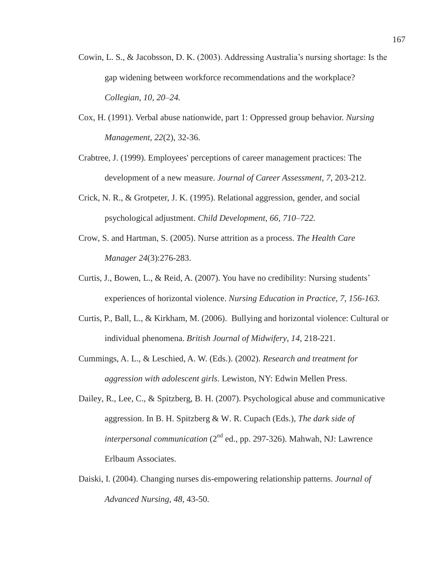- Cowin, L. S., & Jacobsson, D. K. (2003). Addressing Australia's nursing shortage: Is the gap widening between workforce recommendations and the workplace? *Collegian, 10, 20–24.*
- Cox, H. (1991). Verbal abuse nationwide, part 1: Oppressed group behavior. *Nursing Management*, *22*(2), 32-36.
- Crabtree, J. (1999). Employees' perceptions of career management practices: The development of a new measure. *Journal of Career Assessment, 7*, 203-212.
- Crick, N. R., & Grotpeter, J. K. (1995). Relational aggression, gender, and social psychological adjustment. *Child Development, 66, 710–722.*
- Crow, S. and Hartman, S. (2005). Nurse attrition as a process. *The Health Care Manager 24*(3):276-283.
- Curtis, J., Bowen, L., & Reid, A. (2007). You have no credibility: Nursing students' experiences of horizontal violence. *Nursing Education in Practice, 7, 156-163.*
- Curtis, P., Ball, L., & Kirkham, M. (2006). Bullying and horizontal violence: Cultural or individual phenomena. *British Journal of Midwifery*, *14*, 218-221.
- Cummings, A. L., & Leschied, A. W. (Eds.). (2002). *Research and treatment for aggression with adolescent girls*. Lewiston, NY: Edwin Mellen Press.
- Dailey, R., Lee, C., & Spitzberg, B. H. (2007). Psychological abuse and communicative aggression. In B. H. Spitzberg & W. R. Cupach (Eds.), *The dark side of interpersonal communication* (2<sup>nd</sup> ed., pp. 297-326). Mahwah, NJ: Lawrence Erlbaum Associates.
- Daiski, I. (2004). Changing nurses dis-empowering relationship patterns. *Journal of Advanced Nursing, 48*, 43-50.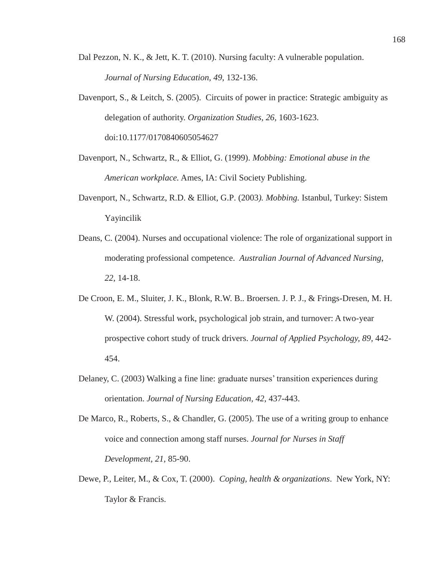- Dal Pezzon, N. K., & Jett, K. T. (2010). Nursing faculty: A vulnerable population. *Journal of Nursing Education, 49*, 132-136.
- Davenport, S., & Leitch, S. (2005). Circuits of power in practice: Strategic ambiguity as delegation of authority. *Organization Studies, 26,* 1603-1623. doi:10.1177/0170840605054627
- Davenport, N., Schwartz, R., & Elliot, G. (1999). *Mobbing: Emotional abuse in the American workplace.* Ames, IA: Civil Society Publishing.
- Davenport, N., Schwartz, R.D. & Elliot, G.P. (2003*). Mobbing.* Istanbul, Turkey: Sistem Yayincilik
- Deans, C. (2004). Nurses and occupational violence: The role of organizational support in moderating professional competence. *Australian Journal of Advanced Nursing*, *22*, 14-18.
- De Croon, E. M., Sluiter, J. K., Blonk, R.W. B.. Broersen. J. P. J., & Frings-Dresen, M. H. W. (2004). Stressful work, psychological job strain, and turnover: A two-year prospective cohort study of truck drivers. *Journal of Applied Psychology, 89,* 442- 454.
- Delaney, C. (2003) Walking a fine line: graduate nurses' transition experiences during orientation. *Journal of Nursing Education, 42*, 437-443.
- De Marco, R., Roberts, S., & Chandler, G. (2005). The use of a writing group to enhance voice and connection among staff nurses. *Journal for Nurses in Staff Development, 21*, 85-90.
- Dewe, P., Leiter, M., & Cox, T. (2000). *Coping, health & organizations*. New York, NY: Taylor & Francis.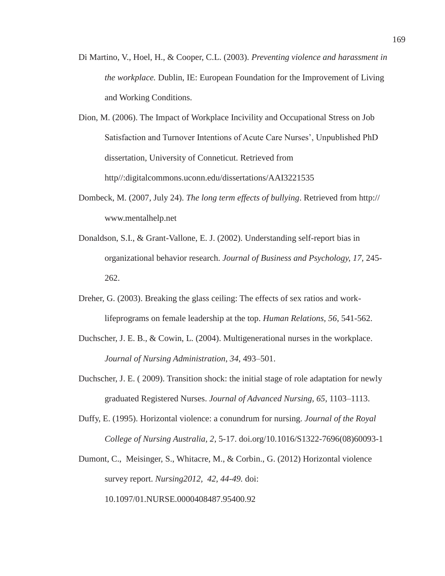- Di Martino, V., Hoel, H., & Cooper, C.L. (2003). *Preventing violence and harassment in the workplace.* Dublin, IE: European Foundation for the Improvement of Living and Working Conditions.
- Dion, M. (2006). The Impact of Workplace Incivility and Occupational Stress on Job Satisfaction and Turnover Intentions of Acute Care Nurses', Unpublished PhD dissertation, University of Conneticut. Retrieved from http//:digitalcommons.uconn.edu/dissertations/AAI3221535
- Dombeck, M. (2007, July 24). *The long term effects of bullying*. Retrieved from http:// www.mentalhelp.net
- Donaldson, S.I., & Grant-Vallone, E. J. (2002). Understanding self-report bias in organizational behavior research. *Journal of Business and Psychology, 17,* 245- 262.
- Dreher, G. (2003). Breaking the glass ceiling: The effects of sex ratios and worklifeprograms on female leadership at the top. *Human Relations, 56*, 541-562.
- Duchscher, J. E. B., & Cowin, L. (2004). Multigenerational nurses in the workplace. *Journal of Nursing Administration*, *34*, 493–501.
- Duchscher, J. E. ( 2009). Transition shock: the initial stage of role adaptation for newly graduated Registered Nurses. *Journal of Advanced Nursing, 65*, 1103–1113.
- Duffy, E. (1995). Horizontal violence: a conundrum for nursing. *Journal of the Royal College of Nursing Australia, 2*, 5-17. doi.org/10.1016/S1322-7696(08)60093-1
- Dumont, C., Meisinger, S., Whitacre, M., & Corbin., G. (2012) Horizontal violence survey report. *Nursing2012, 42, 44-49.* doi: 10.1097/01.NURSE.0000408487.95400.92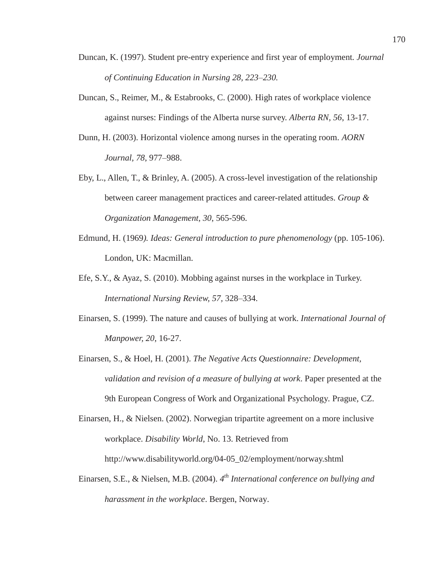- Duncan, K. (1997). Student pre-entry experience and first year of employment*. Journal of Continuing Education in Nursing 28, 223–230.*
- Duncan, S., Reimer, M., & Estabrooks, C. (2000). High rates of workplace violence against nurses: Findings of the Alberta nurse survey. *Alberta RN, 56*, 13-17.
- Dunn, H. (2003). Horizontal violence among nurses in the operating room. *AORN Journal, 78*, 977–988.
- Eby, L., Allen, T., & Brinley, A. (2005). A cross-level investigation of the relationship between career management practices and career-related attitudes. *Group & Organization Management, 30*, 565-596.
- Edmund, H. (1969*). Ideas: General introduction to pure phenomenology* (pp. 105-106). London, UK: Macmillan.
- Efe, S.Y., & Ayaz, S. (2010). Mobbing against nurses in the workplace in Turkey. *International Nursing Review, 57,* 328–334.
- Einarsen, S. (1999). The nature and causes of bullying at work. *International Journal of Manpower, 20*, 16-27.
- Einarsen, S., & Hoel, H. (2001). *The Negative Acts Questionnaire: Development, validation and revision of a measure of bullying at work*. Paper presented at the 9th European Congress of Work and Organizational Psychology*.* Prague, CZ.

Einarsen, H., & Nielsen. (2002). Norwegian tripartite agreement on a more inclusive workplace. *Disability World*, No. 13. Retrieved from http://www.disabilityworld.org/04-05\_02/employment/norway.shtml

Einarsen, S.E., & Nielsen, M.B. (2004). *4th International conference on bullying and harassment in the workplace*. Bergen, Norway.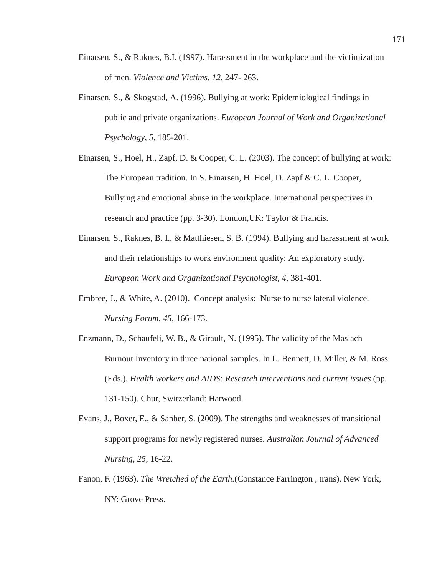- Einarsen, S., & Raknes, B.I. (1997). Harassment in the workplace and the victimization of men. *Violence and Victims, 12*, 247- 263.
- Einarsen, S., & Skogstad, A. (1996). Bullying at work: Epidemiological findings in public and private organizations. *European Journal of Work and Organizational Psychology, 5*, 185-201.
- Einarsen, S., Hoel, H., Zapf, D. & Cooper, C. L. (2003). The concept of bullying at work: The European tradition. In S. Einarsen, H. Hoel, D. Zapf & C. L. Cooper, Bullying and emotional abuse in the workplace. International perspectives in research and practice (pp. 3-30). London,UK: Taylor & Francis.
- Einarsen, S., Raknes, B. I., & Matthiesen, S. B. (1994). Bullying and harassment at work and their relationships to work environment quality: An exploratory study. *European Work and Organizational Psychologist, 4*, 381-401.
- Embree, J., & White, A. (2010). Concept analysis: Nurse to nurse lateral violence. *Nursing Forum, 45*, 166-173.
- Enzmann, D., Schaufeli, W. B., & Girault, N. (1995). The validity of the Maslach Burnout Inventory in three national samples. In L. Bennett, D. Miller, & M. Ross (Eds.), *Health workers and AIDS: Research interventions and current issues* (pp. 131-150). Chur, Switzerland: Harwood.
- Evans, J., Boxer, E., & Sanber, S. (2009). The strengths and weaknesses of transitional support programs for newly registered nurses. *Australian Journal of Advanced Nursing*, *25*, 16-22.
- Fanon, F. (1963). *The Wretched of the Earth.*(Constance Farrington , trans). New York, NY: Grove Press.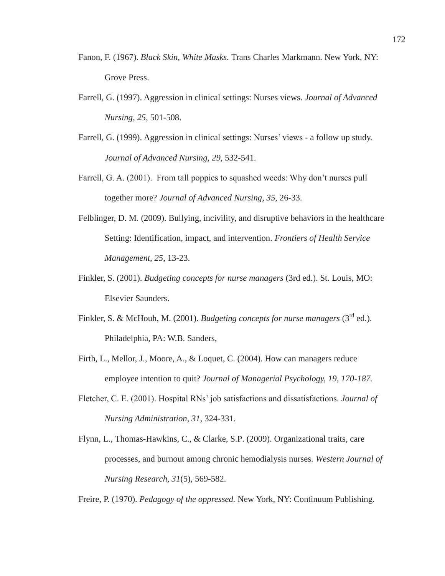- Fanon, F. (1967). *Black Skin, White Masks.* Trans Charles Markmann. New York, NY: Grove Press.
- Farrell, G. (1997). Aggression in clinical settings: Nurses views. *Journal of Advanced Nursing, 25*, 501-508.
- Farrell, G. (1999). Aggression in clinical settings: Nurses' views a follow up study. *Journal of Advanced Nursing, 29*, 532-541.
- Farrell, G. A. (2001). From tall poppies to squashed weeds: Why don't nurses pull together more? *Journal of Advanced Nursing*, *35*, 26-33.
- Felblinger, D. M. (2009). Bullying, incivility, and disruptive behaviors in the healthcare Setting: Identification, impact, and intervention. *Frontiers of Health Service Management, 25*, 13-23.
- Finkler, S. (2001). *Budgeting concepts for nurse managers* (3rd ed.). St. Louis, MO: Elsevier Saunders.
- Finkler, S. & McHouh, M. (2001). *Budgeting concepts for nurse managers* (3<sup>rd</sup> ed.). Philadelphia, PA: W.B. Sanders,
- Firth, L., Mellor, J., Moore, A., & Loquet, C. (2004). How can managers reduce employee intention to quit? *Journal of Managerial Psychology, 19, 170-187.*
- Fletcher, C. E. (2001). Hospital RNs' job satisfactions and dissatisfactions. *Journal of Nursing Administration, 31,* 324-331.
- Flynn, L., Thomas-Hawkins, C., & Clarke, S.P. (2009). Organizational traits, care processes, and burnout among chronic hemodialysis nurses. *Western Journal of Nursing Research, 31*(5), 569-582.

Freire, P. (1970). *Pedagogy of the oppressed.* New York, NY: Continuum Publishing.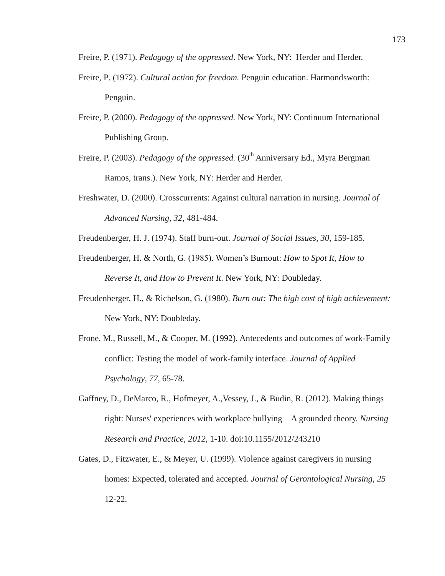Freire, P. (1971). *Pedagogy of the oppressed*. New York, NY: Herder and Herder.

- Freire, P. (1972). *Cultural action for freedom.* Penguin education. Harmondsworth: Penguin.
- Freire, P. (2000). *Pedagogy of the oppressed.* New York, NY: Continuum International Publishing Group.
- Freire, P. (2003). *Pedagogy of the oppressed.* (30<sup>th</sup> Anniversary Ed., Myra Bergman Ramos, trans.). New York, NY: Herder and Herder.
- Freshwater, D. (2000). Crosscurrents: Against cultural narration in nursing. *Journal of Advanced Nursing, 32*, 481-484.
- Freudenberger, H. J. (1974). Staff burn-out. *Journal of Social Issues, 30*, 159-185.
- Freudenberger, H. & North, G. (1985). Women's Burnout: *How to Spot It, How to Reverse It, and How to Prevent It*. New York, NY: Doubleday.
- Freudenberger, H., & Richelson, G. (1980). *Burn out: The high cost of high achievement:*  New York, NY: Doubleday.
- Frone, M., Russell, M., & Cooper, M. (1992). Antecedents and outcomes of work-Family conflict: Testing the model of work-family interface. *Journal of Applied Psychology, 77*, 65-78.
- Gaffney, D., DeMarco, R., Hofmeyer, A.,Vessey, J., & Budin, R. (2012). Making things right: Nurses' experiences with workplace bullying—A grounded theory. *Nursing Research and Practice, 2012,* 1-10. doi:10.1155/2012/243210
- Gates, D., Fitzwater, E., & Meyer, U. (1999). Violence against caregivers in nursing homes: Expected, tolerated and accepted. *Journal of Gerontological Nursing, 25*  12-22.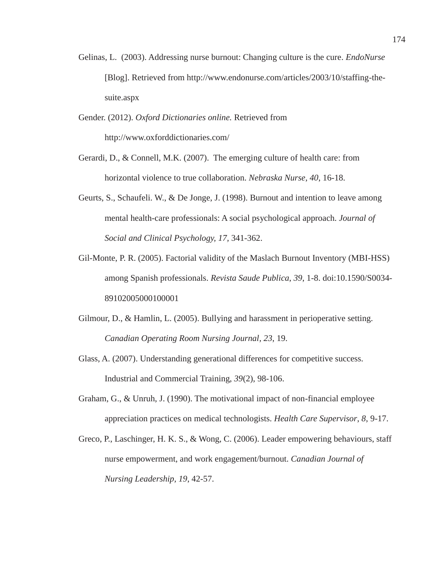- Gelinas, L. (2003). Addressing nurse burnout: Changing culture is the cure. *EndoNurse*  [Blog]. Retrieved from http://www.endonurse.com/articles/2003/10/staffing-thesuite.aspx
- Gender. (2012). *Oxford Dictionaries online.* Retrieved from http://www.oxforddictionaries.com/
- Gerardi, D., & Connell, M.K. (2007). The emerging culture of health care: from horizontal violence to true collaboration. *Nebraska Nurse, 40*, 16-18.
- Geurts, S., Schaufeli. W., & De Jonge, J. (1998). Burnout and intention to leave among mental health-care professionals: A social psychological approach. *Journal of Social and Clinical Psychology, 17,* 341-362.
- Gil-Monte, P. R. (2005). Factorial validity of the Maslach Burnout Inventory (MBI-HSS) among Spanish professionals. *Revista Saude Publica*, *39*, 1-8. doi:10.1590/S0034- 89102005000100001
- Gilmour, D., & Hamlin, L. (2005). Bullying and harassment in perioperative setting. *Canadian Operating Room Nursing Journal, 23*, 19.
- Glass, A. (2007). Understanding generational differences for competitive success. Industrial and Commercial Training, *39*(2), 98-106.
- Graham, G., & Unruh, J. (1990). The motivational impact of non-financial employee appreciation practices on medical technologists. *Health Care Supervisor*, *8*, 9-17.
- Greco, P., Laschinger, H. K. S., & Wong, C. (2006). Leader empowering behaviours, staff nurse empowerment, and work engagement/burnout. *Canadian Journal of Nursing Leadership, 19*, 42-57.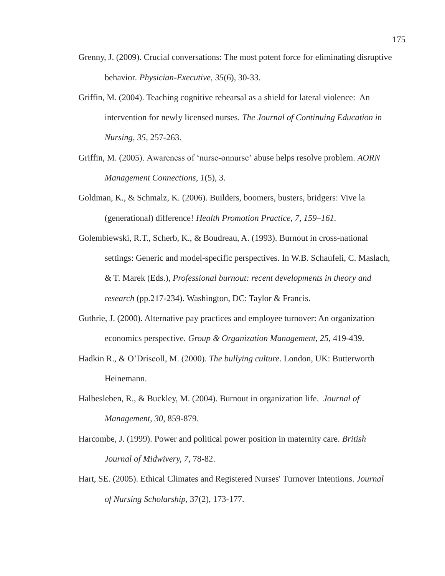- Grenny, J. (2009). Crucial conversations: The most potent force for eliminating disruptive behavior*. Physician-Executive, 35*(6), 30-33.
- Griffin, M. (2004). Teaching cognitive rehearsal as a shield for lateral violence: An intervention for newly licensed nurses. *The Journal of Continuing Education in Nursing, 35*, 257-263.
- Griffin, M. (2005). Awareness of 'nurse-onnurse' abuse helps resolve problem. *AORN Management Connections*, *1*(5), 3.
- Goldman, K., & Schmalz, K. (2006). Builders, boomers, busters, bridgers: Vive la (generational) difference! *Health Promotion Practice, 7, 159–161.*
- Golembiewski, R.T., Scherb, K., & Boudreau, A. (1993). Burnout in cross-national settings: Generic and model-specific perspectives. In W.B. Schaufeli, C. Maslach, & T. Marek (Eds.), *Professional burnout: recent developments in theory and research* (pp.217-234). Washington, DC: Taylor & Francis.
- Guthrie, J. (2000). Alternative pay practices and employee turnover: An organization economics perspective. *Group & Organization Management*, *25*, 419-439.
- Hadkin R., & O'Driscoll, M. (2000). *The bullying culture*. London, UK: Butterworth Heinemann.
- Halbesleben, R., & Buckley, M. (2004). Burnout in organization life. *Journal of Management, 30*, 859-879.
- Harcombe, J. (1999). Power and political power position in maternity care. *British Journal of Midwivery, 7*, 78-82.
- Hart, SE. (2005). Ethical Climates and Registered Nurses' Turnover Intentions. *Journal of Nursing Scholarship*, 37(2), 173-177.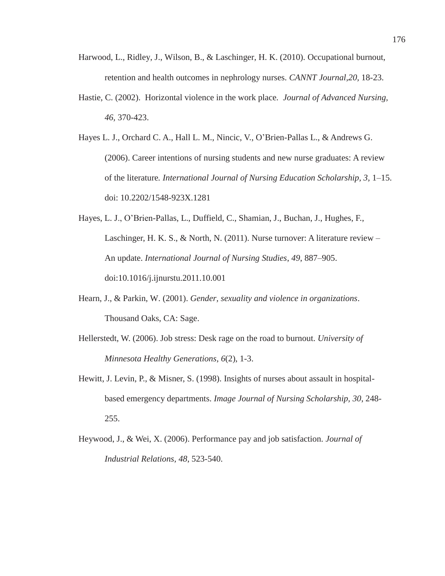- Harwood, L., Ridley, J., Wilson, B., & Laschinger, H. K. (2010). Occupational burnout, retention and health outcomes in nephrology nurses. *CANNT Journal,20,* 18-23.
- Hastie, C. (2002). Horizontal violence in the work place*. Journal of Advanced Nursing, 46,* 370-423.
- Hayes L. J., Orchard C. A., Hall L. M., Nincic, V., O'Brien-Pallas L., & Andrews G. (2006). Career intentions of nursing students and new nurse graduates: A review of the literature*. International Journal of Nursing Education Scholarship, 3,* 1–15. doi: 10.2202/1548-923X.1281
- Hayes, L. J., O'Brien-Pallas, L., Duffield, C., Shamian, J., Buchan, J., Hughes, F., Laschinger, H. K. S., & North, N. (2011). Nurse turnover: A literature review – An update. *International Journal of Nursing Studies*, *49*, 887–905. doi:10.1016/j.ijnurstu.2011.10.001
- Hearn, J., & Parkin, W. (2001). *Gender, sexuality and violence in organizations*. Thousand Oaks, CA: Sage.
- Hellerstedt, W. (2006). Job stress: Desk rage on the road to burnout. *University of Minnesota Healthy Generations*, *6*(2), 1-3.
- Hewitt, J. Levin, P., & Misner, S. (1998). Insights of nurses about assault in hospitalbased emergency departments. *Image Journal of Nursing Scholarship, 30*, 248- 255.
- Heywood, J., & Wei, X. (2006). Performance pay and job satisfaction. *Journal of Industrial Relations, 48*, 523-540.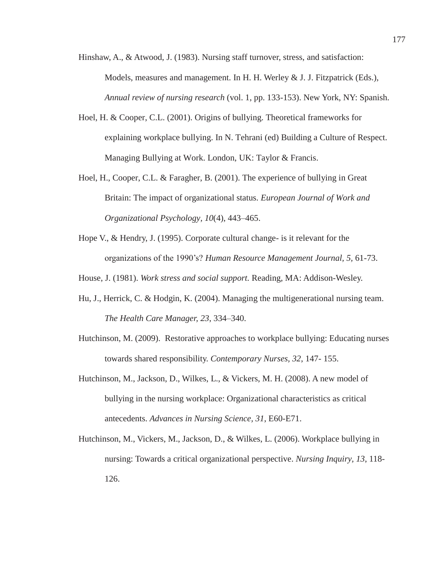- Hinshaw, A., & Atwood, J. (1983). Nursing staff turnover, stress, and satisfaction: Models, measures and management. In H. H. Werley & J. J. Fitzpatrick (Eds.), *Annual review of nursing research* (vol. 1, pp. 133-153). New York, NY: Spanish.
- Hoel, H. & Cooper, C.L. (2001). Origins of bullying. Theoretical frameworks for explaining workplace bullying. In N. Tehrani (ed) Building a Culture of Respect. Managing Bullying at Work. London, UK: Taylor & Francis.
- Hoel, H., Cooper, C.L. & Faragher, B. (2001). The experience of bullying in Great Britain: The impact of organizational status*. European Journal of Work and Organizational Psychology, 10*(4), 443–465.
- Hope V., & Hendry, J. (1995). Corporate cultural change- is it relevant for the organizations of the 1990's? *Human Resource Management Journal, 5,* 61-73.

House, J. (1981). *Work stress and social support.* Reading, MA: Addison-Wesley.

- Hu, J., Herrick, C. & Hodgin, K. (2004). Managing the multigenerational nursing team. *The Health Care Manager, 23*, 334–340.
- Hutchinson, M. (2009). Restorative approaches to workplace bullying: Educating nurses towards shared responsibility. *Contemporary Nurses, 32*, 147- 155.
- Hutchinson, M., Jackson, D., Wilkes, L., & Vickers, M. H. (2008). A new model of bullying in the nursing workplace: Organizational characteristics as critical antecedents. *Advances in Nursing Science, 31*, E60-E71.
- Hutchinson, M., Vickers, M., Jackson, D., & Wilkes, L. (2006). Workplace bullying in nursing: Towards a critical organizational perspective. *Nursing Inquiry, 13*, 118- 126.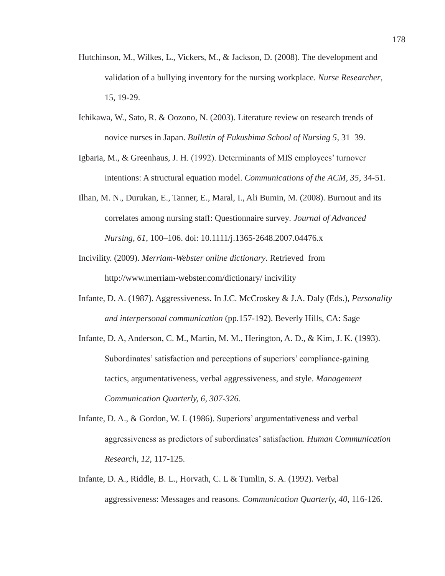- Hutchinson, M., Wilkes, L., Vickers, M., & Jackson, D. (2008). The development and validation of a bullying inventory for the nursing workplace*. Nurse Researcher*, 15, 19-29.
- Ichikawa, W., Sato, R. & Oozono, N. (2003). Literature review on research trends of novice nurses in Japan. *Bulletin of Fukushima School of Nursing 5*, 31–39.
- Igbaria, M., & Greenhaus, J. H. (1992). Determinants of MIS employees' turnover intentions: A structural equation model. *Communications of the ACM, 35*, 34-51.
- Ilhan, M. N., Durukan, E., Tanner, E., Maral, I., Ali Bumin, M. (2008). Burnout and its correlates among nursing staff: Questionnaire survey*. Journal of Advanced Nursing, 61*, 100–106. doi: 10.1111/j.1365-2648.2007.04476.x
- Incivility. (2009). *Merriam-Webster online dictionary*. Retrieved from http://www.merriam-webster.com/dictionary/ incivility
- Infante, D. A. (1987). Aggressiveness. In J.C. McCroskey & J.A. Daly (Eds.), *Personality and interpersonal communication* (pp.157-192). Beverly Hills, CA: Sage
- Infante, D. A, Anderson, C. M., Martin, M. M., Herington, A. D., & Kim, J. K. (1993). Subordinates' satisfaction and perceptions of superiors' compliance-gaining tactics, argumentativeness, verbal aggressiveness, and style. *Management Communication Quarterly, 6, 307-326.*
- Infante, D. A., & Gordon, W. I. (1986). Superiors' argumentativeness and verbal aggressiveness as predictors of subordinates' satisfaction. *Human Communication Research, 12,* 117-125.
- Infante, D. A., Riddle, B. L., Horvath, C. L & Tumlin, S. A. (1992). Verbal aggressiveness: Messages and reasons. *Communication Quarterly, 40,* 116-126.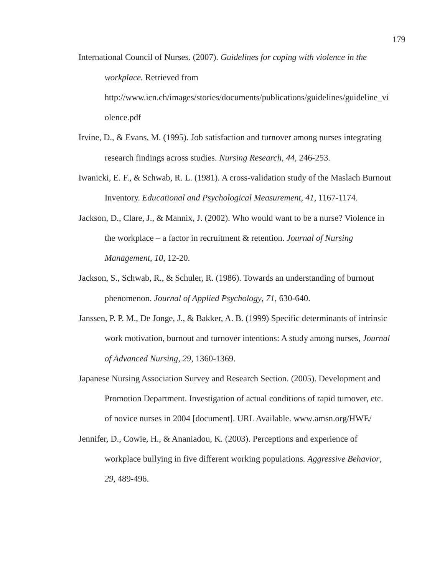International Council of Nurses. (2007). *Guidelines for coping with violence in the workplace.* Retrieved from http://www.icn.ch/images/stories/documents/publications/guidelines/guideline\_vi

olence.pdf

- Irvine, D., & Evans, M. (1995). Job satisfaction and turnover among nurses integrating research findings across studies. *Nursing Research, 44,* 246-253.
- Iwanicki, E. F., & Schwab, R. L. (1981). A cross-validation study of the Maslach Burnout Inventory. *Educational and Psychological Measurement, 41,* 1167-1174.
- Jackson, D., Clare, J., & Mannix, J. (2002). Who would want to be a nurse? Violence in the workplace – a factor in recruitment & retention. *Journal of Nursing Management, 10*, 12-20.
- Jackson, S., Schwab, R., & Schuler, R. (1986). Towards an understanding of burnout phenomenon. *Journal of Applied Psychology*, *71*, 630-640.
- Janssen, P. P. M., De Jonge, J., & Bakker, A. B. (1999) Specific determinants of intrinsic work motivation, burnout and turnover intentions: A study among nurses, *Journal of Advanced Nursing, 29,* 1360-1369.
- Japanese Nursing Association Survey and Research Section. (2005). Development and Promotion Department. Investigation of actual conditions of rapid turnover, etc. of novice nurses in 2004 [document]. URL Available. www.amsn.org/HWE/
- Jennifer, D., Cowie, H., & Ananiadou, K. (2003). Perceptions and experience of workplace bullying in five different working populations. *Aggressive Behavior*, *29,* 489-496.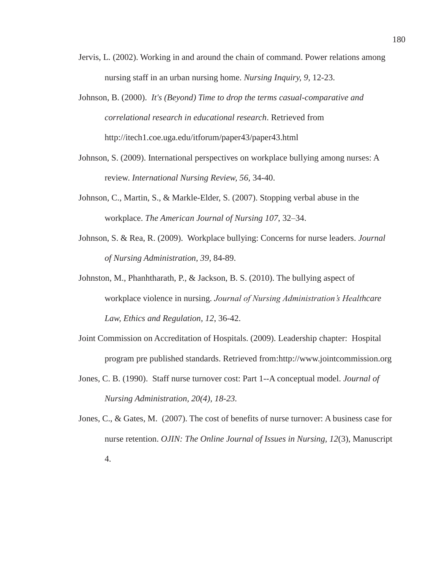- Jervis, L. (2002). Working in and around the chain of command. Power relations among nursing staff in an urban nursing home. *Nursing Inquiry, 9*, 12-23.
- Johnson, B. (2000). *It's (Beyond) Time to drop the terms casual-comparative and correlational research in educational research*. Retrieved from http://itech1.coe.uga.edu/itforum/paper43/paper43.html
- Johnson, S. (2009). International perspectives on workplace bullying among nurses: A review. *International Nursing Review, 56,* 34-40.
- Johnson, C., Martin, S., & Markle-Elder, S. (2007). Stopping verbal abuse in the workplace. *The American Journal of Nursing 107*, 32–34.
- Johnson, S. & Rea, R. (2009). Workplace bullying: Concerns for nurse leaders. *Journal of Nursing Administration, 39,* 84-89.
- Johnston, M., Phanhtharath, P., & Jackson, B. S. (2010). The bullying aspect of workplace violence in nursing. *Journal of Nursing Administration's Healthcare Law, Ethics and Regulation, 12*, 36-42.
- Joint Commission on Accreditation of Hospitals. (2009). Leadership chapter: Hospital program pre published standards. Retrieved from:http://www.jointcommission.org
- Jones, C. B. (1990). Staff nurse turnover cost: Part 1--A conceptual model. *Journal of Nursing Administration, 20(4), 18-23.*
- Jones, C., & Gates, M. (2007). The cost of benefits of nurse turnover: A business case for nurse retention. *OJIN: The Online Journal of Issues in Nursing, 12*(3), Manuscript 4.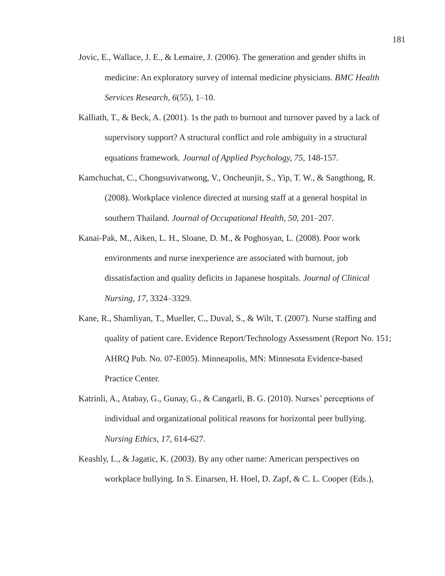- Jovic, E., Wallace, J. E., & Lemaire, J. (2006). The generation and gender shifts in medicine: An exploratory survey of internal medicine physicians. *BMC Health Services Research*, *6*(55), 1–10.
- Kalliath, T., & Beck, A.  $(2001)$ . 1s the path to burnout and turnover paved by a lack of supervisory support? A structural conflict and role ambiguity in a structural equations framework*. Journal of Applied Psychology, 75,* 148-157.
- Kamchuchat, C., Chongsuvivatwong, V., Oncheunjit, S., Yip, T. W., & Sangthong, R. (2008). Workplace violence directed at nursing staff at a general hospital in southern Thailand*. Journal of Occupational Health, 50,* 201–207.
- Kanai-Pak, M., Aiken, L. H., Sloane, D. M., & Poghosyan, L. (2008). Poor work environments and nurse inexperience are associated with burnout, job dissatisfaction and quality deficits in Japanese hospitals. *Journal of Clinical Nursing, 17*, 3324–3329.
- Kane, R., Shamliyan, T., Mueller, C., Duval, S., & Wilt, T. (2007). Nurse staffing and quality of patient care. Evidence Report/Technology Assessment (Report No. 151; AHRQ Pub. No. 07-E005). Minneapolis, MN: Minnesota Evidence-based Practice Center.
- Katrinli, A., Atabay, G., Gunay, G., & Cangarli, B. G. (2010). Nurses' perceptions of individual and organizational political reasons for horizontal peer bullying. *Nursing Ethics, 17*, 614-627.
- Keashly, L., & Jagatic, K. (2003). By any other name: American perspectives on workplace bullying. In S. Einarsen, H. Hoel, D. Zapf, & C. L. Cooper (Eds.),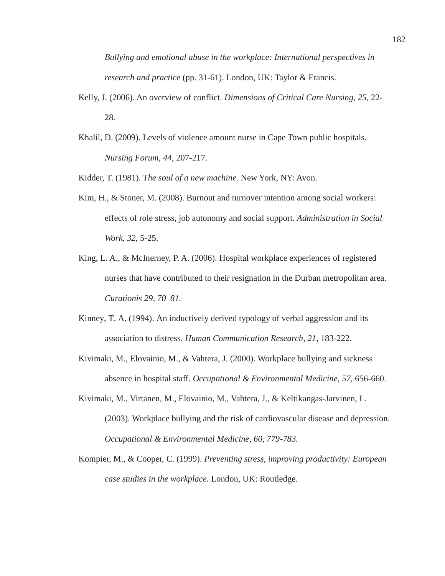*Bullying and emotional abuse in the workplace: International perspectives in research and practice* (pp. 31-61). London, UK: Taylor & Francis.

- Kelly, J. (2006). An overview of conflict. *Dimensions of Critical Care Nursing, 25,* 22- 28.
- Khalil, D. (2009). Levels of violence amount nurse in Cape Town public hospitals. *Nursing Forum, 44*, 207-217.

Kidder, T. (1981). *The soul of a new machine.* New York, NY: Avon.

- Kim, H., & Stoner, M. (2008). Burnout and turnover intention among social workers: effects of role stress, job autonomy and social support. *Administration in Social Work, 32*, 5-25.
- King, L. A., & McInerney, P. A. (2006). Hospital workplace experiences of registered nurses that have contributed to their resignation in the Durban metropolitan area. *Curationis 29, 70–81.*
- Kinney, T. A. (1994). An inductively derived typology of verbal aggression and its association to distress. *Human Communication Research, 21*, 183-222.
- Kivimaki, M., Elovainio, M., & Vahtera, J. (2000). Workplace bullying and sickness absence in hospital staff. *Occupational & Environmental Medicine, 57,* 656-660.
- Kivimaki, M., Virtanen, M., Elovainio, M., Vahtera, J., & Keltikangas-Jarvinen, L. (2003). Workplace bullying and the risk of cardiovascular disease and depression. *Occupational & Environmental Medicine, 60, 779-783.*
- Kompier, M., & Cooper, C. (1999). *Preventing stress, improving productivity: European case studies in the workplace.* London, UK: Routledge.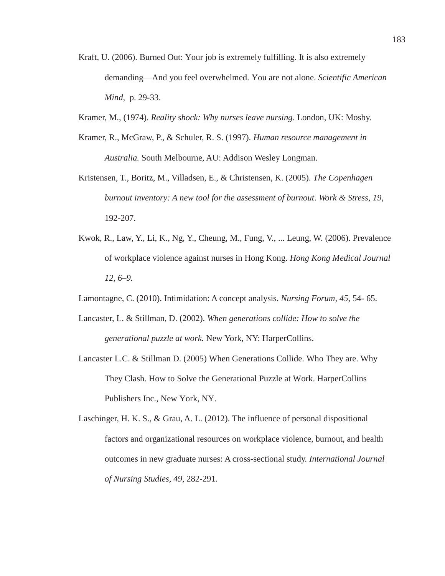- Kraft, U. (2006). Burned Out: Your job is extremely fulfilling. It is also extremely demanding—And you feel overwhelmed. You are not alone. *Scientific American Mind*, p. 29-33.
- Kramer, M., (1974). *Reality shock: Why nurses leave nursing*. London, UK: Mosby.
- Kramer, R., McGraw, P., & Schuler, R. S. (1997). *Human resource management in Australia.* South Melbourne, AU: Addison Wesley Longman.
- Kristensen, T., Boritz, M., Villadsen, E., & Christensen, K. (2005). *The Copenhagen burnout inventory: A new tool for the assessment of burnout*. *Work & Stress, 19*, 192-207.
- Kwok, R., Law, Y., Li, K., Ng, Y., Cheung, M., Fung, V., ... Leung, W. (2006). Prevalence of workplace violence against nurses in Hong Kong. *Hong Kong Medical Journal 12, 6–9.*
- Lamontagne, C. (2010). Intimidation: A concept analysis. *Nursing Forum, 45*, 54- 65.
- Lancaster, L. & Stillman, D. (2002). *When generations collide: How to solve the generational puzzle at work.* New York, NY: HarperCollins.
- Lancaster L.C. & Stillman D. (2005) When Generations Collide. Who They are. Why They Clash. How to Solve the Generational Puzzle at Work. HarperCollins Publishers Inc., New York, NY.
- Laschinger, H. K. S., & Grau, A. L. (2012). The influence of personal dispositional factors and organizational resources on workplace violence, burnout, and health outcomes in new graduate nurses: A cross-sectional study. *International Journal of Nursing Studies, 49*, 282-291.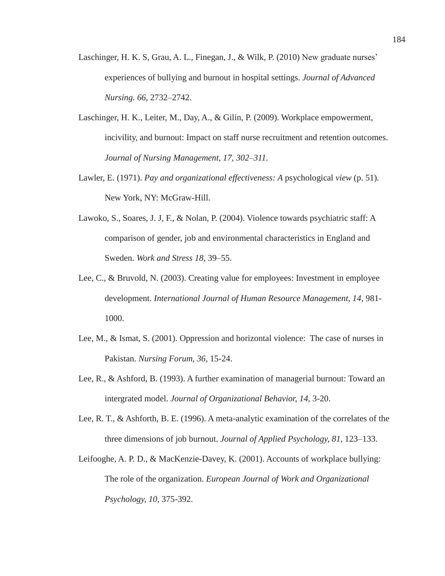- Laschinger, H. K. S, Grau, A. L., Finegan, J., & Wilk, P. (2010) New graduate nurses' experiences of bullying and burnout in hospital settings. *Journal of Advanced Nursing. 66,* 2732–2742.
- Laschinger, H. K., Leiter, M., Day, A., & Gilin, P. (2009). Workplace empowerment, incivility, and burnout: Impact on staff nurse recruitment and retention outcomes. *Journal of Nursing Management, 17, 302–311.*
- Lawler, E. (1971). *Pay and organizational effectiveness: A* psychological *view* (p. 51)*.* New York, NY: McGraw-Hill.
- Lawoko, S., Soares, J. J, F., & Nolan, P. (2004). Violence towards psychiatric staff: A comparison of gender, job and environmental characteristics in England and Sweden. *Work and Stress 18,* 39–55.
- Lee, C., & Bruvold, N. (2003). Creating value for employees: Investment in employee development. *International Journal of Human Resource Management, 14*, 981- 1000.
- Lee, M., & Ismat, S. (2001). Oppression and horizontal violence: The case of nurses in Pakistan. *Nursing Forum, 36*, 15-24.
- Lee, R., & Ashford, B. (1993). A further examination of managerial burnout: Toward an intergrated model. *Journal of Organizational Behavior, 14,* 3-20.
- Lee, R. T., & Ashforth, B. E. (1996). A meta-analytic examination of the correlates of the three dimensions of job burnout. *Journal of Applied Psychology, 81*, 123–133.
- Leifooghe, A. P. D., & MacKenzie-Davey, K. (2001). Accounts of workplace bullying: The role of the organization. *European Journal of Work and Organizational Psychology, 10*, 375-392.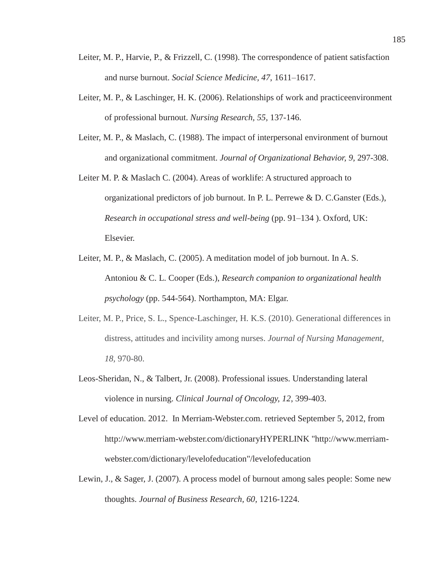- Leiter, M. P., Harvie, P., & Frizzell, C. (1998). The correspondence of patient satisfaction and nurse burnout. *Social Science Medicine, 47*, 1611–1617.
- Leiter, M. P., & Laschinger, H. K. (2006). Relationships of work and practiceenvironment of professional burnout. *Nursing Research, 55,* 137-146.
- Leiter, M. P., & Maslach, C. (1988). The impact of interpersonal environment of burnout and organizational commitment. *Journal of Organizational Behavior, 9,* 297-308.
- Leiter M. P. & Maslach C. (2004). Areas of worklife: A structured approach to organizational predictors of job burnout. In P. L. Perrewe & D. C.Ganster (Eds.), *Research in occupational stress and well-being* (pp. 91–134 ). Oxford, UK: Elsevier.
- Leiter, M. P., & Maslach, C. (2005). A meditation model of job burnout. In A. S. Antoniou & C. L. Cooper (Eds.), *Research companion to organizational health psychology* (pp. 544-564). Northampton, MA: Elgar.
- Leiter, M. P., Price, S. L., Spence-Laschinger, H. K.S. (2010). Generational differences in distress, attitudes and incivility among nurses. *Journal of Nursing Management, 18,* 970-80.
- Leos-Sheridan, N., & Talbert, Jr. (2008). Professional issues. Understanding lateral violence in nursing. *Clinical Journal of Oncology, 12*, 399-403.
- Level of education. 2012. In Merriam-Webster.com. retrieved September 5, 2012, from http://www.merriam-webster.com/dictionaryHYPERLINK "http://www.merriamwebster.com/dictionary/levelofeducation"/levelofeducation
- Lewin, J., & Sager, J. (2007). A process model of burnout among sales people: Some new thoughts. *Journal of Business Research, 60,* 1216-1224.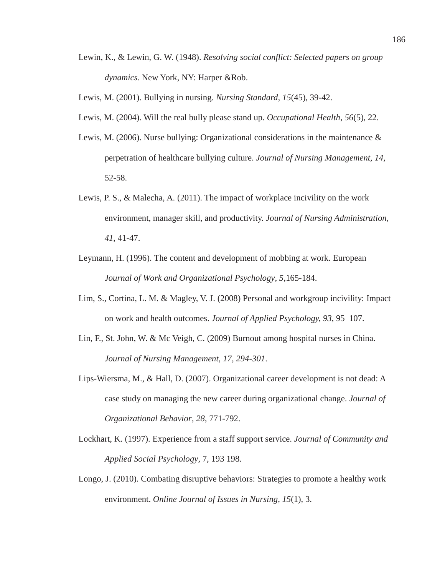Lewin, K., & Lewin, G. W. (1948). *Resolving social conflict: Selected papers on group dynamics.* New York, NY: Harper &Rob.

Lewis, M. (2001). Bullying in nursing. *Nursing Standard, 15*(45), 39-42.

- Lewis, M. (2004). Will the real bully please stand up. *Occupational Health, 56*(5), 22.
- Lewis, M. (2006). Nurse bullying: Organizational considerations in the maintenance & perpetration of healthcare bullying culture. *Journal of Nursing Management, 14,* 52-58.
- Lewis, P. S., & Malecha, A. (2011). The impact of workplace incivility on the work environment, manager skill, and productivity. *Journal of Nursing Administration, 41*, 41-47.
- Leymann, H. (1996). The content and development of mobbing at work. European *Journal of Work and Organizational Psychology, 5,*165-184.
- Lim, S., Cortina, L. M. & Magley, V. J. (2008) Personal and workgroup incivility: Impact on work and health outcomes. *Journal of Applied Psychology, 93,* 95–107.
- Lin, F., St. John, W. & Mc Veigh, C. (2009) Burnout among hospital nurses in China. *Journal of Nursing Management, 17, 294-301*.
- Lips-Wiersma, M., & Hall, D. (2007). Organizational career development is not dead: A case study on managing the new career during organizational change. *Journal of Organizational Behavior, 28*, 771-792.
- Lockhart, K. (1997). Experience from a staff support service. *Journal of Community and Applied Social Psychology,* 7, 193 198.
- Longo, J. (2010). Combating disruptive behaviors: Strategies to promote a healthy work environment. *Online Journal of Issues in Nursing*, *15*(1), 3.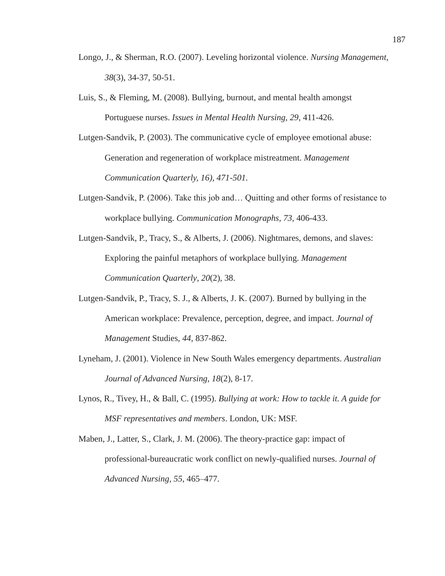- Longo, J., & Sherman, R.O. (2007). Leveling horizontal violence. *Nursing Management*, *38*(3), 34-37, 50-51.
- Luis, S., & Fleming, M. (2008). Bullying, burnout, and mental health amongst Portuguese nurses. *Issues in Mental Health Nursing, 29,* 411-426.
- Lutgen-Sandvik, P. (2003). The communicative cycle of employee emotional abuse: Generation and regeneration of workplace mistreatment. *Management Communication Quarterly, 16), 471-501.*
- Lutgen-Sandvik, P. (2006). Take this job and… Quitting and other forms of resistance to workplace bullying. *Communication Monographs, 73,* 406-433.
- Lutgen-Sandvik, P., Tracy, S., & Alberts, J. (2006). Nightmares, demons, and slaves: Exploring the painful metaphors of workplace bullying. *Management Communication Quarterly, 20*(2), 38.
- Lutgen-Sandvik, P., Tracy, S. J., & Alberts, J. K. (2007). Burned by bullying in the American workplace: Prevalence, perception, degree, and impact. *Journal of Management* Studies, *44*, 837-862.
- Lyneham, J. (2001). Violence in New South Wales emergency departments. *Australian Journal of Advanced Nursing, 18*(2), 8-17.
- Lynos, R., Tivey, H., & Ball, C. (1995). *Bullying at work: How to tackle it. A guide for MSF representatives and members*. London, UK: MSF.
- Maben, J., Latter, S., Clark, J. M. (2006). The theory-practice gap: impact of professional-bureaucratic work conflict on newly-qualified nurses. *Journal of Advanced Nursing, 55*, 465–477.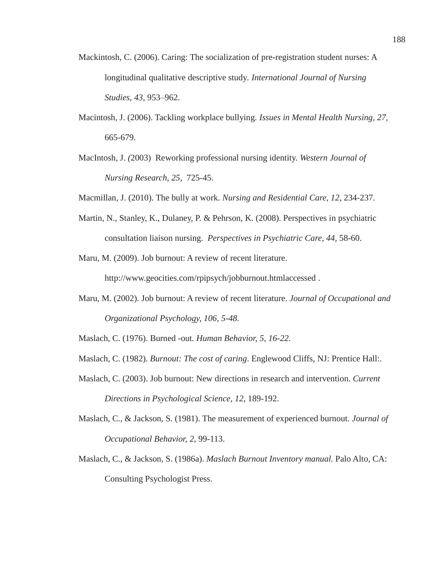- Mackintosh, C. (2006). Caring: The socialization of pre-registration student nurses: A longitudinal qualitative descriptive study*. International Journal of Nursing Studies, 43,* 953–962.
- Macintosh, J. (2006). Tackling workplace bullying*. Issues in Mental Health Nursing, 27,*  665-679.
- MacIntosh, J. *(*2003) Reworking professional nursing identity. *Western Journal of Nursing Research, 25,* 725-45.
- Macmillan, J. (2010). The bully at work. *Nursing and Residential Care, 12*, 234-237.
- Martin, N., Stanley, K., Dulaney, P. & Pehrson, K. (2008). Perspectives in psychiatric consultation liaison nursing. *Perspectives in Psychiatric Care, 44,* 58-60.
- Maru, M. (2009). Job burnout: A review of recent literature.

http://www.geocities.com/rpipsych/jobburnout.htmlaccessed .

Maru, M. (2002). Job burnout: A review of recent literature. *Journal of Occupational and Organizational Psychology, 106, 5-48.*

Maslach, C. (1976). Burned -out*. Human Behavior, 5, 16-22*.

- Maslach, C. (1982). *Burnout: The cost of caring*. Englewood Cliffs, NJ: Prentice Hall:.
- Maslach, C. (2003). Job burnout: New directions in research and intervention. *Current Directions in Psychological Science, 12,* 189-192.
- Maslach, C., & Jackson, S. (1981). The measurement of experienced burnout. *Journal of Occupational Behavior, 2,* 99-113.
- Maslach, C., & Jackson, S. (1986a). *Maslach Burnout Inventory manual.* Palo Alto, CA: Consulting Psychologist Press.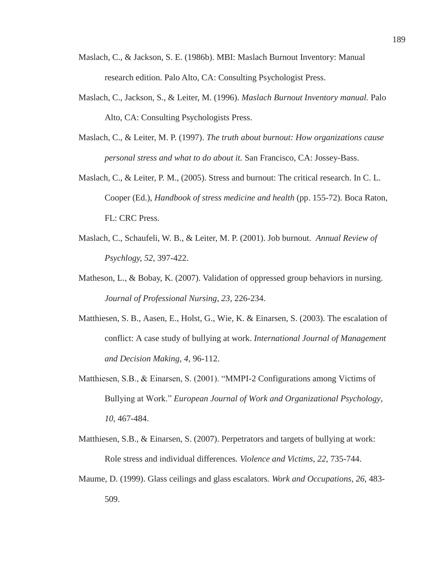- Maslach, C., & Jackson, S. E. (1986b). MBI: Maslach Burnout Inventory: Manual research edition. Palo Alto, CA: Consulting Psychologist Press.
- Maslach, C., Jackson, S., & Leiter, M. (1996). *Maslach Burnout Inventory manual.* Palo Alto, CA: Consulting Psychologists Press.
- Maslach, C., & Leiter, M. P. (1997). *The truth about burnout: How organizations cause personal stress and what to do about it.* San Francisco, CA: Jossey-Bass.
- Maslach, C., & Leiter, P. M., (2005). Stress and burnout: The critical research. In C. L. Cooper (Ed.), *Handbook of stress medicine and health* (pp. 155-72). Boca Raton, FL: CRC Press.
- Maslach, C., Schaufeli, W. B., & Leiter, M. P. (2001). Job burnout. *Annual Review of Psychlogy, 52,* 397-422.
- Matheson, L., & Bobay, K. (2007). Validation of oppressed group behaviors in nursing. *Journal of Professional Nursing, 23*, 226-234.
- Matthiesen, S. B., Aasen, E., Holst, G., Wie, K. & Einarsen, S. (2003). The escalation of conflict: A case study of bullying at work. *International Journal of Management and Decision Making, 4*, 96-112.
- Matthiesen, S.B., & Einarsen, S. (2001). "MMPI-2 Configurations among Victims of Bullying at Work." *European Journal of Work and Organizational Psychology*, *10*, 467-484.
- Matthiesen, S.B., & Einarsen, S. (2007). Perpetrators and targets of bullying at work: Role stress and individual differences*. Violence and Victims, 22,* 735-744.
- Maume, D. (1999). Glass ceilings and glass escalators*. Work and Occupations, 26*, 483- 509.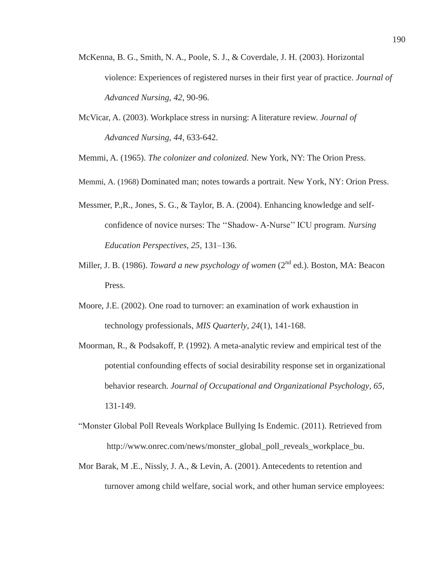- McKenna, B. G., Smith, N. A., Poole, S. J., & Coverdale, J. H. (2003). Horizontal violence: Experiences of registered nurses in their first year of practice. *Journal of Advanced Nursing, 42*, 90-96.
- McVicar, A. (2003). Workplace stress in nursing: A literature review. *Journal of Advanced Nursing, 44*, 633-642.

Memmi, A. (1965). *The colonizer and colonized.* New York, NY: The Orion Press.

- Memmi, A. (1968) Dominated man; notes towards a portrait. New York, NY: Orion Press.
- Messmer, P.,R., Jones, S. G., & Taylor, B. A. (2004). Enhancing knowledge and selfconfidence of novice nurses: The ''Shadow- A-Nurse'' ICU program. *Nursing Education Perspectives, 25,* 131–136.
- Miller, J. B. (1986). *Toward a new psychology of women* (2<sup>nd</sup> ed.). Boston, MA: Beacon Press.
- Moore, J.E. (2002). One road to turnover: an examination of work exhaustion in technology professionals, *MIS Quarterly, 24*(1), 141-168.
- Moorman, R., & Podsakoff, P. (1992). A meta-analytic review and empirical test of the potential confounding effects of social desirability response set in organizational behavior research. *Journal of Occupational and Organizational Psychology, 65,* 131-149.
- "Monster Global Poll Reveals Workplace Bullying Is Endemic. (2011). Retrieved from http://www.onrec.com/news/monster\_global\_poll\_reveals\_workplace\_bu.
- Mor Barak, M .E., Nissly, J. A., & Levin, A. (2001). Antecedents to retention and turnover among child welfare, social work, and other human service employees: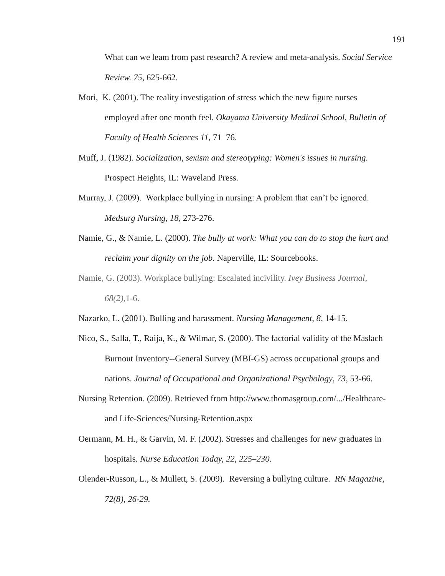What can we leam from past research? A review and meta-analysis. *Social Service Review. 75,* 625-662.

- Mori, K. (2001). The reality investigation of stress which the new figure nurses employed after one month feel. *Okayama University Medical School, Bulletin of Faculty of Health Sciences 11,* 71–76.
- Muff, J. (1982). *Socialization, sexism and stereotyping: Women's issues in nursing.* Prospect Heights, IL: Waveland Press.
- Murray, J. (2009). Workplace bullying in nursing: A problem that can't be ignored. *Medsurg Nursing, 18*, 273-276.
- Namie, G., & Namie, L. (2000). *The bully at work: What you can do to stop the hurt and reclaim your dignity on the job*. Naperville, IL: Sourcebooks.
- Namie, G. (2003). Workplace bullying: Escalated incivility. *Ivey Business Journal, 68(2),*1-6.
- Nazarko, L. (2001). Bulling and harassment. *Nursing Management, 8*, 14-15.
- Nico, S., Salla, T., Raija, K., & Wilmar, S. (2000). The factorial validity of the Maslach Burnout Inventory--General Survey (MBI-GS) across occupational groups and nations. *Journal of Occupational and Organizational Psychology, 73*, 53-66.
- Nursing Retention. (2009). Retrieved from http://www.thomasgroup.com/.../Healthcareand Life-Sciences/Nursing-Retention.aspx
- Oermann, M. H., & Garvin, M. F. (2002). Stresses and challenges for new graduates in hospitals*. Nurse Education Today, 22, 225–230.*
- Olender-Russon, L., & Mullett, S. (2009). Reversing a bullying culture. *RN Magazine, 72(8), 26-29.*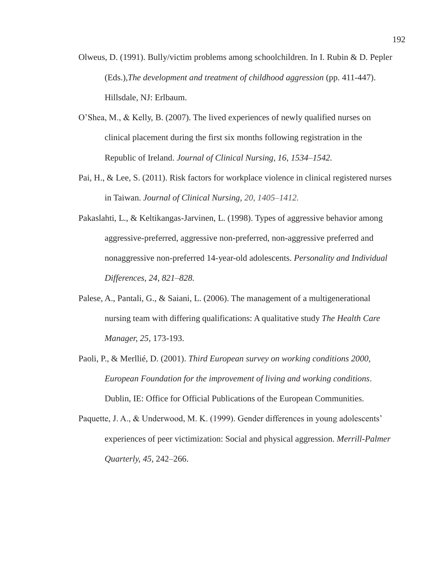- Olweus, D. (1991). Bully/victim problems among schoolchildren. In I. Rubin & D. Pepler (Eds.),*The development and treatment of childhood aggression* (pp. 411-447). Hillsdale, NJ: Erlbaum.
- O'Shea, M., & Kelly, B. (2007). The lived experiences of newly qualified nurses on clinical placement during the first six months following registration in the Republic of Ireland. *Journal of Clinical Nursing, 16, 1534–1542.*
- Pai, H., & Lee, S. (2011). Risk factors for workplace violence in clinical registered nurses in Taiwan. *Journal of Clinical Nursing, 20, 1405–1412.*
- Pakaslahti, L., & Keltikangas-Jarvinen, L. (1998). Types of aggressive behavior among aggressive-preferred, aggressive non-preferred, non-aggressive preferred and nonaggressive non-preferred 14-year-old adolescents. *Personality and Individual Differences, 24, 821–828.*
- Palese, A., Pantali, G., & Saiani, L. (2006). The management of a multigenerational nursing team with differing qualifications: A qualitative study *The Health Care Manager, 25,* 173-193.
- Paoli, P., & Merllié, D. (2001). *Third European survey on working conditions 2000, European Foundation for the improvement of living and working conditions*. Dublin, IE: Office for Official Publications of the European Communities.
- Paquette, J. A., & Underwood, M. K. (1999). Gender differences in young adolescents' experiences of peer victimization: Social and physical aggression. *Merrill-Palmer Quarterly, 45,* 242–266.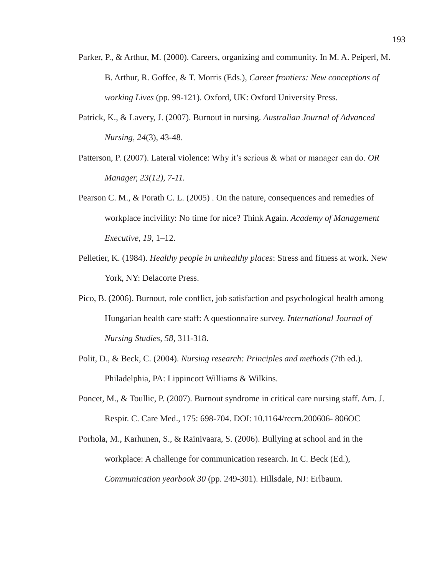- Parker, P., & Arthur, M. (2000). Careers, organizing and community. In M. A. Peiperl, M. B. Arthur, R. Goffee, & T. Morris (Eds.), *Career frontiers: New conceptions of working Lives* (pp. 99-121). Oxford, UK: Oxford University Press.
- Patrick, K., & Lavery, J. (2007). Burnout in nursing. *Australian Journal of Advanced Nursing, 24*(3), 43-48.
- Patterson, P. (2007). Lateral violence: Why it's serious & what or manager can do. *OR Manager, 23(12), 7-11.*
- Pearson C. M., & Porath C. L. (2005) . On the nature, consequences and remedies of workplace incivility: No time for nice? Think Again. *Academy of Management Executive, 19,* 1–12.
- Pelletier, K. (1984). *Healthy people in unhealthy places*: Stress and fitness at work. New York, NY: Delacorte Press.
- Pico, B. (2006). Burnout, role conflict, job satisfaction and psychological health among Hungarian health care staff: A questionnaire survey. *International Journal of Nursing Studies, 58,* 311-318.
- Polit, D., & Beck, C. (2004). *Nursing research: Principles and methods* (7th ed.). Philadelphia, PA: Lippincott Williams & Wilkins.
- Poncet, M., & Toullic, P. (2007). Burnout syndrome in critical care nursing staff. Am. J. Respir. C. Care Med., 175: 698-704. DOI: 10.1164/rccm.200606- 806OC
- Porhola, M., Karhunen, S., & Rainivaara, S. (2006). Bullying at school and in the workplace: A challenge for communication research. In C. Beck (Ed.), *Communication yearbook 30* (pp. 249-301). Hillsdale, NJ: Erlbaum.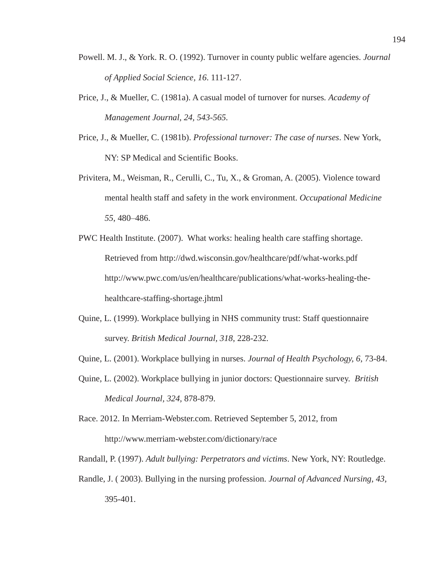- Powell. M. J., & York. R. O. (1992). Turnover in county public welfare agencies. *Journal of Applied Social Science, 16*. 111-127.
- Price, J., & Mueller, C. (1981a). A casual model of turnover for nurses*. Academy of Management Journal, 24, 543-565.*
- Price, J., & Mueller, C. (1981b). *Professional turnover: The case of nurses*. New York, NY: SP Medical and Scientific Books.
- Privitera, M., Weisman, R., Cerulli, C., Tu, X., & Groman, A. (2005). Violence toward mental health staff and safety in the work environment. *Occupational Medicine 55*, 480–486.
- PWC Health Institute. (2007). What works: healing health care staffing shortage. Retrieved from http://dwd.wisconsin.gov/healthcare/pdf/what-works.pdf http://www.pwc.com/us/en/healthcare/publications/what-works-healing-thehealthcare-staffing-shortage.jhtml
- Quine, L. (1999). Workplace bullying in NHS community trust: Staff questionnaire survey. *British Medical Journal, 318*, 228-232.
- Quine, L. (2001). Workplace bullying in nurses. *Journal of Health Psychology, 6*, 73-84.
- Quine, L. (2002). Workplace bullying in junior doctors: Questionnaire survey. *British Medical Journal, 324,* 878-879.
- Race. 2012. In Merriam-Webster.com. Retrieved September 5, 2012, from http://www.merriam-webster.com/dictionary/race
- Randall, P. (1997). *Adult bullying: Perpetrators and victims*. New York, NY: Routledge.
- Randle, J. ( 2003). Bullying in the nursing profession. *Journal of Advanced Nursing, 43,* 395-401.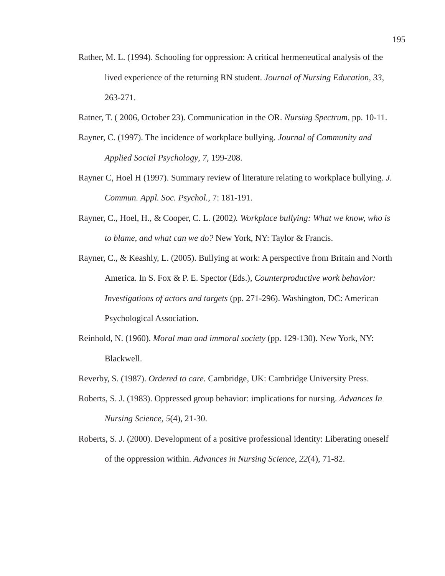- Rather, M. L. (1994). Schooling for oppression: A critical hermeneutical analysis of the lived experience of the returning RN student. *Journal of Nursing Education, 33*, 263-271.
- Ratner, T. ( 2006, October 23). Communication in the OR. *Nursing Spectrum*, pp. 10-11.
- Rayner, C. (1997). The incidence of workplace bullying. *Journal of Community and Applied Social Psychology*, *7*, 199-208.
- Rayner C, Hoel H (1997). Summary review of literature relating to workplace bullying*. J. Commun. Appl. Soc. Psychol.,* 7: 181-191.
- Rayner, C., Hoel, H., & Cooper, C. L. (2002*). Workplace bullying: What we know, who is to blame, and what can we do?* New York, NY: Taylor & Francis.
- Rayner, C., & Keashly, L. (2005). Bullying at work: A perspective from Britain and North America. In S. Fox & P. E. Spector (Eds.), *Counterproductive work behavior: Investigations of actors and targets* (pp. 271-296). Washington, DC: American Psychological Association.
- Reinhold, N. (1960). *Moral man and immoral society* (pp. 129-130). New York, NY: Blackwell.
- Reverby, S. (1987). *Ordered to care.* Cambridge, UK: Cambridge University Press.
- Roberts, S. J. (1983). Oppressed group behavior: implications for nursing. *Advances In Nursing Science, 5*(4), 21-30.
- Roberts, S. J. (2000). Development of a positive professional identity: Liberating oneself of the oppression within. *Advances in Nursing Science, 22*(4), 71-82.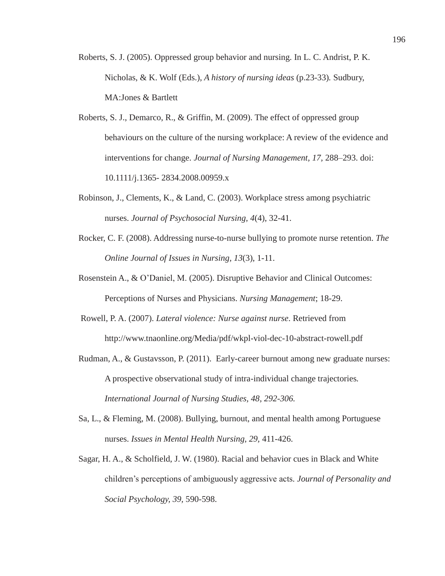- Roberts, S. J. (2005). Oppressed group behavior and nursing. In L. C. Andrist, P. K. Nicholas, & K. Wolf (Eds.), *A history of nursing ideas* (p.23-33)*.* Sudbury, MA:Jones & Bartlett
- Roberts, S. J., Demarco, R., & Griffin, M. (2009). The effect of oppressed group behaviours on the culture of the nursing workplace: A review of the evidence and interventions for change. *Journal of Nursing Management, 17,* 288–293. doi: 10.1111/j.1365- 2834.2008.00959.x
- Robinson, J., Clements, K., & Land, C. (2003). Workplace stress among psychiatric nurses. *Journal of Psychosocial Nursing, 4*(4), 32-41.
- Rocker, C. F. (2008). Addressing nurse-to-nurse bullying to promote nurse retention. *The Online Journal of Issues in Nursing, 13*(3), 1-11.
- Rosenstein A., & O'Daniel, M. (2005). Disruptive Behavior and Clinical Outcomes: Perceptions of Nurses and Physicians. *Nursing Management*; 18-29.
- Rowell, P. A. (2007). *Lateral violence: Nurse against nurse*. Retrieved from http://www.tnaonline.org/Media/pdf/wkpl-viol-dec-10-abstract-rowell.pdf
- Rudman, A., & Gustavsson, P. (2011). Early-career burnout among new graduate nurses: A prospective observational study of intra-individual change trajectories*. International Journal of Nursing Studies, 48, 292-306.*
- Sa, L., & Fleming, M. (2008). Bullying, burnout, and mental health among Portuguese nurses. *Issues in Mental Health Nursing, 29,* 411-426.
- Sagar, H. A., & Scholfield, J. W. (1980). Racial and behavior cues in Black and White children's perceptions of ambiguously aggressive acts*. Journal of Personality and Social Psychology, 39,* 590-598.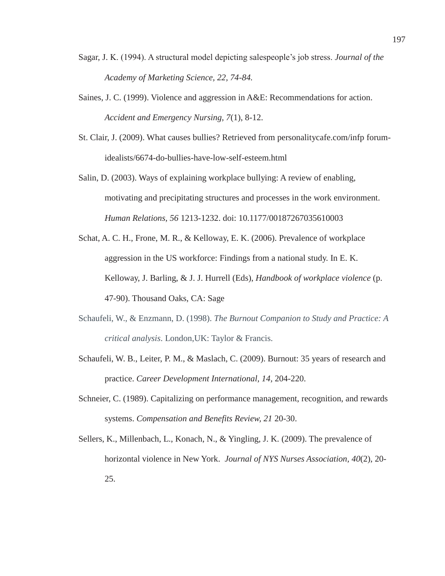- Sagar, J. K. (1994). A structural model depicting salespeople's job stress. *Journal of the Academy of Marketing Science, 22, 74-84.*
- Saines, J. C. (1999). Violence and aggression in A&E: Recommendations for action. *Accident and Emergency Nursing, 7*(1), 8-12.
- St. Clair, J. (2009). What causes bullies? Retrieved from personalitycafe.com/infp forumidealists/6674-do-bullies-have-low-self-esteem.html
- Salin, D. (2003). Ways of explaining workplace bullying: A review of enabling, motivating and precipitating structures and processes in the work environment. *Human Relations, 56* 1213-1232. doi: 10.1177/00187267035610003
- Schat, A. C. H., Frone, M. R., & Kelloway, E. K. (2006). Prevalence of workplace aggression in the US workforce: Findings from a national study. In E. K. Kelloway, J. Barling, & J. J. Hurrell (Eds), *Handbook of workplace violence* (p. 47-90). Thousand Oaks, CA: Sage
- Schaufeli, W., & Enzmann, D. (1998). *The Burnout Companion to Study and Practice: A critical analysis*. London,UK: Taylor & Francis.
- Schaufeli, W. B., Leiter, P. M., & Maslach, C. (2009). Burnout: 35 years of research and practice. *Career Development International, 14,* 204-220.
- Schneier, C. (1989). Capitalizing on performance management, recognition, and rewards systems. *Compensation and Benefits Review, 21* 20-30.
- Sellers, K., Millenbach, L., Konach, N., & Yingling, J. K. (2009). The prevalence of horizontal violence in New York. *Journal of NYS Nurses Association, 40*(2), 20- 25.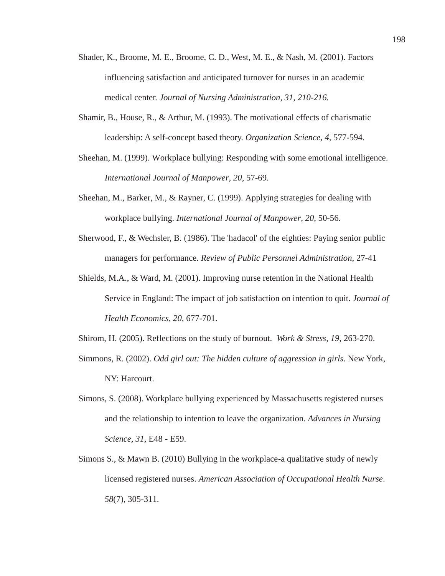- Shader, K., Broome, M. E., Broome, C. D., West, M. E., & Nash, M. (2001). Factors influencing satisfaction and anticipated turnover for nurses in an academic medical center. *Journal of Nursing Administration, 31, 210-216.*
- Shamir, B., House, R., & Arthur, M. (1993). The motivational effects of charismatic leadership: A self-concept based theory. *Organization Science, 4,* 577-594.
- Sheehan, M. (1999). Workplace bullying: Responding with some emotional intelligence. *International Journal of Manpower, 20*, 57-69.
- Sheehan, M., Barker, M., & Rayner, C. (1999). Applying strategies for dealing with workplace bullying. *International Journal of Manpower, 20*, 50-56.
- Sherwood, F., & Wechsler, B. (1986). The 'hadacol' of the eighties: Paying senior public managers for performance. *Review of Public Personnel Administration*, 27-41
- Shields, M.A., & Ward, M. (2001). Improving nurse retention in the National Health Service in England: The impact of job satisfaction on intention to quit. *Journal of Health Economics, 20,* 677-701.
- Shirom, H. (2005). Reflections on the study of burnout. *Work & Stress, 19,* 263-270.
- Simmons, R. (2002). *Odd girl out: The hidden culture of aggression in girls*. New York, NY: Harcourt.
- Simons, S. (2008). Workplace bullying experienced by Massachusetts registered nurses and the relationship to intention to leave the organization. *Advances in Nursing Science, 31*, E48 - E59.
- Simons S., & Mawn B. (2010) Bullying in the workplace-a qualitative study of newly licensed registered nurses. *American Association of Occupational Health Nurse*. *58*(7), 305-311.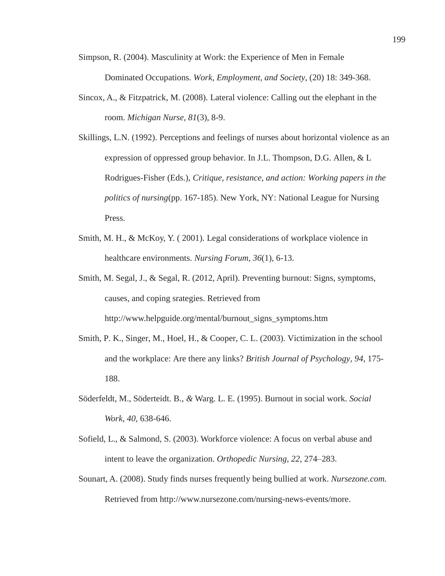Simpson, R. (2004). Masculinity at Work: the Experience of Men in Female Dominated Occupations. *Work, Employment, and Society,* (20) 18: 349-368.

- Sincox, A., & Fitzpatrick, M. (2008). Lateral violence: Calling out the elephant in the room. *Michigan Nurse, 81*(3), 8-9.
- Skillings, L.N. (1992). Perceptions and feelings of nurses about horizontal violence as an expression of oppressed group behavior. In J.L. Thompson, D.G. Allen, & L Rodrigues-Fisher (Eds.), *Critique, resistance, and action: Working papers in the politics of nursing*(pp. 167-185). New York, NY: National League for Nursing Press.
- Smith, M. H., & McKoy, Y. ( 2001). Legal considerations of workplace violence in healthcare environments. *Nursing Forum, 36*(1), 6-13.
- Smith, M. Segal, J., & Segal, R. (2012, April). Preventing burnout: Signs, symptoms, causes, and coping srategies. Retrieved from http://www.helpguide.org/mental/burnout\_signs\_symptoms.htm
- Smith, P. K., Singer, M., Hoel, H., & Cooper, C. L. (2003). Victimization in the school and the workplace: Are there any links? *British Journal of Psychology, 94*, 175- 188.
- Söderfeldt, M., Söderteidt. B., *&* Warg. L. E. (1995). Burnout in social work. *Social Work, 40,* 638-646.
- Sofield, L., & Salmond, S. (2003). Workforce violence: A focus on verbal abuse and intent to leave the organization. *Orthopedic Nursing, 22*, 274–283.
- Sounart, A. (2008). Study finds nurses frequently being bullied at work. *Nursezone.com.* Retrieved from http://www.nursezone.com/nursing-news-events/more.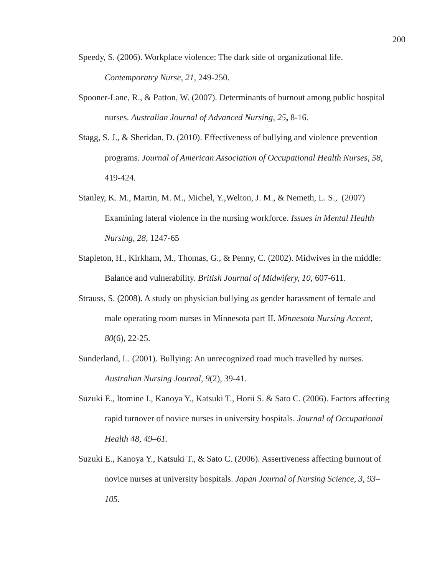- Speedy, S. (2006). Workplace violence: The dark side of organizational life. *Contemporatry Nurse, 21,* 249-250.
- Spooner-Lane, R., & Patton, W. (2007). Determinants of burnout among public hospital nurses. *Australian Journal of Advanced Nursing*, *25***,** 8-16.
- Stagg, S. J., & Sheridan, D. (2010). Effectiveness of bullying and violence prevention programs. *Journal of American Association of Occupational Health Nurses*, *58*, 419-424.
- Stanley, K. M., Martin, M. M., Michel, Y.,Welton, J. M., & Nemeth, L. S., (2007) Examining lateral violence in the nursing workforce. *Issues in Mental Health Nursing, 28,* 1247-65
- Stapleton, H., Kirkham, M., Thomas, G., & Penny, C. (2002). Midwives in the middle: Balance and vulnerability. *British Journal of Midwifery, 10,* 607-611.
- Strauss, S. (2008). A study on physician bullying as gender harassment of female and male operating room nurses in Minnesota part II. *Minnesota Nursing Accent*, *80*(6), 22-25.
- Sunderland, L. (2001). Bullying: An unrecognized road much travelled by nurses. *Australian Nursing Journal, 9*(2), 39-41.
- Suzuki E., Itomine I., Kanoya Y., Katsuki T., Horii S. & Sato C. (2006). Factors affecting rapid turnover of novice nurses in university hospitals. *Journal of Occupational Health 48, 49–61.*
- Suzuki E., Kanoya Y., Katsuki T., & Sato C. (2006). Assertiveness affecting burnout of novice nurses at university hospitals. *Japan Journal of Nursing Science, 3, 93– 105.*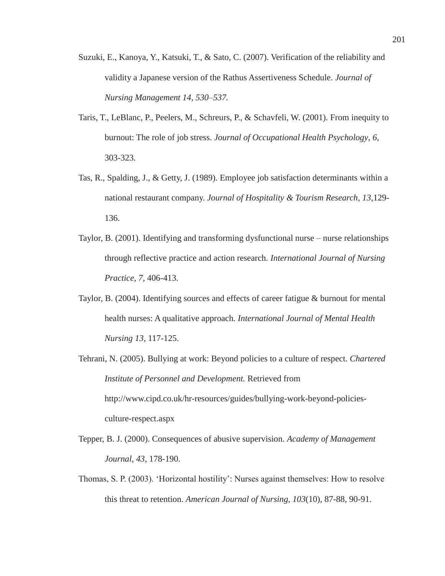- Suzuki, E., Kanoya, Y., Katsuki, T., & Sato, C. (2007). Verification of the reliability and validity a Japanese version of the Rathus Assertiveness Schedule. *Journal of Nursing Management 14, 530–537.*
- Taris, T., LeBlanc, P., Peelers, M., Schreurs, P., & Schavfeli, W. (2001). From inequity to burnout: The role of job stress. *Journal of Occupational Health Psychology*, *6*, 303-323.
- Tas, R., Spalding, J., & Getty, J. (1989). Employee job satisfaction determinants within a national restaurant company. *Journal of Hospitality & Tourism Research, 13,*129- 136.
- Taylor, B. (2001). Identifying and transforming dysfunctional nurse nurse relationships through reflective practice and action research*. International Journal of Nursing Practice, 7,* 406-413.
- Taylor, B. (2004). Identifying sources and effects of career fatigue & burnout for mental health nurses: A qualitative approach*. International Journal of Mental Health Nursing 13*, 117-125.
- Tehrani, N. (2005). Bullying at work: Beyond policies to a culture of respect. *Chartered Institute of Personnel and Development.* Retrieved from http://www.cipd.co.uk/hr-resources/guides/bullying-work-beyond-policiesculture-respect.aspx
- Tepper, B. J. (2000). Consequences of abusive supervision. *Academy of Management Journal*, *43,* 178-190.
- Thomas, S. P. (2003). 'Horizontal hostility': Nurses against themselves: How to resolve this threat to retention. *American Journal of Nursing, 103*(10), 87-88, 90-91.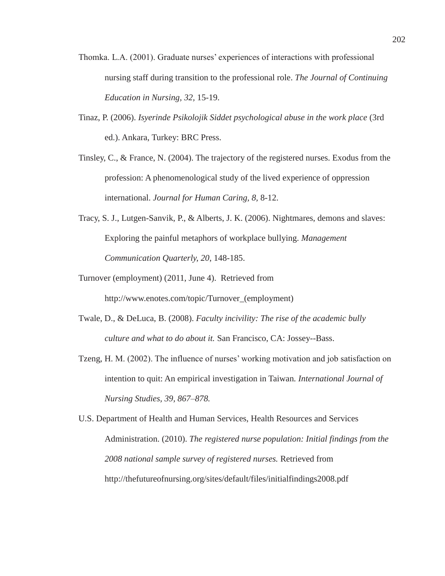- Thomka. L.A. (2001). Graduate nurses' experiences of interactions with professional nursing staff during transition to the professional role. *The Journal of Continuing Education in Nursing, 32,* 15-19.
- Tinaz, P. (2006). *Isyerinde Psikolojik Siddet psychological abuse in the work place* (3rd ed.). Ankara, Turkey: BRC Press.
- Tinsley, C., & France, N. (2004). The trajectory of the registered nurses. Exodus from the profession: A phenomenological study of the lived experience of oppression international. *Journal for Human Caring, 8,* 8-12.
- Tracy, S. J., Lutgen-Sanvik, P., & Alberts, J. K. (2006). Nightmares, demons and slaves: Exploring the painful metaphors of workplace bullying. *Management Communication Quarterly, 20*, 148-185.
- Turnover (employment) (2011, June 4). Retrieved from http://www.enotes.com/topic/Turnover\_(employment)
- Twale, D., & DeLuca, B. (2008). *Faculty incivility: The rise of the academic bully culture and what to do about it.* San Francisco, CA: Jossey--Bass.
- Tzeng, H. M. (2002). The influence of nurses' working motivation and job satisfaction on intention to quit: An empirical investigation in Taiwan*. International Journal of Nursing Studies, 39, 867–878.*
- U.S. Department of Health and Human Services, Health Resources and Services Administration. (2010). *The registered nurse population: Initial findings from the 2008 national sample survey of registered nurses.* Retrieved from http://thefutureofnursing.org/sites/default/files/initialfindings2008.pdf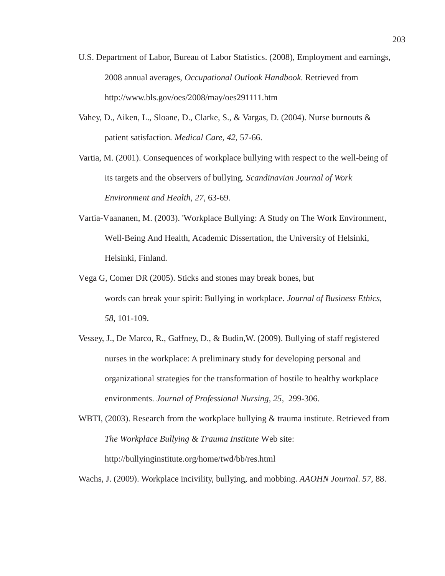- U.S. Department of Labor, Bureau of Labor Statistics. (2008), Employment and earnings, 2008 annual averages, *Occupational Outlook Handbook*. Retrieved from http://www.bls.gov/oes/2008/may/oes291111.htm
- Vahey, D., Aiken, L., Sloane, D., Clarke, S., & Vargas, D. (2004). Nurse burnouts & patient satisfaction*. Medical Care, 42*, 57-66.
- Vartia, M. (2001). Consequences of workplace bullying with respect to the well-being of its targets and the observers of bullying. *Scandinavian Journal of Work Environment and Health, 27,* 63-69.
- Vartia-Vaananen, M. (2003). 'Workplace Bullying: A Study on The Work Environment, Well-Being And Health, Academic Dissertation, the University of Helsinki, Helsinki, Finland.
- Vega G, Comer DR (2005). Sticks and stones may break bones, but words can break your spirit: Bullying in workplace. *Journal of Business Ethics*, *58*, 101-109.
- Vessey, J., De Marco, R., Gaffney, D., & Budin,W. (2009). Bullying of staff registered nurses in the workplace: A preliminary study for developing personal and organizational strategies for the transformation of hostile to healthy workplace environments. *Journal of Professional Nursing, 25,* 299-306.
- WBTI, (2003). Research from the workplace bullying & trauma institute. Retrieved from *The Workplace Bullying & Trauma Institute* Web site: http://bullyinginstitute.org/home/twd/bb/res.html

Wachs, J. (2009). Workplace incivility, bullying, and mobbing. *AAOHN Journal*. *57*, 88.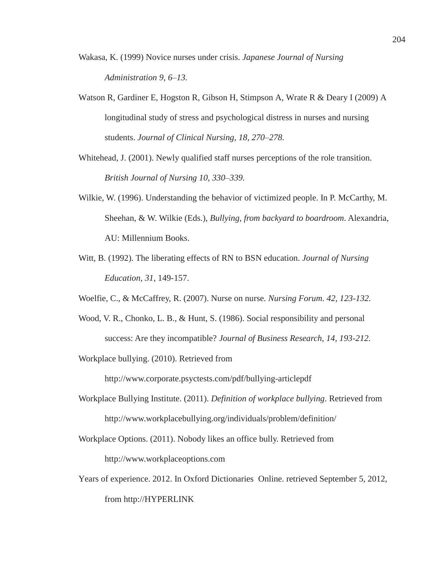- Wakasa, K. (1999) Novice nurses under crisis. *Japanese Journal of Nursing Administration 9, 6–13.*
- Watson R, Gardiner E, Hogston R, Gibson H, Stimpson A, Wrate R & Deary I (2009) A longitudinal study of stress and psychological distress in nurses and nursing students. *Journal of Clinical Nursing, 18, 270–278.*
- Whitehead, J. (2001). Newly qualified staff nurses perceptions of the role transition*. British Journal of Nursing 10, 330–339.*
- Wilkie, W. (1996). Understanding the behavior of victimized people. In P. McCarthy, M. Sheehan, & W. Wilkie (Eds.), *Bullying, from backyard to boardroom*. Alexandria, AU: Millennium Books.
- Witt, B. (1992). The liberating effects of RN to BSN education. *Journal of Nursing Education, 31*, 149-157.
- Woelfie, C., & McCaffrey, R. (2007). Nurse on nurse*. Nursing Forum. 42, 123-132.*
- Wood, V. R., Chonko, L. B., & Hunt, S. (1986). Social responsibility and personal success: Are they incompatible? *Journal of Business Research, 14, 193-212.*

Workplace bullying. (2010). Retrieved from

http://www.corporate.psyctests.com/pdf/bullying-articlepdf

- Workplace Bullying Institute. (2011). *Definition of workplace bullying*. Retrieved from http://www.workplacebullying.org/individuals/problem/definition/
- Workplace Options. (2011). Nobody likes an office bully. Retrieved from http://www.workplaceoptions.com
- Years of experience. 2012. In Oxford Dictionaries Online. retrieved September 5, 2012, from http://HYPERLINK